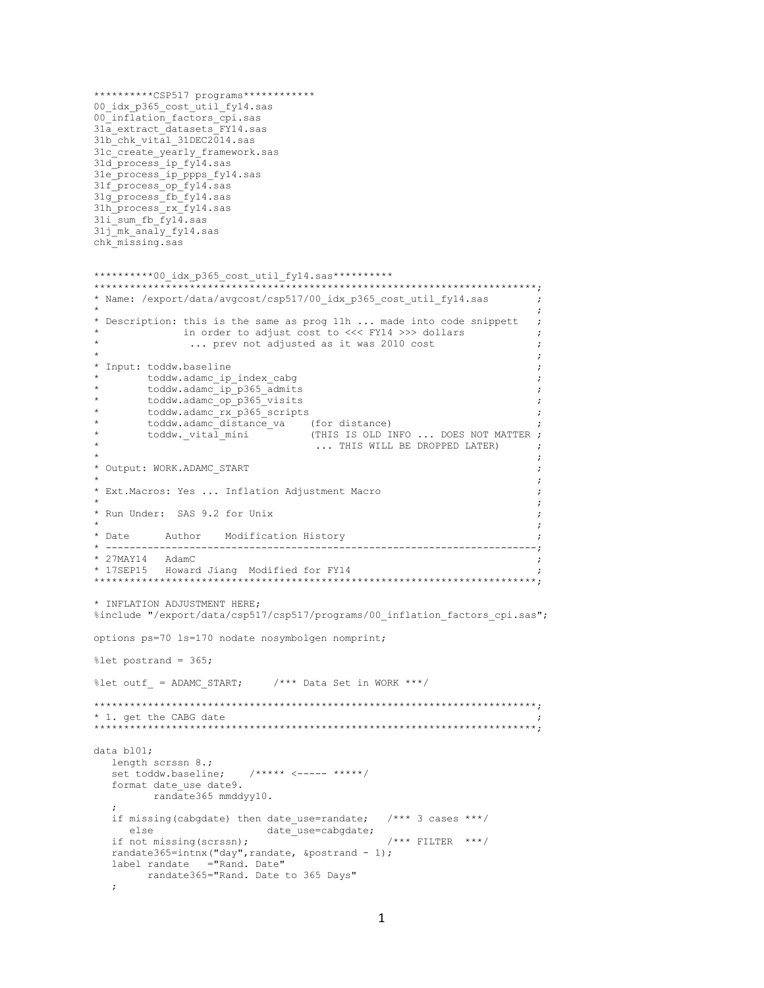```
**********CSP517 programs************
00 idx p365 cost util fy14.sas
00 inflation factors cpi.sas
31a_extract_datasets_FY14.sas
31b chk vital 31DEC2014.sas
31c<sup>create</sup> yearly framework.sas
31d_process_ip_fy14.sas
31e_process_ip_ppps_fy14.sas
31f_process_op_fy14.sas
31g_process_fb_fy14.sas
31h_process_rx_fy14.sas
31i_sum_fb_fy14.sas
31j mk analy fy14.sas
chk_missing.sas
**********00_idx_p365_cost_util_fy14.sas***********
**************************************************************************;
* Name: /export/data/avgcost/csp517/00_idx_p365_cost_util_fy14.sas ;
\star ; the contract of the contract of the contract of the contract of the contract of the contract of the contract of the contract of the contract of the contract of the contract of the contract of the contract of the co
* Description: this is the same as prog 11h ... made into code snippett
                 in order to adjust cost to \ll\lt FY14 >>> dollars ;
                  ... prev not adjusted as it was 2010 cost
\star ; the contract of the contract of the contract of the contract of the contract of the contract of the contract of the contract of the contract of the contract of the contract of the contract of the contract of the co
* Input: toddw.baseline ;
         toddw.adamc_ip_index_cabg
          toddw.adamc_ip_p365_admits
          toddw.adamc_op_p365_visits
          toddw.adamc_rx_p365_scripts
          toddw.adamc_distance_va (for distance)
          toddw._vital_mini \overline{\hspace{1cm}} (THIS IS OLD INFO ... DOES NOT MATTER ;
                                           ... THIS WILL BE DROPPED LATER)
\star \star* Output: WORK.ADAMC_START ;
\star ; the contract of the contract of the contract of the contract of the contract of the contract of the contract of the contract of the contract of the contract of the contract of the contract of the contract of the co
* Ext.Macros: Yes ... Inflation Adjustment Macro ;
\star ; the contract of the contract of the contract of the contract of the contract of the contract of the contract of the contract of the contract of the contract of the contract of the contract of the contract of the co
* Run Under: SAS 9.2 for Unix ;
\star \star* Date Author Modification History ;
* ------------------------------------------------------------------------;
* 27MAY14 AdamC ;
* 17SEP15 Howard Jiang Modified for FY14 ;
**************************************************************************;
* INFLATION ADJUSTMENT HERE;
%include "/export/data/csp517/csp517/programs/00 inflation factors cpi.sas";
options ps=70 ls=170 nodate nosymbolgen nomprint;
%let postrand = 365;
%let outf = ADAMC START; /*** Data Set in WORK ***/
**************************************************************************;
* 1. get the CABG date
**************************************************************************;
data bl01;
    length scrssn 8.;
    set toddw.baseline; /***** <----- *****/
   format date use date9.
            randate365 mmddyy10.
\mathcal{L}if missing(cabgdate) then date use=randate; /*** 3 cases ***/
      else date_use=cabgdate;
   if not missing(scrssn); - - - - - +** FILTER ***/
   randate365=intnx("day", randate, &postrand - 1);
    label randate ="Rand. Date"
           randate365="Rand. Date to 365 Days"
    ;
```

```
1
```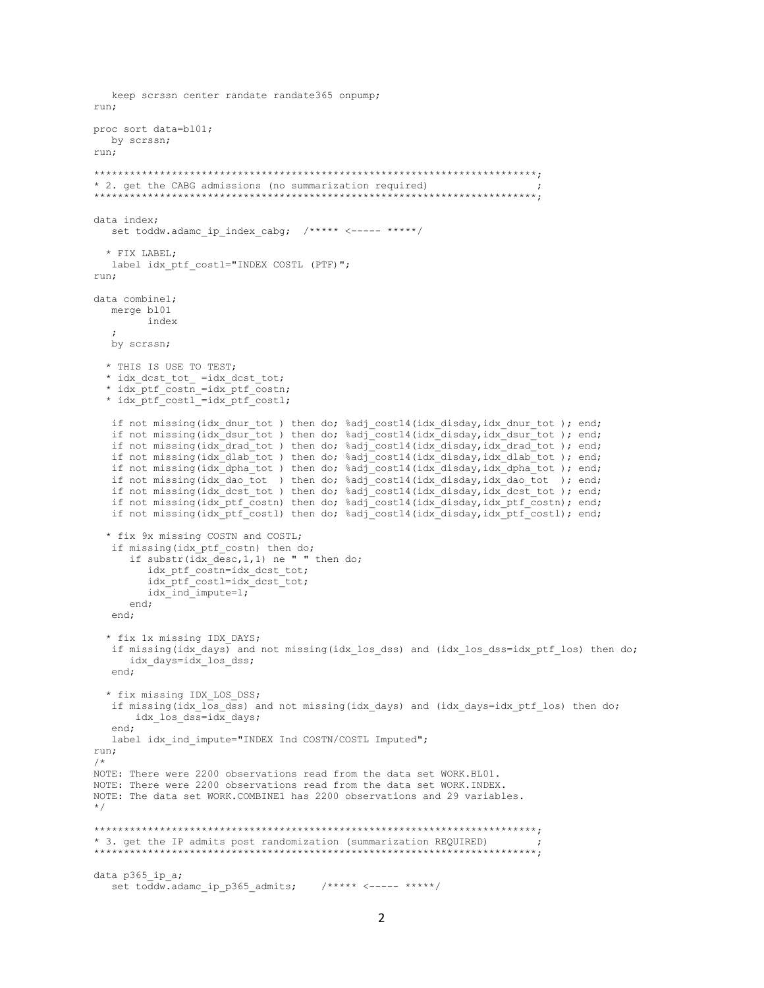```
keep scrssn center randate randate365 onpump;
run:
proc sort data=bl01;
 by scrssn;
run;
* 2. get the CABG admissions (no summarization required)
data index;
  set toddw.adamc ip index cabq; /***** <----- *****/
 * FIX LABEL;
  label idx ptf costl="INDEX COSTL (PTF)";
run:
data combinel;
  merge b101
        index
  by scrssn;
  * THIS IS USE TO TEST;
 * idx_dcst_tot_ =idx_dcst_tot;<br>* idx_ptf_costn =idx_ptf_costn;
  * idx ptf costl =idx ptf costl;
  if not missing(idx_dnur_tot) then do; %adj_cost14(idx_disday,idx_dnur_tot); end;
  if not missing(idx_dsur_tot) then do; %adj_cost14(idx_disday,idx_dsur_tot); end;<br>if not missing(idx_drad_tot) then do; %adj_cost14(idx_disday,idx_drad_tot); end;
  if not missing(idx_dlab_tot) then do; %adj_cost14(idx_disday,idx_dlab_tot); end;
  if not missing(idx_dpha_tot) then do; %adj_cost14(idx_disday,idx_dpha_tot); end;<br>if not missing(idx_dao_tot) then do; %adj_cost14(idx_disday,idx_dao_tot); end;
  if not missing(idx dcst tot) then do; %adj cost14(idx disday, idx dcst tot); end;
  if not missing(idx_ptf_costn) then do; %adj_cost14(idx_disday,idx_ptf_costn); end;
  if not missing(idx_ptf_cost1) then do; %adj_cost14(idx_disday,idx_ptf_cost1); end;
  * fix 9x missing COSTN and COSTL;
  if missing(idx_ptf_costn) then do;
      if substr(idx_desc,1,1) ne " " then do;
        idx ptf costn=idx dcst tot;
        idx_ptf_costl=idx_dcst_tot;
        idx ind impute=1;
     end:end;
  * fix 1x missing IDX DAYS;
   if missing (idx days) and not missing (idx los dss) and (idx los dss=idx ptf los) then do;
     idx days=idx los dss;
  end;
  * fix missing IDX LOS DSS;
  if missing (idx los dss) and not missing (idx days) and (idx days=idx ptf los) then do;
      idx los dss=idx days;
  end:label idx ind impute="INDEX Ind COSTN/COSTL Imputed";
run;
/*
NOTE: There were 2200 observations read from the data set WORK.BL01.
NOTE: There were 2200 observations read from the data set WORK, INDEX.
NOTE: The data set WORK. COMBINE1 has 2200 observations and 29 variables.
\star /
* 3. get the IP admits post randomization (summarization REQUIRED)
      data p365 ip a;
  set toddw.adamc_ip_p365 admits; /***** <----- *****/
```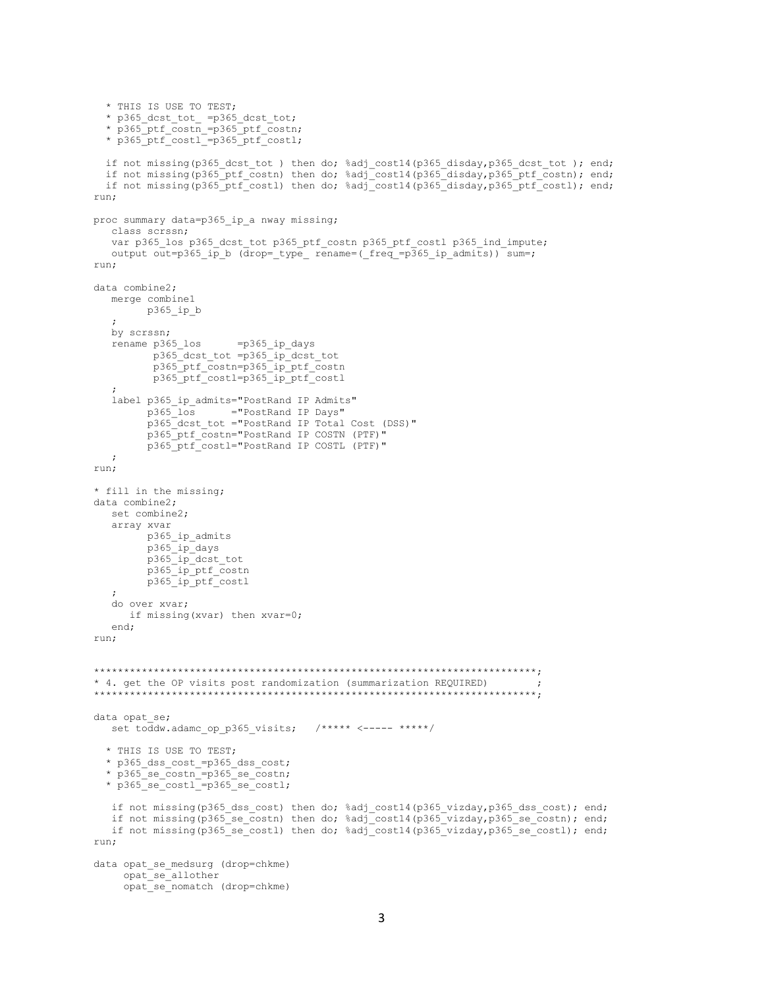```
 * THIS IS USE TO TEST;
 * p365_dcst_tot_ =p365_dcst_tot;
 * p365_ptf_costn_=p365_ptf_costn;
   * p365_ptf_costl_=p365_ptf_costl;
   if not missing(p365_dcst_tot ) then do; %adj_cost14(p365_disday,p365_dcst_tot ); end;
  if not missing(p365_ptf_costn) then do; %adj_cost14(p365_disday,p365_ptf_costn); end;
   if not missing(p365_ptf_costl) then do; %adj_cost14(p365_disday,p365_ptf_costl); end;
run;
proc summary data=p365_ip_a nway missing;
   class scrssn;
   var p365 los p365 dcst tot p365 ptf costn p365 ptf costl p365 ind impute;
   output out=p365 ip b (drop= type rename=( freq =p365 ip admits)) sum=;
run;
data combine2;
   merge combine1
         p365_ip_b
\mathcal{L} by scrssn;
    rename p365_los =p365_ip_days
 p365_dcst_tot =p365_ip_dcst_tot
 p365_ptf_costn=p365_ip_ptf_costn
           p365_ptf_costl=p365_ip_ptf_costl
\mathcal{L}label p365 ip admits="PostRand IP Admits"
          p365_los ="PostRand IP Days"
         p365<sup>dcst</sup> tot ="PostRand IP Total Cost (DSS)"
          p365_ptf_costn="PostRand IP COSTN (PTF)"
          p365_ptf_costl="PostRand IP COSTL (PTF)"
   ;
run;
* fill in the missing;
data combine2;
   set combine2;
    array xvar
         p365_ip_admits
          p365_ip_days
 p365_ip_dcst_tot
 p365_ip_ptf_costn
         p365_ip_ptf_costl
    ;
    do over xvar;
      if missing(xvar) then xvar=0;
    end;
run;
**************************************************************************;
* 4. get the OP visits post randomization (summarization REQUIRED) ;
                        **************************************************************************;
data opat_se;
  set toddw.adamc_op_p365 visits; /***** <----- *****/
   * THIS IS USE TO TEST;
   * p365_dss_cost_=p365_dss_cost;
   * p365_se_costn_=p365_se_costn;
   * p365_se_costl_=p365_se_costl;
    if not missing(p365_dss_cost) then do; %adj_cost14(p365_vizday,p365_dss_cost); end;
   if not missing(p365 se costn) then do; %adj cost14(p365 vizday,p365 se costn); end;
    if not missing(p365_se_costl) then do; %adj_cost14(p365_vizday,p365_se_costl); end;
run;
data opat_se_medsurg (drop=chkme)
      opat_se_allother
      opat_se_nomatch (drop=chkme)
```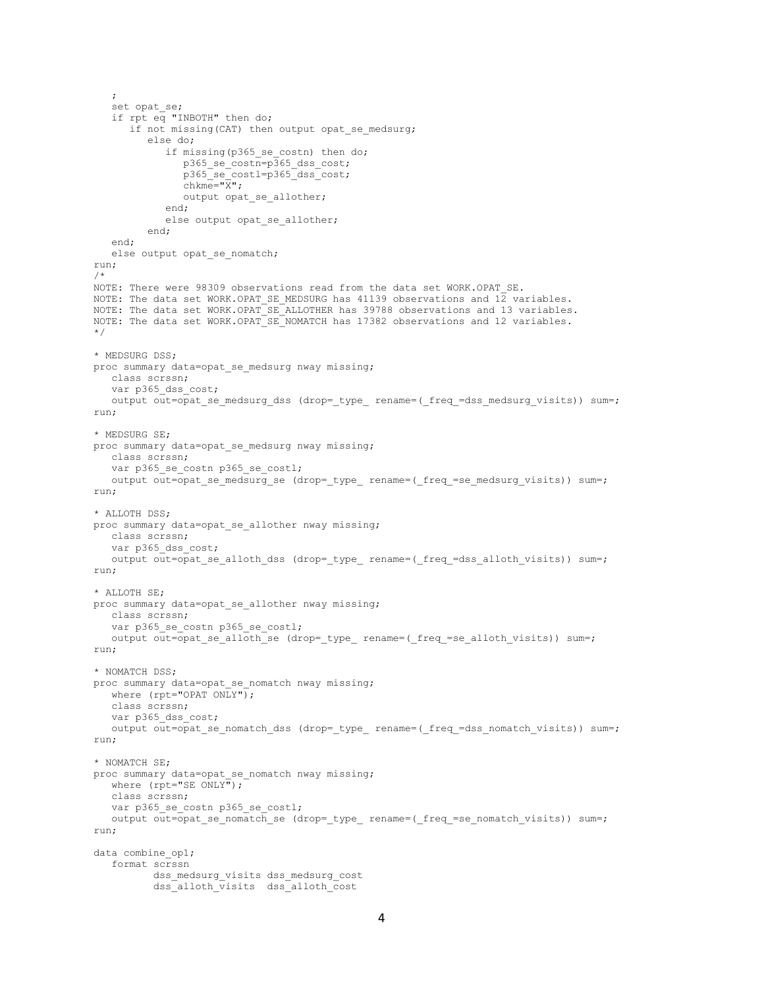```
 set opat_se;
    if rpt eq "INBOTH" then do;
      if not missing(CAT) then output opat se medsurg;
          else do;
             if missing(p365_se_costn) then do;
                p365 se costn=p365 dss cost;
                p365_se_costl=p365_dss_cost;
                \overline{\text{chkme}} = \overline{\text{K}}\overline{\text{K}}";
               output opat se allother;
             end;
             else output opat_se_allother;
          end;
    end;
   else output opat se nomatch;
run;
/*
NOTE: There were 98309 observations read from the data set WORK.OPAT SE.
NOTE: The data set WORK. OPAT SE MEDSURG has 41139 observations and 12 variables.
NOTE: The data set WORK.OPAT_SE_ALLOTHER has 39788 observations and 13 variables.
NOTE: The data set WORK. OPAT SE NOMATCH has 17382 observations and 12 variables.
*/
* MEDSURG DSS;
proc summary data=opat se medsurg nway missing;
    class scrssn;
   var p365 dss_cost;
   output out=opat se medsurg dss (drop= type rename=( freq =dss medsurg visits)) sum=;
run;
* MEDSURG SE;
proc summary data=opat_se_medsurg nway missing;
    class scrssn;
   var p365_se_costn p365 se costl;
   output out=opat_se_medsurg_se (drop=_type_ rename=(_freq_=se_medsurg_visits)) sum=;
run;
* ALLOTH DSS;
proc summary data=opat se allother nway missing;
    class scrssn;
   var p365 dss cost;
   output out=opat se alloth dss (drop= type rename=( freq =dss alloth visits)) sum=;
run;
* ALLOTH SE;
proc summary data=opat_se_allother nway missing;
   class scrssn;
   var p365 se costn p365 se costl;
   output out=opat_se_alloth_se (drop=_type_ rename=(_freq_=se_alloth_visits)) sum=;
run;
* NOMATCH DSS;
proc summary data=opat se nomatch nway missing;
  where (rpt="OPAT ONLY");
   class scrssn;
   var p365 dss cost;
  output out=opat se nomatch dss (drop= type rename=( freq =dss nomatch visits)) sum=;
run;
* NOMATCH SE;
proc summary data=opat se nomatch nway missing;
   where (rpt="SE ONLY";
    class scrssn;
  var p365 se costn p365 se costl;
  output out=opat se nomatch se (drop= type rename=( freq =se nomatch visits)) sum=;
run;
data combine op1;
    format scrssn
          dss medsurg visits dss medsurg cost
           dss_alloth_visits dss_alloth_cost
```
;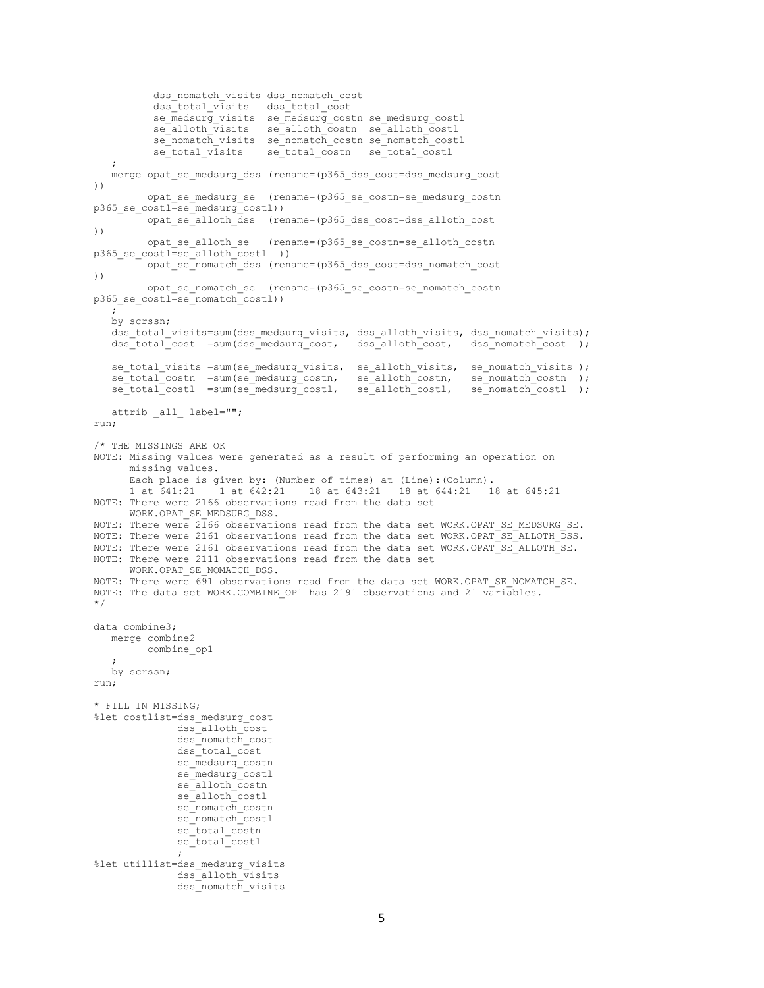```
dss_nomatch_visits dss_nomatch_cost
           dss_total_visits dss_total_cost
           se_medsurg_visits se_medsurg_costn se_medsurg_costl
          se_alloth_visits se_alloth_costn se_alloth_costl
          se_nomatch_visits se_nomatch_costn se_nomatch_costl
          se_total_visits se_total_costn se_total_costl
\mathcal{L}merge opat se medsurg dss (rename=(p365 dss cost=dss medsurg cost
))
         opat se medsurg se (rename=(p365 se costn=se medsurg costn
p365 se costl=se_medsurg_costl))
         opat se alloth dss (rename=(p365 dss cost=dss alloth cost
))
         opat se alloth se (rename=(p365 se costn=se alloth costn
p365 se costl=se_alloth_costl ))
         opat se_nomatch_dss_(rename=(p365_dss_cost=dss_nomatch_cost
))
          opat_se_nomatch_se (rename=(p365_se_costn=se_nomatch_costn 
p365_se_costl=se_nomatch_costl))
    ;
    by scrssn;
   dss total visits=sum(dss medsurg visits, dss alloth visits, dss nomatch visits);
    dss_total_cost =sum(dss_medsurg_cost, dss_alloth_cost, dss_nomatch_cost );
   se total visits =sum(se medsurg visits, se alloth visits, se nomatch visits );
   se_total_costn =sum(se_medsurg_costn, se_alloth_costn, se_nomatch_costn);<br>se_total_costl =sum(se_medsurg_costl, se_alloth_costl, se_nomatch_costl);
   se^-total\overline{\text{cost}} =sum(se_medsurg_costl,
    attrib _all_ label="";
run;
/* THE MISSINGS ARE OK
NOTE: Missing values were generated as a result of performing an operation on
       missing values.
       Each place is given by: (Number of times) at (Line):(Column).
       1 at 641:21 1 at 642:21 18 at 643:21 18 at 644:21 18 at 645:21
NOTE: There were 2166 observations read from the data set
      WORK.OPAT_SE_MEDSURG_DSS.
NOTE: There were 2166 observations read from the data set WORK.OPAT SE MEDSURG SE.
NOTE: There were 2161 observations read from the data set WORK.OPAT SE ALLOTH DSS.
NOTE: There were 2161 observations read from the data set WORK.OPAT<sup>-</sup>SE<sup>-ALLOTH</sub>-SE.</sup>
NOTE: There were 2111 observations read from the data set
      WORK.OPAT SE NOMATCH DSS.
NOTE: There were 691 observations read from the data set WORK.OPAT SE NOMATCH SE.
NOTE: The data set WORK.COMBINE OP1 has 2191 observations and 21 variables.
*/
data combine3;
    merge combine2
         combine_op1
    ;
    by scrssn;
run;
* FILL IN MISSING;
%let costlist=dss_medsurg_cost
                dss_alloth_cost
                dss_nomatch_cost
                dss_total_cost
                se_medsurg_costn
               se_medsurg_costl
               se_alloth_costn
                se_alloth_costl
               se<sup>nomatch_costn</sup>
               se nomatch costl
                se_total_costn
               se_total_costl
\mathcal{L} ; and \mathcal{L} is the set of \mathcal{L}%let utillist=dss_medsurg_visits
               dss_alloth_visits
               dss_nomatch_visits
```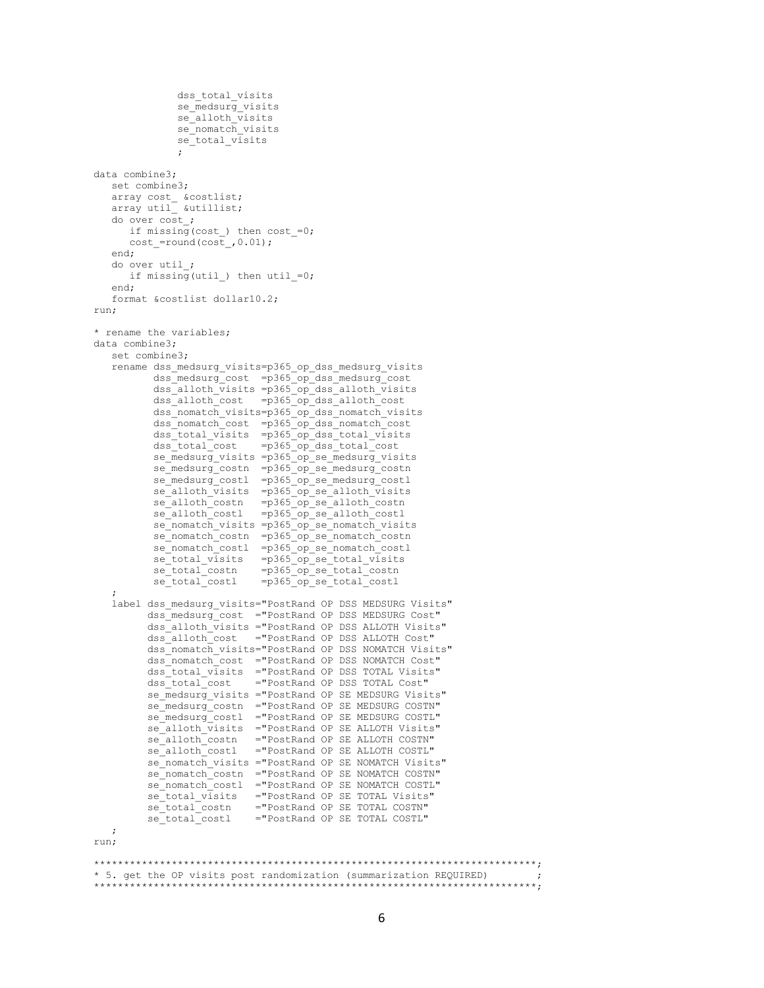```
dss total visits
             se medsurg visits
             se_alloth_visits
             se_nomatch_visits
             se_total_visits
\mathcal{L} ; and \mathcal{L} is the set of \mathcal{L}data combine3;
   set combine3;
array cost &costlist;
array util &utillist;
   do over cost_;
     if missing(cost) then cost =0;
     cost =round(cost, 0.01);
    end;
   do over util_;
     if missing(util) then util =0;
    end;
    format &costlist dollar10.2;
run;
* rename the variables;
data combine3;
    set combine3;
   rename dss_medsurg_visits=p365_op_dss_medsurg_visits
          dss_medsurg_cost =p365_op_dss_medsurg_cost
 dss_alloth_visits =p365_op_dss_alloth_visits
dss_alloth_cost =p365_op_dss_alloth_cost
          dss_nomatch_visits=p365_op_dss_nomatch_visits
          dss_nomatch_cost =p365_op_dss_nomatch_cost
 dss_total_visits =p365_op_dss_total_visits
dss_total_cost =p365_op_dss_total_cost
         \overline{\text{se}} medsurg visits =p365 op_se_medsurg_visits
se medsurg costn =p365 op se medsurg costn
se medsurg costl =p365 op se medsurg costl
se alloth visits =p365 op se alloth visits
se alloth costn =p365 op se alloth costn
se alloth costl = p365 op se alloth costl
se nomatch visits =p365 op se nomatch visits
         se_nomatch_costn =p365_op_se_nomatch_costn
          se_nomatch_costl =p365_op_se_nomatch_costl
se total visits =p365 op se total visits
se total costn = p365 op se total costn
          se_total_costl =p365_op_se_total_costl
\mathcal{L} label dss_medsurg_visits="PostRand OP DSS MEDSURG Visits"
         dss_medsurg_cost ="PostRand OP DSS MEDSURG Cost"
         dss_alloth_visits ="PostRand OP DSS ALLOTH Visits"
         dss_alloth_cost ="PostRand OP DSS ALLOTH Cost"
         dss_nomatch_visits="PostRand OP DSS NOMATCH Visits"
         dss_nomatch_cost ="PostRand OP DSS NOMATCH Cost"
         dss_total_visits ="PostRand OP DSS TOTAL Visits"
         dss_total_cost ="PostRand OP DSS TOTAL Cost"
        se medsurg visits ="PostRand OP SE MEDSURG Visits"
se medsurg costn ="PostRand OP SE MEDSURG COSTN"
se medsurg costl ="PostRand OP SE MEDSURG COSTL"
        se_alloth_visits ="PostRand OP SE ALLOTH Visits"
se alloth costn ="PostRand OP SE ALLOTH COSTN"
se alloth costl = "PostRand OP SE ALLOTH COSTL"
         se_nomatch_visits ="PostRand OP SE NOMATCH Visits"
         se_nomatch_costn ="PostRand OP SE NOMATCH COSTN"
        se_nomatch_costl ="PostRand OP SE NOMATCH COSTL"
        se_total_visits ="PostRand OP SE TOTAL Visits"
        se_total_costn ="PostRand OP SE TOTAL COSTN"
         se_total_costl ="PostRand OP SE TOTAL COSTL"
   ;
run;
**************************************************************************;
* 5. get the OP visits post randomization (summarization REQUIRED) ;
**************************************************************************;
```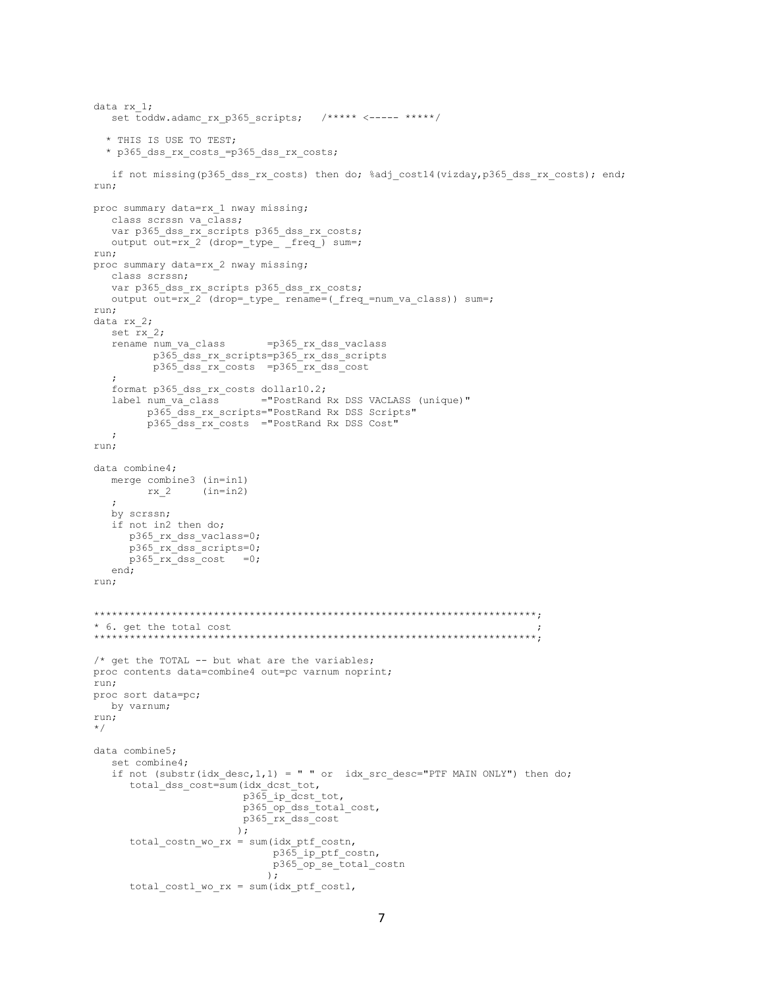```
data rx_1;
  set toddw.adamc_rx p365 scripts; /***** <----- *****/
   * THIS IS USE TO TEST;
   * p365_dss_rx_costs_=p365_dss_rx_costs;
   if not missing(p365 dss rx costs) then do; %adj cost14(vizday,p365 dss rx costs); end;
run;
proc summary data=rx 1 nway missing;
   class scrssn va_class;
    var p365_dss_rx_scripts p365_dss_rx_costs;
  output out=rx 2 (drop=_type_ _freq_) sum=;
run;
proc summary data=rx_2 nway missing;
   class scrssn;
   var p365_dss_rx_scripts p365_dss_rx_costs;
   output out=rx_2 (drop=_type_ rename=(_freq_=num_va_class)) sum=;
run;
data rx_2;
  set rx 2;
    rename num_va_class =p365_rx_dss_vaclass
          p365_dss_rx_scripts=p365_rx_dss_scripts
         p365_dss_rx_costs =p365_rx_dss_cost
\mathcal{L} format p365_dss_rx_costs dollar10.2;
                       ="PostRand Rx DSS VACLASS (unique)"
        p365 dss rx scripts="PostRand Rx DSS Scripts"
          p365_dss_rx_costs ="PostRand Rx DSS Cost"
   ;
run;
data combine4;
    merge combine3 (in=in1)
        rx<sub>2</sub> (in=in2)
    ;
    by scrssn;
    if not in2 then do;
     p365 rx dss vaclass=0;
      p365_rx_dss_scripts=0;
     p365rx dss cost =0;
    end;
run;
**************************************************************************;
* 6. get the total cost ;
**************************************************************************;
/* get the TOTAL -- but what are the variables;
proc contents data=combine4 out=pc varnum noprint;
run;
proc sort data=pc;
   by varnum;
run;
*/
data combine5;
    set combine4;
   if not (substr(idx desc, 1, 1) = " " or idx src desc="PTF MAIN ONLY") then do;
total dss cost=sum(idx dcst tot,
p365 ip dcst tot,
                          p365_op_dss_total_cost,
                         p365_rx_dss_cost
) ;
       total_costn_wo_rx = sum(idx_ptf_costn,
                             p365 ip ptf costn,
                              p365_op_se_total_costn
\left( \begin{array}{c} 0 \\ 0 \end{array} \right);
      total costl wo rx = sum(idx ptf costl,
```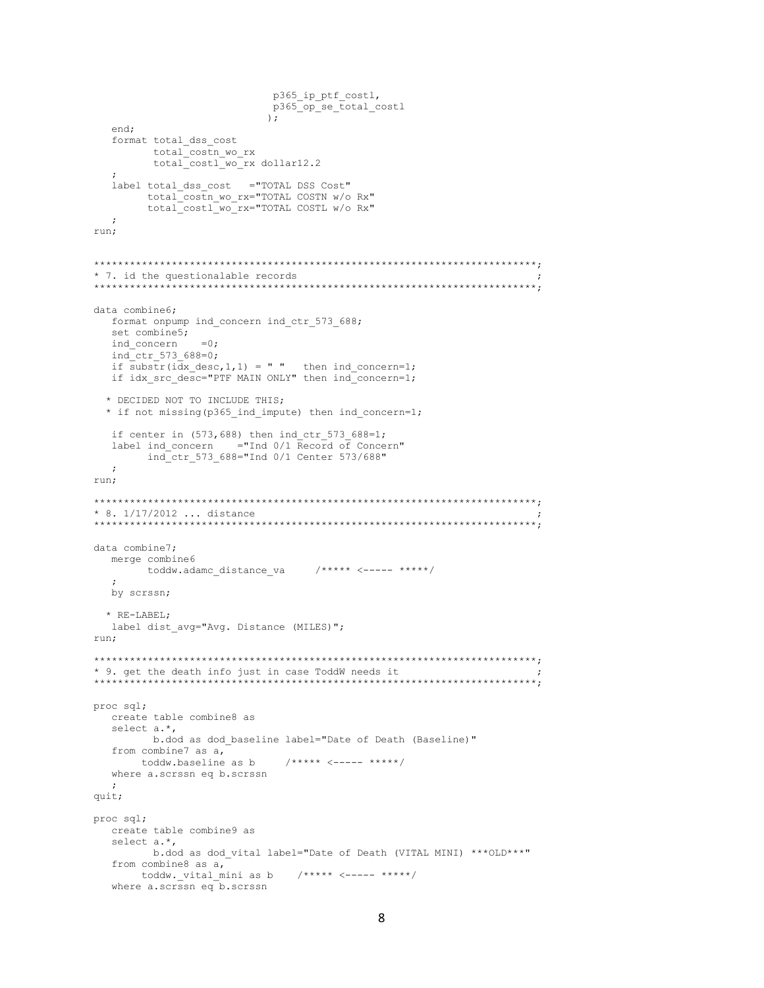```
p365 ip ptf costl,
                      p365 op se total costl
                      \mathcal{E}end;
  format total dss cost
       total_costn_wo_rx
       total costl wo rx dollar12.2
  label total_dss_cost ="TOTAL DSS Cost"
      total costn wo rx="TOTAL COSTN w/o Rx"
      total_costl_wo_rx="TOTAL COSTL w/o Rx"
  \cdotrun;
* 7. id the questionalable records
data combine6;
  format onpump ind_concern ind_ctr 573 688;
  set combine5;
             = 0:
  ind concern
  ind ctr 573 688=0;
  if substr(idx desc, 1, 1) = " " then ind concern=1:
  if idx src desc="PTF MAIN ONLY" then ind concern=1;
 * DECIDED NOT TO INCLUDE THIS;
 * if not missing (p365 ind impute) then ind concern=1;
  if center in (573, 688) then ind ctr 573 688=1;
  label ind concern ="Ind 0/1 Record of Concern"
      ind ctr 573 688="Ind 0/1 Center 573/688"
  \cdotrun;
* 8. 1/17/2012 ... distance
data combine7:
  merge combine6
     toddw.adamc distance va
                         by scrssn;
 * RE-LABEL;
  label dist avg="Avg. Distance (MILES)";
run;
* 9. get the death info just in case ToddW needs it
proc sql;
  create table combine8 as
  select a.*,
      b.dod as dod baseline label="Date of Death (Baseline)"
  from combine7 as a,
                       7*** \leftarrow - *** \leftarrow * *****/
    toddw.baseline as b
  where a.scrssn eq b.scrssn
  \cdot :
quit;
proc sql;
  create table combine9 as
  select a.*,
      b.dod as dod vital label="Date of Death (VITAL MINI) ***OLD***"
  from combine8 as a,
                        7****<----*******/toddw. vital mini as b
  where a.scrssn eq b.scrssn
```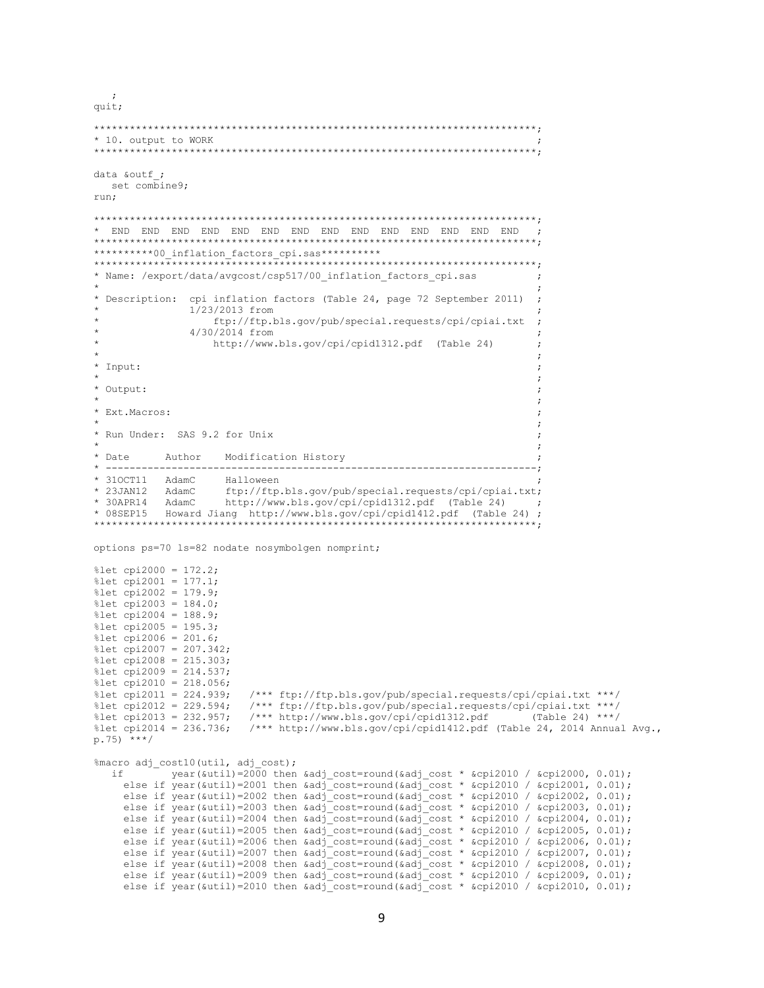```
unit:* 10. output to WORK
data &outf ;
  set combine9;
run:
\rightarrow**********00 inflation factors cpi.sas**********
                             ********************************
* Name: /export/data/avgcost/csp517/00 inflation factors cpi.sas
* Description: cpi inflation factors (Table 24, page 72 September 2011) ;
              1/23/2013 from
                 ftp://ftp.bls.gov/pub/special.requests/cpi/cpiai.txt
              4/30/2014 from
                 http://www.bls.gov/cpi/cpid1312.pdf (Table 24)
* Input:
* Output:
                                                                   \cdot\cdot* Ext. Macros:
* Run Under: SAS 9.2 for Unix
* Date
         Author Modification History
 --:* 310CT11 AdamC Halloween
* 23JAN12 AdamC
                   ftp://ftp.bls.gov/pub/special.requests/cpi/cpiai.txt;
* 30APR14 AdamC
                  http://www.bls.gov/cpi/cpid1312.pdf (Table 24)
                                                                  \cdot ;
* 08SEP15
          Howard Jiang http://www.bls.gov/cpi/cpid1412.pdf (Table 24) ;
options ps=70 ls=82 nodate nosymbolgen nomprint;
%let cpi2000 = 172.2;
%let cpi2001 = 177.1;
%let cpi2002 = 179.9;
%let cpi2003 = 184.0;
%let cpi2004 = 188.9;
%let cpi2005 = 195.3;
%let cpi2006 = 201.6;
%let cpi2007 = 207.342;
%let cpi2008 = 215.303;
%let cpi2009 = 214.537;
%let cpi2010 = 218.056;
%let cpi2011 = 224.939;
                       /*** ftp://ftp.bls.gov/pub/special.requests/cpi/cpiai.txt ***/
%let cpi2012 = 229.594;
                      /*** ftp://ftp.bls.gov/pub/special.requests/cpi/cpiai.txt ***/
                       /*** http://www.bls.gov/cpi/cpid1312.pdf (Table 24) ***/
%let cpi2013 = 232.957;
%let cpi2014 = 236.736;
                      /*** http://www.bls.gov/cpi/cpid1412.pdf (Table 24, 2014 Annual Avg.,
p.75) ***/
%macro adj_cost10(util, adj cost);
          year(&util)=2000 then &adj cost=round(&adj cost * &cpi2010 / &cpi2000, 0.01);
    else if year(&util)=2001 then &adj_cost=round(&adj_cost * &cpi2010 / &cpi2001, 0.01);<br>else if year(&util)=2002 then &adj_cost=round(&adj_cost * &cpi2010 / &cpi2002, 0.01);
    else if year(&util)=2003 then &adj_cost=round(&adj_cost * &cpi2010 / &cpi2003, 0.01);
    else if year(&util)=2004 then &adj_cost=round(&adj_cost * &cpi2010 / &cpi2004, 0.01);
    else if year(&util)=2005 then &adj_cost=round(&adj_cost * &cpi2010 / &cpi2005, 0.01);<br>else if year(&util)=2006 then &adj_cost=round(&adj_cost * &cpi2010 / &cpi2006, 0.01);
    else if year(&util)=2007 then &adj_cost=round(&adj_cost * &cpi2010 / &cpi2007, 0.01);
    else if year(&util)=2008 then &adj_cost=round(&adj_cost * &cpi2010 / &cpi2008, 0.01);<br>else if year(&util)=2009 then &adj_cost=round(&adj_cost * &cpi2010 / &cpi2009, 0.01);
    else if year(&util)=2010 then &adj cost=round(&adj cost * &cpi2010 / &cpi2010, 0.01);
```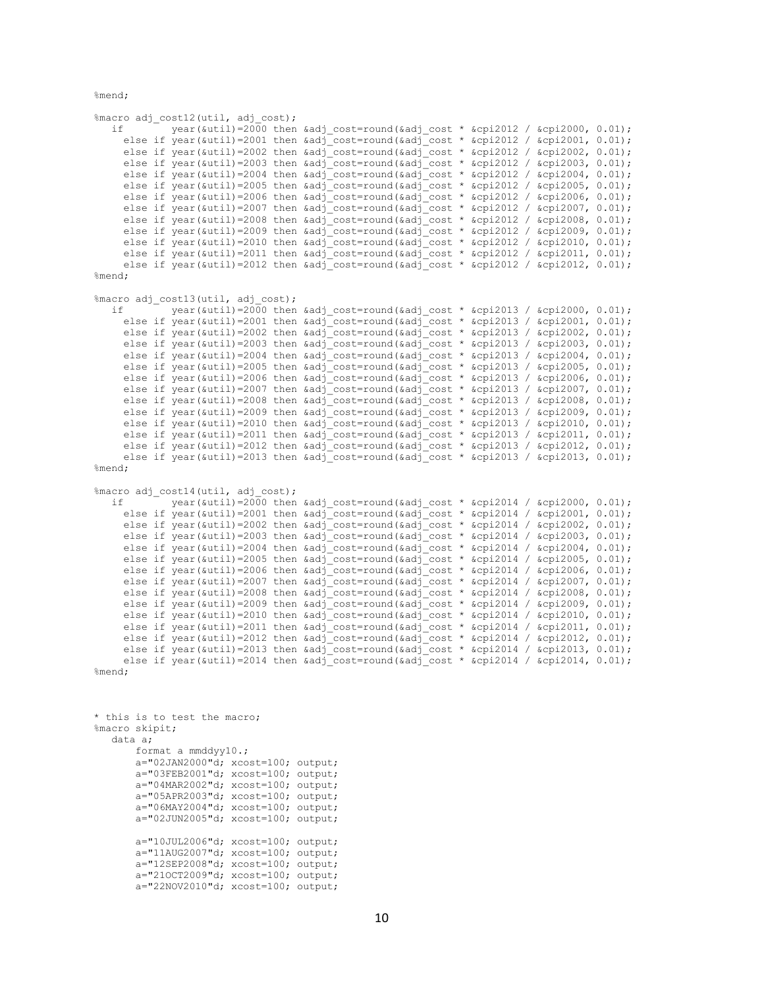%mend;

%macro adj cost12(util, adj cost); if  $\overline{a}$  year(&util)=2000 then &adj cost=round(&adj cost \* &cpi2012 / &cpi2000, 0.01); else if year(&util)=2001 then &adj\_cost=round(&adj\_cost \* &cpi2012 / &cpi2001, 0.01); else if year(&util)=2002 then &adj cost=round(&adj cost \* &cpi2012 / &cpi2002, 0.01); else if year(&util)=2003 then &adj cost=round(&adj cost \* &cpi2012 / &cpi2003, 0.01); else if year(&util)=2004 then &adj\_cost=round(&adj\_cost \* &cpi2012 / &cpi2004, 0.01); else if year(&util)=2005 then &adj cost=round(&adj cost \* &cpi2012 / &cpi2005, 0.01); else if year(&util)=2006 then &adj cost=round(&adj cost \* &cpi2012 / &cpi2006, 0.01); else if year(&util)=2007 then &adj\_cost=round(&adj\_cost \* &cpi2012 / &cpi2007, 0.01); else if year(&util)=2008 then  $\kappa$ adj\_cost=round(&adj\_cost \* &cpi2012 / &cpi2008, 0.01); else if year(&util)=2009 then &adj cost=round(&adj cost \* &cpi2012 / &cpi2009, 0.01); else if year(&util)=2010 then &adj cost=round(&adj cost \* &cpi2012 / &cpi2010, 0.01); else if year(&util)=2011 then  $\frac{1}{4}$ cost=round(&adj\_cost \* &cpi2012 / &cpi2011, 0.01); else if year(&util)=2012 then &adj\_cost=round(&adj\_cost \* &cpi2012 / &cpi2012, 0.01); %mend; %macro adj cost13(util, adj cost); if year(&util)=2000 then &adj cost=round(&adj cost \* &cpi2013 / &cpi2000, 0.01); else if year(&util)=2001 then &adj cost=round(&adj cost \* &cpi2013 / &cpi2001, 0.01); else if year(&util)=2002 then &adj\_cost=round(&adj\_cost \* &cpi2013 / &cpi2002, 0.01); else if year(&util)=2003 then &adj cost=round(&adj cost \* &cpi2013 / &cpi2003, 0.01); else if year(&util)=2004 then &adj cost=round(&adj cost \* &cpi2013 / &cpi2004, 0.01); else if year(&util)=2005 then &adj\_cost=round(&adj\_cost \* &cpi2013 / &cpi2005, 0.01); else if year(&util)=2006 then &adj\_cost=round(&adj\_cost \* &cpi2013 / &cpi2006, 0.01); else if year(&util)=2007 then &adj cost=round(&adj cost \* &cpi2013 / &cpi2007, 0.01); else if year(&util)=2008 then &adj cost=round(&adj cost \* &cpi2013 / &cpi2008, 0.01); else if year(&util)=2009 then &adj\_cost=round(&adj\_cost \* &cpi2013 / &cpi2009, 0.01); else if year(&util)=2010 then  $\text{kadj}$  cost=round(&adj\_cost \* &cpi2013 / &cpi2010, 0.01); else if year(&util)=2011 then &adj\_cost=round(&adj\_cost \* &cpi2013 / &cpi2011, 0.01); else if year(&util)=2012 then &adj\_cost=round(&adj\_cost \* &cpi2013 / &cpi2012, 0.01); else if year(&util)=2013 then  $\kappa$ adj\_cost=round(&adj\_cost \* &cpi2013 / &cpi2013, 0.01); %mend; %macro adj\_cost14(util, adj cost); if year(&util)=2000 then &adj cost=round(&adj cost \* &cpi2014 / &cpi2000, 0.01); else if year(&util)=2001 then &adj cost=round(&adj cost \* &cpi2014 / &cpi2001, 0.01); else if year(&util)=2002 then &adj\_cost=round(&adj\_cost \* &cpi2014 / &cpi2002, 0.01); else if year(&util)=2003 then &adj\_cost=round(&adj\_cost \* &cpi2014 / &cpi2003, 0.01); else if year(&util)=2004 then &adj cost=round(&adj cost \* &cpi2014 / &cpi2004, 0.01); else if year(&util)=2005 then &adj cost=round(&adj cost \* &cpi2014 / &cpi2005, 0.01); else if year(&util)=2006 then  $\text{kadj}$  cost=round(&adj\_cost \* &cpi2014 / &cpi2006, 0.01); else if year(&util)=2007 then &adj\_cost=round(&adj\_cost \* &cpi2014 / &cpi2007, 0.01); else if year(&util)=2008 then &adj cost=round(&adj cost \* &cpi2014 / &cpi2008, 0.01); else if year(&util)=2009 then &adj cost=round(&adj cost \* &cpi2014 / &cpi2009, 0.01); else if year(&util)=2010 then  $\alpha d$ j\_cost=round(&adj\_cost \* &cpi2014 / &cpi2010, 0.01); else if year(&util)=2011 then &adj cost=round(&adj cost \* &cpi2014 / &cpi2011, 0.01); else if year(&util)=2012 then &adj cost=round(&adj cost \* &cpi2014 / &cpi2012, 0.01); else if year(&util)=2013 then &adj\_cost=round(&adj\_cost \* &cpi2014 / &cpi2013, 0.01); else if year(&util)=2014 then &adj\_cost=round(&adj\_cost \* &cpi2014 / &cpi2014, 0.01);

```
%mend;
```
\* this is to test the macro; %macro skipit; data a; format a mmddyy10.;  $a = "02JAN2000"d; xcost=100; output;$  a="03FEB2001"d; xcost=100; output; a="04MAR2002"d; xcost=100; output; a="05APR2003"d; xcost=100; output; a="06MAY2004"d; xcost=100; output; a="02JUN2005"d; xcost=100; output; a="10JUL2006"d; xcost=100; output; a="11AUG2007"d; xcost=100; output; a="12SEP2008"d; xcost=100; output; a="21OCT2009"d; xcost=100; output; a="22NOV2010"d; xcost=100; output;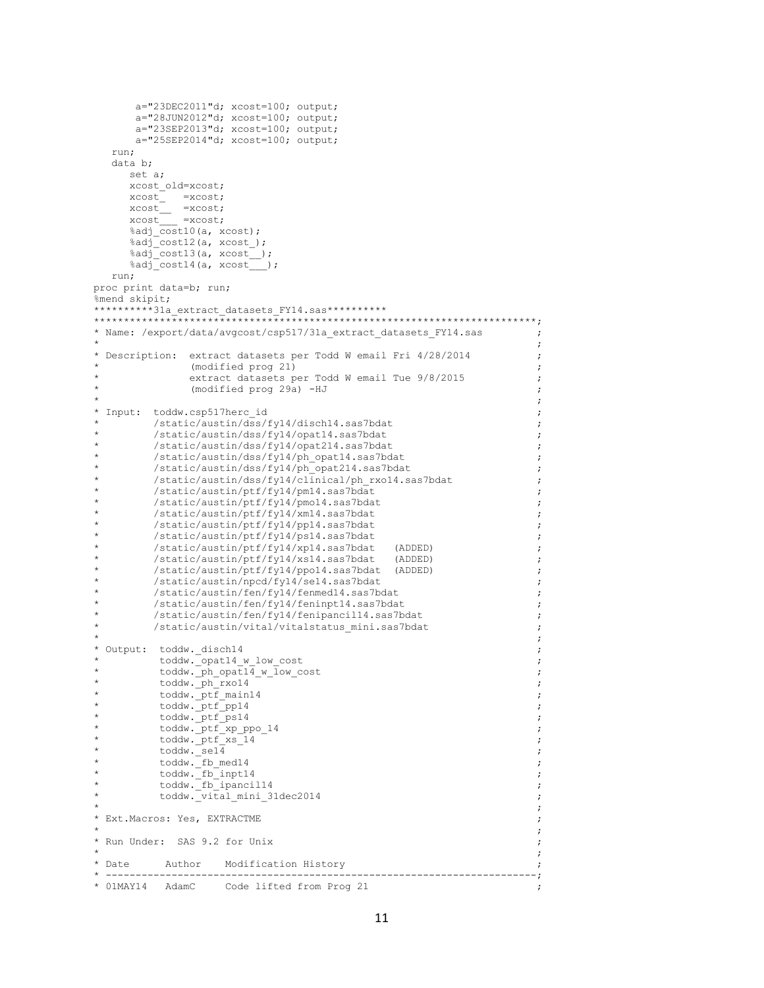```
a="23DEC2011"d; xcost=100; output;a="28JUN2012"d; xcost=100; output;a = "23SEP2013"d; xcost=100; output;
       a="25SEP2014"d; xcost=100; output;run;
   data b;
     set a;
     xcost_old=xcost;
      xcost =xcost;
     x\cot \frac{\pi}{x} =xcost;
      %adj cost10(a, xcost);
      %adj cost12(a, xcost);
      \overline{\xi}adj<sup>-</sup>cost13(a, xcost_);
      \frac{2}{3} cost14(a, xcost);
   run;
proc print data=b; run;
%mend skipit;
**********31a extract datasets FY14.sas**********
* Name: /export/data/avgcost/csp517/31a extract_datasets_FY14.sas
                                                                          \rightarrow\cdot* Description: extract datasets per Todd W email Fri 4/28/2014
                                                                            \cdot(modified prog 21)
                                                                            \cdotextract datasets per Todd W email Tue 9/8/2015
                (modified prog 29a) -HJ
                                                                            \cdot* Input: toddw.csp517herc id
          /static/austin/dss/fy14/disch14.sas7bdat
          /static/austin/dss/fy14/opat14.sas7bdat
\div\cdot\verb|/static/aussian/dss/fy14/opat214.sas7bdat|\star/static/austin/dss/fy14/ph opat14.sas7bdat
\star/static/austin/dss/fy14/phopat214.sas7bdat
                                                                            \cdot/static/austin/dss/fy14/clinical/ph rxo14.sas7bdat
          /static/austin/ptf/fy14/pm14.sas7bdat
                                                                            \cdot/static/austin/ptf/fy14/pmo14.sas7bdat
          /static/austin/ptf/fy14/xm14.sas7bdat
          /static/austin/ptf/fy14/pp14.sas7bdat
                                                                            \cdot/static/austin/ptf/fy14/ps14.sas7bdat
                                                                            \cdot(ADDED)\star\sqrt{\text{static/austin/ptf/fy14/xp14.sas7bdat}}\cdot/static/austin/ptf/fy14/xs14.sas7bdat
                                                   (ADDED)
                                                                            \cdot/static/austin/ptf/fy14/ppo14.sas7bdat (ADDED)
                                                                            \cdot/static/austin/npcd/fy14/se14.sas7bdat
          /static/austin/fen/fy14/fenmed14.sas7bdat
                                                                            \cdot\verb|/static/aussian/fen/fy14/feninpt14.sas7bdat|\cdot/static/austin/fen/fy14/fenipancil14.sas7bdat
                                                                            \cdot/static/austin/vital/vitalstatus mini.sas7bdat
                                                                            \cdot* Output: toddw. disch14
                                                                            \cdottoddw. opat14 w low cost
\divtoddw.ph_opat14_w_low_cost
                                                                            \cdottoddw. ph rxo14
          toddw. ptf main14
                                                                            \cdottoddw._ptf_pp14
                                                                            \cdottoddw. ptf ps14
          \text{today.} \text{ptf\_xp\_ppo\_14}\cdottoddw. ptf_xs_14
           \texttt{toddw._sel4}\cdottoddw. [fb_med14
           \text{today.} \boxed{\text{fb}} inpt14
           toddw. fb ipancill4
                                                                            \cdottoddw. vital mini 31dec2014
* Ext. Macros: Yes, EXTRACTME
                                                                            .,
* Run Under: SAS 9.2 for Unix
                                                                            \cdot:
* Date
         Author Modification History
                                                                            \cdot* 01MAY14 AdamC Code lifted from Prog 21
```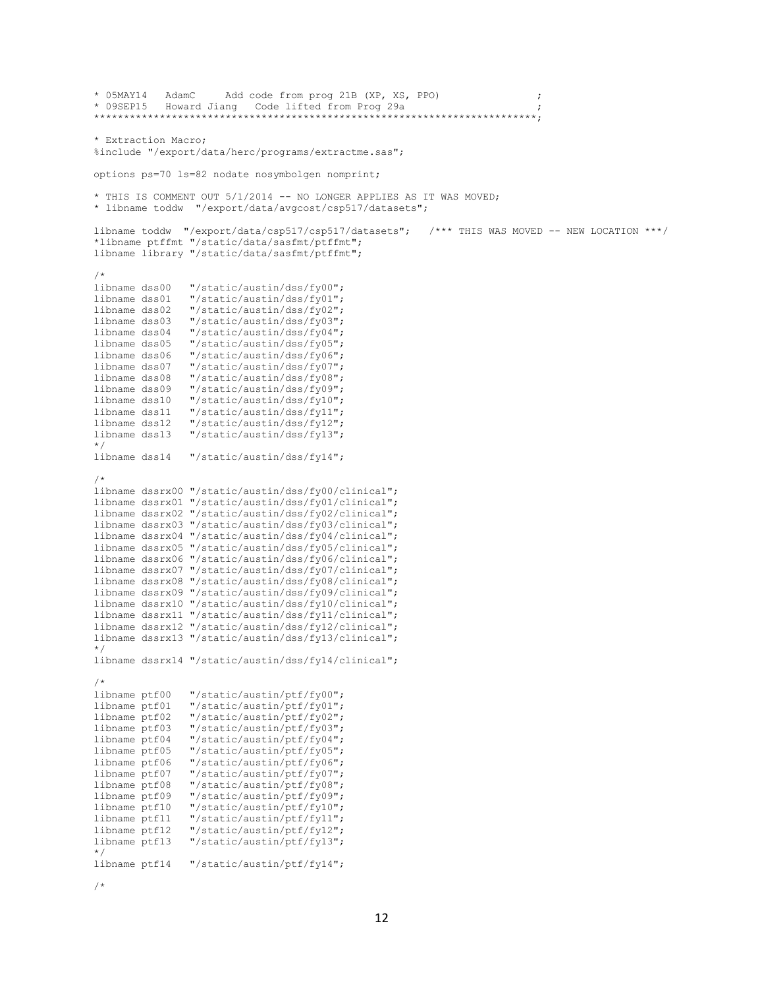```
* 05MAY14 AdamC Add code from prog 21B (XP, XS, PPO) ;
* 09SEP15 Howard Jiang Code lifted from Prog 29a ;
                               **************************************************************************;
* Extraction Macro;
%include "/export/data/herc/programs/extractme.sas";
options ps=70 ls=82 nodate nosymbolgen nomprint;
* THIS IS COMMENT OUT 5/1/2014 -- NO LONGER APPLIES AS IT WAS MOVED;
* libname toddw "/export/data/avgcost/csp517/datasets";
libname toddw "/export/data/csp517/csp517/datasets"; /*** THIS WAS MOVED -- NEW LOCATION ***/
*libname ptffmt "/static/data/sasfmt/ptffmt";
libname library "/static/data/sasfmt/ptffmt";
/*<br>libname dss00
                 "/static/austin/dss/fy00";
libname dss01 "/static/austin/dss/fy01";
libname dss02 "/static/austin/dss/fy02";
libname dss03 "/static/austin/dss/fy03";
libname dss04 "/static/austin/dss/fy04";
libname dss05 "/static/austin/dss/fy05";
libname dss06 "/static/austin/dss/fy06";<br>libname dss07 "/static/austin/dss/fy07";
libname dss07 "/static/austin/dss/fy07";<br>libname dss08 "/static/austin/dss/fy08";
libname dss08 "/static/austin/dss/fy08";
libname dss09 "/static/austin/dss/fy09";<br>libname dss10 "/static/austin/dss/fy10";
                 libname dss10 "/static/austin/dss/fy10";
libname dss11 "/static/austin/dss/fy11";
libname dss12 "/static/austin/dss/fy12";
libname dss13 "/static/austin/dss/fy13";
*/
libname dss14 "/static/austin/dss/fy14";
/*
libname dssrx00 "/static/austin/dss/fy00/clinical";
libname dssrx01 "/static/austin/dss/fy01/clinical";
libname dssrx02 "/static/austin/dss/fy02/clinical";
libname dssrx03 "/static/austin/dss/fy03/clinical";
libname dssrx04 "/static/austin/dss/fy04/clinical";
libname dssrx05 "/static/austin/dss/fy05/clinical";
libname dssrx06 "/static/austin/dss/fy06/clinical";
libname dssrx07 "/static/austin/dss/fy07/clinical";
libname dssrx08 "/static/austin/dss/fy08/clinical";
libname dssrx09 "/static/austin/dss/fy09/clinical";
libname dssrx10 "/static/austin/dss/fy10/clinical";
libname dssrx11 "/static/austin/dss/fy11/clinical";
libname dssrx12 "/static/austin/dss/fy12/clinical";
libname dssrx13 "/static/austin/dss/fy13/clinical";
*/
libname dssrx14 "/static/austin/dss/fy14/clinical";
/*
\begin{minipage}{0.9\linewidth} \text{libname ptf00} \quad \text{"/static/austin/ptf/fy00";} \quad \text{libname ptf01} \quad \text{"/static/austin/ptf/fy01";} \end{minipage}libname ptf01 "/static/austin/ptf/fy01";
libname ptf02 "/static/austin/ptf/fy02";
libname ptf03 "/static/austin/ptf/fy03";
libname ptf04 "/static/austin/ptf/fy04";
libname ptf05 "/static/austin/ptf/fy05";
libname ptf06 "/static/austin/ptf/fy06";<br>libname ptf07 "/static/austin/ptf/fy07";
libname ptf07 "/static/austin/ptf/fy07";<br>libname ptf08 "/static/austin/ptf/fy08";
                  "/static/austin/ptf/fy08";
libname ptf09 "/static/austin/ptf/fy09";
libname ptf10 "/static/austin/ptf/fy10";
libname ptf11 "/static/austin/ptf/fy11";
libname ptf12 "/static/austin/ptf/fy12";
libname ptf13 "/static/austin/ptf/fy13";
*/
libname ptf14 "/static/austin/ptf/fy14";
```

```
/*
```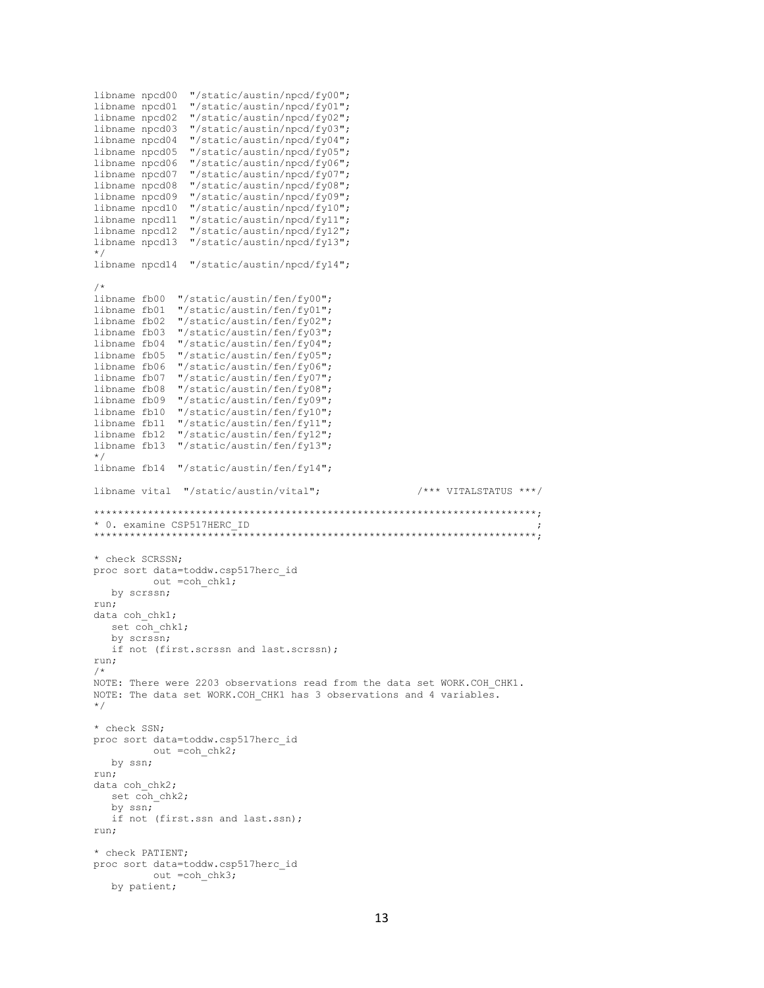```
libname npcd00 "/static/austin/npcd/fy00";
libname npcd01 "/static/austin/npcd/fy01";
libname npcd02 "/static/austin/npcd/fy02";
libname npcd03 "/static/austin/npcd/fy03";
libname npcd04 "/static/austin/npcd/fy04";
libname npcd05 "/static/austin/npcd/fy05";
libname npcd06 "/static/austin/npcd/fy06";
libname npcd07 "/static/austin/npcd/fy07";
libname npcd08 "/static/austin/npcd/fy08";
libname npcd09 "/static/austin/npcd/fy09";
libname npcd10 "/static/austin/npcd/fy10";
libname npcd11 "/static/austin/npcd/fy11";
libname npcd12 "/static/austin/npcd/fy12";
libname npcd13 "/static/austin/npcd/fy13";
*/
libname npcd14 "/static/austin/npcd/fy14";
/*
libname fb00 "/static/austin/fen/fy00";
libname fb01 "/static/austin/fen/fy01";
libname fb02 "/static/austin/fen/fy02";
libname fb03 "/static/austin/fen/fy03";
libname fb04 "/static/austin/fen/fy04";
libname fb05 "/static/austin/fen/fy05";
libname fb06 "/static/austin/fen/fy06";<br>libname fb07 "/static/austin/fen/fy07";
             "/static/austin/fen/fy07";
libname fb08 "/static/austin/fen/fy08";
libname fb09 "/static/austin/fen/fy09";
libname fb10 "/static/austin/fen/fy10";
libname fb11 "/static/austin/fen/fy11";
libname fb12 "/static/austin/fen/fy12";
libname fb13 "/static/austin/fen/fy13";
*/
libname fb14 "/static/austin/fen/fy14";
libname vital "/static/austin/vital"; /*** VITALSTATUS ***/
**************************************************************************;
* 0. examine CSP517HERC_ID ;
**************************************************************************;
* check SCRSSN;
proc sort data=toddw.csp517herc_id
        out =coh chk1;
   by scrssn;
run;
data coh chk1;
  set coh chk1;
   by scrssn;
   if not (first.scrssn and last.scrssn);
run;
/*
NOTE: There were 2203 observations read from the data set WORK.COH_CHK1.
NOTE: The data set WORK.COH CHK1 has 3 observations and 4 variables.
*/
* check SSN;
proc sort data=toddw.csp517herc_id
         out =coh chk2;
   by ssn;
run;
data coh chk2;
  set coh chk2;
   by ssn;
   if not (first.ssn and last.ssn);
run;
* check PATIENT;
proc sort data=toddw.csp517herc_id
         out =coh chk3;
   by patient;
```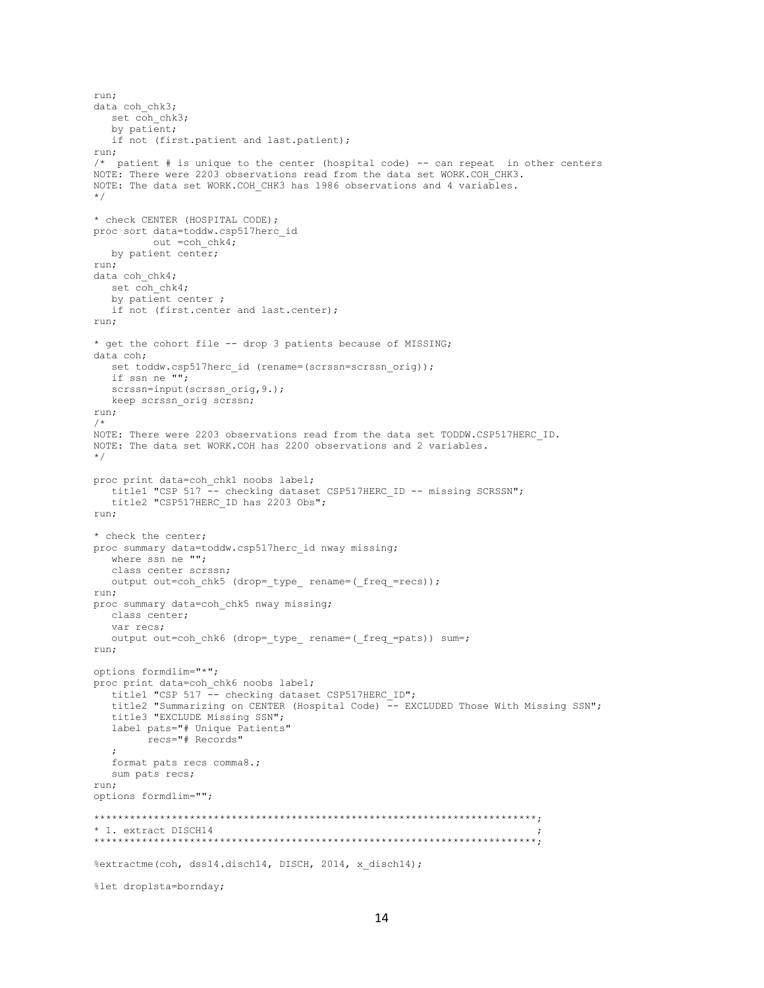```
run;
data coh chk3;
  set coh chk3;
  by patient;
   if not (first.patient and last.patient);
run;
/* patient # is unique to the center (hospital code) -- can repeat in other centers
NOTE: There were 2203 observations read from the data set WORK.COH CHK3.
NOTE: The data set WORK.COH CHK3 has 1986 observations and 4 variables.
*/
* check CENTER (HOSPITAL CODE);
proc sort data=toddw.csp517herc_id
         out =coh chk4;
  by patient center;
run;
data coh_chk4;
   set coh_chk4;
   by patient center ;
   if not (first.center and last.center);
run;
* get the cohort file -- drop 3 patients because of MISSING;
data coh;
  set toddw.csp517herc id (rename=(scrssn=scrssn_orig));
    if ssn ne "";
   scrssn=input(scrssn_orig, 9.);
  keep scrssn orig scrssn;
run;
/*
NOTE: There were 2203 observations read from the data set TODDW.CSP517HERC_ID.
NOTE: The data set WORK.COH has 2200 observations and 2 variables.
*/
proc print data=coh_chk1 noobs label;
   title1 "CSP 517 -- checking dataset CSP517HERC ID -- missing SCRSSN";
    title2 "CSP517HERC_ID has 2203 Obs";
run;
* check the center;
proc summary data=toddw.csp517herc id nway missing;
    where ssn ne "";
   class center scrssn;
   output out=coh_chk5 (drop=_type_ rename=(_freq_=recs));
run;
proc summary data=coh_chk5 nway missing;
   class center;
   var recs;
   output out=coh_chk6 (drop=_type_ rename=(_freq_=pats)) sum=;
run;
options formdlim="*";
proc print data=coh_chk6 noobs label;
  title1 "CSP 517 -- checking dataset CSP517HERC ID";
  title2 "Summarizing on CENTER (Hospital Code) -- EXCLUDED Those With Missing SSN";
    title3 "EXCLUDE Missing SSN";
    label pats="# Unique Patients"
         recs="# Records"
    ;
   format pats recs comma8.;
   sum pats recs;
run;
options formdlim="";
**************************************************************************;
* 1. extract DISCH14
     **************************************************************************;
%extractme(coh, dss14.disch14, DISCH, 2014, x_disch14);
%let droplsta=bornday;
```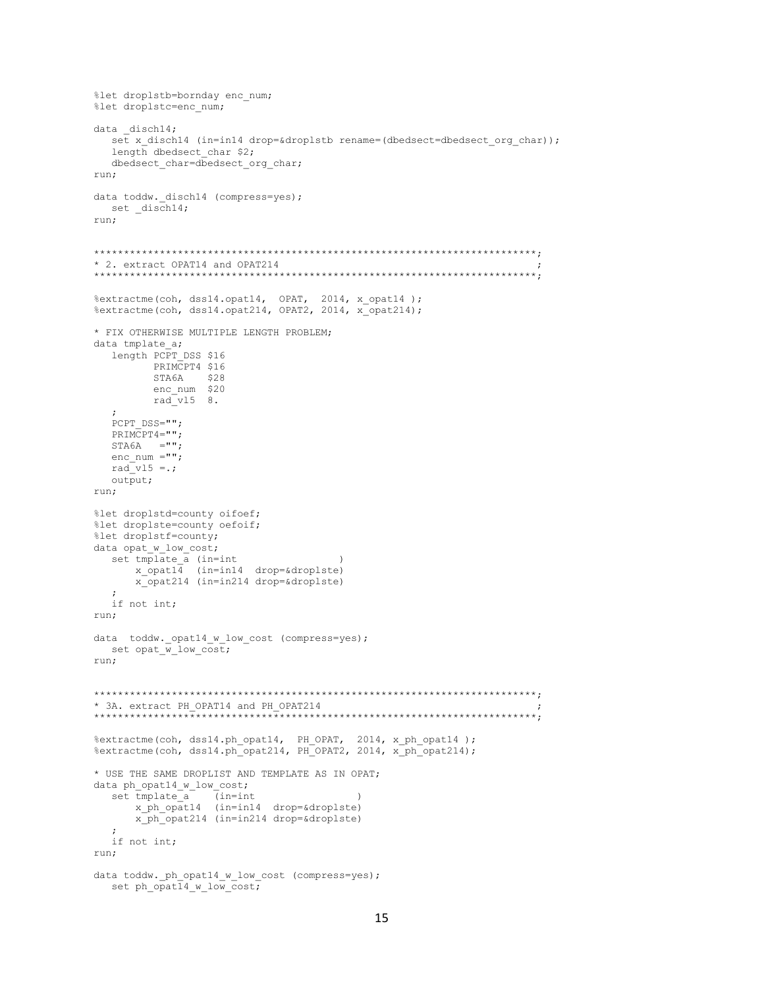```
%let droplstb=bornday enc num;
%let droplstc=enc num;
data disch14;
  set x disch14 (in=in14 drop=&droplstb rename=(dbedsect=dbedsect org char));
  length dbedsect char $2;
  dbedsect char=dbedsect org char;
run;
data toddw. disch14 (compress=yes);
 set _disch14;
run:
* 2. extract OPAT14 and OPAT214
%extractme(coh, dss14.opat14, OPAT, 2014, x opat14);
%extractme(coh, dss14.opat214, OPAT2, 2014, x opat214);
* FIX OTHERWISE MULTIPLE LENGTH PROBLEM;
data tmplate a;
  length PCPT DSS $16
        PRIMCPT4 $16
        STA6A $28
        enc num $20
        radvl5 8.
  PCPT DSS="";
  PRIMCPT4="";
  STA6A = ""enc num ="\cdot";
  rad v15 = .7output;
run;
%let droplstd=county oifoef;
%let droplste=county oefoif;
%let droplstf=county;
data opat_w_low_cost;
  set tmplate a (in=int
     x opat14 (in=in14 drop=&droplste)
     x opat214 (in=in214 drop=&droplste)
  \cdotif not int;
run;
data toddw._opat14_w_low_cost (compress=yes);
 set opat w low cost;
run:* 3A. extract PH OPAT14 and PH OPAT214
%extractme(coh, dss14.ph_opat14, PH_OPAT, 2014, x_ph_opat14);<br>%extractme(coh, dss14.ph_opat214, PH_OPAT2, 2014, x_ph_opat214);
* USE THE SAME DROPLIST AND TEMPLATE AS IN OPAT;
data ph_opat14_w_low_cost;
     tmplate_a (in=int )<br>x_ph_opat14 (in=in14 drop=&droplste)
  set tmplate a
      x ph opat214 (in=in214 drop=&droplste)
  \cdotif not int;
run;
data toddw. ph opat14 w low cost (compress=yes);
  set ph \overline{patl4 w low cost;
```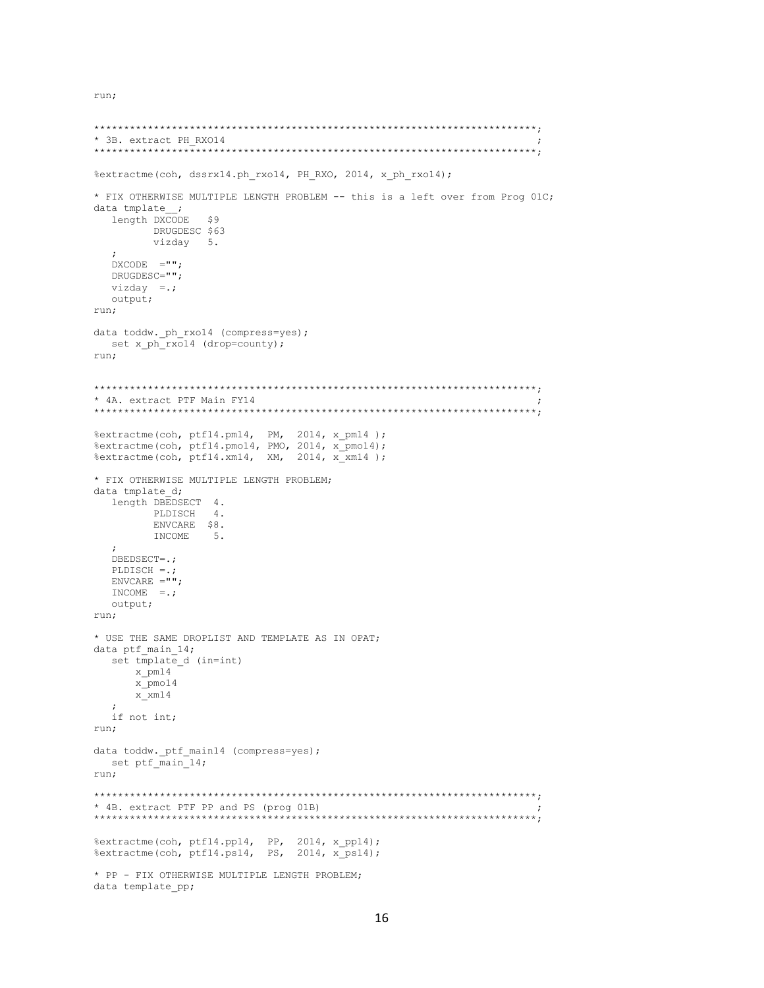run;

```
* 3B. extract PH RX014
%extractme(coh, dssrx14.ph rxo14, PH RXO, 2014, x ph rxo14);
* FIX OTHERWISE MULTIPLE LENGTH PROBLEM -- this is a left over from Prog 01C;
data tmplate \,;
             S9length DXCODE
      DRUGDESC $63
      vizday 5.
  DXCODF. = " " :DRUGDESC="";
 vizday = .;output;
run;
data toddw. ph rxo14 (compress=yes);
 set x_ph_rxo14 (drop=county);
run;
* 4A. extract PTF Main FY14
% extractme (coh, ptf14.pm14, PM, 2014, x_pm14);<br>% extractme (coh, ptf14.pmo14, PMO, 2014, x_pmo14);
%extractme(coh, ptf14.xm14, XM, 2014, x xm14);
* FIX OTHERWISE MULTIPLE LENGTH PROBLEM;
data tmplate d;
 length DBEDSECT 4.
      PLDISCH
              4.ENVCARE $8.
      TNCOME
             5.\cdot :
  DBEDSECT=.;
  PLDISCH =.;
  ENVCARE = " "INCOME = . ;output;
run;
* USE THE SAME DROPLIST AND TEMPLATE AS IN OPAT;
data ptf main 14;
 set tmplate d (in=int)
    x pm14
    x_pmo14
    x_ \times 14\cdotif not int;
run;
data toddw._ptf main14 (compress=yes);
 set ptf<sup>main</sup>14;
run;
* 4B. extract PTF PP and PS (prog 01B)
%extractme(coh, ptf14.pp14, PP, 2014, x_pp14);
%extractme(coh, ptf14.ps14, PS, 2014, x ps14);
* PP - FIX OTHERWISE MULTIPLE LENGTH PROBLEM;
data template pp;
```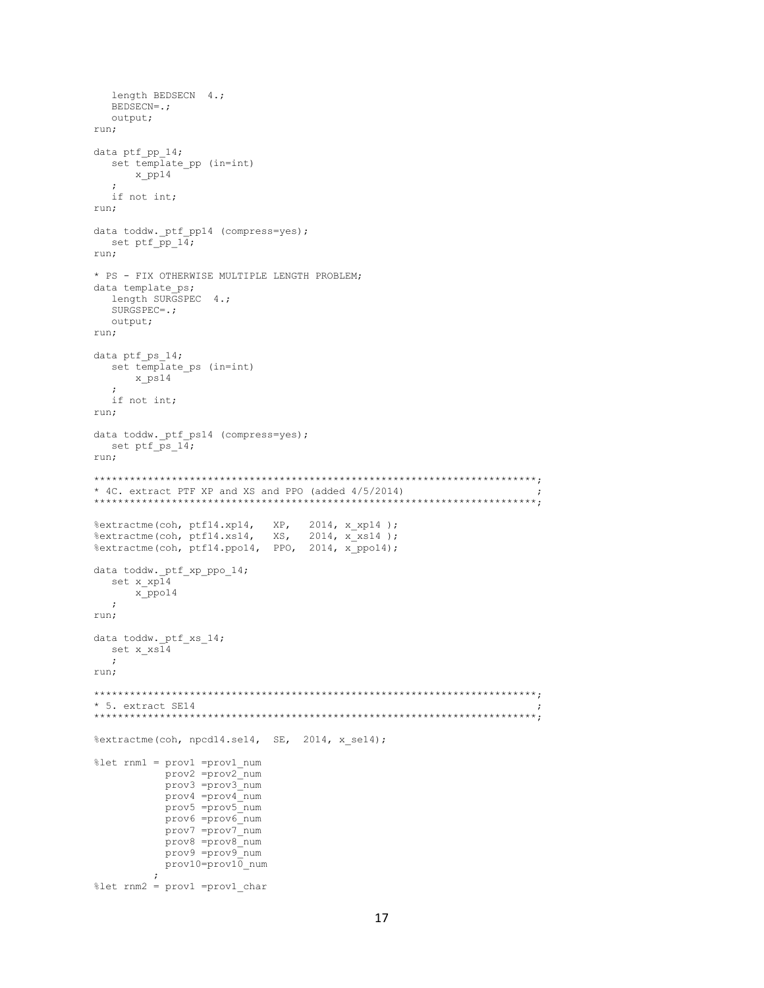```
length BEDSECN 4.;
   BEDSECN=.;
   output;
run;
data ptf pp 14;
   set template_pp (in=int)
      x_pp14
\mathcal{L} if not int;
run;
data toddw._ptf_pp14 (compress=yes);
  set ptf \overline{p}p\ 14;run;
* PS - FIX OTHERWISE MULTIPLE LENGTH PROBLEM;
data template_ps;
  length SURGSPEC 4.;
   SURGSPEC=.;
   output;
run;
data ptf ps 14;
   set template_ps (in=int)
      x_ps14
   ;
   if not int;
run;
data toddw. ptf ps14 (compress=yes);
  set ptf ps_14;
run;
**************************************************************************;
* 4C. extract PTF XP and XS and PPO (added 4/5/2014) ;
**************************************************************************;
%extractme(coh, ptf14.xp14, XP, 2014, x_xp14 );
%extractme(coh, ptf14.xs14, XS, 2014, x xs14 );
%extractme(coh, ptf14.ppo14, PPO, 2014, x ppo14);
data toddw._ptf_xp_ppo_14;
   set x_xp14
       x_ppo14
   ;
run;
data toddw._ptf_xs_14;
   set x_xs14
   ;
run;
**************************************************************************;
* 5. extract SE14 ;
**************************************************************************;
%extractme(coh, npcd14.se14, SE, 2014, x_se14);
%let rnm1 = prov1 =prov1_num
            prov2 =prov2_num
            prov3 =prov3_num
            prov4 =prov4_num
            prov5 =prov5_num
            prov6 =prov6_num
 prov7 =prov7_num
 prov8 =prov8_num
            prov9 =prov9_num
            prov10=prov10_num
\mathcal{L} ; and \mathcal{L} is the set of \mathcal{L}%let rnm2 = prov1 =prov1_char
```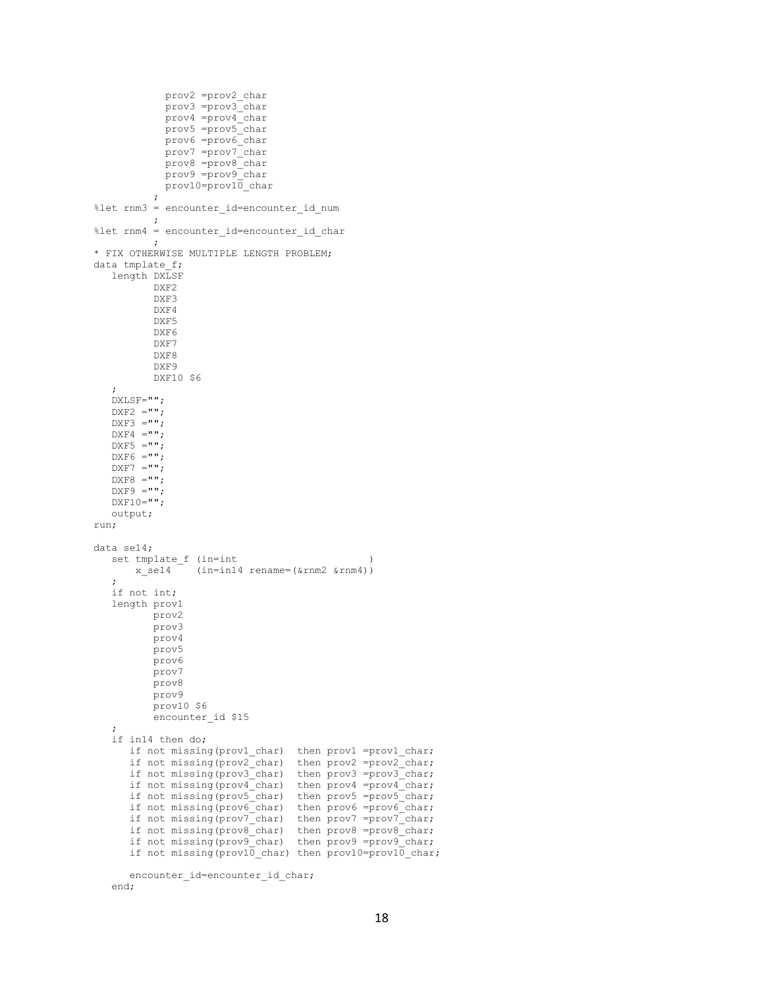```
 prov2 =prov2_char
 prov3 =prov3_char
 prov4 =prov4_char
             prov5 =prov5_char
             prov6 =prov6_char
 prov7 =prov7_char
 prov8 =prov8_char
             prov9 =prov9_char
             prov10=prov10_char
\mathcal{L} ; and \mathcal{L} is the set of \mathcal{L}%let rnm3 = encounter id=encounter id num
\mathcal{L}^{\text{max}}%let rnm4 = encounter id=encounter id char
\mathcal{L} ; and \mathcal{L} is the set of \mathcal{L}* FIX OTHERWISE MULTIPLE LENGTH PROBLEM;
data tmplate f;
    length DXLSF
           DXF2
           DXF3
           DXF4
           DXF5
           DXF6
           DXF7
           DXF8
           DXF9
           DXF10 $6
    ;
    DXLSF="";
   DXF2 = " "DXF3 = " "DXF4 = " "DXF5 = " ";DXF6 = " ";DXF7 = " "DXF8 = " "DXF9 = " "DXF10=" output;
run;
data se14;
   set tmplate_f (in=int<br>x_se14 (in=in14)
                (in=in14 rename=(&rnm2 &rnm4))
\mathcal{L} if not int;
    length prov1
           prov2
           prov3
           prov4
           prov5
           prov6
           prov7
           prov8
           prov9
           prov10 $6
          encounter id $15
\mathcal{L} if in14 then do;
if not missing(prov1 char) then prov1 =prov1 char;
if not missing(prov2 char) then prov2 =prov2 char;
      if not missing(prov3_char) then prov3 =prov3_char;
if not missing(prov4 char) then prov4 =prov4 char;
if not missing(prov5 char) then prov5 =prov5 char;
       if not missing(prov6_char) then prov6 =prov6_char;
      if not missing(prov7 char) then prov7 =prov7 char;
if not missing(prov8 char) then prov8 =prov8 char;
if not missing(prov9 char) then prov9 =prov9 char;
      if not missing(prov10 char) then prov10=prov10 char;
      encounter id=encounter id char;
```

```
 end;
```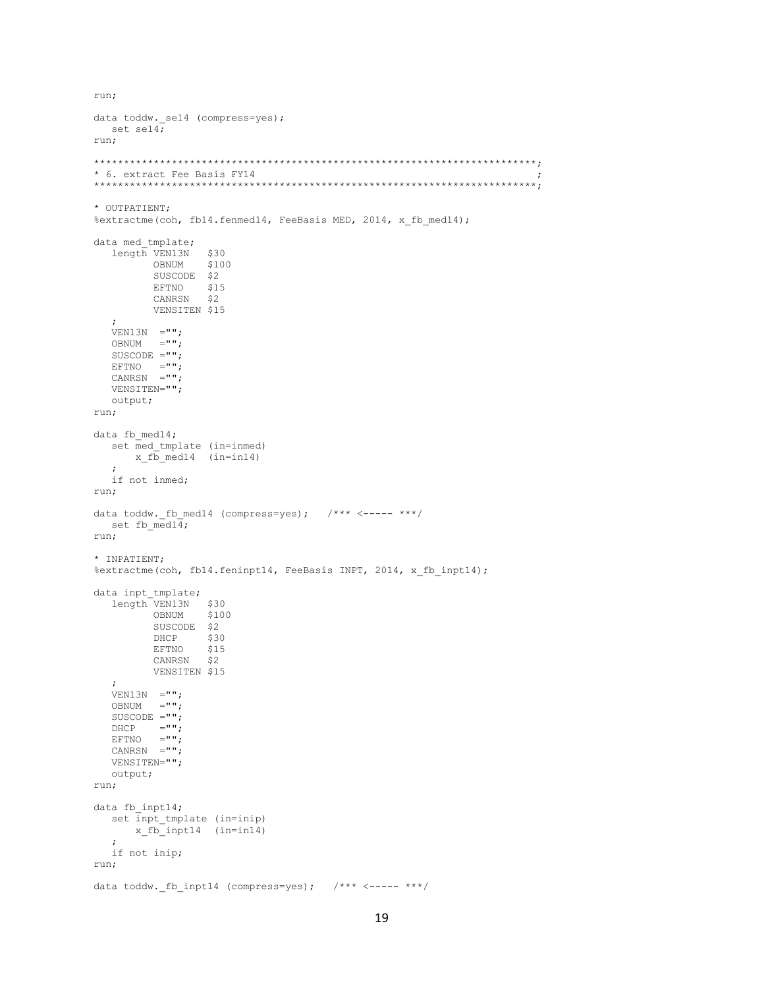```
data toddw. se14 (compress=yes);
 set sel4;
run:
* 6. extract Fee Basis FY14
* OUTPATIENT;
%extractme(coh, fb14.fenmed14, FeeBasis MED, 2014, x_fb_med14);
data med tmplate;
  length VEN13N
                $30OBNUM
                $100SUSCODE $2
        EFTNO $15
        CANRSN $2
        VENSITEN $15
  \cdotVEN13N = " "OBNUM = " "SUSCODE =" "EFTNO ="";<br>CANRSN ="";
  VENSITEN="";
  output;
run;
data fb med14;
  set med_tmplate (in=inmed)
     x_fb_med14 (in=in14)
  \cdotif not inmed;
run;
data toddw. fb med14 (compress=yes); /*** <----- ***/
 set fb\_med14;
run;
* INPATIENT;
%extractme(coh, fb14.feninpt14, FeeBasis INPT, 2014, x fb inpt14);
data inpt_tmplate;<br>length VEN13N $30
        OBNUM $100
        SUSCODE $2
        DHCP
                $30
        EFTNO
                $15CANRSN $2
        VENSITEN $15
  \ddot{ }VEN13N = " "OBNUM = " "SUSCODE ="";
  DHCP ="";
  EFTNO ="";<br>CANRSN ="";
  VENSITEN="";
  output;
run:
data fb inpt14;
  set inpt tmplate (in=inip)
     x_fb_inpt14 (in=in14)
  \cdotif not inip;
run;
data toddw._fb_inpt14 (compress=yes); /*** <----- ***/
```
run;

```
19
```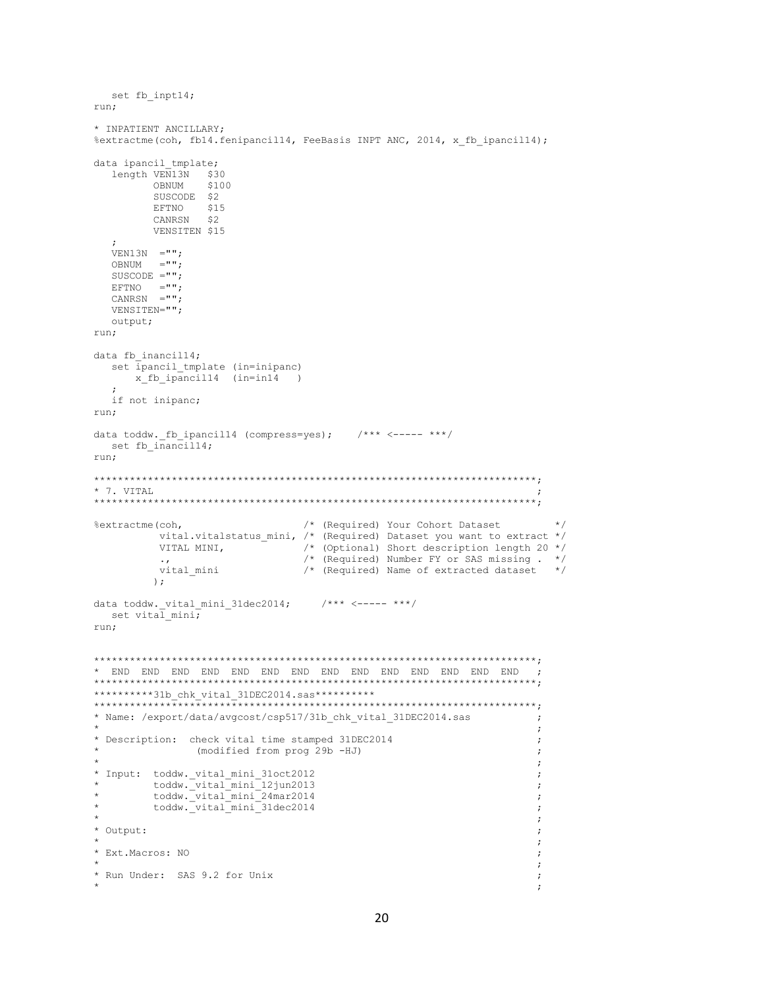```
set fb inpt14;
run:
* INPATIENT ANCILLARY;
%extractme(coh, fb14.fenipancil14, FeeBasis INPT ANC, 2014, x fb ipancil14);
data ipancil tmplate;
  length VEN13N $30
       OBNIJM
               $100OBNUM $10<br>SUSCODE $2
       EFTNO $15
        CANRSN $2
       VENSITEN $15
  VEN13N = " "ORNIM = " " :SUSCODE ='''';
  EFTNO ="";
  CANRSN ="";
  VENSITEN="";
  output;
run;
data fb inancill4;
  set ipancil tmplate (in=inipanc)
    x fb ipancill4 (in=in14)
  \cdotif not inipanc;
run;
data toddw. fb ipancill4 (compress=yes); /*** <----- ***/
 set fb_inancil14;
run;
* 7. VITAL
/* (Required) Your Cohort Dataset
                                                              \star /
%extractme(coh.
        vital.vitalstatus mini, /* (Required) Dataset you want to extract */
        VITAL MINI,
                            /* (Optional) Short description length 20 *//* (Required) Number FY or SAS missing . */<br>/* (Required) Name of extracted dataset */
        vital mini
        ) ;
data toddw._vital_mini_31dec2014; \qquad /*** <----- ***/
 set vital mini;
run;
\cdot ;
**********31b chk vital 31DEC2014.sas**********
* Name: /export/data/avgcost/csp517/31b_chk_vital_31DEC2014.sas
                                                            \cdot\cdot:
* Description: check vital time stamped 31DEC2014
             (modified from prog 29b -HJ)
                                                            \cdot\cdot:
* Input: toddw._vital_mini_31oct2012
                                                            \cdottoddw._vital_mini_12jun2013<br>toddw._vital_mini_24mar2014
                                                            \cdot\cdottoddw._vital_mini_31dec2014
                                                            \cdot\cdot* Output:
                                                            \cdot\cdot* Ext. Macros: NO
                                                            \cdot\cdot* Run Under: SAS 9.2 for Unix
                                                            \cdot\cdot
```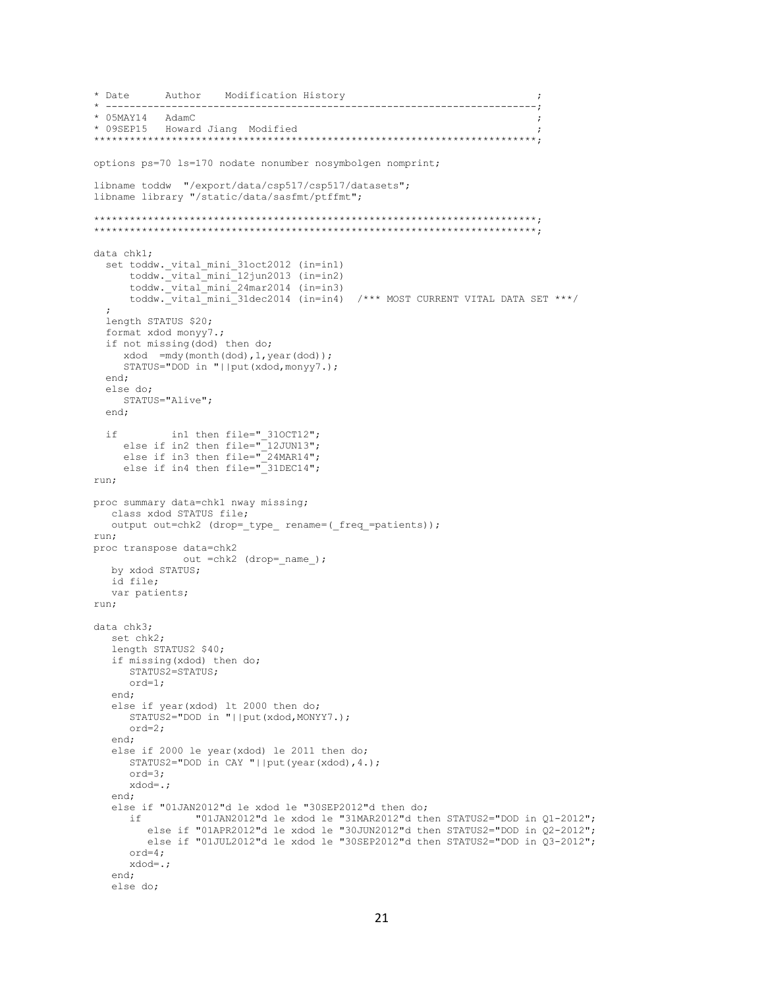```
* Date
        Author Modification History
  * 05MAY14 AdamC
* 09SEP15 Howard Jiang Modified
  options ps=70 1s=170 nodate nonumber nosymbolgen nomprint;
libname toddw "/export/data/csp517/csp517/datasets";
libname library "/static/data/sasfmt/ptffmt";
data chk1;
 set toddw._vital_mini_31oct2012 (in=in1)<br>toddw._vital_mini_12jun2013 (in=in2)
     \text{today}. \text{vital} \text{mini} 24mar2014 (in=in3)
     toddw._vital_mini_31dec2014 (in=in4) /*** MOST CURRENT VITAL DATA SET ***/
 length STATUS $20;
 format xdod monyy7.;
 if not missing(dod) then do;
    xdod = mdy(month(dod), 1, year(dod));
    STATUS="DOD in "||put(xdod,monyy7.);
 end:
 else do;
    STATUS="Alive";
 end;
    in1 then file="_310CT12";<br>else if in2 then file="12JUN13";
 if
    else if in3 then file="24MARI4";
    else if in4 then file=" 31DEC14";
run;
proc summary data=chk1 nway missing;
  class xdod STATUS file;
  output out=chk2 (drop= type rename=( freq =patients));
run:
proc transpose data=chk2
            out = chk2 (drop= name );
  by xdod STATUS;
  id file;
  var patients;
run:data chk3;
  set chk2;
  length STATUS2 $40;
  if missing (xdod) then do;
    STATUS2=STATUS;
     ord=1;end;
  else if year (xdod) 1t 2000 then do;
     STATUS2="DOD in "||put(xdod, MONYY7.);
     ord=2;
  end;
  else if 2000 le year(xdod) le 2011 then do;
    STATUS2="DOD in CAY "||put(year(xdod),4.);
     ord=3;xdod=.;
  end:
  else if "01JAN2012"d le xdod le "30SEP2012"d then do;
              "01JAN2012"d le xdod le "31MAR2012"d then STATUS2="DOD in Q1-2012";
     if
       else if "01APR2012"d le xdod le "30JUN2012"d then STATUS2="DOD in Q2-2012";
       else if "01JUL2012"d le xdod le "30SEP2012"d then STATUS2="DOD in Q3-2012";
     ord=4;xdod = .end;
  else do:
```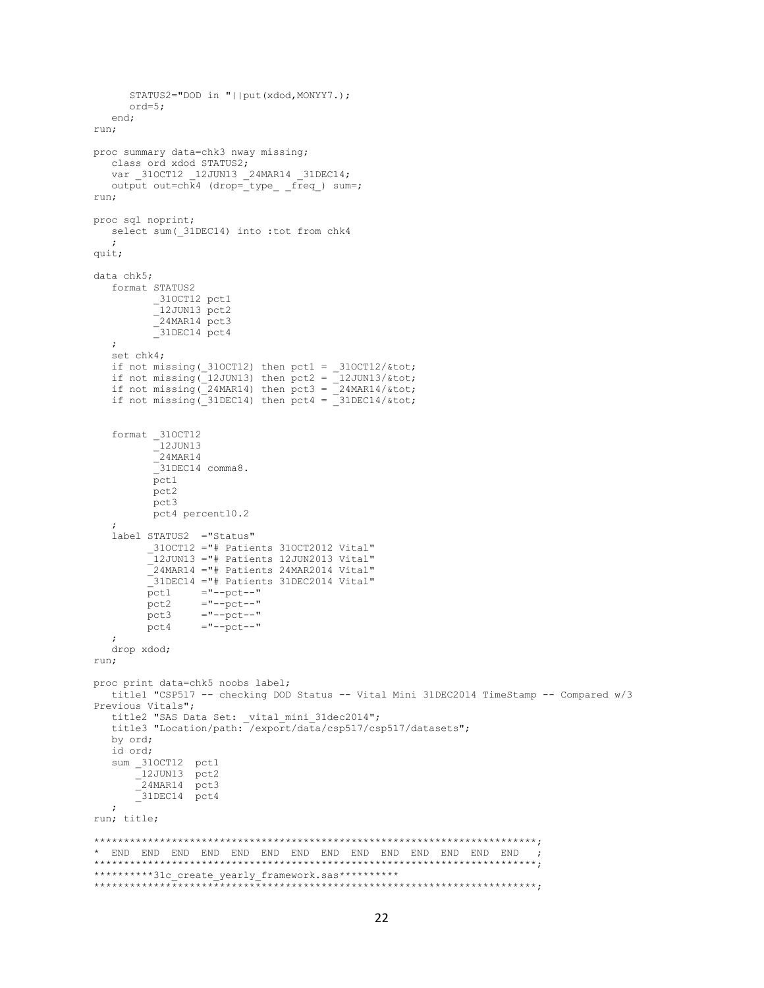```
 STATUS2="DOD in "||put(xdod,MONYY7.);
       ord=5;
    end;
run;
proc summary data=chk3 nway missing;
   class ord xdod STATUS2;
    var _31OCT12 _12JUN13 _24MAR14 _31DEC14;
  output out=chk4 (drop=_type_ _freq_) sum=;
run;
proc sql noprint;
  select sum(31DEC14) into :tot from chk4
   ;
quit;
data chk5;
   format STATUS2
         -310CT12 pct1
           _12JUN13 pct2
          -24MAR14 pct3
           _31DEC14 pct4
    ;
    set chk4;
if not missing(310CT12) then pct1 = 310CT12/4tot;
if not missing(12JUN13) then pct2 = 12JUN13/4tot;
if not missing(24MARI4) then pct3 = 24MARI4/4if not missing(31DEC14) then pct4 = 31DEC14/&tot;
    format _31OCT12
          \_12JUN13
          24MAR14
           -<br>31DEC14 comma8.
           pct1
          pct2
           pct3 
          pct4 percent10.2
\mathcal{L} label STATUS2 ="Status"
        -310CT12 ="# Patients 310CT2012 Vital"
          12JUN13 ="# Patients 12JUN2013 Vital"
          _24MAR14 ="# Patients 24MAR2014 Vital"
         ^-31DEC14 ="# Patients 31DEC2014 Vital"
         pct1 ="--pct--"pct2 ="--pct--"
        pct3 ="--pct--"<br>pct4 ="--pct--"="-pct--"
\mathcal{L} drop xdod;
run;
proc print data=chk5 noobs label;
   title1 "CSP517 -- checking DOD Status -- Vital Mini 31DEC2014 TimeStamp -- Compared w/3 
Previous Vitals";
title2 "SAS Data Set: vital mini 31dec2014";
 title3 "Location/path: /export/data/csp517/csp517/datasets";
   by ord;
    id ord;
   sum _310CT12 pct1
      \left[12 \text{JUN13 } \right] pct2
 _24MAR14 pct3
 _31DEC14 pct4
    ;
run; title;
**************************************************************************;
* END END END END END END END END END END END END END END ;
**************************************************************************;
**********31c create yearly framework.sas**********
**************************************************************************;
```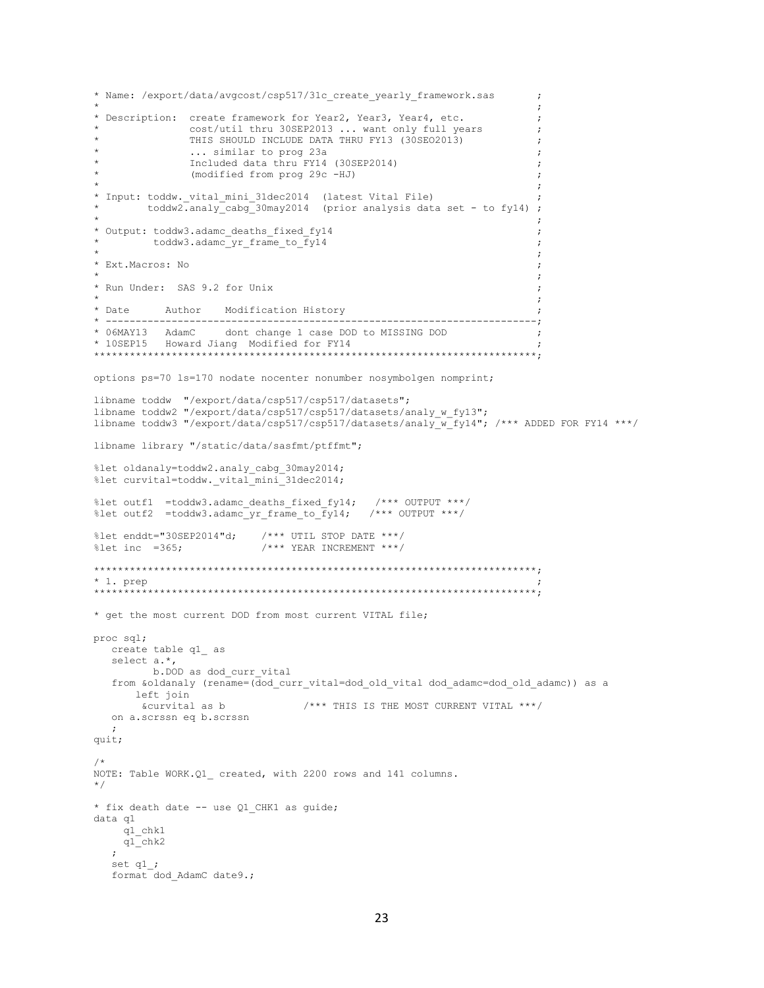```
* Name: /export/data/avgcost/csp517/31c create yearly framework.sas
                                                                    \cdot* Description: create framework for Year2, Year3, Year4, etc.
                                                                    \cdotcost/util thru 30SEP2013 ... want only full years
                                                                   \cdot:
              THIS SHOULD INCLUDE DATA THRU FY13 (30SE02013)
                                                                   \cdot... similar to prog 23a
                                                                   \cdot:
              Included data thru FY14 (30SEP2014)
              (modified from prog 29c -HJ)
* Input: toddw._vital_mini_31dec2014 (latest Vital File) ;<br>* toddw2.analy_cabg_30may2014 (prior analysis data set - to fy14) ;
* Output: toddw3.adamc deaths fixed fy14
        toddw3.adamc yr frame to fy14
                                                                    \cdot* Ext. Macros: No
* Run Under: SAS 9.2 for Unix
* Date
         Author Modification History
                                                                    \cdot* 06MAY13 AdamC dont change 1 case DOD to MISSING DOD
                                                                    \cdot:
* 10SEP15 Howard Jiang Modified for FY14
options ps=70 ls=170 nodate nocenter nonumber nosymbolgen nomprint;
libname toddw "/export/data/csp517/csp517/datasets";
libname toddw2 "/export/data/csp517/csp517/datasets/analy w fy13";
libname toddw3 "/export/data/csp517/csp517/datasets/analy w fy14"; /*** ADDED FOR FY14 ***/
libname library "/static/data/sasfmt/ptffmt";
%let oldanaly=toddw2.analy cabg 30may2014;
%let curvital=toddw. vital mini 31dec2014;
%let outf1 =toddw3.adamc_deaths_fixed_fy14; /*** OUTPUT ***/<br>%let outf2 =toddw3.adamc_yr_frame_to_fy14; /*** OUTPUT ***/
%let enddt="30SEP2014"d; /*** UTIL STOP DATE ***/
                        /**** YEAR INCREMENT ***/
let inc = 365;* 1. prep
    **** get the most current DOD from most current VITAL file;
proc sql;
  create table q1 as
  select a.*,
        b.DOD as dod curr vital
  from &oldanaly (rename=(dod curr vital=dod old vital dod adamc=dod old adamc)) as a
     left join
      &curvital as b
                              /*** THIS IS THE MOST CURRENT VITAL ***/
  on a.scrssn eq b.scrssn
  \cdotquit;
/*
NOTE: Table WORK.Q1 created, with 2200 rows and 141 columns.
\star/* fix death date -- use Q1 CHK1 as guide;
data q1
   q1_chk1
    q1_chk2
  \cdotset q1_i;
  format dod AdamC date9.;
```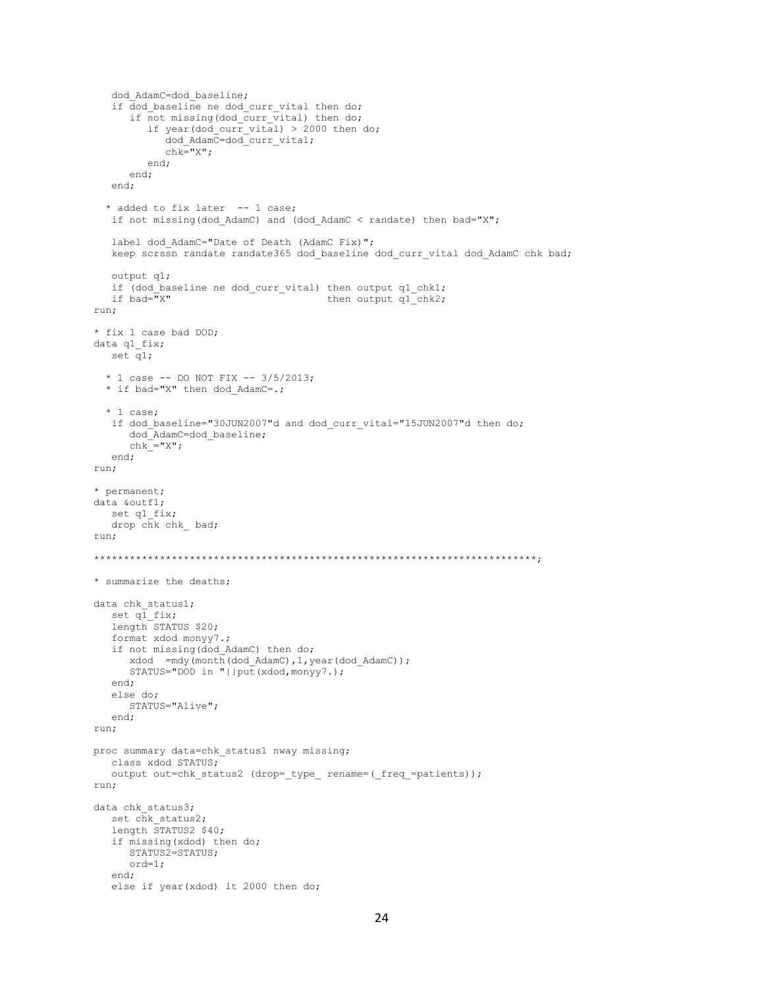```
 dod_AdamC=dod_baseline;
   if dod baseline ne dod curr vital then do;
      if not missing(dod curr vital) then do;
         if year(dod curr vital) > 2000 then do;
             dod_AdamC=dod_curr_vital;
            chk = "X";
          end;
       end;
    end;
   * added to fix later -- 1 case;
   if not missing(dod_AdamC) and (dod_AdamC < randate) then bad="X";
   label dod AdamC="Date of Death (AdamC Fix)";
   keep scrssn randate randate365 dod baseline dod curr vital dod AdamC chk bad;
    output q1;
   if (dod_baseline ne dod_curr_vital) then output q1_chk1;
   if bad="X" then output q1 chk2;
run;
* fix 1 case bad DOD;
data q1_fix;
  set \overline{q}1;
   * 1 case -- DO NOT FIX -- 3/5/2013;
  * if bad="X" then dod AdamC=.;
   * 1 case;
   if dod baseline="30JUN2007"d and dod curr vital="15JUN2007"d then do;
       dod_AdamC=dod_baseline;
      chk<sup>="X";</sup>
    end;
run;
* permanent;
data &outf1;
  set q1 fix;
  drop chk chk bad;
run;
**************************************************************************;
* summarize the deaths;
data chk status1;
  set q\bar{1} fix;
   length STATUS $20;
    format xdod monyy7.;
    if not missing(dod_AdamC) then do;
     xdod = mdy(month(dod AdamC),1,year(dod AdamC)); STATUS="DOD in "||put(xdod,monyy7.);
    end;
    else do;
       STATUS="Alive";
    end;
run;
proc summary data=chk status1 nway missing;
   class xdod STATUS;
   output out=chk status2 (drop= type rename=( freq =patients));
run;
data chk status3;
   set chk status2;
    length STATUS2 $40;
    if missing(xdod) then do;
      STATUS2=STATUS;
       ord=1;
    end;
    else if year(xdod) lt 2000 then do;
```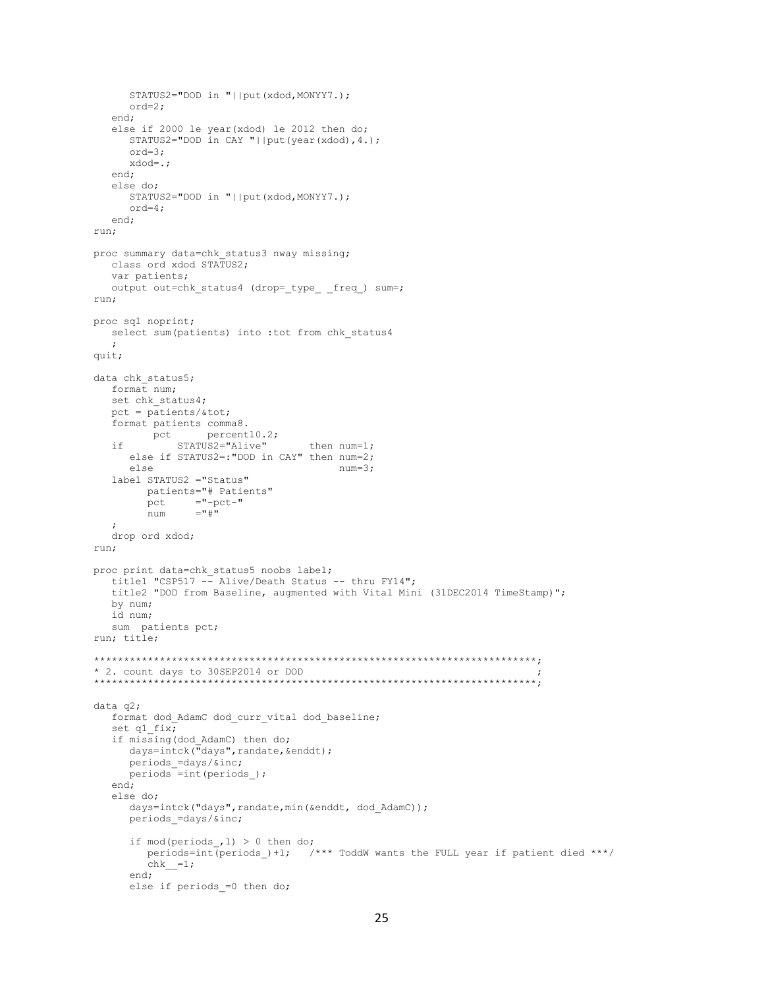```
 STATUS2="DOD in "||put(xdod,MONYY7.);
       ord=2;
    end;
    else if 2000 le year(xdod) le 2012 then do;
     STATUS2="DOD in CAY "||put(year(xdod),4.);
      ord=3;
      xdod=.;
    end;
    else do;
      STATUS2="DOD in "||put(xdod,MONYY7.);
      ord=4;
    end;
run;
proc summary data=chk status3 nway missing;
   class ord xdod STATUS2;
    var patients;
   output out=chk_status4 (drop=_type_ _freq_) sum=;
run;
proc sql noprint;
  select sum(patients) into :tot from chk status4
    ;
quit;
data chk status5;
   format num;
  set chk status4;
   pct = patients/&tot;
   format patients comma8.
               percent10.2;
   if STATUS2="Alive" then num=1;
       else if STATUS2=:"DOD in CAY" then num=2;
      else num=3;
    label STATUS2 ="Status"
         patients="# Patients"
        pct ="-pct-"<br>
num ="#"
                n = 1 ;
    drop ord xdod;
run;
proc print data=chk status5 noobs label;
    title1 "CSP517 -- Alive/Death Status -- thru FY14";
    title2 "DOD from Baseline, augmented with Vital Mini (31DEC2014 TimeStamp)";
   by num;
   id num;
   sum patients pct;
run; title;
**************************************************************************;
* 2. count days to 30SEP2014 or DOD ;
**************************************************************************;
data q2;
   format dod AdamC dod curr vital dod baseline;
   set q1 fix;
    if missing(dod_AdamC) then do;
     days=intck("days", randate, &enddt);
      periods_=days/&inc;
     periods =int(periods);
    end;
    else do;
     days=intck("days",randate,min(&enddt, dod AdamC));
      periods_=days/&inc;
      if mod(periods ,1) > 0 then do;
        periods=int(periods )+1; /*** ToddW wants the FULL year if patient died ***/
         chk<sup>=1;</sup>
       end;
      else if periods =0 then do;
```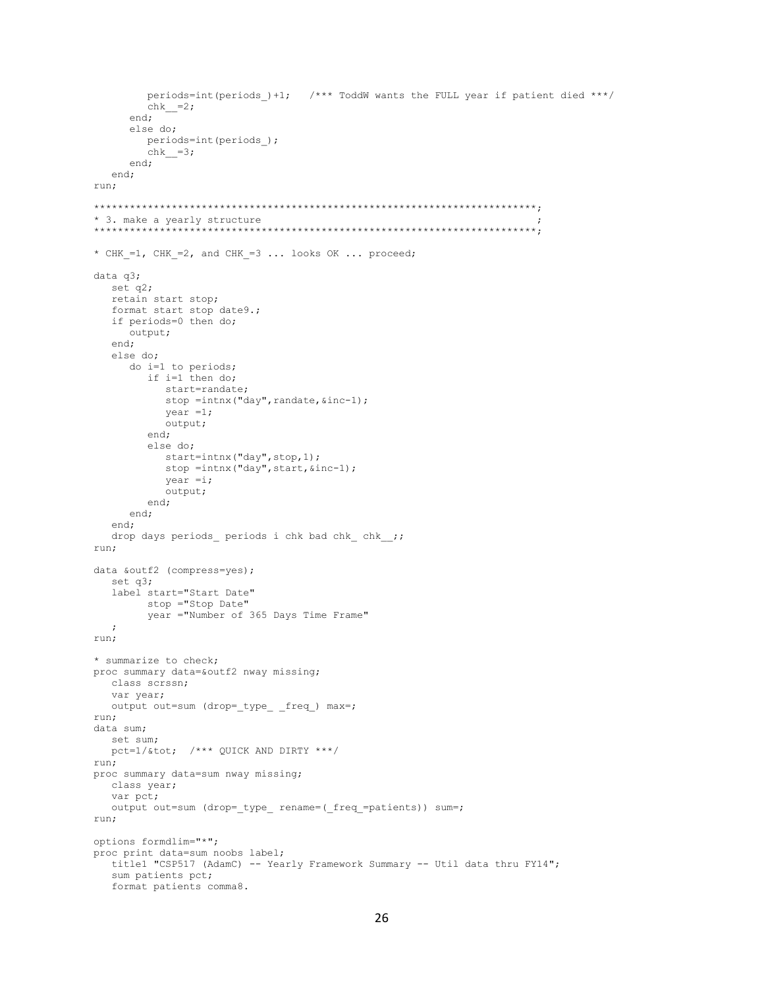```
periods=int (periods )+1; /*** ToddW wants the FULL year if patient died ***/
        chk = 2;end;
     else do;
       periods=int(periods);
       chk = 3;end;
  end;
run;
* 3. make a yearly structure
        **** CHK =1, CHK =2, and CHK =3 ... looks OK ... proceed;
data q3;
  set q2;
  retain start stop;
  format start stop date9.;
  if periods=0 then do;
     output;
  end;
  else do;
     do i=1 to periods;
       if i=1 then do;
          start=randate;
          stop = intnx ("day", randate, \sin c - 1);
          year = 1;output;
        end;
        else do;
          start=intnx("day", stop, 1);
          stop = intnx ("day", start, \sin(-1);
          year = i;output;
        end:end;
  end:
  drop days periods periods i chk bad chk chk ;;
run:
data &outf2 (compress=yes);
  set q3;
  label start="Start Date"
       stop ="Stop Date"
        year ="Number of 365 Days Time Frame"
  \cdotrun;
* summarize to check;
proc summary data=&outf2 nway missing;
  class scrssn;
  var year;
  output out=sum (drop=_type_ _freq_) max=;
run;
data sum;
  set sum;
  pct=1/&tot; /*** QUICK AND DIRTY ***/
run;
proc summary data=sum nway missing;
  class year;
  var pct;
  output out=sum (drop=_type_ rename=(_freq_=patients)) sum=;
run;
options formdlim="*";
proc print data=sum noobs label;
  title1 "CSP517 (AdamC) -- Yearly Framework Summary -- Util data thru FY14";
  sum patients pct;
  format patients comma8.
```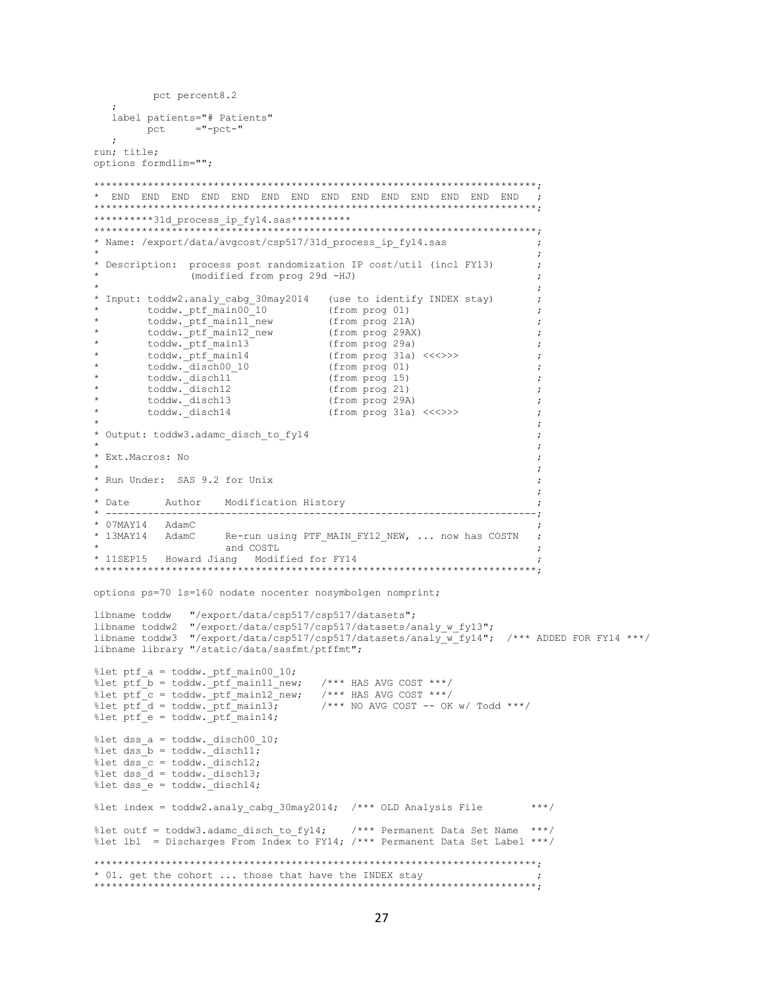```
pct percent8.2
  label patients="# Patients"
   {\rm pct} ="-pct-"
  \cdotrun; title;
options formdlim="";
**********31d_process ip fy14.sas***********
* Name: /export/data/avgcost/csp517/31d_process_ip_fy14.sas
* Description: process post randomization IP cost/util (incl FY13)
                                                              \cdot:
             (modified from prog 29d -HJ)
* Input: toddw2.analy cabg 30may2014 (use to identify INDEX stay)
                                                              \cdottoddw._ptf_main00_10 (from prog 01)<br>toddw._ptf_main11_new (from prog 01)<br>toddw._ptf_main12_new (from prog 29AX)<br>toddw._ptf_main13 (from prog 29a)<br>toddw. ptf_main14 (from prog 29a)
                                                              . .
                                                              \cdot\cdot:
                                                              \cdot\text{today.} \text{ptf} main14
                               (from prog 31a) \leq \leq \leq \rangle (from prog 01)
                                                              \cdot:
       toddw._disch00 10
                                                              \cdottoddw. disch11
                                (from prog 15)
                                                              \cdot:
       toddw._disch12<br>toddw._disch13
                                from proof 21)\cdot:
                                (from prog 29A)
                                                               \cdottoddw._disch14
                                 (from prog 31a) \langle \langle \langle \rangle \rangle \rangle\cdot* Output: toddw3.adamc disch to fy14
* Ext. Macros: No
                                                               \cdot* Run Under: SAS 9.2 for Unix
* Date
        Author Modification History
                                   * 07MAY14 AdamC
* 13MAY14 AdamC
                 Re-run using PTF MAIN FY12 NEW, ... now has COSTN
                  and COSTI
options ps=70 1s=160 nodate nocenter nosymbolgen nomprint;
libname toddw
            "/export/data/csp517/csp517/datasets";
libname library "/static/data/sasfmt/ptffmt";
%let ptf_a = toddw \cdot ptf_main00_10;/**** HAS AVG COST ***/
%let ptf_b = toddw._ptf_main11_new;
%let ptf_c = toddw._ptf_main12_new; /*** HAS AVG COST ***/
                            /**** NO AVG COST -- OK w/ Todd ***/
\text{let ptf}_d = \text{today.} \text{ptf}_\text{main13}%let ptf e = toddw. ptf main14;
%let dss_a = toddw \cdot disch00_10;%let dss<sub>D</sub> = toddw. disch11;
%let dss<sub>c</sub> = toddw. disch12;
%let dss_d = toddw \cdot \overline{d}isch13;%let dss e = toddw. disch14;
%let index = toddw2.analy cabg 30may2014; /*** OLD Analysis File
                                                            ***//*** Permanent Data Set Name ***/
%let outf = toddw3.adamc disch to fy14;
%let lbl = Discharges From Index to FY14; /*** Permanent Data Set Label ***/
* 01. get the cohort ... those that have the INDEX stay
```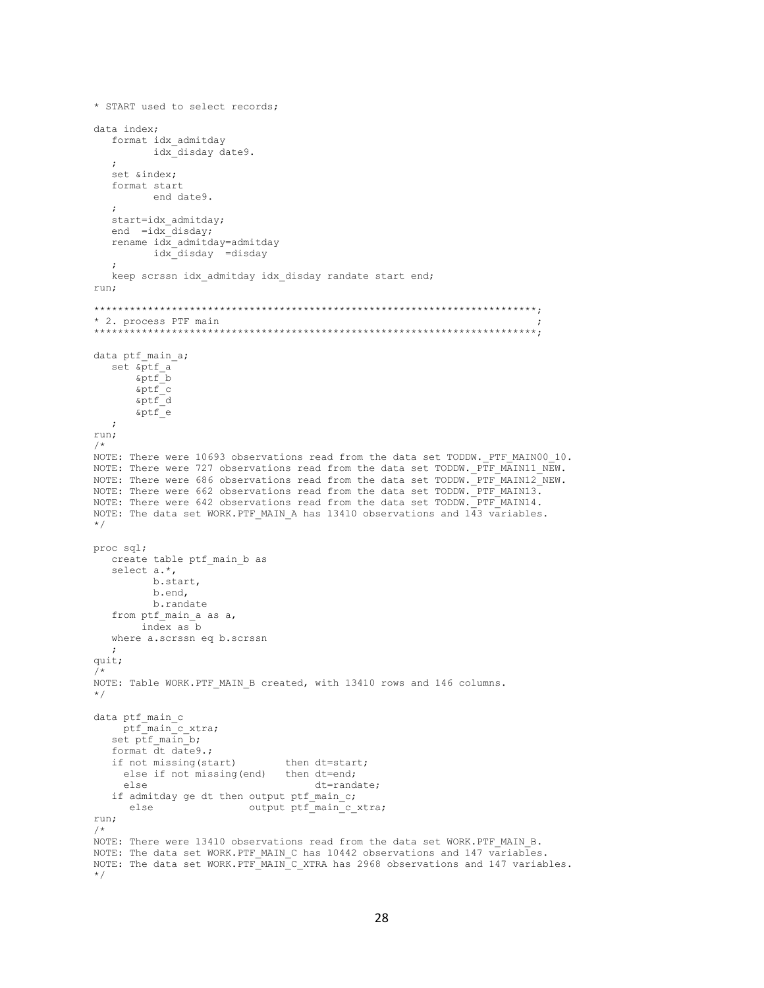```
* START used to select records:
data index;
  format idx admitday
         idx disday date9.
  set &index;
  format start
         end date9.
  \cdotstart=idx_admitday;
  end =idx disday;
  rename idx admitday=admitday
         idx disday =disday
  keep scrssn idx admitday idx disday randate start end;
run:
* 2. process PTF main
data ptf main a;
  set &ptf a
      &ptf<sup>b</sup>
      \sqrt{\epsilon}\sqrt{\text{aptf}} d
      &ptf^-e
  \cdotrun;
/*
NOTE: There were 10693 observations read from the data set TODDW. PTF MAIN00 10.
NOTE: There were 727 observations read from the data set TODDW. PTF MAIN11 NEW.
NOTE: There were 686 observations read from the data set TODDW. PTF MAIN12 NEW.
NOTE: There were 662 observations read from the data set TODDW. PTF MAIN13.
NOTE: There were 642 observations read from the data set TODDW. PTF MAIN14.
NOTE: The data set WORK. PTF MAIN A has 13410 observations and 143 variables.
\star /
proc sql;
  create table ptf main b as
  select a.*,
         b.start,
         b.end,
         b.randate
   from ptf main a as a,
       index as bwhere a.scrssn eq b.scrssn
  \cdot :
quit;
NOTE: Table WORK. PTF MAIN B created, with 13410 rows and 146 columns.
\star/data ptf main c
    ptf<sup>-main<sup>-c</sup>xtra;</sup>
   set ptf main b;
   format \overline{dt} date9.;
  if not missing (start)
                               then dt=start;
    else if not missing (end) then dt=end;
    else
                                    dt=randate:
   if admitday ge dt then output ptf main c;
     else
                        output ptf_main_c_xtra;
run;
NOTE: There were 13410 observations read from the data set WORK. PTF MAIN B.
NOTE: The data set WORK. PTF MAIN C has 10442 observations and 147 variables.
NOTE: The data set WORK.PTF MAIN C_XTRA has 2968 observations and 147 variables.
\star /
```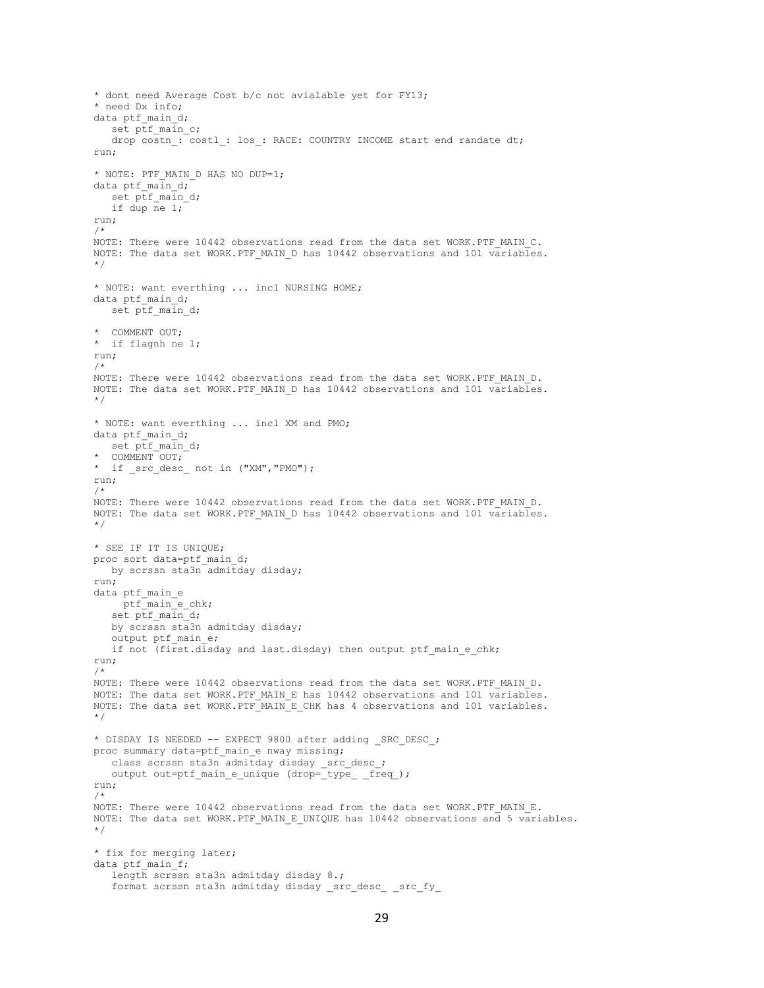```
* dont need Average Cost b/c not avialable yet for FY13;
* need Dx info;
data ptf main d;
  set ptf main c;
   drop costn : costl : los : RACE: COUNTRY INCOME start end randate dt;
run;
* NOTE: PTF_MAIN_D HAS NO DUP=1;
data ptf_main_d;
  set ptf main d;
   if dup ne 1;
run;
/*
NOTE: There were 10442 observations read from the data set WORK.PTF MAIN C.
NOTE: The data set WORK.PTF MAIN D has 10442 observations and 101 variables.
*/
* NOTE: want everthing ... incl NURSING HOME;
data ptf main d;
  set ptf main d;
* COMMENT OUT;
* if flagnh ne 1;
run;
/*
NOTE: There were 10442 observations read from the data set WORK. PTF MAIN D.
NOTE: The data set WORK.PTF MAIN D has 10442 observations and 101 variables.
*/
* NOTE: want everthing ... incl XM and PMO;
data ptf main d;
   set ptf_main_d;
* COMMENT OUT;
* if src_desc_ not in ("XM", "PMO");
run;
/*
NOTE: There were 10442 observations read from the data set WORK.PTF MAIN D.
NOTE: The data set WORK.PTF MAIN D has 10442 observations and 101 variables.
*/
* SEE IF IT IS UNIQUE;
proc sort data=ptf_main_d;
  by scrssn sta3n admitday disday;
run;
data ptf_main_e
    ptf_main_e_chk;
   set ptf maind;
   by scrssn sta3n admitday disday;
   output ptf main e;
  if not (first.disday and last.disday) then output ptf main e chk;
run;
/*
NOTE: There were 10442 observations read from the data set WORK.PTF MAIN D.
NOTE: The data set WORK.PTF MAIN E has 10442 observations and 101 variables.
NOTE: The data set WORK.PTF_MAIN_E_CHK has 4 observations and 101 variables.
*/
* DISDAY IS NEEDED -- EXPECT 9800 after adding SRC DESC ;
proc summary data=ptf main e nway missing;
   class scrssn sta3n admitday disday _src_desc_;
   output out=ptf_main_e_unique (drop=_type_ _freq_);
run;
/*
NOTE: There were 10442 observations read from the data set WORK.PTF_MAIN_E.
NOTE: The data set WORK. PTF MAIN E UNIQUE has 10442 observations and 5 variables.
*/
* fix for merging later;
data ptf_main_f;
    length scrssn sta3n admitday disday 8.;
   format scrssn sta3n admitday disday src desc src fy
```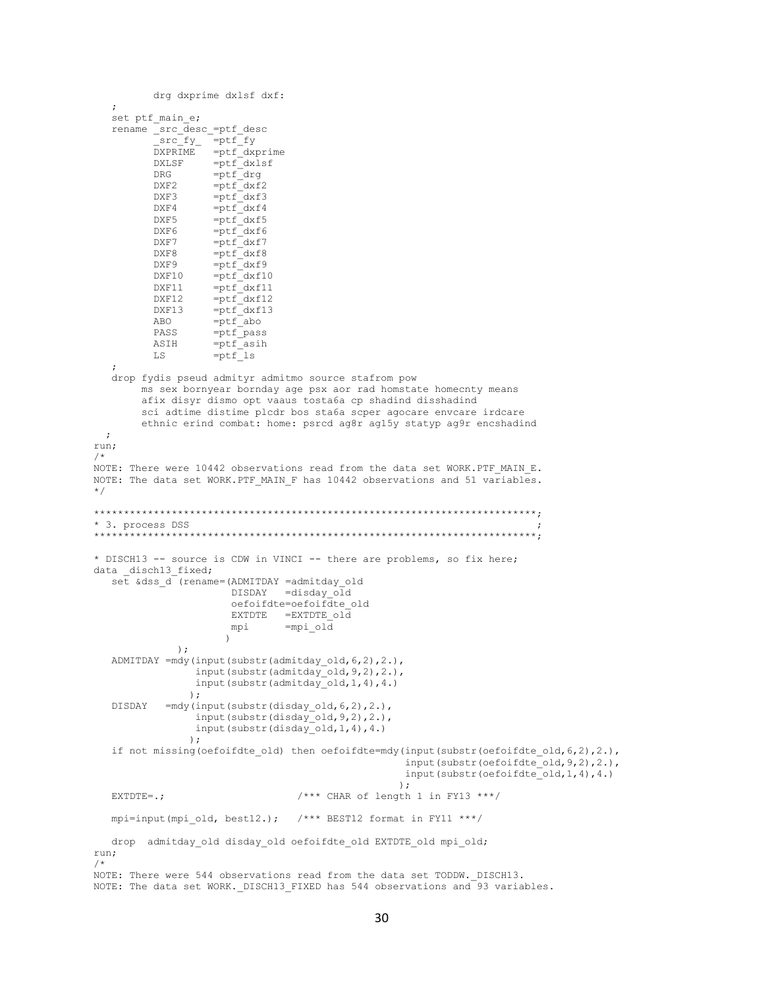```
drg dxprime dxlsf dxf:
   \mathbf{r}set ptf main e;
   rename _src_desc_=ptf_desc
          src_fy =ptf_fy<br>DXPRIME =ptf_dxprime<br>DXLSF =ptf_dxlsf
                   =ptf drg
          DRG
          DXF<sub>2</sub>
                    =ptf dxf2DXF3
                    =ptf dxf3
                    =ptf dxf4
          DXF4
          DXF5
                    =ptf_dxf5
                    =ptf dxf6<br>=ptf dxf7
          DXF6
          DXF7
          DXF8
                    =ptf dxf8
                    =ptf dxf9DXF9
          DXF10
                    =ptf dxf10
                    =ptf dxf11
          DXF11
          DXF12
                    =ptf dxf12
                   =ptf<sup>-</sup>dxf13<br>=ptf<sub>-abo</sub>
          DXF13
          ABO
                    =ptf^-pass
          PASS
                    =ptfasih
          ASIH
          \operatorname{LS}=ptf is
   drop fydis pseud admityr admitmo source stafrom pow
        ms sex bornyear bornday age psx aor rad homstate homecnty means
        afix disyr dismo opt vaaus tosta6a cp shadind disshadind
        sci adtime distime plcdr bos sta6a scper agocare envcare irdcare
        ethnic erind combat: home: psrcd ag8r ag15y statyp ag9r encshadind
 \cdotrun;
/*
NOTE: There were 10442 observations read from the data set WORK.PTF MAIN E.
NOTE: The data set WORK. PTF MAIN F has 10442 observations and 51 variables.
\star/* 3. process DSS
* DISCH13 -- source is CDW in VINCI -- there are problems, so fix here;
data disch13 fixed;
   set &dss d (rename=(ADMITDAY =admitday old
                       DISDAY =disday old
                       oefoifdte=oefoifdte old
                       EXTDTE = EXTDFE old
                                =mpi old
                       mpi
                      \lambda\rightarrowADMITDAY = mdy(input(substr(admitday old, 6, 2), 2.),
                 input(substr(admitday_old, 9, 2), 2.)input (substr (admitday old, 1, 4), 4.)
                \rightarrowDISDAY
            =mdy(input(substr(disday_old, 6, 2), 2.),
                 input (substr (disday old, 9, 2), 2.),
                 input(substr(disday'old,1,4),4.)\rightarrowif not missing (oefoifdte old) then oefoifdte=mdy (input (substr (oefoifdte old, 6, 2), 2.),
                                                     input (substr (oefoifdte_old, 9, 2), 2.),
                                                     input(substr(oefoifdte'old, 1, 4), 4.)\cdot/*** CHAR of length 1 in FY13 ***/
   RXTDTR = .:mpi=input (mpi old, best12.); /*** BEST12 format in FY11 ***/
   drop admitday_old disday_old oefoifdte_old EXTDTE_old mpi_old;
run;
/ *
NOTE: There were 544 observations read from the data set TODDW. DISCH13.
NOTE: The data set WORK. DISCH13 FIXED has 544 observations and 93 variables.
```

```
30
```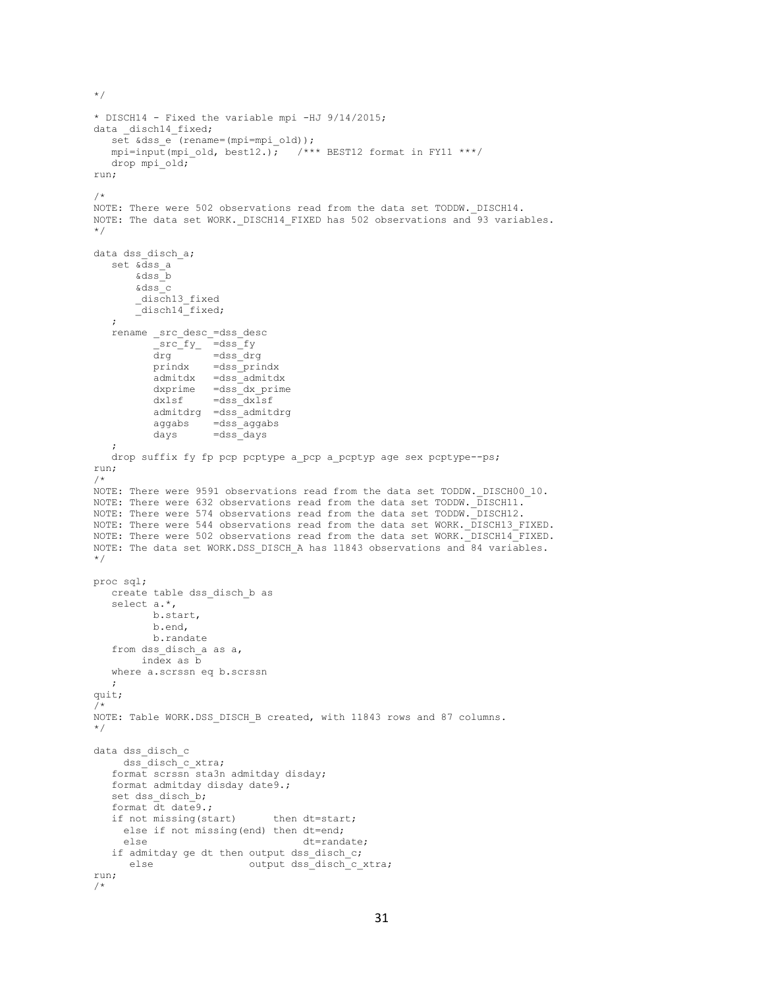```
* DISCH14 - Fixed the variable mpi -HJ 9/14/2015;
data disch14 fixed;
  set \& dss e (rename=(mpi=mpi old));
  mpi=input(mpi_old, best12.); /*** BEST12 format in FY11 ***/
   drop mpi_old;
run;
/*
NOTE: There were 502 observations read from the data set TODDW. DISCH14.
NOTE: The data set WORK._DISCH14_FIXED has 502 observations and 93 variables.
*/
data dss disch a;
  set &dss_a
        &dss_b
        &dss_c
        _disch13_fixed
       disch14 fixed;
    ;
   rename _src_desc_=dss_desc
src fy =dss fy
drg =dss drg
           prindx =dss_prindx
          admit dx =dss_admitdx<br>dxprime =dss_dx prime
                   =dss<sup>dx</sup> prime
           dxlsf =dss_dxlsf
           admitdrg =dss_admitdrg
           aggabs =dss_aggabs
          days =dss days
    ;
  drop suffix fy fp pcp pcptype a pcp a pcptyp age sex pcptype--ps;
run;
/*
NOTE: There were 9591 observations read from the data set TODDW. DISCH00 10.
NOTE: There were 632 observations read from the data set TODDW. DISCH11.
NOTE: There were 574 observations read from the data set TODDW. DISCH12.
NOTE: There were 544 observations read from the data set WORK. DISCH13 FIXED.
NOTE: There were 502 observations read from the data set WORK. DISCH14 FIXED.
NOTE: The data set WORK.DSS_DISCH_A has 11843 observations and 84 variables.
*/
proc sql;
   create table dss_disch_b as
   select a.*,
          b.start,
          b.end,
          b.randate
    from dss_disch_a as a,
        index as b
   where a.scrssn eq b.scrssn
\mathcal{L}quit;
/*
NOTE: Table WORK.DSS DISCH B created, with 11843 rows and 87 columns.
*/
data dss_disch_c
     dss_disch_c_xtra;
    format scrssn sta3n admitday disday;
   format admitday disday date9.;
  set dss disch b;
   format dt date9.;
  if not missing(start) then dt=start;
     else if not missing(end) then dt=end;
     else dt=randate;
  if admitday ge dt then output dss disch c;
     else output dss_disch_c_xtra;
run;
/*
```
\*/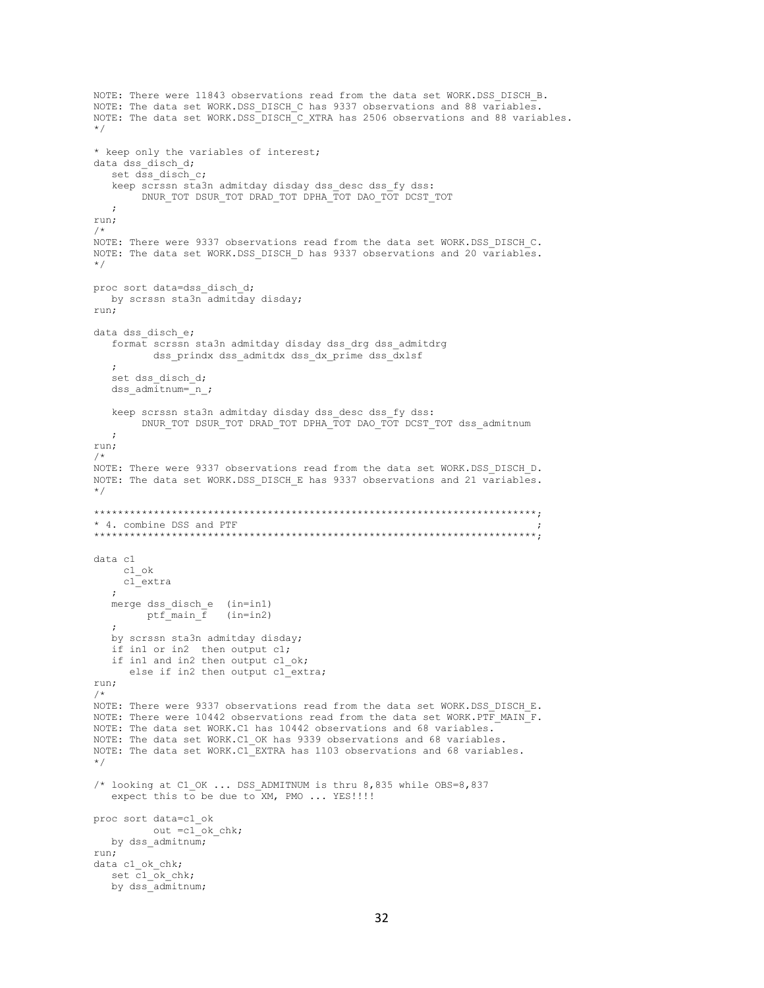```
NOTE: There were 11843 observations read from the data set WORK.DSS DISCH B.
NOTE: The data set WORK.DSS_DISCH_C has 9337 observations and 88 variables.
NOTE: The data set WORK.DSS_DISCH_C_XTRA has 2506 observations and 88 variables.
*/
* keep only the variables of interest;
data dss disch d;
   set dss disch c;
    keep scrssn sta3n admitday disday dss_desc dss_fy dss:
         DNUR_TOT DSUR_TOT DRAD_TOT DPHA_TOT DAO_TOT DCST_TOT
   ;
run;
/*
NOTE: There were 9337 observations read from the data set WORK.DSS DISCH C.
NOTE: The data set WORK.DSS_DISCH_D has 9337 observations and 20 variables.
*/
proc sort data=dss_disch_d;
   by scrssn sta3n admitday disday;
run;
data dss disch e;
    format scrssn sta3n admitday disday dss_drg dss_admitdrg
         dss prindx dss admitdx dss dx prime dss dxlsf
\mathcal{L}set dss disch d;
   dss admitnum=n;
   keep scrssn sta3n admitday disday dss desc dss fy dss:
         DNUR_TOT DSUR_TOT DRAD_TOT DPHA_TOT DAO_TOT DCST_TOT dss_admitnum
   ;
run;
/*
NOTE: There were 9337 observations read from the data set WORK.DSS_DISCH_D.
NOTE: The data set WORK.DSS_DISCH_E has 9337 observations and 21 variables.
*/
**************************************************************************;
* 4. combine DSS and PTF ;
**************************************************************************;
data c1
     c1_ok
     c1_extra
    ;
    merge dss_disch_e (in=in1)
       ptf\overline{m}ain \overline{f} (in=in2)
    ;
    by scrssn sta3n admitday disday;
    if in1 or in2 then output c1;
   if in1 and in2 then output c1 ok;
      else if in2 then output cl_extra;
run;
/*
NOTE: There were 9337 observations read from the data set WORK.DSS DISCH E.
NOTE: There were 10442 observations read from the data set WORK.PTF_MAIN_F.
NOTE: The data set WORK.C1 has 10442 observations and 68 variables.
NOTE: The data set WORK.C1_OK has 9339 observations and 68 variables.
NOTE: The data set WORK.C1_EXTRA has 1103 observations and 68 variables.
*/
/* looking at C1_OK ... DSS_ADMITNUM is thru 8,835 while OBS=8,837
   expect this to be due to XM, PMO ... YES!!!!!
proc sort data=c1_ok
         out = c1<sup>-</sup>ok-chk;
  by dss admitnum;
run;
data c1 ok chk;
   set c1 ok chk;
   by dss<sup>_</sup>admitnum;
```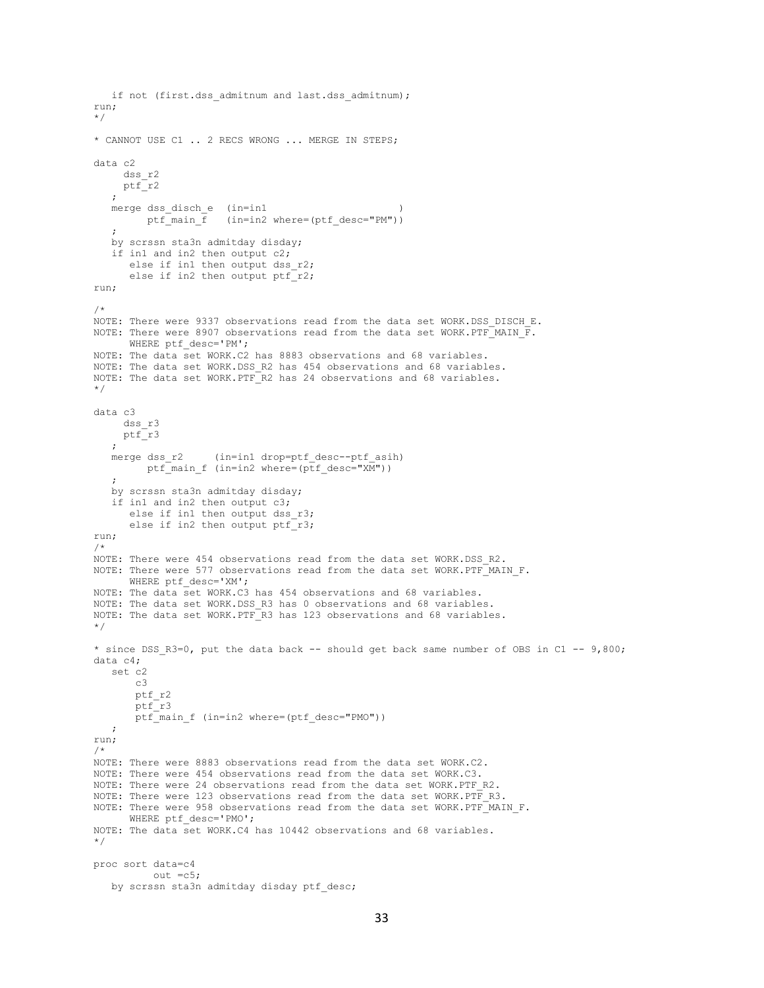```
if not (first.dss admitnum and last.dss admitnum);
run;
*/
* CANNOT USE C1 .. 2 RECS WRONG ... MERGE IN STEPS;
data c2
     dss_r2
     ptf_r2
\mathcal{L}merge dss disch e (in=in1
        ptf_main_f (in=in2 where=(ptf_desc="PM"))
    ;
    by scrssn sta3n admitday disday;
    if in1 and in2 then output c2;
      else if in1 then output dss r2;
      else if in2 then output ptr<sup>-</sup>r2;
run;
/*
NOTE: There were 9337 observations read from the data set WORK.DSS DISCH E.
NOTE: There were 8907 observations read from the data set WORK. PTF MAIN \overline{F}.
      WHERE ptf_desc='PM';
NOTE: The data set WORK.C2 has 8883 observations and 68 variables.
NOTE: The data set WORK.DSS R2 has 454 observations and 68 variables.
NOTE: The data set WORK.PTF_R2 has 24 observations and 68 variables.
*/
data c3
      dss_r3
     ptf_r3
    ;
   merge dss r2 (in=in1 drop=ptf desc--ptf asih)
        ptf_main_f (in=in2 where=(ptf_desc="XM"))
\mathcal{L} by scrssn sta3n admitday disday;
    if in1 and in2 then output c3;
      else if in1 then output dss r3;
      else if in2 then output ptf r3;
run;
/*
NOTE: There were 454 observations read from the data set WORK.DSS_R2.
NOTE: There were 577 observations read from the data set WORK.PTF_MAIN F.
       WHERE ptf_desc='XM';
NOTE: The data set WORK.C3 has 454 observations and 68 variables.
NOTE: The data set WORK.DSS_R3 has 0 observations and 68 variables.
NOTE: The data set WORK.PTF_R3 has 123 observations and 68 variables.
*/
* since DSS R3=0, put the data back -- should get back same number of OBS in C1 -- 9,800;
data c4;
   set c2
       c3
       ptf_r2
       ptf_r3
       ptf main f (in=in2 where=(ptf desc="PMO"))
    ;
run;
/*
NOTE: There were 8883 observations read from the data set WORK.C2.
NOTE: There were 454 observations read from the data set WORK.C3.
NOTE: There were 24 observations read from the data set WORK.PTF R2.
NOTE: There were 123 observations read from the data set WORK.PTF R3.
NOTE: There were 958 observations read from the data set WORK.PTF_MAIN_F.
     WHERE ptf desc='PMO';
NOTE: The data set WORK.C4 has 10442 observations and 68 variables.
*/
proc sort data=c4
           out =c5;
   by scrssn sta3n admitday disday ptf desc;
```

```
33
```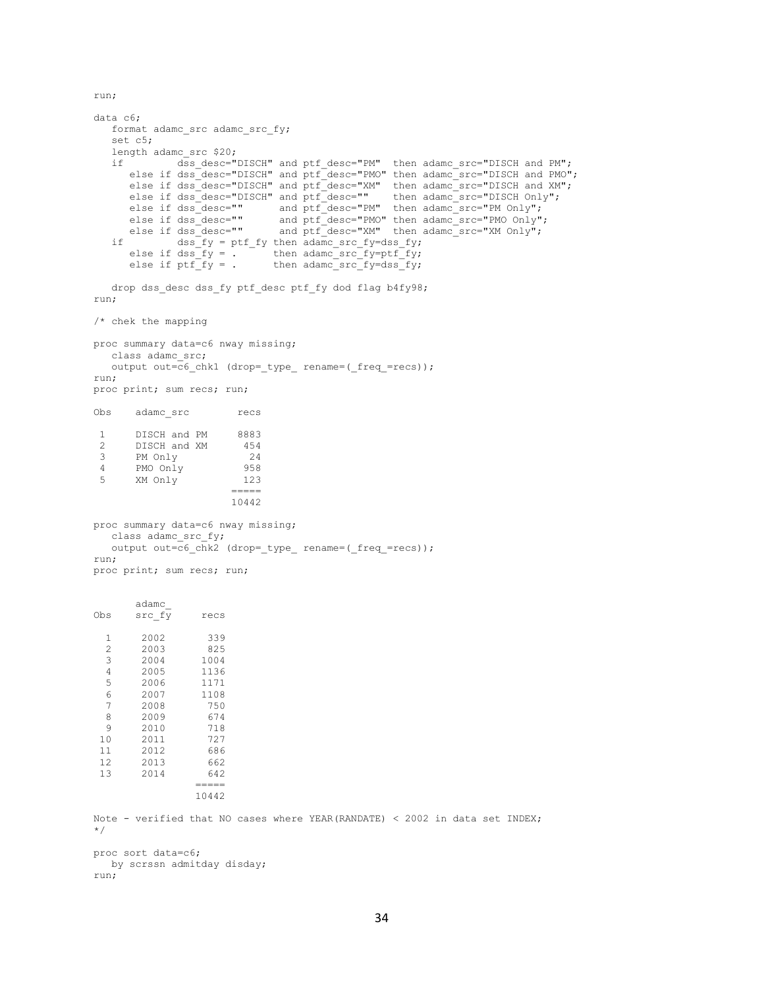run;

```
data c6;
  format adamc src adamc src fy;
    set c5;
   length adamc src $20;
    if dss_desc="DISCH" and ptf_desc="PM" then adamc_src="DISCH and PM";
     else if dss<sup>_desc="DISCH"</sup> and ptf<sup>desc="PMO" then adamc_src="DISCH and PMO";</sup>
else if dss desc="DISCH" and ptf desc="XM" then adamc src="DISCH and XM";
else if dss desc="DISCH" and ptf desc="" then adamc src="DISCH Only";
else if dss desc="" and ptf desc="PM" then adamc src="PM Only";
      else if dss_desc="" and ptf_desc="PMO" then adamc_src="PMO Only";<br>else if dss_desc="" and ptf_desc="PMO" then adamc_src="PMO Only";<br>else if dss_desc="" and ptf_desc="XM" then adamc src="XM Only";
else if dss desc="" and ptf desc="XM" then adamc src="XM Only";
if dss fy = ptf fy then adamc src fy=dss fy;
else if dss fy = . then adamc src fy=ptf fy;
      else if ds = fy = 0. then adamc_src_fy=ptf_fy;<br>else if ptf_fy = . then adamc_src_fy=dss_fy;
    drop dss_desc dss_fy ptf_desc ptf_fy dod flag b4fy98;
run;
/* chek the mapping
proc summary data=c6 nway missing;
   class adamc_src;
  output out=c6 chk1 (drop=_type_ rename=(_freq_=recs));
run;
proc print; sum recs; run;
Obs adamc_src recs
 1 DISCH and PM 8883
 2 DISCH and XM 454
 3 PM Only 24
 4 PMO Only 958
 5 XM Only 123
                       =10442
proc summary data=c6 nway missing;
  class adamc src fy;
   output out=c6_chk2 (drop=_type_ rename=(_freq_=recs));
run;
proc print; sum recs; run;
        adamc_
Obs src_f\overline{y} recs
  1 2002 339<br>2 2003 825
  2 2003 825<br>3 2004 1004
        2004 1004<br>2005 1136
  4 2005
   5 2006 1171
   6 2007 1108
         7 2008 750
   8 2009 674
   9 2010 718
 10 2011 727
 11 2012 686
 12 2013 662<br>13 2014 642
        2014
                   =====
                 10442
Note - verified that NO cases where YEAR(RANDATE) < 2002 in data set INDEX;
*/
proc sort data=c6;
   by scrssn admitday disday;
run;
```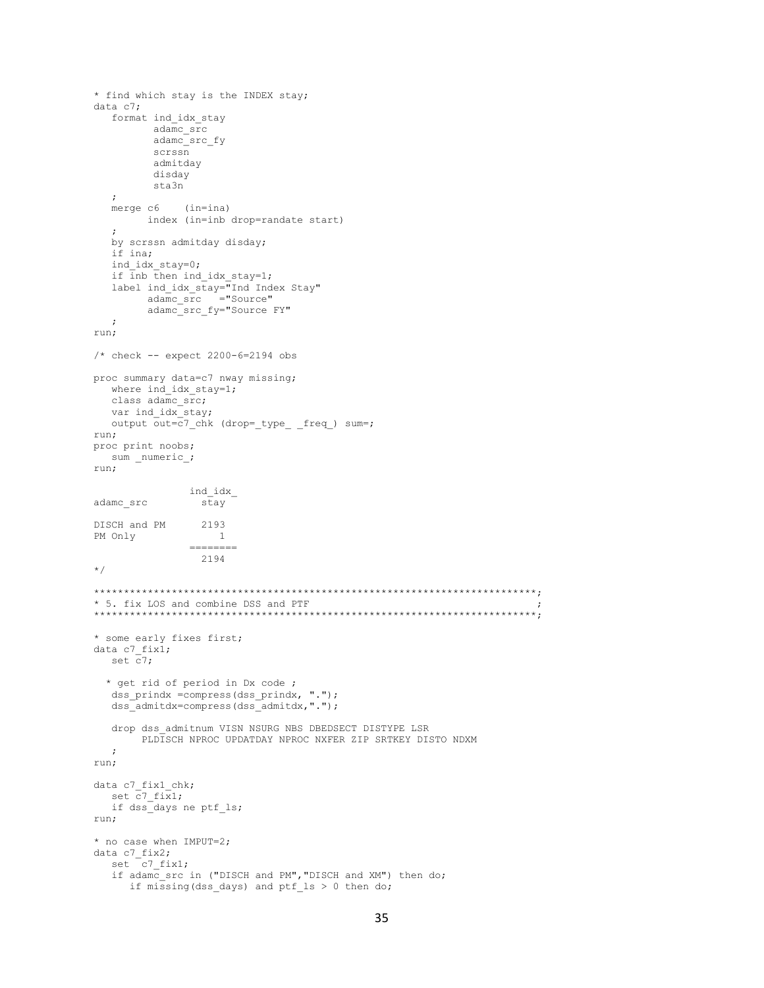```
* find which stay is the INDEX stay;
data c7:format ind idx stay
        adame srcadamc src fy
         scrssn
         admitday
         disday
         sta3n
  \cdotmerge c6
            (in = ina)index (in=inb drop=randate start)
  \cdotby scrssn admitday disday;
  if ina;
  ind idx stay=0;
  if inb then ind idx stay=1;
  label ind_idx_stay="Ind Index Stay"<br>adamc_src ="Source"
        adamc src fy="Source FY"
   \cdotrun;
/* check -- expect 2200-6=2194 obs
proc summary data=c7 nway missing;
  where ind idx stay=1;
  class adamc src;
  var ind idx stay;
  output out=c7_chk (drop=_type_ _freq_) sum=;
run;
proc print noobs;
 sum _numeric_;
run;
             ind idx
adamc src
               stay
DISCH and PM
               2193
                \qquad \quad \, 1PM Only
               2194
\star /
* 5. fix LOS and combine DSS and PTF
* some early fixes first;
data c7 fix1;
  set \overline{c}7;
  * get rid of period in Dx code ;
  dss_prindx =compress(dss_prindx, ".");
  dss_admitdx=compress(dss_admitdx,".");
  drop dss admitnum VISN NSURG NBS DBEDSECT DISTYPE LSR
       PLDISCH NPROC UPDATDAY NPROC NXFER ZIP SRTKEY DISTO NDXM
  \cdot:
run;
data c7_fix1_chk;
  set c7 fix1;
  if dss_days ne ptf_ls;
run;
* no case when IMPUT=2;data c7_fix2;
  set C7 fix1;
  if adamc src in ("DISCH and PM", "DISCH and XM") then do;
     if missing (dss days) and ptf ls > 0 then do;
```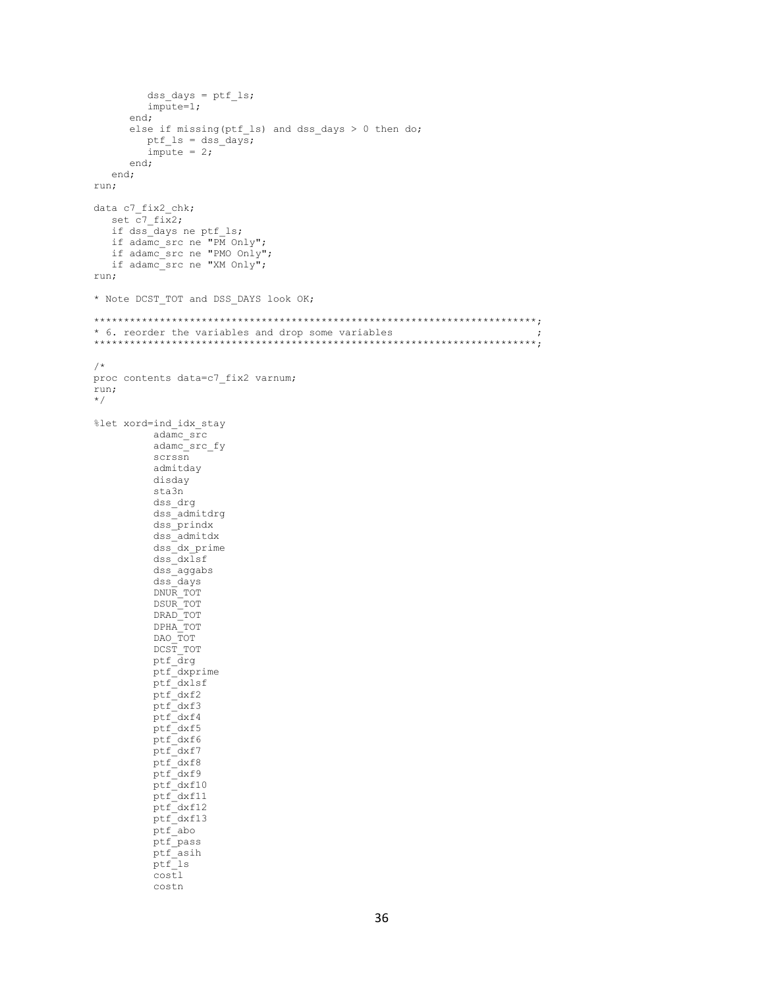```
dss\_days = ptf\_ls;impute=1;
      end;
      else if missing (ptf ls) and dss days > 0 then do;
       ptf ls = dss days;
        impute = 2;end;
  end;
run;
data c7 fix2 chk;
  set c7_fix2;
  if dss<sup>days ne ptf ls;</sup>
  if adame\_src ne "PM Only";
  if adamc_src ne "PMO Only";
  if adamc_src ne "XM Only";
run;
* Note DCST_TOT and DSS_DAYS look OK;
* 6. reorder the variables and drop some variables
                                                                         \cdot/*
proc contents data=c7 fix2 varnum;
run;
\star/%let xord=ind_idx_stay
         adamc src
         adame\_src\_fyscrssn
         admitday
         disday
         sta3n
         dss_drg
         dss_admitdrg
         dss prindx
         dss admitdx
         dss\_dx\_primedss dxlsf
         dss\ aggabs
         dss_days
         DNUR TOT
         DSUR<sup>TOT</sup>
         DRAD TOT
         DPHA TOT
         DAO TOT
         DCST TOT
         ptf drg
         ptf_dxprime<br>ptf_dxlsf
         ptf dxf2
         ptf\_dxf3ptf_dxf4<br>ptf_dxf5
         ptf_dxf6
         ptf_dxf7<br>ptf_dxf8
         ptf<sup>dxf9</sup>
         ptf_dxf10<br>ptf_dxf11
         ptf<sup>-</sup>dxf12ptf dxf13
         ptf_abo<br>ptf_pass
         ptf asih
         ptf<sup>-1s</sup>
         cost1costn
```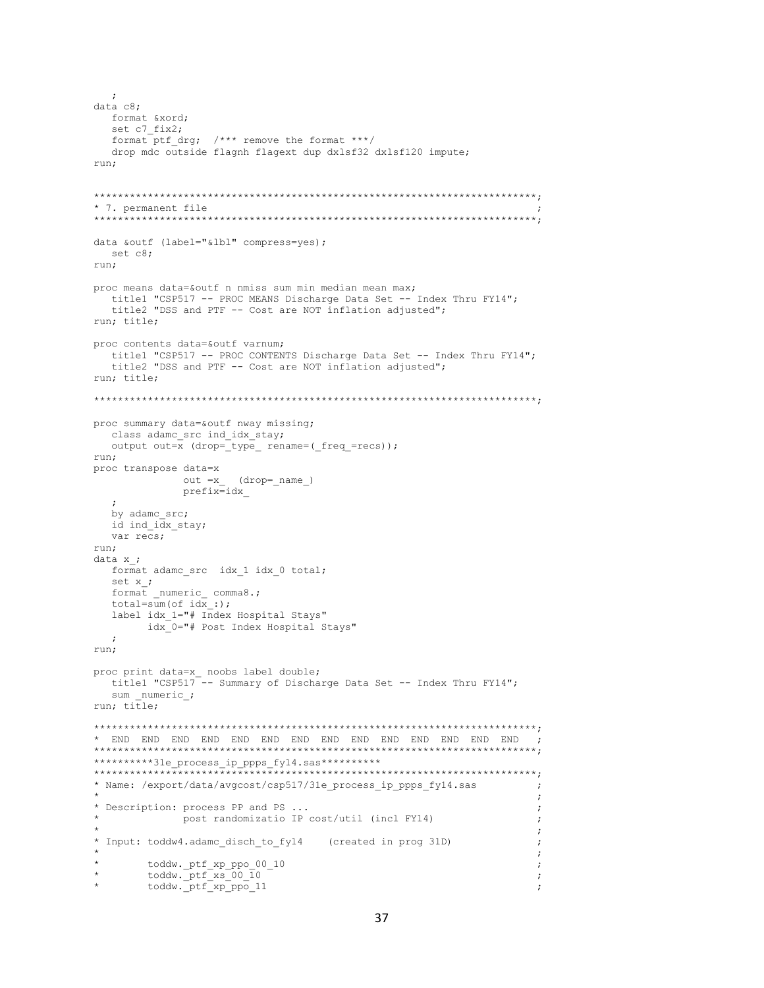```
data c8:
  format &xord;
  set c7 fix2;
  format ptf drg; /*** remove the format ***/
  drop mdc outside flagnh flagext dup dxlsf32 dxlsf120 impute;
run:
* 7. permanent file
data &outf (label="&lbl" compress=yes);
 set c8:
run:
proc means data=&outf n nmiss sum min median mean max;
  title1 "CSP517 -- PROC MEANS Discharge Data Set -- Index Thru FY14";
  title2 "DSS and PTF -- Cost are NOT inflation adjusted";
run; title;
proc contents data=&outf varnum;
  title1 "CSP517 -- PROC CONTENTS Discharge Data Set -- Index Thru FY14";
  title2 "DSS and PTF -- Cost are NOT inflation adjusted";
run; title;
proc summary data=&outf nway missing;
 class adamc src ind idx stay;
  output out=x (drop=_type_ rename=(_freq_=recs));
run;
proc transpose data=x
           out =x(drop= name)
           prefix=idx
  \cdot:
  by adamc src;
 id ind idx stay;
  var recs;
run:
data x ;
 format adamc_src idx_1 idx_0 total;
  set x_i;
  format _numeric_ comma8.;
  total = sum(of idx:);
  label idx 1="# Index Hospital Stays"
      idx 0="# Post Index Hospital Stays"
  \cdotrun;
proc print data=x_ noobs label double;
  title1 "CSP517<sup>---</sup> Summary of Discharge Data Set -- Index Thru FY14";
  sum numeric_;
run; title;
**********31e_process_ip_ppps_fy14.sas**********
* Name: /export/data/avgcost/csp517/31e process ip ppps fy14.sas
                                                         \cdot:
                                                         \cdot* Description: process PP and PS ...
                                                         \cdot:
           post randomizatio IP cost/util (incl FY14)
\star\cdot:
* Input: toddw4.adamc_disch_to_fy14 (created in prog 31D)
                                                         \cdot\startoddw._ptf_xp_ppo_00_10
                                                         \cdottoddw._ptf_xs_00_10<br>toddw._ptf_xp_ppo_11
                                                         \cdot\cdot
```
 $\cdot$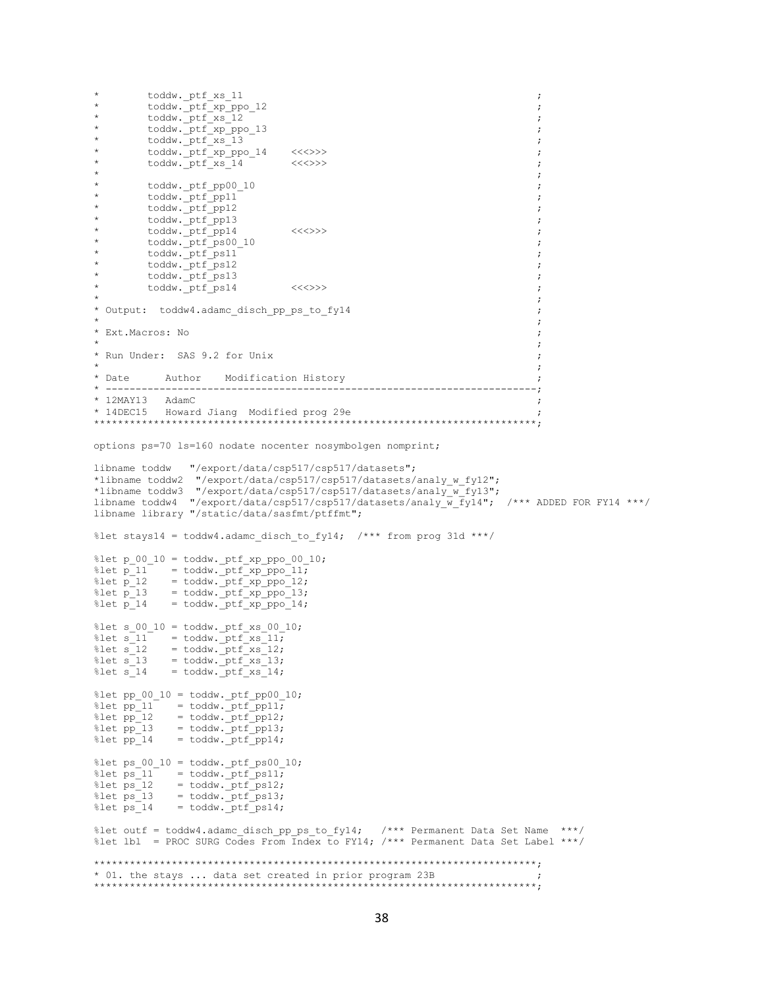```
toddw._ptf_xs_11
                                                                                    \cdottoddw._ptf_xp_ppo_12<br>toddw._ptf_xs_12
\star\cdot\ddot{}\cdot\startoddw.ptf_xp_ppo_13
                                                                                    \cdot\startoddw. ptf xs 13
                                                                                    \cdot\startoddw.ptf_xp_ppo_14
                                     \langle \langle \langle \rangle \rangle \rangle\cdot:
         toddw._ptf_xs_14
                                     \langle \langle \langle \rangle \rangle \rangle\cdot\cdot\startoddw._ptf_pp00_10
                                                                                    \cdottoddw._ptf_pp11
\star\cdottoddw.ptf_pp12
                                                                                    \cdot\startoddw.ptf_pp13
         toddw._ptf_pp14<br>toddw.ptf_ps00_10
\star\langle \langle \langle \rangle \rangle \rangle\cdot:
                                                                                    \cdottoddw.ptfps11
                                                                                    \cdottoddw._ptf_ps12
                                                                                    \cdottoddw. ptf ps13
          \text{today.} \text{ptf} \text{ps14}<< < < > > >\cdot* Output: toddw4.adamc disch pp ps to fy14
                                                                                    \cdot* Ext. Macros: No
                                                                                    \cdot* Run Under: SAS 9.2 for Unix
                                                                                    \cdot* Date
           Author Modification History
                                                                                 ---;* -------------------
                         * 12MAY13 AdamC
* 14DEC15 Howard Jiang Modified prog 29e
options ps=70 ls=160 nodate nocenter nosymbolgen nomprint;
libname toddw "/export/data/csp517/csp517/datasets";
*libname toddw2 "/export/data/csp517/csp517/datasets/analy w fy12";
*libname toddw3 "/export/data/csp517/csp517/datasets/analy w fy13";
libname toddw4 "/export/data/csp517/csp517/datasets/analy_w_fy14"; /*** ADDED FOR FY14 ***/
libname library "/static/data/sasfmt/ptffmt";
%let stays14 = toddw4.adamc disch to fy14; /*** from prog 31d ***/
%let p 00 10 = toddw. ptf xp ppo 00 10;
where p_11 = todaw. ptf_xp_ppo_11;<br>
\text{\text{\text{\text{princ}}}$ = todaw. ptf_xp_ppo_12;<br>
\text{\text{princ}}$ = todaw. ptf_xp_ppo_13;<br>
\text{\text{princ}}$ = todaw. ptf_xp_ppo_14;<br>
\text{\text{princ}}$ = todaw. pt
%let s 00 10 = toddw. ptf xs 00 10;
            = \text{today.} \text{ptf\_xs\_11};<br>= \text{today.} \text{ptf\_xs\_12};%let s 11
\text{let } s<sup>-12</sup>
%let s 13 = toddw. ptf xs 13;
\text{Set} s 14
            = toddw. ptr_{xs} 14;
%let pp 00 10 = toddw._ptf_pp00_10;
%let pp_11 = toddw. ptf_11<br>%let pp_12 = toddw. ptf_11;
let pp<sup>-13</sup>= toddw. ptf pp13;
%let pp_14 = toddw. ptf pp14;
%let ps_00_10 = toddw._ptf_ps00_10;
%let ps[1] = toddw. ptr ps11;
               = toddw. ptf ps12;
%let ps 12
              = toddw. ptf-ps13;%let ps 13
             = toddw. ptr ps14;
%let ps 14
%let outf = toddw4.adamc_disch_pp_ps_to_fy14; /*** Permanent Data Set Name ***/
%let lbl = PROC SURG Codes From Index to FY14; /*** Permanent Data Set Label ***/
* 01. the stays ... data set created in prior program 23B
```
 $\star$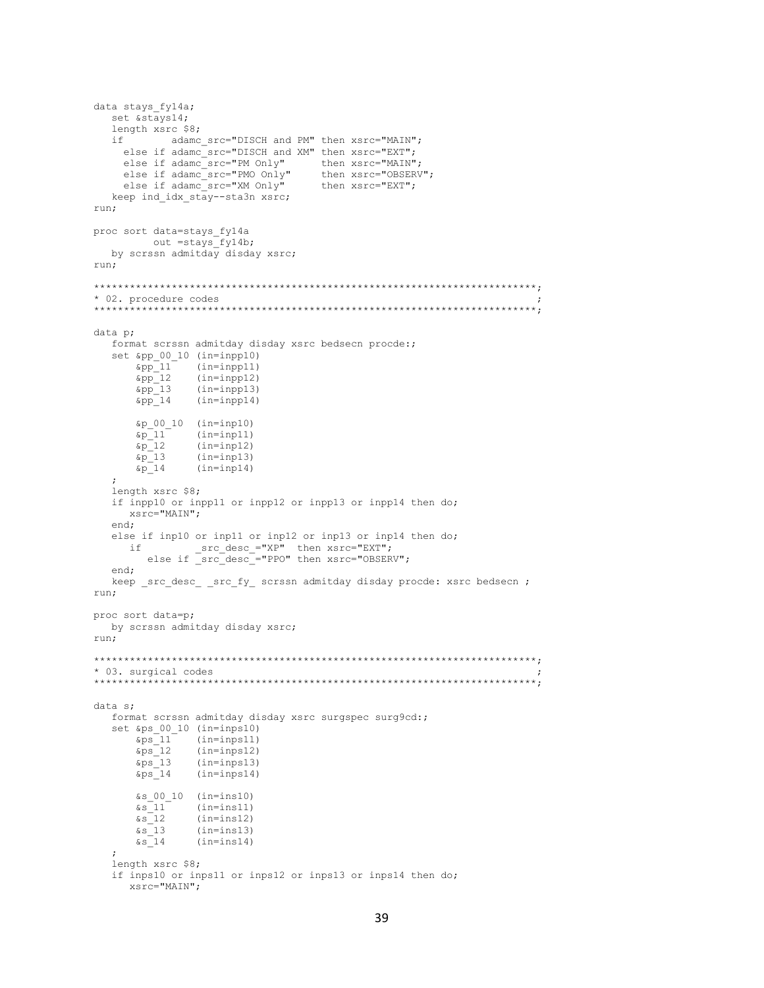```
data stays fyl4a;
  set &stays14;
  length xsrc $8;
           adamc src="DISCH and PM" then xsrc="MAIN";
  i \inelse if adamc_src="DISCH and XM" then xsrc="EXT";
    else if adamc src="PM Only"
                                  then xsrc="MAIN";
    else if adamc src="PMO Only"
                                    then xsrc="OBSERV";
    else if adame\_src="XM Only''then xsrc="EXT";
  keep ind idx stay--sta3n xsrc;
run;
proc sort data=stays fy14a
     out = stays fyl4b;by scrssn admitday disday xsrc;
run:
* 02. procedure codes
      ******data p;
   format scrssn admitday disday xsrc bedsecn procde:;
   set &pp_00_10 (in=inpp10)
      \kappapp<sup>11</sup> (in=inpp11)
      \&pp 12
               (in = input2)\begin{array}{c} \text{kip} \\ \text{app} \\ \text{app} \\ 14 \end{array}(in=1npp13)<br>(in=1npp14)\&p_00_10 (in=inp10)
      \frac{6p-11}{6p-12}(in = input1)(in=inp12)&p 13
               (in = input3)\&p_1 14
                (in = input4)length xsrc $8;
   if inpp10 or inpp11 or inpp12 or inpp13 or inpp14 then do;
     xsrc="MAIN";
  end:
  else if inp10 or inp11 or inp12 or inp13 or inp14 then do;
        src_desc_="xP" then xsrc="EXT";<br>else if _src_desc_="PPO" then xsrc="eXT";
     i fend;
  keep _src_desc_ _src_fy_ scrssn admitday disday procde: xsrc bedsecn ;
run;
proc sort data=p;
  by scrssn admitday disday xsrc;
run;
* 03. surgical codes
data s;
   format scrssn admitday disday xsrc surgspec surg9cd:;
   set &ps 00 10 (in=inps10)
      \&ps\_11(in = inputs11)\substack{\text{&ps}{-}12\\\text{&ps}{-}13}(in = 12)<br>(in = 13)(in = inputs14)\&ps 14
      $s 00 10 (in=ins10)
      &s 11^{-}(in=ins11)\&s 12
                (in=ins12)\&s \frac{-13}{5}(in=ins13)\&s \frac{-14}{1}(in=ins14)\ddot{\phantom{0}}length xsrc $8;
   if inps10 or inps11 or inps12 or inps13 or inps14 then do;
     xsrc="MAN";
```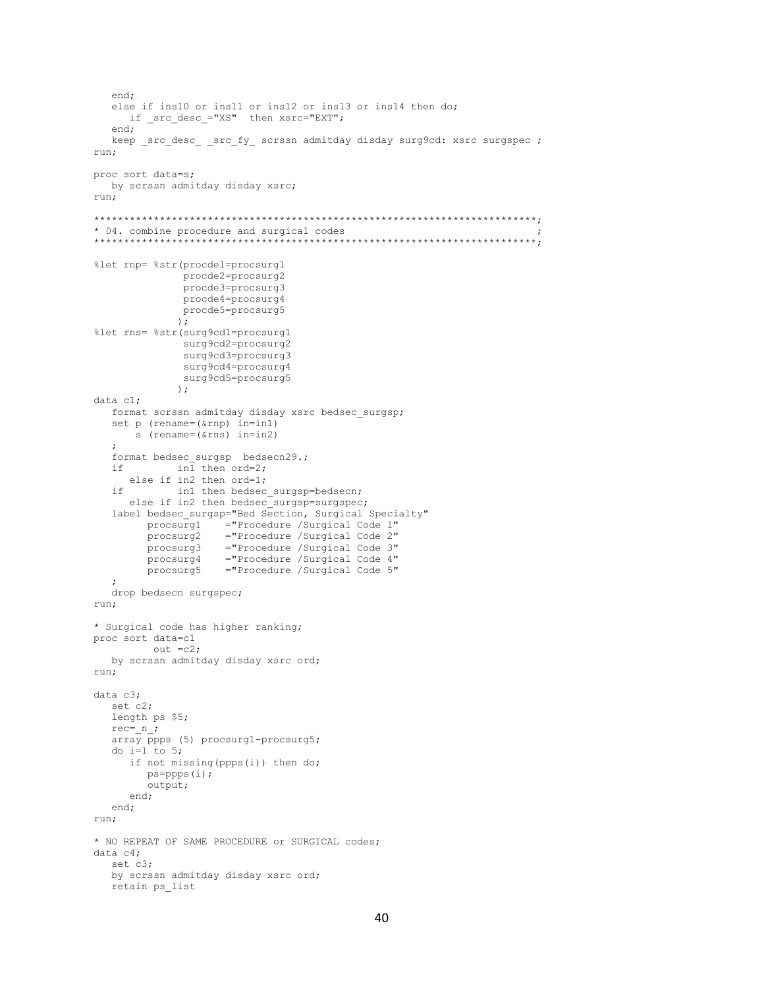```
end;
  else if ins10 or ins11 or ins12 or ins13 or ins14 then do;
    if src desc ="XS" then xsrc="EXT";
  end:keep src desc src fy scrssn admitday disday surg9cd: xsrc surgspec ;
run;
proc sort data=s;
  by scrssn admitday disday xsrc;
run:
* 04. combine procedure and surgical codes
%let rnp= %str(procde1=procsurg1
              procde2=procsurg2
              procde3=procsurg3
              procde4=procsurg4
             procde5=procsurg5
             );
%let rns= %str(surg9cd1=procsurg1
              surg9cd2=procsurg2
              surg9cd3=procsurg3
              surg9cd4=procsurq4surg9cd5=procsurg5
             \rightarrowdata c1:format scrssn admitday disday xsrc bedsec surgsp;
  set p (rename=(&rnp) in=in1)
      s (rename=(\text{s} \cdot \text{r}) in=in2)
  format bedsec surgsp bedsecn29.;
            in\overline{1} then ord=2;
  if -
     else if in2 then ord=1;
   if
            in1 then bedsec surgsp=bedsecn;
     else if in2 then bedsec_surgsp=surgspec;
  label bedsec surgsp="Bed Section, Surgical Specialty"
       procsurg1 ="Procedure /Surgical Code 1"
                   ="Procedure /Surgical Code 2"
        procsurg2
                   ="Procedure /Surgical Code 3"<br>="Procedure /Surgical Code 4"
        procsurg3
        procsurg4
        procsurg5
                    ="Procedure /Surgical Code 5"
  drop bedsecn surgspec;
run;
* Surgical code has higher ranking;
proc sort data=c1
        out = c2;by scrssn admitday disday xsrc ord;
run;
data c3;
  set c2;
  length ps $5;
  rec = n;
  \overline{array} ppps (5) procsurg1-procsurg5;
  do i=1 to 5;
     if not missing (ppps(i)) then do;
       ps = ppps(i);output;
     end:
  end:
run;
* NO REPEAT OF SAME PROCEDURE or SURGICAL codes;
data c4;set c3;
  by scrssn admitday disday xsrc ord;
  retain ps list
```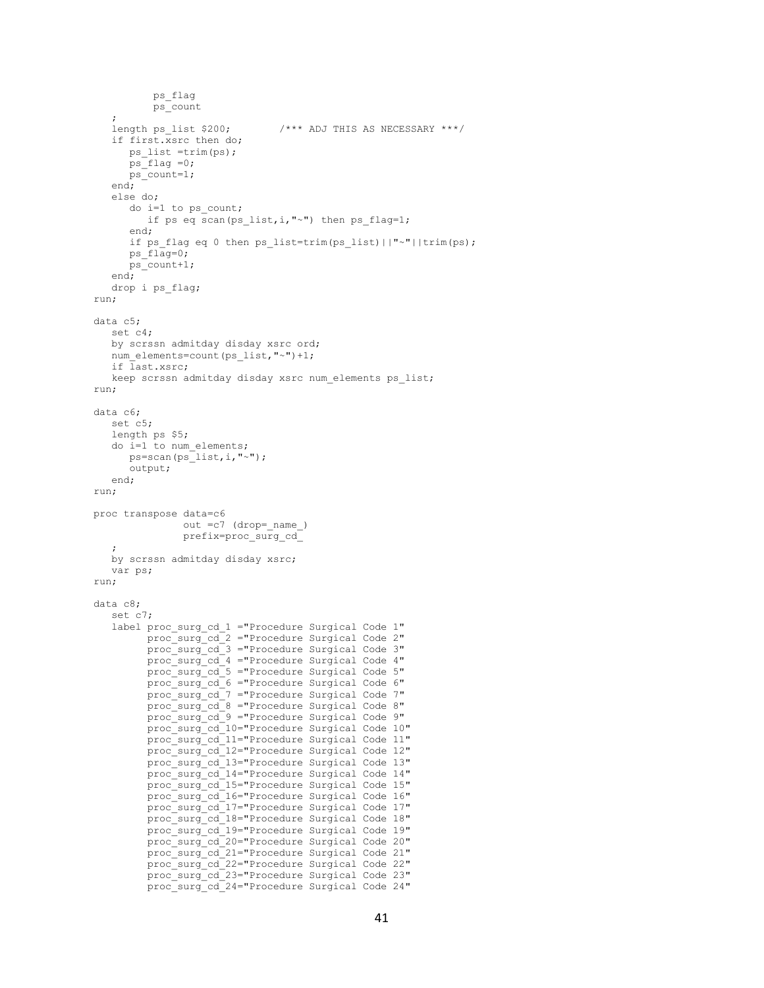```
 ps_flag
           ps_count
\mathcal{L}length ps list $200; /*** ADJ THIS AS NECESSARY ***/
    if first.xsrc then do;
       ps_list =trim(ps);
      ps flag =0;
      ps_count=1;
    end;
    else do;
       do i=1 to ps_count;
        if ps eq scan(ps list, i, "~") then ps flag=1;
       end;
       if ps_flag eq 0 then ps_list=trim(ps_list)||"~"||trim(ps);
      ps flag=0; ps_count+1;
    end;
    drop i ps_flag;
run;
data c5;
    set c4;
    by scrssn admitday disday xsrc ord;
   num_elements=count(ps_list,"~")+1;
    if last.xsrc;
   keep scrssn admitday disday xsrc num elements ps list;
run;
data c6;
    set c5;
    length ps $5;
    do i=1 to num_elements;
     ps=scan(ps_list,i,"~");
       output;
    end;
run;
proc transpose data=c6
               out = c7 (drop= name)
                prefix=proc_surg_cd_
\mathcal{L} by scrssn admitday disday xsrc;
   var ps;
run;
data c8;
    set c7;
    label proc_surg_cd_1 ="Procedure Surgical Code 1"
         proc_surg_cd_2 ="Procedure Surgical Code 2"
          proc_surg_cd_3 ="Procedure Surgical Code 3"
         proc_surg_cd_4 ="Procedure Surgical Code 4"
          proc_surg_cd_5 ="Procedure Surgical Code 5"
         proc_surg_cd_6 ="Procedure Surgical Code 6"
          proc_surg_cd_7 ="Procedure Surgical Code 7"
          proc_surg_cd_8 ="Procedure Surgical Code 8"
          proc_surg_cd_9 ="Procedure Surgical Code 9"
         proc_surg_cd_10="Procedure Surgical Code 10"
          proc_surg_cd_11="Procedure Surgical Code 11"
          proc_surg_cd_12="Procedure Surgical Code 12"
          proc_surg_cd_13="Procedure Surgical Code 13"
          proc_surg_cd_14="Procedure Surgical Code 14"
         proc_surg_cd_15="Procedure Surgical Code 15"
         proc_surg_cd_16="Procedure Surgical Code 16"
         proc_surg_cd_17="Procedure Surgical Code 17"
          proc_surg_cd_18="Procedure Surgical Code 18"
          proc_surg_cd_19="Procedure Surgical Code 19"
         proc_surg_cd_20="Procedure Surgical Code 20"
          proc_surg_cd_21="Procedure Surgical Code 21"
          proc_surg_cd_22="Procedure Surgical Code 22"
          proc_surg_cd_23="Procedure Surgical Code 23"
          proc_surg_cd_24="Procedure Surgical Code 24"
```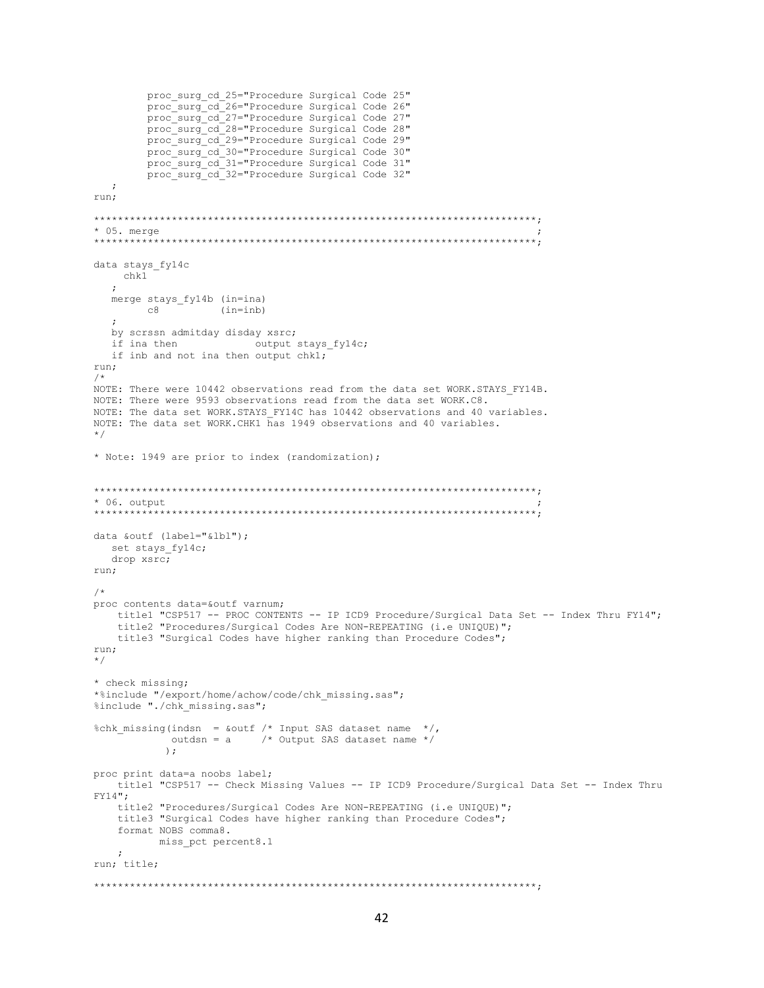```
proc surg cd 25="Procedure Surgical Code 25"
       proc_surg_cd_26="Procedure Surgical Code 26"
       proc_ourg_cd_20 Trocedure Surgical Code 27"
       proc surg cd 28="Procedure Surgical Code 28"
       proc_surg_cd_29="Procedure_Surgical_Code_29"
       proc_surg_cd_30="Procedure Surgical Code 30"
       proc surg cd 31="Procedure Surgical Code 31"
       proc surg cd 32="Procedure Surgical Code 32"
  \cdotrun;
* 05. merge
data stays fyl4c
  chk1
  \mathcal{L}merge stays fyl4b (in=ina)
      C8(in=inh)by scrssn admitday disday xsrc;
  if ina then output stays_fy14c;
  if inb and not ina then output chkl;
run:
/*
NOTE: There were 10442 observations read from the data set WORK. STAYS FY14B.
NOTE: There were 9593 observations read from the data set WORK.C8.
NOTE: The data set WORK.STAYS FY14C has 10442 observations and 40 variables.
NOTE: The data set WORK.CHK1 has 1949 observations and 40 variables.
\star/* Note: 1949 are prior to index (randomization);
* 06. output
data &outf (label="&lbl");
  set stays_fy14c;
  drop xsrc;
run;
/*
proc contents data=&outf varnum;
   title1 "CSP517 -- PROC CONTENTS -- IP ICD9 Procedure/Surgical Data Set -- Index Thru FY14";
   title2 "Procedures/Surgical Codes Are NON-REPEATING (i.e UNIQUE)";
   title3 "Surgical Codes have higher ranking than Procedure Codes";
run;
\star /
* check missing;
*%include "/export/home/achow/code/chk missing.sas";
%include "./chk_missing.sas";
%chk missing(indsn = &outf /* Input SAS dataset name */,
          outdsn = a /* Output SAS dataset name */
          \rightarrowproc print data=a noobs label;
   title1 "CSP517 -- Check Missing Values -- IP ICD9 Procedure/Surgical Data Set -- Index Thru
FY14":
  title2 "Procedures/Surgical Codes Are NON-REPEATING (i.e UNIQUE)";
   title3 "Surgical Codes have higher ranking than Procedure Codes";
   format NOBS comma8.
         miss pct percent8.1
   \cdotrun; title;
```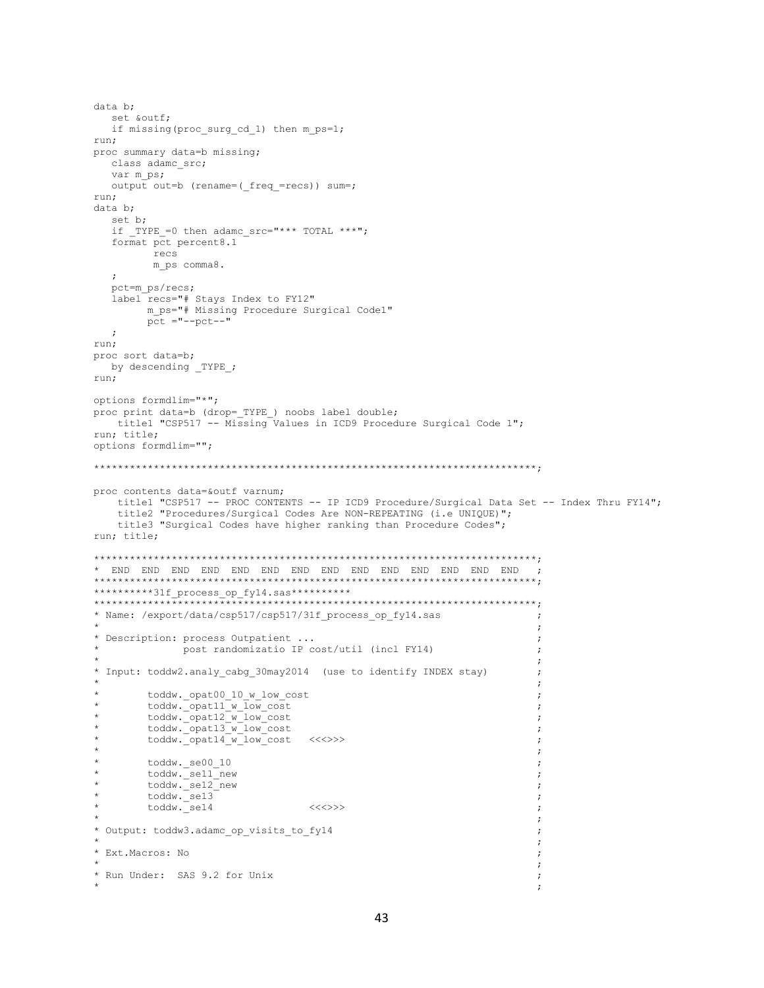```
data b:
  set &outf;
  if missing (proc surg cd 1) then m ps=1;
run:
proc summary data=b missing;
  class adamc src;
  var m ps;
  output out=b (rename=(_freq_=recs)) sum=;
run;
data b;
  set b;
  if TYPE =0 then adamc src="*** TOTAL ***";
  format pct percent8.1
        recs
        m_ps comma8.
  \mathcal{L}pct=m_ps/recs;
  label recs="# Stays Index to FY12"
       m ps="# Missing Procedure Surgical Code1"
       pct = "--pct--"\cdot:
run;
proc sort data=b;
 by descending _TYPE_;
run:
options formdlim="*";
proc print data=b (drop= TYPE ) noobs label double;
  title1 "CSP517 -- Missing Values in ICD9 Procedure Surgical Code 1";
run; title;
options formdlim="";
proc contents data=&outf varnum;
   title1 "CSP517 -- PROC CONTENTS -- IP ICD9 Procedure/Surgical Data Set -- Index Thru FY14";
   title2 "Procedures/Surgical Codes Are NON-REPEATING (i.e UNIQUE)";
   title3 "Surgical Codes have higher ranking than Procedure Codes";
run; title;
\cdot:
**********31f process op fy14.sas**********
*************************
                     * Name: /export/data/csp517/csp517/31f process op fy14.sas
                                                                 \cdot\cdot:
* Description: process Outpatient ...
                                                                 \cdotpost randomizatio IP cost/util (incl FY14)
                                                                 \cdot* Input: toddw2.analy cabg 30may2014 (use to identify INDEX stay)
                                                                 \cdottoddw._opat00_10_w low cost
                                                                 \cdot:
       toddw.opat11_w_low_cost
                                                                 \cdottoddw. opat12 w low cost
                                                                 \cdottoddw._opat13_w_low_cost
                                                                 \cdot:
       toddw._opat14_w_low_cost <<<>>>
                                                                 \cdot\cdottoddw._se00 10
                                                                 \cdot\star\text{today.}\text{se11}\text{new}\cdottoddw._se12_new
                                                                 \cdottoddw. sel3
                                                                 \cdottoddw. se14
                               << >>\cdot\cdot* Output: toddw3.adamc_op_visits_to_fy14
                                                                 \cdot\cdot* Ext. Macros: No
                                                                 \cdot\cdot* Run Under: SAS 9.2 for Unix
                                                                 \cdot
```
 $\cdot$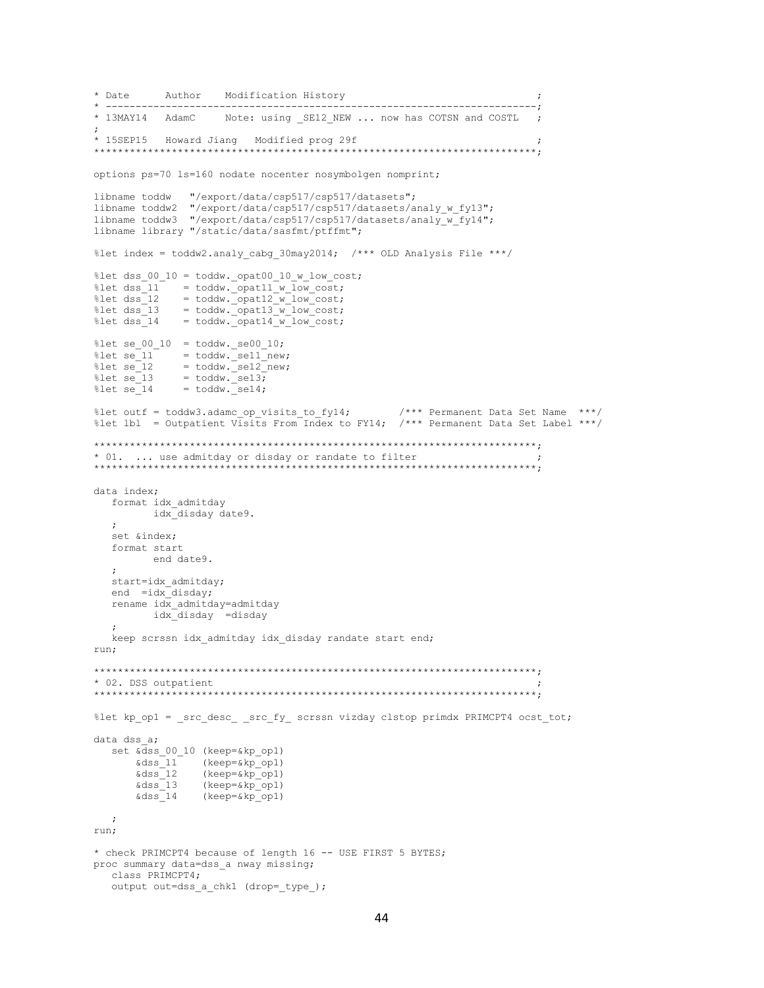```
* Date
        Author Modification History
       * 13MAY14 AdamC Note: using SE12 NEW ... now has COTSN and COSTL ;
\cdot* 15SEP15 Howard Jiang Modified prog 29f
options ps=70 1s=160 nodate nocenter nosymbolgen nomprint;
libname toddw
             "/export/data/csp517/csp517/datasets";
libname toddw2 "/export/data/csp517/csp517/datasets/analy w fy13";
libname toddw3 "/export/data/csp517/csp517/datasets/analy_w_fy14";
libname library "/static/data/sasfmt/ptffmt";
%let index = toddw2.analy cabg 30may2014; /*** OLD Analysis File ***/
%let dss 00 10 = toddw. opat00 10 w low cost;
%let dss[11] = toddw. opat11w[low-cost;= toddw._opat12_w_low_cost;<br>= toddw._opat13_w_low_cost;<br>= toddw._opat14_w_low_cost;
%let dss 12
%let dss 13
%let dss 14
%let se_00_10 = toddw._se00 10;%let se<sup>11</sup>
            = toddw. sell new;
            = toddw. se12 new;
\text{let} se 12
%let se_13 = toddw._se13;<br>%let se_14 = toddw. se14;
                                          /*** Permanent Data Set Name ***/
%let outf = toddw3.adamc op visits to fy14;
%let lbl = Outpatient Visits From Index to FY14; /*** Permanent Data Set Label ***/
* 01. ... use admitday or disday or randate to filter
data index;
  format idx_admitday
       idx disday date9.
  set &index;
  format start
        end date9.
  start=idx_admitday;
  end = idx disday;
  rename idx_admitday=admitday
       idx disday =disday
  \mathcal{L}keep scrssn idx admitday idx disday randate start end;
run:* 02. DSS outpatient
%let kp_op1 = _src_desc_ _src_fy_ scrssn vizday clstop primdx PRIMCPT4 ocst_tot;
data dss a;
  set \overline{\text{d}}ss 00 10 (keep=\frac{c}{\sqrt{2}}kp op1)
     \&dss<sup>-11</sup> (keep=\&kp-op1)
      \delta dss 12
              (keep = \&kp \quad op1)(keep = \&kp\_op1)<br>(keep = \&kp\_op1)\&\text{dss}<sup>-13</sup>
      \& dss 14\cdotrun;
* check PRIMCPT4 because of length 16 -- USE FIRST 5 BYTES;
proc summary data=dss_a nway missing;
  class PRIMCPT4;
  output out=dss a chk1 (drop= type );
```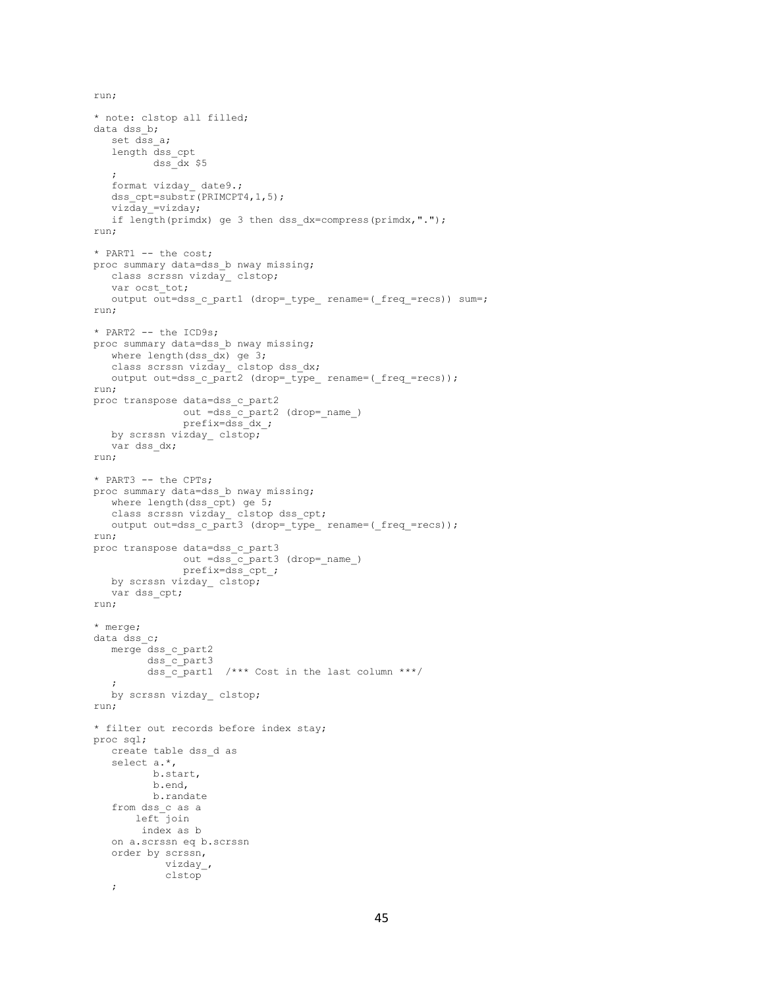```
* note: clstop all filled;
data dss b;
   set dss a;
    length dss_cpt
           dss_dx $5
    ;
    format vizday_ date9.;
   dss cpt=substr(PRIMCPT4,1,5);
   viz\bar{day} =vizday;
    if length(primdx) ge 3 then dss_dx=compress(primdx,".");
run;
* PART1 -- the cost;
proc summary data=dss b nway missing;
  class scrssn vizday clstop;
   var ocst_tot;
  output out=dss c part1 (drop= type rename=( freq =recs)) sum=;
run;
* PART2 -- the ICD9s;
proc summary data=dss_b nway missing;
  where length(dss \overline{dx}) ge 3;
  class scrssn vizday clstop dss dx;
  output out=dss c part2 (drop= type rename=( freq =recs));
run;
proc transpose data=dss_c_part2
                out =dss_c_part2 (drop=_name_)
                prefix=dss_dx_;
   by scrssn vizday clstop;
   var dss_dx;
run;
* PART3 -- the CPTs;
proc summary data=dss b nway missing;
   where length(dss cpt) ge 5;
    class scrssn vizday_ clstop dss_cpt;
  output out=dss c part3 (drop= type rename=( freq =recs));
run;
proc transpose data=dss_c_part3
                out =dss_c_part3 (drop=_name_)
                prefix=dss_cpt_;
   by scrssn vizday_ clstop;
   var dss_cpt;
run;
* merge;
data dss c;
   merge dss_c_part2
         dss c part3
          dss_c_part1 /*** Cost in the last column ***/
    ;
  by scrssn vizday clstop;
run;
* filter out records before index stay;
proc sql;
   create table dss_d as
    select a.*,
           b.start,
           b.end,
           b.randate
    from dss_c as a
       left join
         index as b
    on a.scrssn eq b.scrssn
    order by scrssn,
             vizday_,
             clstop
    ;
```
run;

```
45
```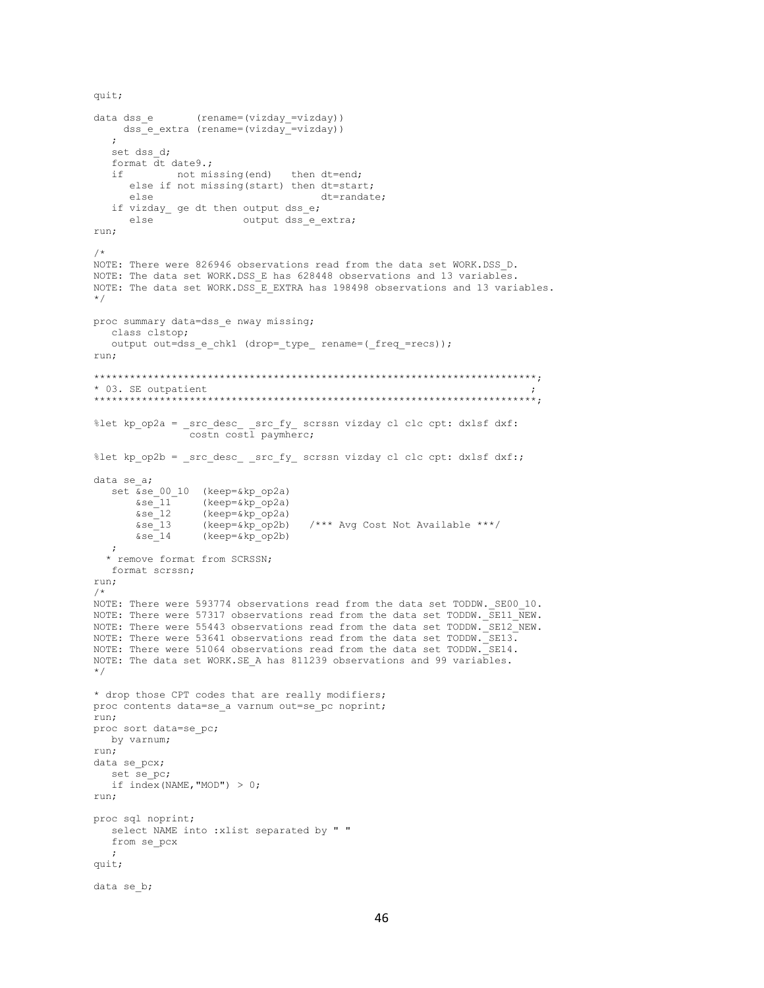```
data dss e
               (rename=(vizday =vizday))
   dss e extra (rename=(vizday =vizday))
   \cdotset dss d;
  format dt date9.;
            not missing (end)
  if -
                              then dt=end;
     else if not missing (start) then dt=start;
                                    dt=randate;
     else
  if vizday_ ge dt then output dss_e;
     else
                       output dss_e_extra;
run;
/*
NOTE: There were 826946 observations read from the data set WORK. DSS D.
NOTE: The data set WORK.DSS E has 628448 observations and 13 variables.
NOTE: The data set WORK.DSS_E_EXTRA has 198498 observations and 13 variables.
\star/proc summary data=dss_e nway missing;
  class clstop;
  output out=dss_e_chk1 (drop=_type_ rename=(_freq_=recs));
run:
* 03. SE outpatient
%let kp_op2a = _src_desc_ _src_fy_ scrssn vizday cl clc cpt: dxlsf dxf:
               costn costl paymherc;
%let kp op2b = src desc src fy scrssn vizday cl clc cpt: dxlsf dxf:;
data se a;
  set \overline{\&}se 00 10 (keep=\&kp op2a)
      \&se_11
                 (keep=&kp op2a)
       \&se 12(keep = \&kp \quad op2a)\overline{\&}se\overline{\phantom{a}}13
                 (keep = \&kp \quad op2b)\frac{1}{x^{***}} Avg Cost Not Available ***/&se^-14(keep = \&kp \quad op2b)* remove format from SCRSSN;
  format scrssn;
run;
NOTE: There were 593774 observations read from the data set TODDW. SE00 10.
NOTE: There were 57317 observations read from the data set TODDW. SE11 NEW.
NOTE: There were 55443 observations read from the data set TODDW. SE12 NEW.
NOTE: There were 53641 observations read from the data set TODDW. SE13.
NOTE: There were 51064 observations read from the data set TODDW. SE14.
NOTE: The data set WORK.SE A has 811239 observations and 99 variables.
\star /
* drop those CPT codes that are really modifiers;
proc contents data=se_a varnum out=se_pc noprint;
run;
proc sort data=se pc;
 by varnum;
run;
data se_pcx;
  set se pc;
  if index(NAME, "MOD") > 0;run:
proc sql noprint;
  select NAME into : xlist separated by " "
  from se pcx
quit;
data se b;
```
quit;

```
46
```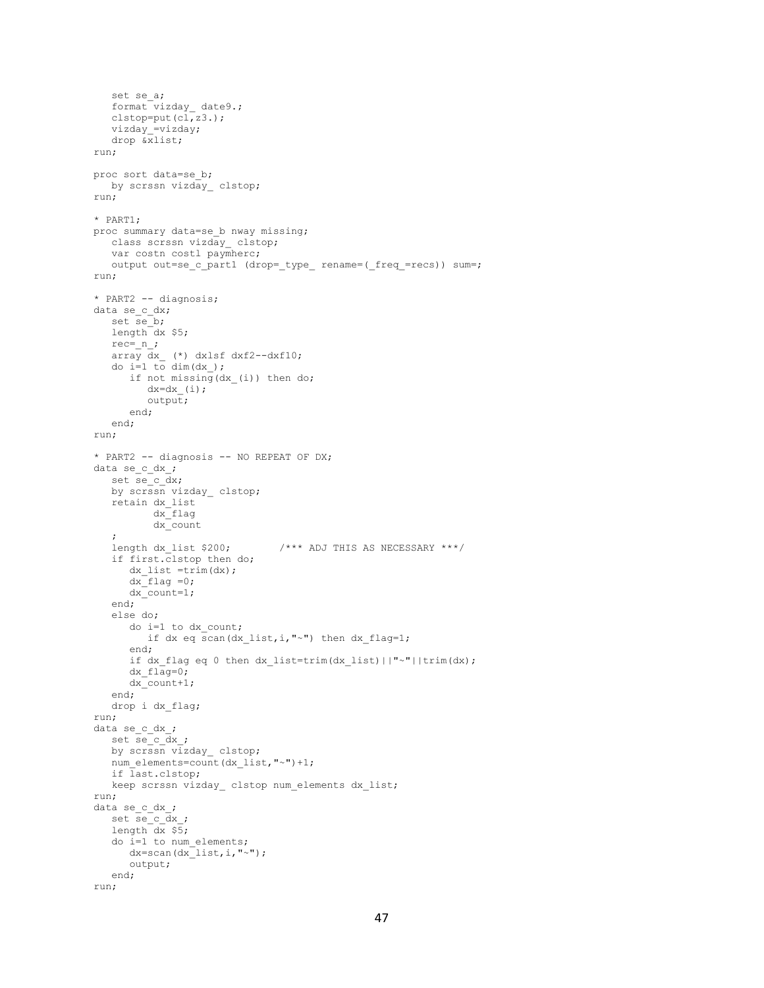```
set se a;
   format vizday_ date9.;
   clstop=put(cl,z3.);
   vizday =vizday;
    drop &xlist;
run;
proc sort data=se_b;
    by scrssn vizday_ clstop;
run;
* PART1;
proc summary data=se b nway missing;
    class scrssn vizday_ clstop;
   var costn costl paymherc;
   output out=se c part1 (drop= type rename=( freq =recs)) sum=;
run;
* PART2 -- diagnosis;
data se_c_dx;
   set se b;
   length dx $5;
   rec = n;
   \overline{dx} \overline{dx} (*) dxlsf dxf2--dxf10;
   do i=1 to dim(dx);
       if not missing (dx (i)) then do;
           dx=dx (i);
            output;
        end;
    end;
run;
* PART2 -- diagnosis -- NO REPEAT OF DX;
data se c dx ;
set se c dx;
   by scrssn vizday_ clstop;
 retain dx_list
dx flag
             dx_count
   %<br>length dx_list $200;
                                       \frac{\text{14}}{200} \frac{\text{14}}{200} \frac{\text{14}}{200} \frac{\text{14}}{200} \frac{\text{14}}{200} \frac{\text{14}}{200} \frac{\text{14}}{200} \frac{\text{14}}{200} \frac{\text{14}}{200} \frac{\text{14}}{200} \frac{\text{14}}{200} \frac{\text{14}}{200} \frac{\text{14}}{200} \frac{\text{14}}{200 if first.clstop then do;
       dx list =trim(dx);
       dx flag =0;
       dx count=1;
    end;
    else do;
        do i=1 to dx_count;
          if dx eq scan(dx_list,i,"~" then dx flag=1;
        end;
       if dx flag eq 0 then dx list=trim(dx list)||"~"||trim(dx);
       dx flaq=0; dx_count+1;
    end;
    drop i dx_flag;
run;
data se_c_dx_;
    set se_c_dx_;
by scrssn vizday clstop;
num elements=count(dx list,"~")+1;
    if last.clstop;
   keep scrssn vizday clstop num elements dx list;
run;
data se_c_dx_;
   set se c dx ;
   length dx $5; do i=1 to num_elements;
      dx = \text{scan}(dx list, i, "~");
        output;
    end;
run;
```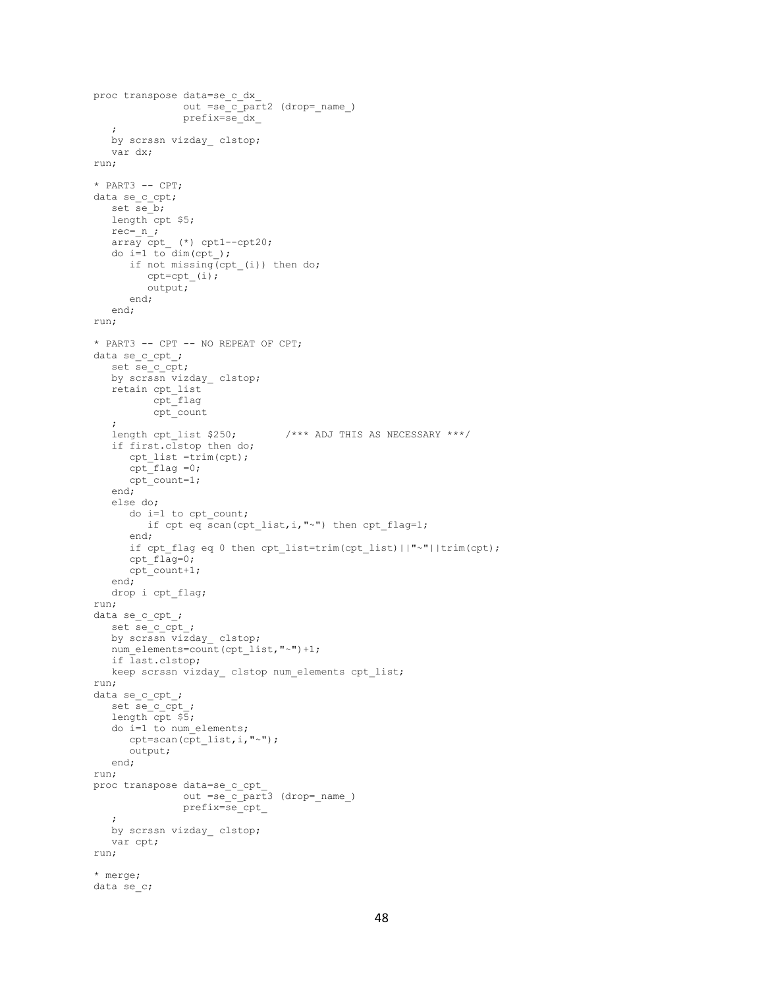```
proc transpose data=se_c_dx_
                 out =se_c_part2 (drop=_name_)
                 prefix=se_dx_
    ;
  by scrssn vizday clstop;
    var dx;
run;
* PART3 -- CPT;
data se c cpt;
  set se\overline{b};
   length cpt $5;
  rec = n;
  \overline{\text{array}} cpt_ (*) cpt1--cpt20;
  do i=1 to dim(cpt);
     if not missing(cpt_(i)) then do;
         cpt=cpt (i);
          output;
       end;
    end;
run;
* PART3 -- CPT -- NO REPEAT OF CPT;
data se_c_cpt_;
  \begin{array}{c} 24 & -2 & -2 \\ -3 & -2 \\ -2 & -2 \end{array}by scrssn vizday clstop;
 retain cpt_list
cpt flag
           cpt_count
    ;
   length cpt list $250; /*** ADJ THIS AS NECESSARY ***/
    if first.clstop then do;
      cpt_list =trim(cpt);
      \text{cpt} flag =0;
       cpt_count=1;
    end;
    else do;
      do i=1 to cpt_count;
         if cpt eq scan(cpt_list,i,"~") then cpt_flag=1;
       end;
       if cpt_flag eq 0 then cpt_list=trim(cpt_list)||"~"||trim(cpt);
       cpt_flag=0;
       cpt_count+1;
    end;
    drop i cpt_flag;
run;
data se c cpt ;
    set se_c_cpt_;
    by scrssn vizday_ clstop;
  num_elements=count(cpt_list,"~")+1;
   if last.clstop;
    keep scrssn vizday_ clstop num_elements cpt_list;
run;
data se c cpt ;
   set se_c_cpt_;
    length cpt $5;
    do i=1 to num_elements;
     cpt=scan(cpt_list,i,"~");
       output;
    end;
run;
proc transpose data=se_c_cpt_
                out =se c_part3 (drop=_name_)
                 prefix=se_cpt_
\mathcal{L} by scrssn vizday_ clstop;
    var cpt;
run;
* merge;
data se_c;
```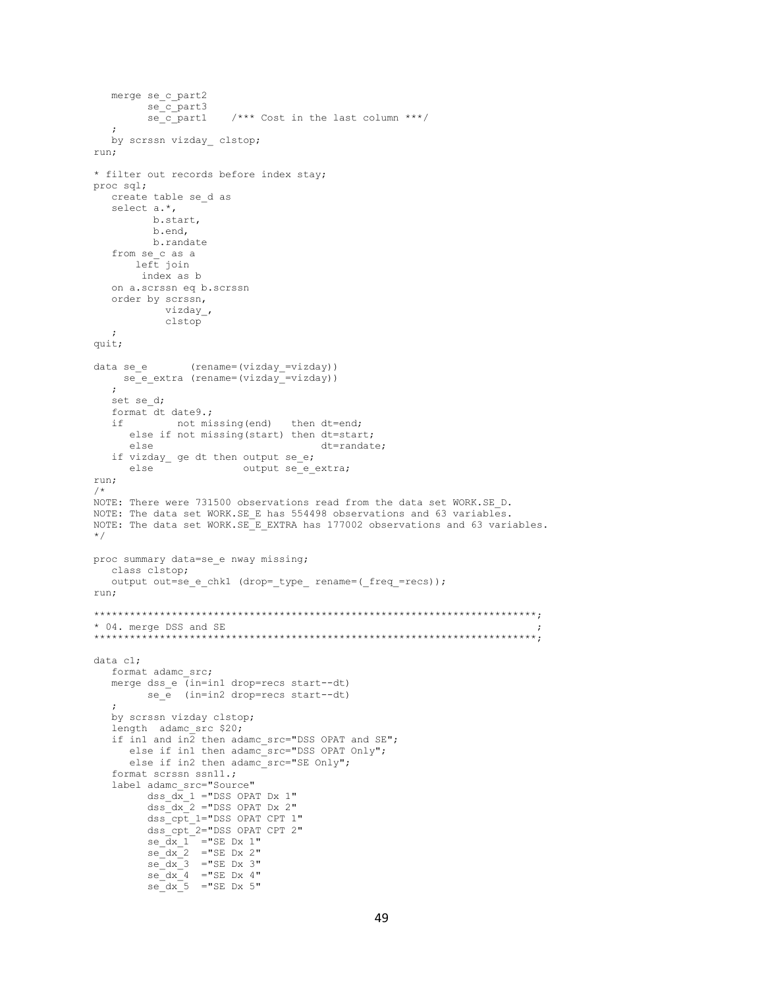```
merge se c part2
        se c part3
                       /*** Cost in the last column ***/
         se c part1
   \cdotby scrssn vizday clstop;
run;
* filter out records before index stay;
proc sql;
  create table se d as
  select a.*,
         b.start,
          b.end,
         b.randate
   from se c as a
      left join
        index as b
   on a.scrssn eq b.scrssn
   order by scrssn,
            vizday_,
            clstop
  \cdotquit;
               (rename=(vizday =vizday))
data se e
   se e extra (rename=(vizday =vizday))
   \mathcal{L}set se d;
   format dt date9.;
             not missing (end) then dt=end;
   i felse if not missing (start) then dt=start;
                                       dt=randate;
     else
   if vizday_ ge dt then output se_e;
                       output se_e_extra;
      else
run;
/*
NOTE: There were 731500 observations read from the data set WORK.SE_D.
NOTE: The data set WORK.SE E has 554498 observations and 63 variables.
NOTE: The data set WORK.SE E EXTRA has 177002 observations and 63 variables.
\star/proc summary data=se e nway missing;
  class clstop;
  output out=se_e_chk1 (drop=_type_ rename=(_freq_=recs));
run;
* 04. merge DSS and SE
data cl;
   format adamc src;
   merge dss e (in=in1 drop=recs start--dt)
        se_e (in=in2 drop=recs start--dt)
  by scrssn vizday clstop;
   length adamc src $20;
   if in1 and in\overline{2} then adamc_src="DSS OPAT and SE";
      else if in1 then adamc src="DSS OPAT Only";
      else if in2 then adamc_src="SE Only";
   format scrssn ssn11.;
   label adamc src="Source"
         dss \overline{dx} 1 = "DSS OPAT Dx 1"
         ds = dx<sup>-2</sup> = "DSS OPAT Dx 2"
         dss_{\texttt{opt}}^-1="DSS OPAT CPT 1"
         \begin{array}{c}\n\text{dss\_cpt} = "DSS \text{ OPATH } \text{CPT } 2" \\
\text{se\_dx\_1} = "SE \text{ Dx } 1" \n\end{array}sec dx 2 = "SE Dx 2"
         se_{ax} = 3 = SE Dx 3<br>
se_{ax} = 4 = SE Dx 4<br>
se_{ax} = 5 = SE Dx 5
```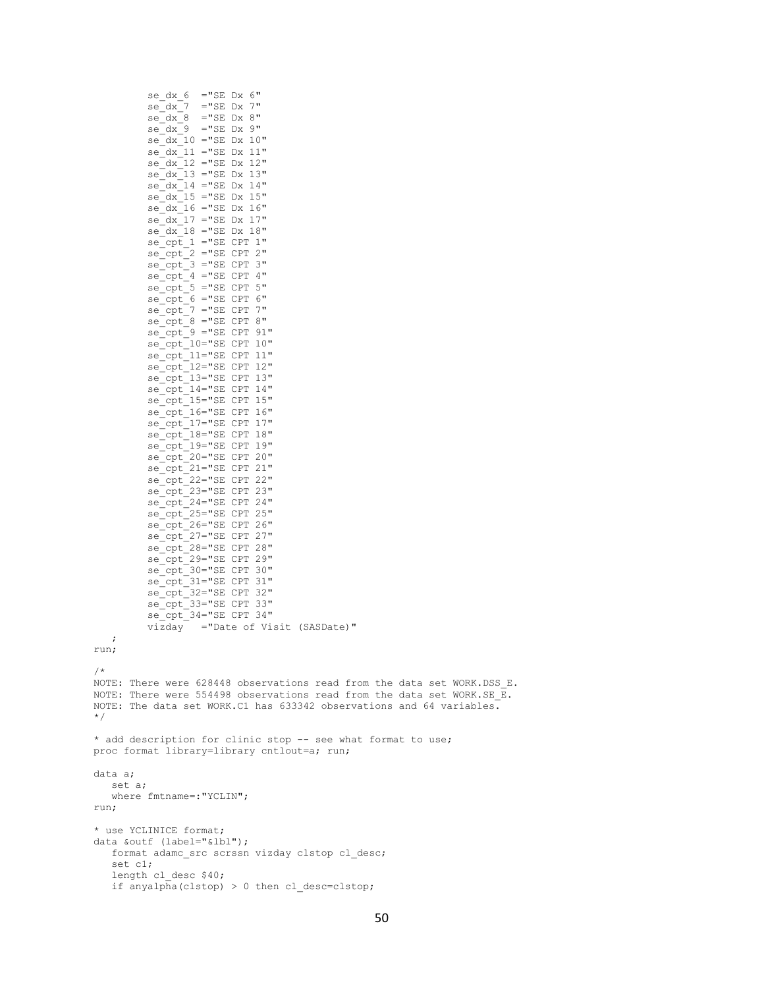```
se dx 6 = "SE Dx 6"
              se\_dx\_7 = "SE Dx 7"<br>
se\_dx\_8 = "SE Dx 8"
              se\bar{dx} = 9 = "SE Dx 9"
              se<sub>1</sub>dx<sub>10</sub> = "SE DX 10"se_{dx_1} = 11 = 11<br>se_{dx_1} = 12 = 11<br>se_{dx_2} = 12 = 12<br>se_{dx_3} = 12se dx 13 = "SE Dx 13"
              se_{dx_1} = 14 = 12.44<br>
se_{dx_1} = 15 = 12.44<br>
se_{dx_2} = 15 = 12.44se dx 16 = "SE Dx 16"
              se\bar{dx} 17 = "SE Dx 17"
              se dx 18 = "SE Dx 18"
              se_{\overline{C}}\overline{pt} 1 ="SE CPT 1"
              se_{cpt} ="SE CPT 2"
              se_{\text{opt}}^2 = "SE CPT 3"<br>se_{\text{opt}}^2 = "SE CPT 4"se_{cpt}^-5 ="SE CPT 5"
              se_{cpt}^-6 = "SE CPT 6"se_{cpt}^T = "SE CPT 7"<br>se_{cpt}^T = "SE CPT 8"se cpt 9 = "SE CPT 91"
              se_cpt_3 - SE CPI 91<br>se_cpt_10="SE CPT 10"<br>se_cpt_11="SE CPT 11"<br>se_cpt_12="SE CPT 12"
              sec cpt<sup>-13="SE CPT 13"</sup>
              se_{\text{opt}} = 7 - 32<br>
se_{\text{opt}} = 14 "SE CPT 14"<br>
se_{\text{opt}} = 15 "SE CPT 15"
              se_{cpt}^-16="SE CPT 16"se{\_}cpt{\_}17=\texttt{"SE CPT 17"}se_{\text{cpt}}^{-18} = "SE CPT 18"<br>se_{\text{cpt}}^{-19} = "SE CPT 19"se_{\text{cpt}}^{\text{--}}20 = "SE CPT 20"se_cpt_21="SE CPT 21"<br>se_cpt_22="SE CPT 22"
              se cpt<sup>23="SE CPT 23"</sup>
              se_{pt} = 24="SE CPT 24"
              se_cpt_25="SE CPT 25"<br>se cpt 26="SE CPT 26"
              sec cpt<sup>-27="SE CPT 27"</sup>
              se_{\text{opt}} - 28="SE CPT 28"
              se_cpt_29="SE CPT 29"
              se_{cpt} 30="SE CPT 30"
              se{\small \_}opt{\small \_}31{\small =}{\small \_}SE CPT 31"
              se_{\text{opt}} = 32="SE CPT 32"<br>
se_{\text{opt}} = 33="SE CPT 33"
              se_{\text{cpt}}^{\text{--}}34 = "SE CPT 34"\overline{1} \overline{1} \overline{1} ="Date of Visit (SASDate)"
     \ddot{ }run;
/*
NOTE: There were 628448 observations read from the data set WORK.DSS E.
NOTE: There were 554498 observations read from the data set WORK. SE \overline{E}.
NOTE: The data set WORK.C1 has 633342 observations and 64 variables.
\star/* add description for clinic stop -- see what format to use;
proc format library=library cntlout=a; run;
data a;
    set a:
    where fmtname=: "YCLIN";
run:
* use YCLINICE format;
data &outf (label="&lbl");
    format adame src scrssn vizday clstop cl desc;
    set cl;
    length cl desc $40;
    if \text{anyalpha}(clstop) > 0 then cl desc=clstop;
```

```
50
```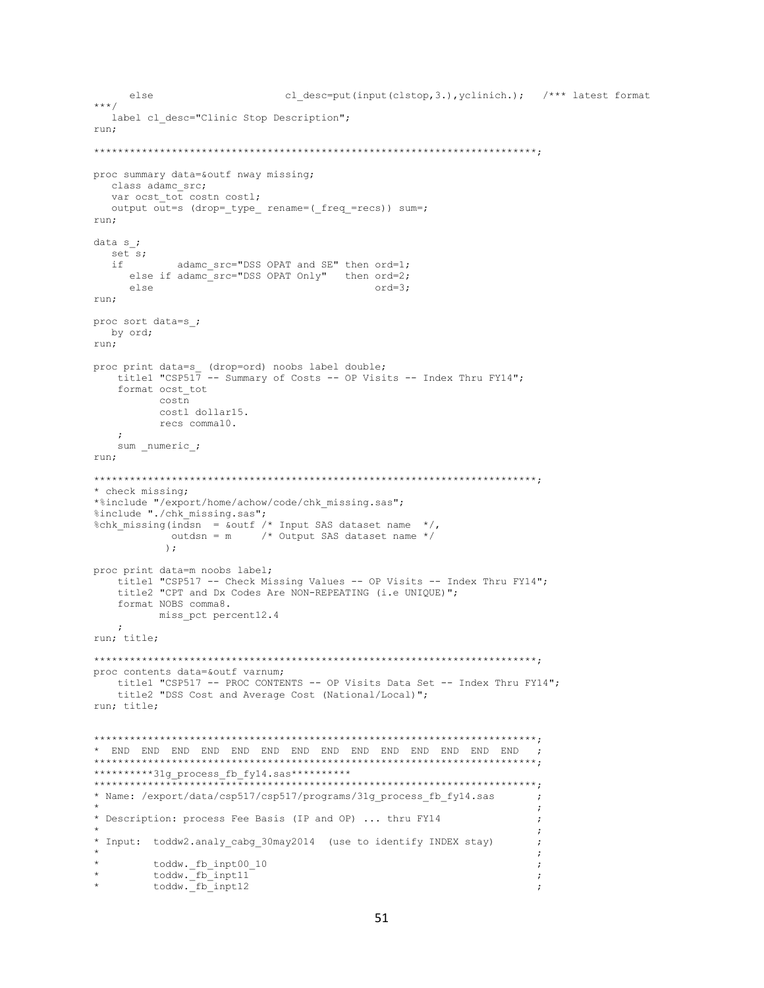```
cl desc=put(input(clstop, 3.), yclinich.); /*** latest format
   else
***/label cl desc="Clinic Stop Description";
r<sub>11</sub>r\cdotproc summary data=&outf nway missing;
  class adamc_src;
  var ocst tot costn costl;
  output out=s (drop=_type_ rename=(_freq_=recs)) sum=;
run;
data s ;
 set s;
    adamc_src="DSS OPAT and SE" then ord=1;<br>else if adamc_src="DSS OPAT Only" then ord=2;
  i felse
                                     ord=3:run;
proc sort data=s ;
 by ord;
run;
proc print data=s_ (drop=ord) noobs label double;
  title1 "CSP517 -- Summary of Costs -- OP Visits -- Index Thru FY14";
   format ocst tot
        costn
        costl dollar15.
        recs comma10.
   \ddot{ }sum _numeric_;
run;
* check missing;
\verb|*$include "/export/home/achow/code/chk_missing.sas";%include "./chk missing.sas";
%chk missing(indsn = \frac{1}{2} and \frac{1}{2} foutf /* Input SAS dataset name */,
         outdsn = m /* Output SAS dataset name */
         ) ;
proc print data=m noobs label;
   title1 "CSP517 -- Check Missing Values -- OP Visits -- Index Thru FY14";
   title2 "CPT and Dx Codes Are NON-REPEATING (i.e UNIQUE)";
   format NOBS comma8.
       miss pct percent12.4
  \cdotrun; title;
proc contents data=&outf varnum;
  title1 "CSP517 -- PROC CONTENTS -- OP Visits Data Set -- Index Thru FY14";
  title2 "DSS Cost and Average Cost (National/Local)";
run; title;
**********31g_process_fb_fy14.sas***********
* Name: /export/data/csp517/csp517/programs/31g_process_fb_fy14.sas
                                                          \cdot* Description: process Fee Basis (IP and OP) ... thru FY14
                                                          \cdot* Input: toddw2.analy_cabg_30may2014 (use to identify INDEX stay)
                                                          \cdottoddw._fb_inpt00 10
                                                          \cdottoddw. fb inpt11
                                                          \cdottoddw. fb inpt12
                                                          \cdot:
```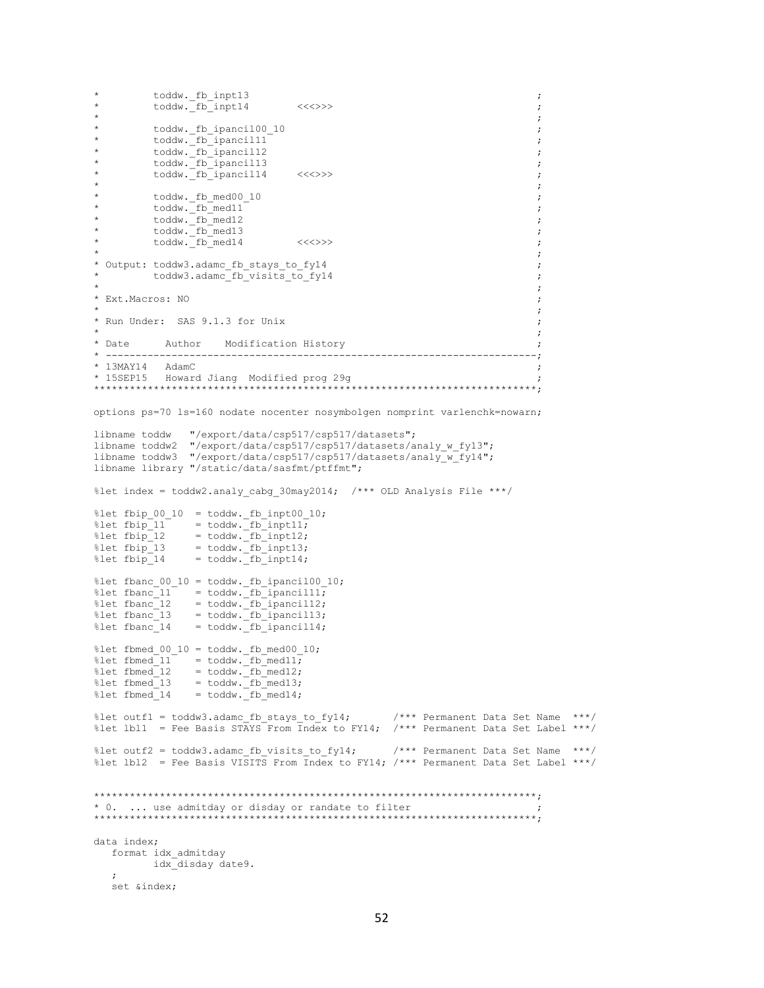```
* toddw._fb_inpt13 ;
       toddw. fb_inpt14 <<<>><<<>> ;
\star \star* toddw. fb ipancil00_10 \qquad \qquad ;
       * toddw._fb_ipancil11 ;
* toddw. fb_ipancil12 ;
        * toddw. fb ipancil13 ; toddw. fb ipancil13 ; toddw. fb ipancil13 ; toddw. fb ipancil13 ; toddw. fb ipancil13 \,* \qquad \qquad \text{today.} \frac{1}{2} toddw. \frac{1}{2} toddw. \frac{1}{2} to \frac{1}{2} to \frac{1}{2} ipancill 4 <<<>> <<<>> <<<>>
\star \star* toddw._fb_med00_10 ;
        * toddw._fb_med11 ;
        toddw._fb_med12
        * toddw._fb_med13 ;
        * toddw._fb_med14 <<<>>> ;
\star \star* Output: toddw3.adamc_fb_stays_to_fy14 ;
        * toddw3.adamc_fb_visits_to_fy14 ;
\star ; the contract of the contract of the contract of the contract of the contract of the contract of the contract of the contract of the contract of the contract of the contract of the contract of the contract of the co
* Ext.Macros: NO
\star ; the contract of the contract of the contract of the contract of the contract of the contract of the contract of the contract of the contract of the contract of the contract of the contract of the contract of the co
* Run Under: SAS 9.1.3 for Unix ;
\star \star* Date Author Modification History ;
* ------------------------------------------------------------------------;
* 13MAY14 AdamC ;
* 15SEP15 Howard Jiang Modified prog 29g ;
**************************************************************************;
options ps=70 ls=160 nodate nocenter nosymbolgen nomprint varlenchk=nowarn;
libname toddw "/export/data/csp517/csp517/datasets";
libname toddw2 "/export/data/csp517/csp517/datasets/analy_w_fy13";
libname toddw3 "/export/data/csp517/csp517/datasets/analy_w_fy14";
libname library "/static/data/sasfmt/ptffmt";
%let index = toddw2.analy cabg 30may2014; /*** OLD Analysis File ***/
%let fbip 00\ 10 = toddw. fb inpt00 10;
%let fbip 11 = toddw. fb inpt11;
%let fbip 12 = toddw. fb inpt12;
%let fbip 13 = toddw. fb inpt13;
%let fbip 14 = toddw. fb inpt14;
%let fbanc_00_10 = toddw._fb_ipancil00_10;
%let fbanc 11 = toddw. fb ipancil11;
%let fbanc 12 = toddw. fb ipancil12;
%let fbanc 13 = toddw. fb ipancil13;
%let fbanc 14 = toddw. fb ipancil14;
%let fbmed 00 10 = toddw. fb med00 10;
%let fbmed_11 = toddw._fbmed11;%let fbmed 12 = toddw. fb med12;
%let fbmed 13 = toddw. fb med13;
%let fbmed 14 = toddw. fb med14;
%let outf1 = toddw3.adamc fb stays to fy14; /*** Permanent Data Set Name ***/
%let lbl1 = Fee Basis STAYS From Index to FY14; /*** Permanent Data Set Label ***/
%let outf2 = toddw3.adamc fb visits to fy14; /*** Permanent Data Set Name ***/
%let lbl2 = Fee Basis VISITS From Index to FY14; /*** Permanent Data Set Label ***/
**************************************************************************;
* 0. ... use admitday or disday or randate to filter ;
**************************************************************************;
data index;
   format idx_admitday
        idx_disday date9.
\mathcal{L} set &index;
```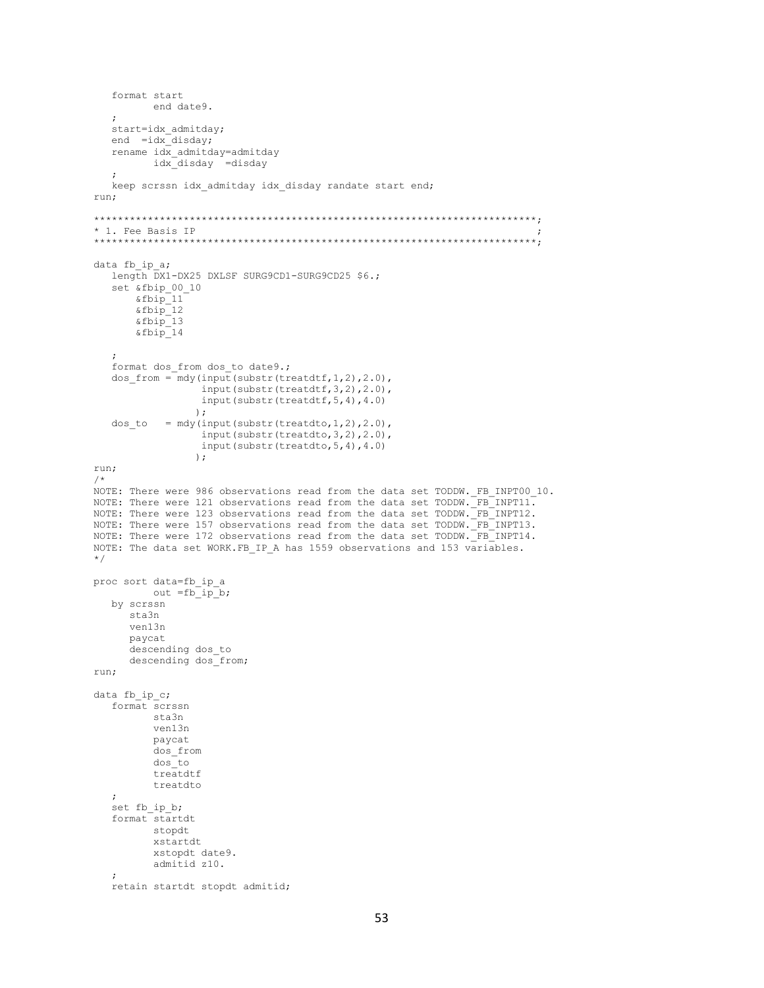```
 format start
           end date9.
    ;
   start=idx admitday;
   end =idx\overline{d}isday;
    rename idx_admitday=admitday
           idx_disday =disday
    ;
    keep scrssn idx_admitday idx_disday randate start end;
run;
**************************************************************************;
* 1. Fee Basis IP ;
**************************************************************************;
data fb ip_a;
   length DX1-DX25 DXLSF SURG9CD1-SURG9CD25 $6.;
    set &fbip_00_10
        &fbip_11
 &fbip_12
 &fbip_13
        &fbip_14 
\mathcal{L}format dos from dos to date9.;
   dos from = mdy(input(substr(treatdtf,1,2),2.0),
                    input(substr(treatdtf,3,2),2.0),
                   input(substr(treatdtf,5,4),4.0)
                  );
   dos_to = mdy(input(substr(treatdto,1,2),2.0),
                    input(substr(treatdto,3,2),2.0),
                   input(substr(treatdto,5,4),4.0)
                   );
run;
/*
NOTE: There were 986 observations read from the data set TODDW. FB INPT00 10.
NOTE: There were 121 observations read from the data set TODDW. FB_INPT11.
NOTE: There were 123 observations read from the data set TODDW. FB INPT12.
NOTE: There were 157 observations read from the data set TODDW._FB_INPT13.
NOTE: There were 172 observations read from the data set TODDW. FB INPT14.
NOTE: The data set WORK.FB_IP_A has 1559 observations and 153 variables.
*/
proc sort data=fb_ip_a
         out =f\overline{b} ip_b;
    by scrssn
      sta3n
       ven13n
       paycat
       descending dos_to
       descending dos_from;
run;
data fb ip c;
    format scrssn
           sta3n
           ven13n
           paycat
           dos_from
           dos_to
           treatdtf
           treatdto
    ;
    set fb_ip_b;
    format startdt
           stopdt
           xstartdt
           xstopdt date9.
           admitid z10.
    ;
    retain startdt stopdt admitid;
```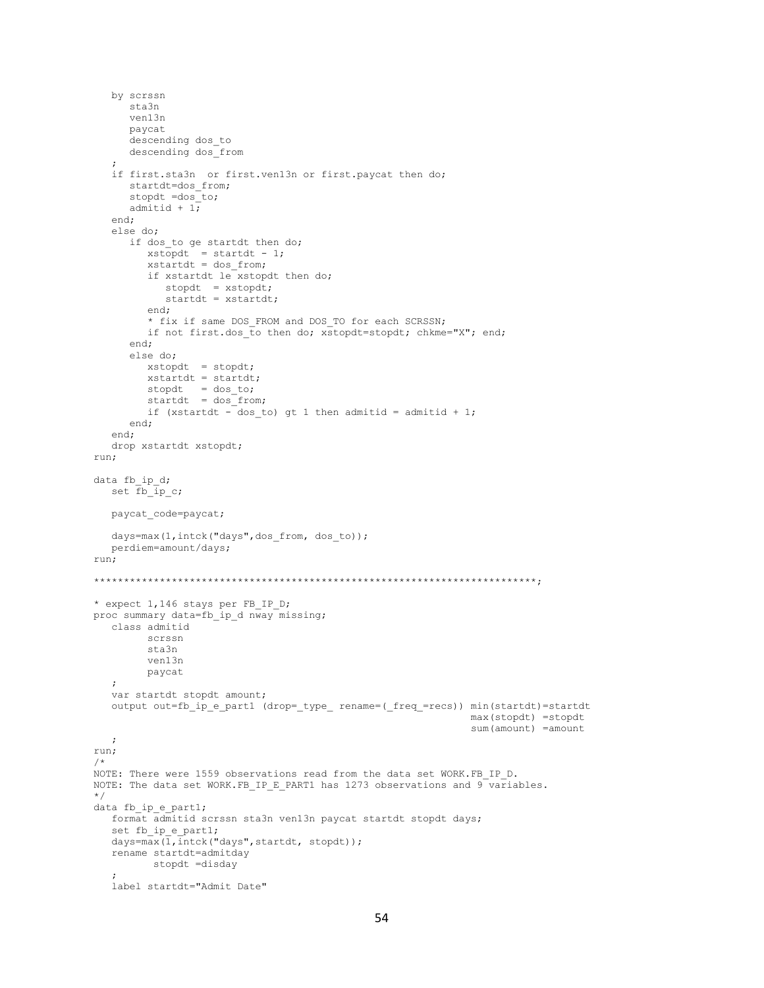```
by scrssn
      sta3n
      v\rho n13npaycat
      descending dos to
      descending dos from
   if first.sta3n or first.ven13n or first.paycat then do;
      startdt=dos_from;
      stopdt =dos\overline{\phantom{a}}to;
      admitid + 1;
   end;
   else do;
      if dos to ge startdt then do;
         xstopdt = startdt - 1;xstartdt = dos from;if xstartdt le xstopdt then do;
            stopdt = xstopdt;
             startdt = xstartend;
          * fix if same DOS_FROM and DOS_TO for each SCRSSN;
         if not first.dos to then do; xstopdt=stopdt; chkme="X"; end;
      end:else do;
         xstopdt = stopdt;xstartdt = startdt;
         \begin{array}{rcl}\n\text{second} & = & \text{cost} \\
\text{stopdt} & = & \text{dos_to;} \\
\text{startdt} & = & \text{dos\_from;} \n\end{array}if (xstartdt - dos to) gt 1 then admitid = admitid + 1;
      end;
   end;
   drop xstartdt xstopdt;
run;
data fb_ip_d;
   set \overline{f}b \overline{ip}c;
   paycat code=paycat;
   days=max(1,intck("days",dos from, dos to));
   perdiem=amount/days;
run;
* expect 1,146 stays per FB_IP_D;
proc summary data=fb ip d nway missing;
   class admitid
         scrssn
         sta3n
         ven13n
         paycat
   \cdotvar startdt stopdt amount;
   output out=fb_ip_e_part1 (drop=_type_ rename=(_freq_=recs)) min(startdt)=startdt
                                                                     max(stopdt) =stopdt
                                                                     sum(amount) = amount\cdotrun;
/*
NOTE: There were 1559 observations read from the data set WORK. FB IP D.
NOTE: The data set WORK. FB IP E PART1 has 1273 observations and 9 \overline{\ } variables.
\star /
data fb_ip_e_part1;
   format admitid scrssn sta3n ven13n paycat startdt stopdt days;
   set fb_ip_e_part1;
   days = max(1, intck("days", startdt, stopdt));rename startdt=admitday
          stopdt =disday
   label startdt="Admit Date"
```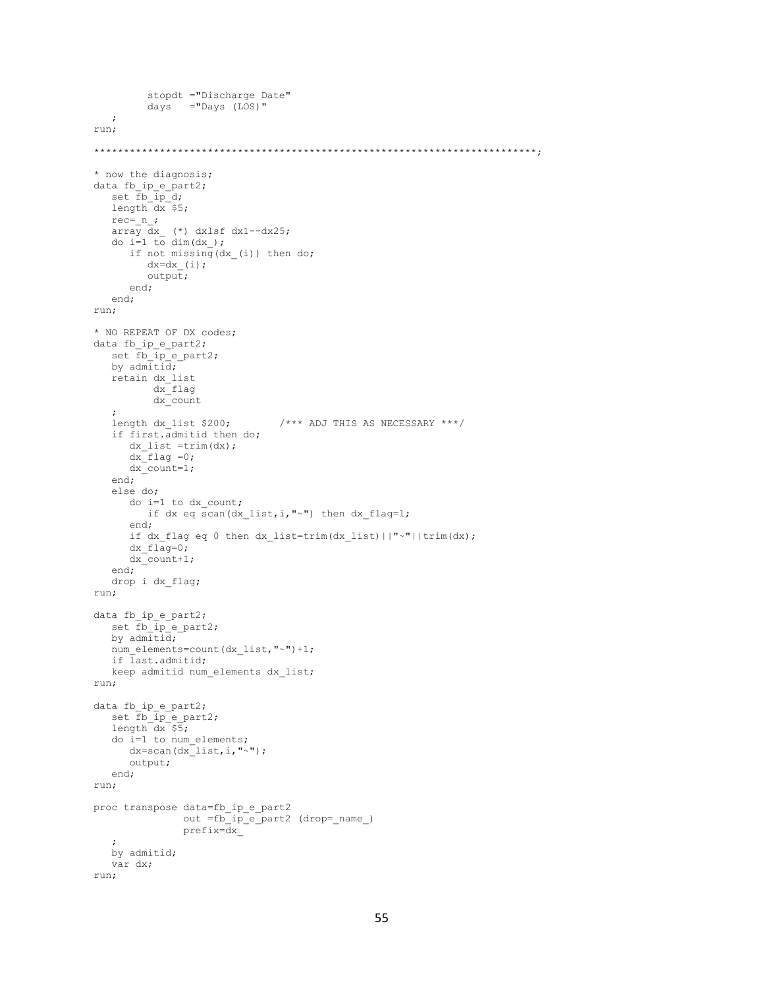```
 stopdt ="Discharge Date"
         days ="Days (LOS)"
    ;
run;
**************************************************************************;
* now the diagnosis;
data fb_ip_e_part2;
set fb ip d;
 length dx $5;
  rec=_{n};
 array dx_ (*) dxlsf dx1--dx25;
do i=1 to dim(dx);
      if not missing (dx (i)) then do;
         dx=dx_{i} (i);
          output;
       end;
    end;
run;
* NO REPEAT OF DX codes;
data fb_ip_e_part2;
  set \overline{f} ip \overline{e} part2;
   by admitid; retain dx_list
           dx_flag
            dx_count
\mathcal{L}length dx list $200; /*** ADJ THIS AS NECESSARY ***/
    if first.admitid then do;
       dx_list =trim(dx);
      dx flag =0;
      dx count=1;
    end;
    else do;
       do i=1 to dx_count;
         if dx eq scan(dx list, i, "~") then dx flag=1;
       end;
      if dx flag eq 0 then dx list=trim(dx list)||"~"||trim(dx);
      dx_f1\overline{aq}=0; dx_count+1;
    end;
    drop i dx_flag;
run;
data fb_ip_e_part2;
   set \overrightarrow{fb\_ip} e_part2;
    by admitid;
   num_elements=count(dx_list,"~")+1;
   if last.admitid;
   keep admitid num elements dx list;
run;
data fb_ip_e_part2;
    set fb_ip_e_part2;
   length dx \overline{s};
    do i=1 to num_elements;
     dx = \text{scan}(dx\text{list},i,"");
       output;
    end;
run;
proc transpose data=fb_ip_e_part2
                 out =fb_ip_e_part2 (drop=_name_)
                 prefix=dx_
\mathcal{L} by admitid;
    var dx;
run;
```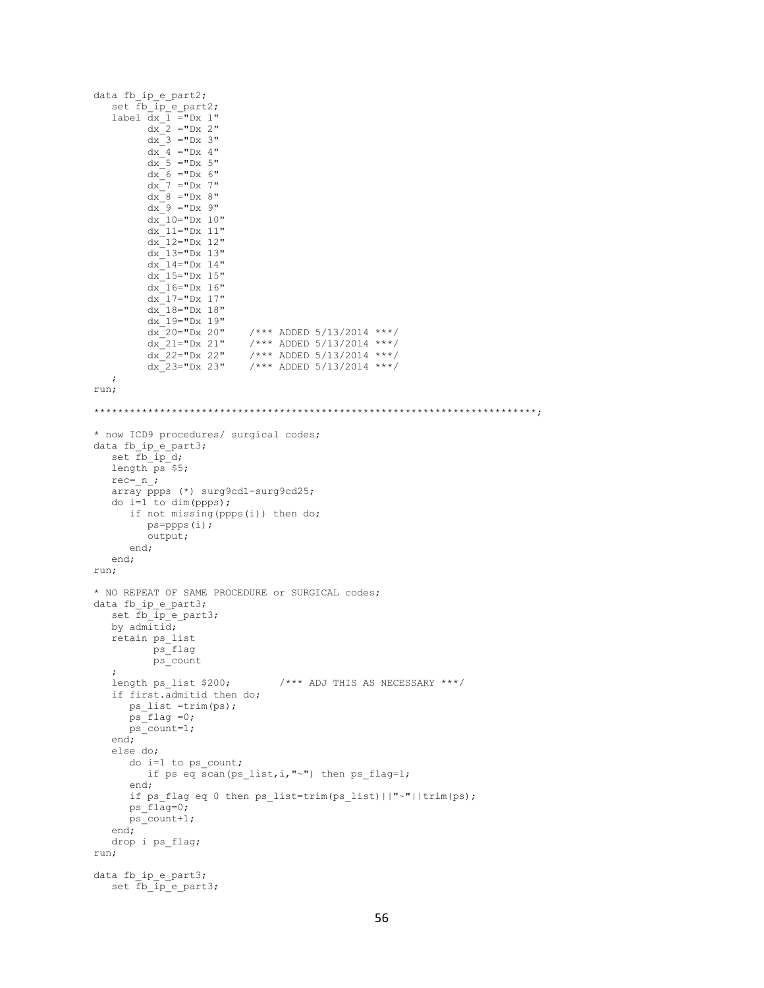```
data fb_ip_e_part2;
    \sum_{i=1}^{n} in i=1 part2;
    label \overline{dx} \overline{1} ="Dx 1"
            dx^{-2} = "Dx 2"dx^{-3} = 5x + 3ydx - 4 = 5x + 4dx^{-}5 = 5x + 5dx<sup>6</sup> = "Dx 6"
             dx<sup>-7</sup> ="Dx 7"
             dx^{-}8 = "Dx 8"dx^{-9} = "Dx 9"dx<sup>-10="Dx</sup> 10"
             dx<sup>-11="Dx</sup> 11"
            dx<sup>-12="Dx 12"</sup>
             dx<sup>-13="Dx</sup> 13"
             dx<sup>-14="Dx 14"</sup>
             dx<sup>-15="Dx</sup> 15"
            dx<sup>-16="Dx 16"</sup>
             dx<sup>-17="Dx</sup> 17"
             dx<sup>-18="Dx 18"</sup>
             dx<sup>-19="Dx</sup> 19"
            \begin{array}{lllll} \mathrm{d} x^- \mathrm{20} \mathrm{=}^{\mathrm{u}} \mathrm{D} x \ \ \mathrm{20}^{\mathrm{u}} & \; \; \; / \ast \ast \ \ \mathrm{ADDED} \ \ 5 / 13 / 2014 & \ast \ast \ast \; / \\ \mathrm{d} x^- \mathrm{21} \mathrm{=}^{\mathrm{u}} \mathrm{D} x \ \ \mathrm{21}^{\mathrm{u}} & \; \; / \ast \ast \ast \ \ \mathrm{ADDED} \ \ 5 / 13 / 2014 & \ast \ast \ast \; / \end{array}dx 21="Y = "Dx 21" /*** ADDED 5/13/2014 ***/
 dx_22="Dx 22" /*** ADDED 5/13/2014 ***/
            dx<sup>-23="Dx 23" /*** ADDED 5/13/2014 ***/</sup>
     ;
run;
**************************************************************************;
* now ICD9 procedures/ surgical codes;
data fb_ip_e_part3;
   set fb ip d;
    length ps $5;
   rec = n;
    \frac{1}{\text{array} \text{prps}} (*) surg9cd1-surg9cd25;
     do i=1 to dim(ppps);
         if not missing(ppps(i)) then do;
             ps=ppps(i);
             output;
          end;
     end;
run;
* NO REPEAT OF SAME PROCEDURE or SURGICAL codes;
data fb_ip_e_part3;
   set fb_ip_e_part3;
    by admitid;
     retain ps_list
              ps_flag
               ps_count
    ;<br>length ps_list $200;
                                            /*** ADJ THIS AS NECESSARY ***/
     if first.admitid then do;
         ps_list =trim(ps);
         ps_flag =0;
        ps_count=1; end;
     else do;
         do i=1 to ps_count;
            if ps eq scan(ps list, i, "~") then ps flag=1;
          end;
        if ps flag eq 0 then ps list=trim(ps list)||"~"||trim(ps);
        ps_f1aq=0;ps count+1;
     end;
     drop i ps_flag;
run;
data fb ip e part3;
    set \overline{fb\_ip} e_part3;
```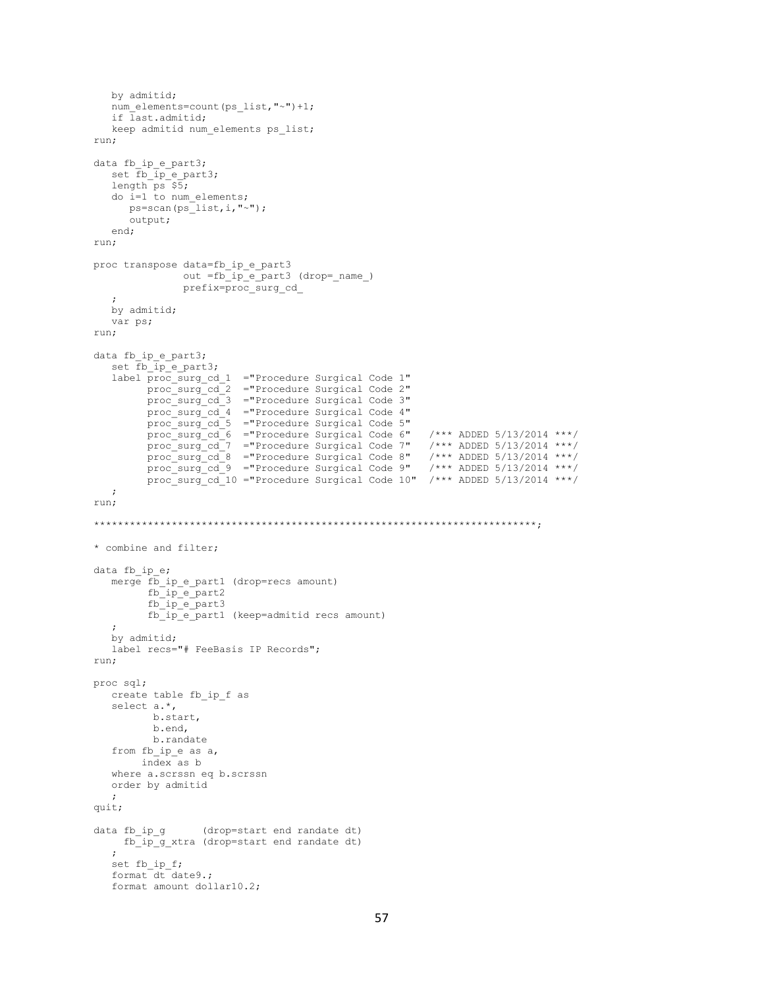```
 by admitid;
   num_elements=count(ps_list,"~")+1;
    if last.admitid;
   keep admitid num elements ps_list;
run;
data fb_ip_e_part3;
   set fb_ip_e_part3;
   length ps $5; do i=1 to num_elements;
     ps=scan(ps<sup>1</sup>ist,i,"~");
      output;
    end;
run;
proc transpose data=fb_ip_e_part3
               out =fb_ip_e_part3 (drop=_name_)
                prefix=proc_surg_cd_
\mathcal{L} by admitid;
   var ps;
run;
data fb ip e part3;
  set \overline{f} \overline{p} e part3;
    label proc_surg_cd_1 ="Procedure Surgical Code 1"
         proc_surg_cd_2 ="Procedure Surgical Code 2"
          proc_surg_cd_3 ="Procedure Surgical Code 3"
          proc_surg_cd_4 ="Procedure Surgical Code 4"
          proc_surg_cd_5 ="Procedure Surgical Code 5"
proc_surg_cd_6 ="Procedure Surgical Code 6" /*** ADDED 5/13/2014 ***/
proc_surg_cd_7 ="Procedure Surgical Code 7" /*** ADDED 5/13/2014 ***/
proc_surg_cd_8 ="Procedure Surgical Code 8" /*** ADDED 5/13/2014 ***/
proc_surg_cd_9 ="Procedure Surgical Code 9" /*** ADDED 5/13/2014 ***/
         proc_surg_cd_10 ="Procedure Surgical Code 10" /*** ADDED 5/13/2014 ***/
   ;
run;
**************************************************************************;
* combine and filter;
data fb ip e;
    merge fb_ip_e_part1 (drop=recs amount)
         fbip epart2fb<sup>-1</sup>p<sup>-</sup>e<sup>-</sup>part3
          fb_ip_e_part1 (keep=admitid recs amount)
    ;
    by admitid;
    label recs="# FeeBasis IP Records";
run;
proc sql;
   create table fb_ip_f as
    select a.*,
           b.start,
          b.end,
          b.randate
   from fb ip e as a,
        index as b
    where a.scrssn eq b.scrssn
    order by admitid
    ;
quit;
data fb_ip_g (drop=start end randate dt)
     fb_ip_g_xtra (drop=start end randate dt)
\mathcal{L} set fb_ip_f;
   format dt date9.;
   format amount dollar10.2;
```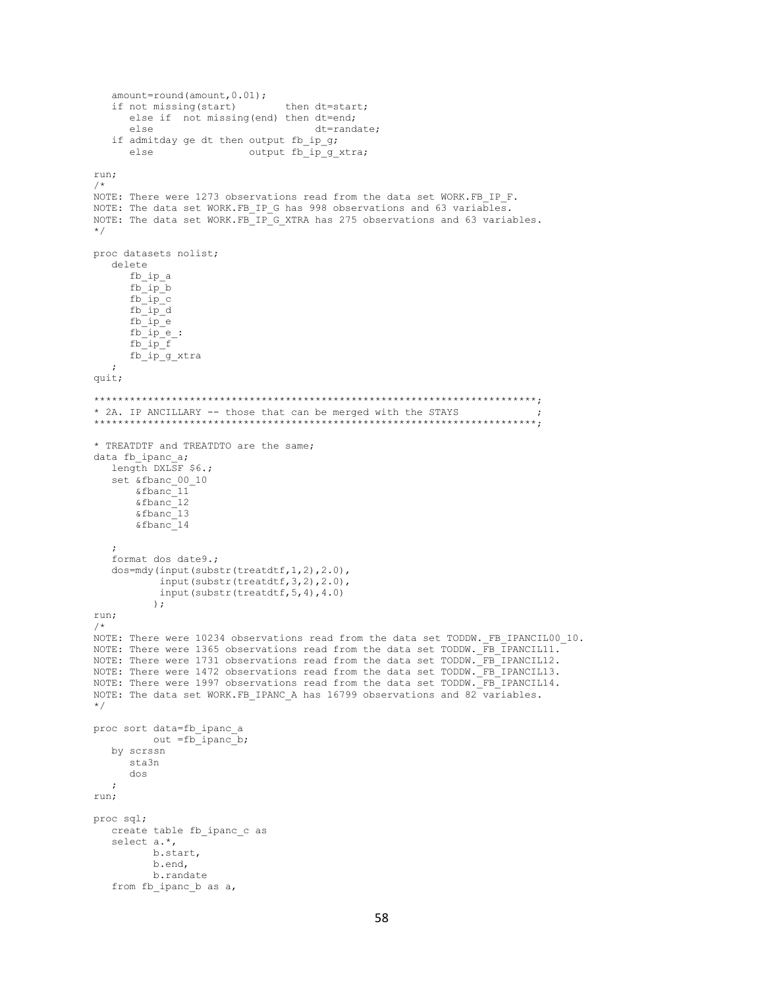```
amount=round(amount, 0.01);
   if not missing(start)
                              then dt=start:
     else if not missing (end) then dt=end;
     else
                                   dt=randate;
   if admitday ge dt then output fb ip q;
     else
                    output fb ip g xtra;
run;
/ *
NOTE: There were 1273 observations read from the data set WORK.FB IP F.
NOTE: The data set WORK.FB IP G has 998 observations and 63 variables.
NOTE: The data set WORK.FB_IP_G_XTRA has 275 observations and 63 variables.
\star /
proc datasets nolist;
  delete
     fb ip a
     fb\_ip\_bfb ip c
     \verb|fb_ip_d|fb ip e
     fb^{-}ip^{-}e:
     fb_ip_ffb<sup>-1p<sup>-</sup>g_xtra</sup>
  \cdotquit;
* 2A. IP ANCILLARY -- those that can be merged with the STAYS
* TREATDTF and TREATDTO are the same;
data fb ipanc a;
  length DXLSF $6.;
   set &fbanc 00 10
      &fbanc<sup>11</sup>
      \&fbanc\frac{1}{2}\&fbanc^{-13}\overline{\&fbanc14format dos date9.;
  dos=mdy(input(substr(treatdtf, 1, 2), 2.0),
          input(substr(treatdtf, 3, 2), 2.0),
          input (substr (treatdtf, 5, 4), 4.0)
         \rightarrowrun;
/ \starNOTE: There were 10234 observations read from the data set TODDW. FB IPANCIL00 10.
NOTE: There were 1365 observations read from the data set TODDW. FB IPANCIL11.
NOTE: There were 1731 observations read from the data set TODDW. FB_IPANCIL12.
NOTE: There were 1472 observations read from the data set TODDW. FB_IPANCIL13.
NOTE: There were 1997 observations read from the data set TODDW. FB_IPANCIL14.
NOTE: The data set WORK.FB IPANC A has 16799 observations and 82 variables.
\star/proc sort data=fb ipanc a
       out =fb_ipanc_b;
  by scrssn
     sta3n
     dos
  \cdotrun:
proc sql;
  create table fb_ipanc_c as
  select a.*,
         b.start,
         b.end,
         b.randate
  from fb ipanc b as a,
```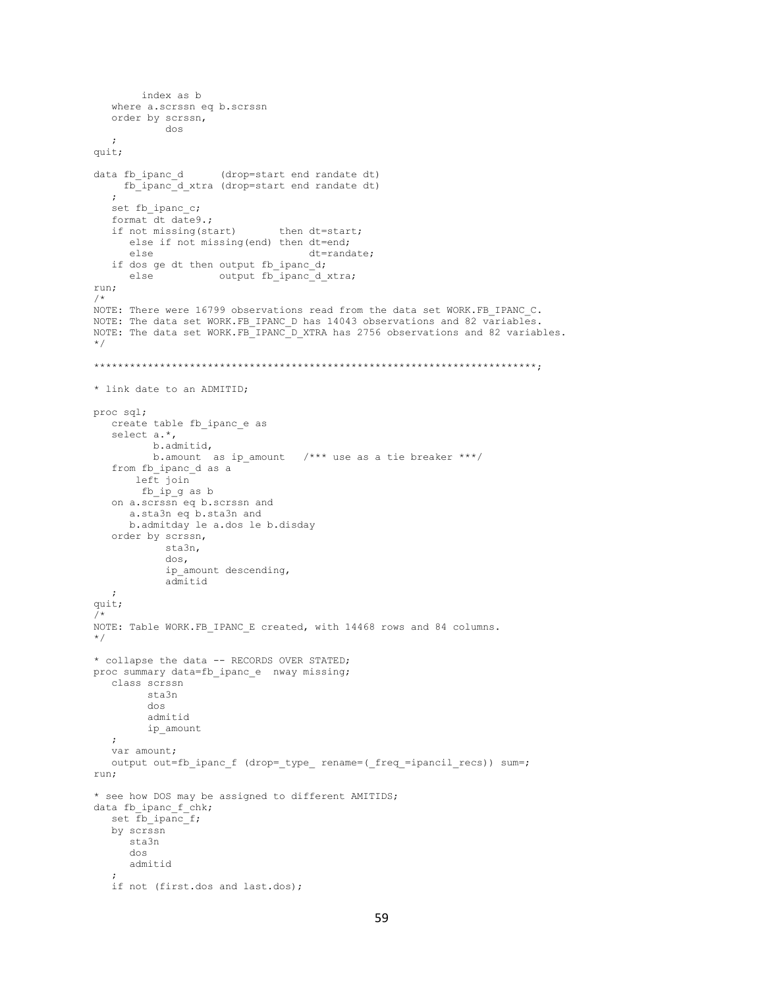```
index as b
  where a.scrssn eq b.scrssn
  order by scrssn,
           dos
  \ddot{ }quit;
                  (drop=start end randate dt)
data fb ipanc d
    fb_ipanc_d_xtra (drop=start end randate dt)
  set fb ipanc c;
  format dt date9.;
  if not missing (start)
                            then dt=start;
     else if not missing (end) then dt=end;
                                 dt=randate;
     else
  if dos ge dt then output fb ipanc d;
     else
                  output fb ipanc d xtra;
run;
/ *
NOTE: There were 16799 observations read from the data set WORK.FB IPANC C.
NOTE: The data set WORK.FB IPANC D has 14043 observations and 82 variables.
NOTE: The data set WORK.FB IPANC D XTRA has 2756 observations and 82 variables.
\star/* link date to an ADMITID;
proc sql;
  create table fb_ipanc_e as
  select a.*,
         b.admitid,
         b.amount as ip_amount /*** use as a tie breaker ***/
  from fb ipanc d as a
      left join
       fb_ip_g as b
  on a.scrssn eq b.scrssn and
     a.sta3n eq b.sta3n and
     b.admitday le a.dos le b.disday
  order by scrssn,
           sta3n,
           dos,
           ip amount descending,
           admitid\cdotquit;
7^{\star}NOTE: Table WORK. FB IPANC E created, with 14468 rows and 84 columns.
\star /
* collapse the data -- RECORDS OVER STATED;
proc summary data=fb_ipanc_e nway missing;
  class scrssn
        sta3n
        dos
        admitid
        ip_amount
   \cdotvar amount;
  output out=fb_ipanc_f (drop=_type_ rename=(_freq_=ipancil_recs)) sum=;
run;
* see how DOS may be assigned to different AMITIDS;
data fb ipanc f chk;
   set fb ipanc f;
  by scrssn
     sta3n
     dos
     admitid
  if not (first.dos and last.dos);
```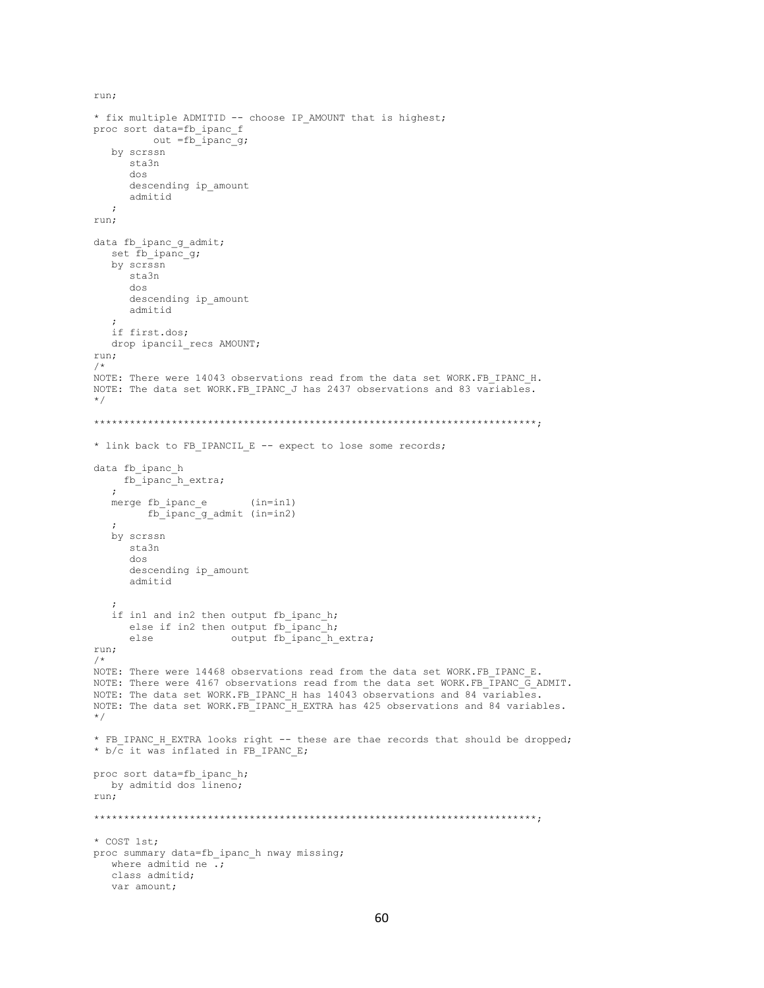```
* fix multiple ADMITID -- choose IP AMOUNT that is highest;
proc sort data=fb_ipanc_f
          out =fb ipanc q;
   by scrssn
      sta3n
       dos
       descending ip_amount
       admitid
    ;
run;
data fb ipanc q admit;
   set \overline{f}b ipanc q;
   by scrssn
       sta3n
       dos
       descending ip_amount
       admitid
\mathcal{L} if first.dos;
   drop ipancil_recs AMOUNT;
run;
/*
NOTE: There were 14043 observations read from the data set WORK.FB IPANC H.
NOTE: The data set WORK.FB IPANC J has 2437 observations and 83 variables.
*/
**************************************************************************;
* link back to FB_IPANCIL_E -- expect to lose some records;
data fb ipanc h
     fb_ipanc_h_extra;
    ;
    merge fb_ipanc_e (in=in1)
        fb_ipanc_g_admit (in=in2)
    ;
    by scrssn
      sta3n
       dos
      descending ip_amount
       admitid
\mathcal{L}if in1 and in2 then output fb_ipanc_h;
      else if in2 then output fb_ipanc_h;
      else output fb_ipanc_h_extra;
run;
/*
NOTE: There were 14468 observations read from the data set WORK.FB IPANC E.
NOTE: There were 4167 observations read from the data set WORK.FB_IPANC_G_ADMIT.
NOTE: The data set WORK.FB IPANC H has 14043 observations and 84 variables.
NOTE: The data set WORK.FB_IPANC_H_EXTRA has 425 observations and 84 variables.
*/
* FB_IPANC_H_EXTRA looks right -- these are thae records that should be dropped;
* b/\overline{c} it was inflated in FB IPANC E;
proc sort data=fb_ipanc_h;
  by admitid dos lineno;
run;
**************************************************************************;
* COST 1st;
proc summary data=fb ipanc h nway missing;
  where admitid ne \overline{\cdot};
   class admitid;
   var amount;
```
run;

```
60
```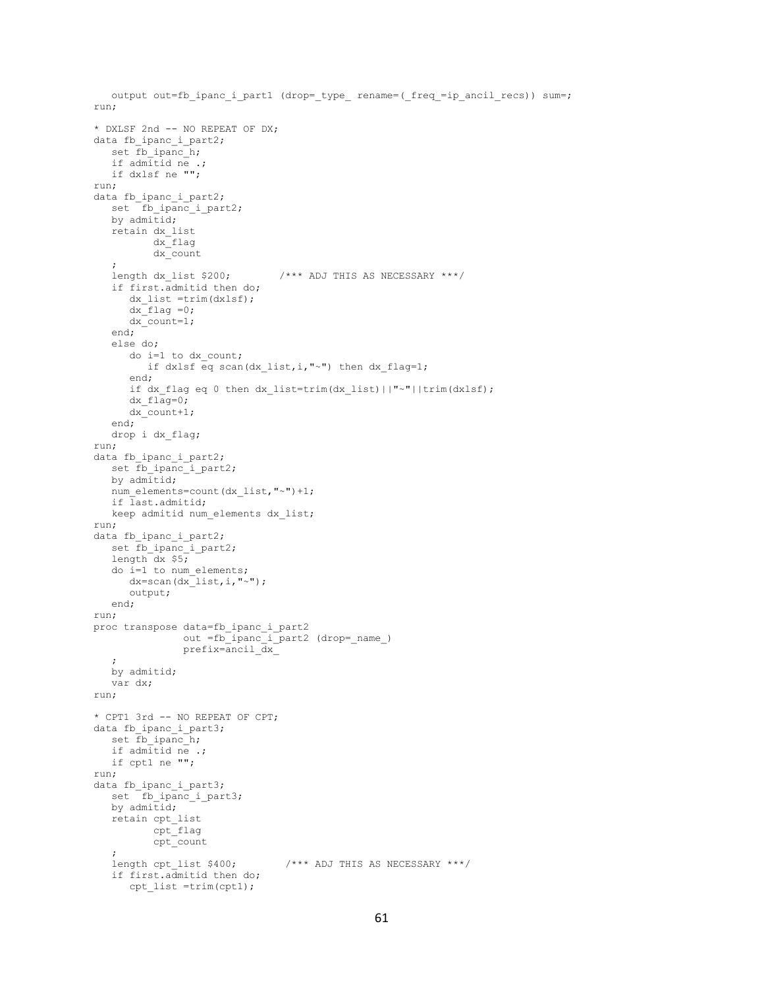```
output out=fb_ipanc_i_part1 (drop=_type_ rename=(_freq =ip_ancil_recs)) sum=;
run;
* DXLSF 2nd -- NO REPEAT OF DX;
data fb ipanc_i_part2;
   set fb ipanc<sup>h</sup>;
    if admitid ne .;
   if dxlsf ne "";
run;
data fb ipanc i part2;
  set fb ipanc_i_part2;
   by admitid;
   retain dx_list
           dx_flag
           dx_count
\mathcal{L}length dx list $200; /*** ADJ THIS AS NECESSARY ***/
    if first.admitid then do;
      dx_list =trim(dxlsf);
      dx flag =0;
       dx_count=1;
    end;
    else do;
      do i=1 to dx_count;
        if dxlsf eq scan(dx list,i,"~") then dx flag=1;
       end;
      if dx flag eq 0 then dx list=trim(dx list)||"~"||trim(dxlsf);
     dx flag=0; dx_count+1;
    end;
   drop i dx_flag;
run;
data fb ipanc i part2;
    set fb_ipanc_i_part2;
    by admitid;
  num_elements=count(dx_list,"~")+1;
   if last.admitid;
   keep admitid num_elements dx_list;
run;
data fb ipanc i part2;
   set fb_ipanc_i_part2;
    length dx $5;
   do i=1 to num_elements;
     dx = \text{scan}(dx_{{}^{-}1ist,i^{"~"''});
       output;
    end;
run;
proc transpose data=fb_ipanc_i_part2
out =fb_ipanc_i_part2 (drop=_name_)
               prefix=ancil dx^- ;
    by admitid;
   var dx;
run;
* CPT1 3rd -- NO REPEAT OF CPT;
data fb ipanc i part3;
   set \overline{fb\_ipanc\_h};
    if admitid ne .;
   if cpt1 ne "";
run;
data fb ipanc i part3;
set fb ipanc i part3;
  by admitid;
    retain cpt_list
          cpt_flag
           cpt_count
    ;
    length cpt_list $400; /*** ADJ THIS AS NECESSARY ***/
    if first.admitid then do;
      cpt list =trim(cpt1);
```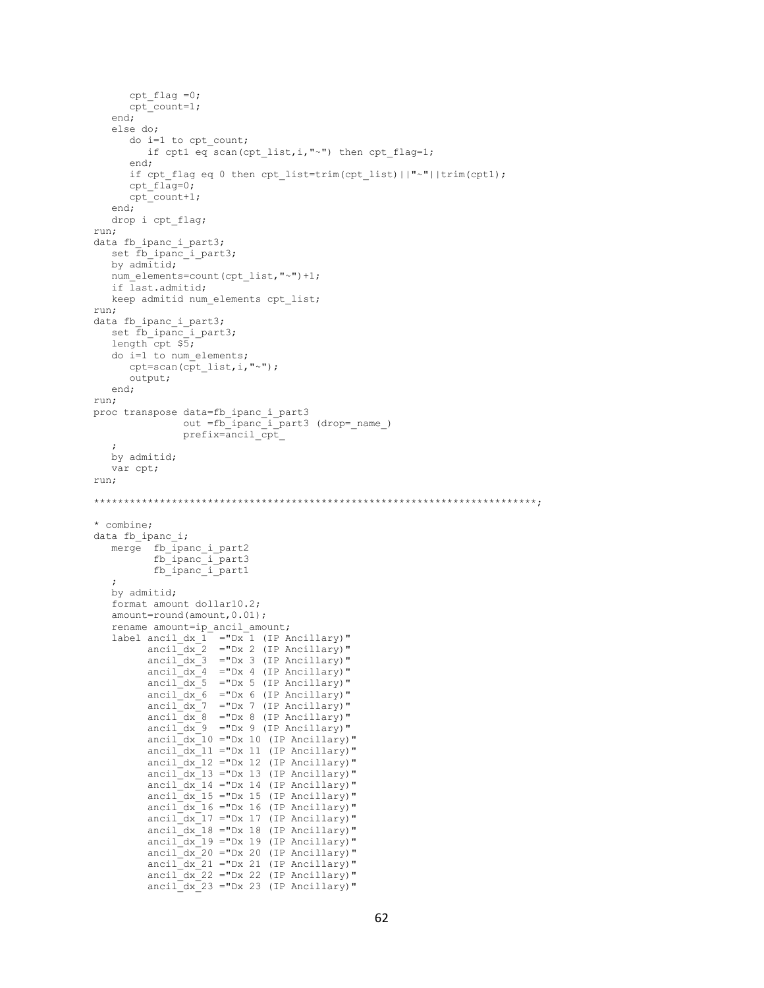```
cpt flag =0; cpt_count=1;
    end;
    else do;
       do i=1 to cpt_count;
         if cpt1 eq scan(cpt list,i,"~") then cpt flag=1;
       end;
      if cpt flag eq 0 then cpt list=trim(cpt list)||"~"||trim(cpt1);
       cpt_flag=0;
      cpt count+1;
    end;
    drop i cpt_flag;
run;
data fb ipanc i part3;
   set fb_ipanc_i_part3;
   by admitid;
   num_elements=count(cpt_list,"~")+1;
    if last.admitid;
   keep admitid num elements cpt list;
run;
data fb_ipanc_i_part3;
   set fb ipanc<sup>1</sup>_part3;
   length cpt $5; do i=1 to num_elements;
      cpt=scan(cpt_list,i,"~");
       output;
    end;
run;
proc transpose data=fb_ipanc_i_part3
                 out =fb_ipanc_i_part3 (drop=_name_)
                 prefix=ancil_cpt_
\cdots by admitid;
    var cpt;
run;
**************************************************************************;
* combine;
data fb ipanc i;
    merge fb_ipanc_i_part2
           fb ipanc i part3
            fb_ipanc_i_part1
\mathcal{L} by admitid;
    format amount dollar10.2;
   amount=round(amount, 0.01);
    rename amount=ip_ancil_amount;
   label ancil_dx_1^- ="Dx<sup>-1</sup> (IP Ancillary)"
         ancil dx^2 ="Dx 2 (IP Ancillary)"
          ancil\_dx_3 ="Dx 3 (IP Ancillary)"
          anci1/dx - 4 ="Dx 4 (IP Ancillary)"
          ancil dx 5 = "Dx 5 (IP Ancillary)"
          ancil dx 6 = "Dx 6 (IP Ancillary)"
          ancil\_dx 7 = "Dx 7 (IP Ancillary)"
           ancil_dx_8 ="Dx 8 (IP Ancillary)"
          ancil\bar{dx} = "Dx 9 (IP Ancillary)"
          ancil\_dx\_10 ="Dx 10 (IP Ancillary)"
ancil dx 11 ="Dx 11 (IP Ancillary)"
ancil dx 12 ="Dx 12 (IP Ancillary)"
          ancil\_dx\_13 ="Dx 13 (IP Ancillary)"
          arcsin<sub>2</sub>ax<sub>14</sub> = "Dx 14 (IP Ancillary)"\arcsin 2m = \arcsin 15 (iP Ancillary)"
           ancil_dx_16 ="Dx 16 (IP Ancillary)"
          ancil<sup>-</sup>dx<sup>-17</sup> ="Dx 17 (IP Ancillary)"
          anci1^-dx^-18 ="Dx 18 (IP Ancillary)"
          ancil<sup>-</sup>dx<sup>-19</sup> ="Dx 19 (IP Ancillary)"
          \arcsin\left(\frac{1}{\alpha} \right) ="Dx 20 (IP Ancillary)"
          ancil\_dx\_21 ="Dx 21 (IP Ancillary)"
          ancil<sup>-</sup>dx<sup>-22</sup> ="Dx 22 (IP Ancillary)"
          arcsin\left(\frac{1}{\alpha} \right) ="Dx 23 (IP Ancillary)"
```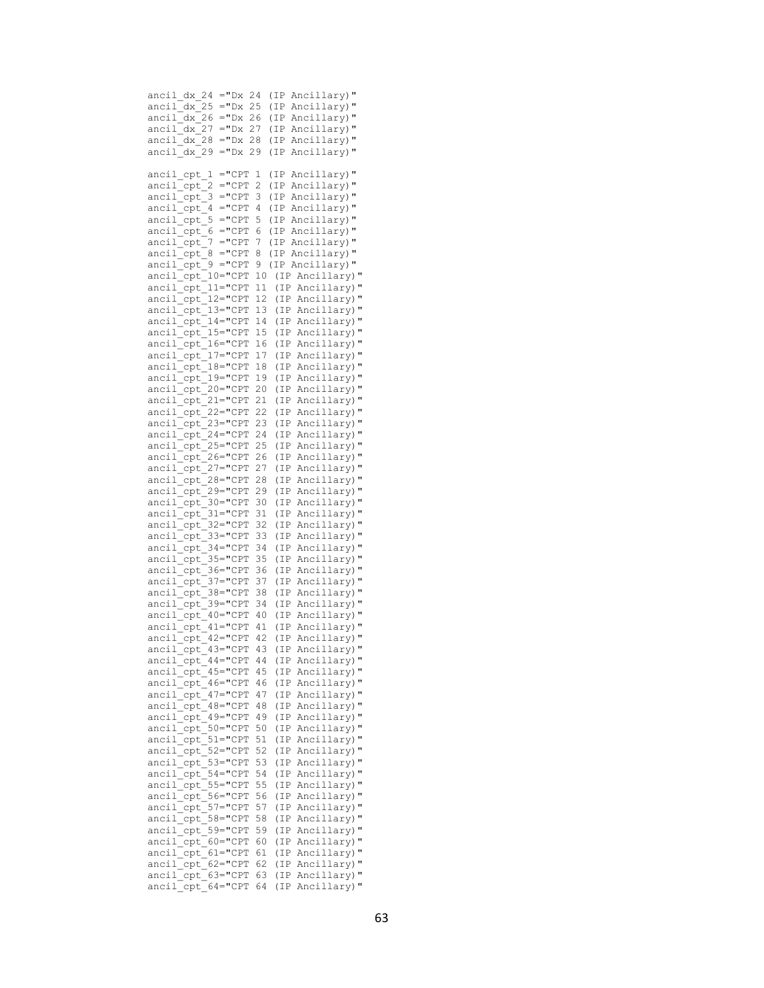| ancil dx 24                            | $=$ "Dx                    | 24       |          | (IP)         | Ancillary)"                        |  |
|----------------------------------------|----------------------------|----------|----------|--------------|------------------------------------|--|
| ancil dx 25                            | $=$ "Dx                    | 25       |          | (IP          | Ancillary)"                        |  |
| ancil dx 26                            | $=$ "Dx                    | 26       |          | (IP          | Ancillary)"                        |  |
| ancil dx 27                            | $=$ "Dx                    | 27       |          | (IP          | Ancillary)"                        |  |
| ancil dx 28                            | ="Dx                       | 28       |          | (IP          | Ancillary)"                        |  |
| ancil dx 29                            | $=$ "Dx                    | 29       |          | (IP          | Ancillary)"                        |  |
| ancil cpt 1                            |                            | $=$ "CPT | 1        | (IP          | Ancillary)"                        |  |
| ancil cpt                              | 2                          | $=$ "CPT | 2        | (IP          | Ancillary)"                        |  |
| ancil cpt                              | 3                          | $=$ "CPT | 3        | (IP)         | Ancillary)"                        |  |
| ancil cpt                              | 4                          | $=$ "CPT | 4        | (IP          | Ancillary)"                        |  |
| ancil cpt                              | 5                          | $=$ "CPT | 5        | (IP          | Ancillary)"                        |  |
| ancil cpt                              | 6                          | $=$ "CPT | 6        | (IP          | Ancillary)"                        |  |
| ancil cpt                              | 7                          | $=$ "CPT | 7        | (IP          | Ancillary)"                        |  |
| ancil cpt                              | 8                          | $=$ "CPT | 8        | (IP          | Ancillary)"                        |  |
| ancil cpt                              | $=$ "CPT<br>9              |          | 9        |              | (IP Ancillary)"                    |  |
| ancil cpt                              | $10 = "CPT$                |          | 10       | (IP          | Ancillary)"                        |  |
| ancil cpt                              | $11 = "CPT$                |          | 11       | (IP          | Ancillary)"                        |  |
| ancil cpt                              | $12 = "CPT$                |          | 12<br>13 | (IP          | Ancillary)"                        |  |
| ancil cpt<br>ancil                     | $13 = "CPT$<br>$14 = "CPT$ |          | 14       | (IP)<br>(IP) | Ancillary)"<br>Ancillary)"         |  |
| cpt<br>ancil<br>cpt                    | $15 = "CPT$                |          | 15       | (IP)         | Ancillary)"                        |  |
| ancil<br>cpt                           | $16 = "CPT$                |          | 16       | (IP)         | Ancillary)"                        |  |
| ancil<br>cpt                           | 17="CPT                    |          | 17       | (IP)         | Ancillary)"                        |  |
| ancil<br>cpt                           | $18 = "CPT$                |          | 18       | (IP          | Ancillary)"                        |  |
| ancil<br>cpt                           | 19="CPT                    |          | 19       | (IP          | Ancillary)"                        |  |
| ancil<br>cpt                           | 20="CPT                    |          | 20       | (IP)         | Ancillary)"                        |  |
| ancil<br>cpt                           | 21="CPT                    |          | 21       | (IP          | Ancillary)"                        |  |
| ancil<br>cpt                           | 22="CPT                    |          | 22       | (IP)         | Ancillary)"                        |  |
| ancil<br>cpt                           | 23="CPT                    |          | 23       | (IP          | Ancillary)"                        |  |
| ancil<br>cpt                           | 24="CPT                    |          | 24       | (IP)         | Ancillary)"                        |  |
| ancil<br>cpt                           | 25="CPT                    |          | 25       | (IP          | Ancillary)"                        |  |
| ancil<br>cpt                           | 26="CPT                    |          | 26       | (IP          | Ancillary)"                        |  |
| ancil<br>cpt                           | $27 = "CPT$                |          | 27       | (IP          | Ancillary)"                        |  |
| ancil<br>cpt                           | $28 = "CPT$                |          | 28       | (IP          | Ancillary)"                        |  |
| ancil<br>cpt                           | 29="CPT                    |          | 29       | (IP          | Ancillary)"                        |  |
| ancil<br>cpt                           | 30="CPT                    |          | 30       | (IP          | Ancillary)"                        |  |
| ancil<br>cpt                           | 31="CPT                    |          | 31       | (IP          | Ancillary)"                        |  |
| ancil<br>cpt<br>ancil                  | $32 = "CPT$<br>$33 = "CPT$ |          | 32<br>33 | (IP<br>(IP   | Ancillary)"<br>Ancillary)"         |  |
| cpt<br>ancil<br>cpt                    | $34 = "CPT$                |          | 34       | (IP          | Ancillary)"                        |  |
| ancil<br>cpt                           | 35="CPT                    |          | 35       | (IP          | Ancillary)"                        |  |
| ancil<br>cpt                           | 36="CPT                    |          | 36       | (IP          | Ancillary)"                        |  |
| ancil<br>cpt                           | $37 = "CPT$                |          | 37       | (IP          | Ancillary)"                        |  |
| ancil<br>cpt                           | $38 = "CPT$                |          | 38       | (IP)         | Ancillary)"                        |  |
| ancil<br>cpt                           | $39 = "CPT$                |          | 34       | (IP          | Ancillary)"                        |  |
| ancil cpt                              | 40="CPT                    |          | 40       | (IP)         | Ancillary)"                        |  |
| ancil<br>cpt 41="CPT                   |                            |          | 41       | (IP          | Ancillary)"                        |  |
| ancil cpt 42="CPT                      |                            |          | 42       | (IP          | Ancillary)"                        |  |
| ancil cpt 43="CPT 43                   |                            |          |          |              | (IP Ancillary)"                    |  |
| ancil cpt 44="CPT                      |                            |          | -44      |              | (IP Ancillary)"                    |  |
| ancil cpt 45="CPT                      |                            |          | 45       |              | (IP Ancillary)"                    |  |
| ancil cpt 46="CPT                      |                            |          | 46<br>47 |              | (IP Ancillary)"                    |  |
| ancil cpt 47="CPT<br>ancil cpt 48="CPT |                            |          | 48       |              | (IP Ancillary)"<br>(IP Ancillary)" |  |
| ancil cpt 49="CPT                      |                            |          | 49       |              | (IP Ancillary)"                    |  |
| ancil cpt 50="CPT                      |                            |          | 50       |              | (IP Ancillary)"                    |  |
| ancil cpt 51="CPT                      |                            |          | 51       |              | (IP Ancillary)"                    |  |
| ancil cpt 52="CPT                      |                            |          | 52       |              | (IP Ancillary)"                    |  |
| ancil cpt 53="CPT                      |                            |          | 53       |              | (IP Ancillary)"                    |  |
| ancil cpt 54="CPT                      |                            |          | 54       |              | (IP Ancillary)"                    |  |
| ancil cpt 55="CPT                      |                            |          | 55       |              | (IP Ancillary)"                    |  |
| ancil_cpt_                             | $56 = "CPT$                |          | 56       |              | (IP Ancillary)"                    |  |
| ancil cpt                              | $57 = "CPT$                |          | 57       |              | (IP Ancillary)"                    |  |
| ancil_cpt_58="CPT                      |                            |          | 58       |              | (IP Ancillary)"                    |  |
| ancil cpt 59="CPT                      |                            |          | 59       |              | (IP Ancillary)"                    |  |
| ancil_cpt_60="CPT<br>ancil cpt 61="CPT |                            |          | 60<br>61 |              | (IP Ancillary)"                    |  |
| ancil cpt 62="CPT                      |                            |          | 62       |              | (IP Ancillary)"<br>(IP Ancillary)" |  |
| ancil cpt 63="CPT                      |                            |          | 63       |              | (IP Ancillary)"                    |  |
| ancil cpt                              | 64="CPT                    |          | 64       |              | (IP Ancillary)"                    |  |
|                                        |                            |          |          |              |                                    |  |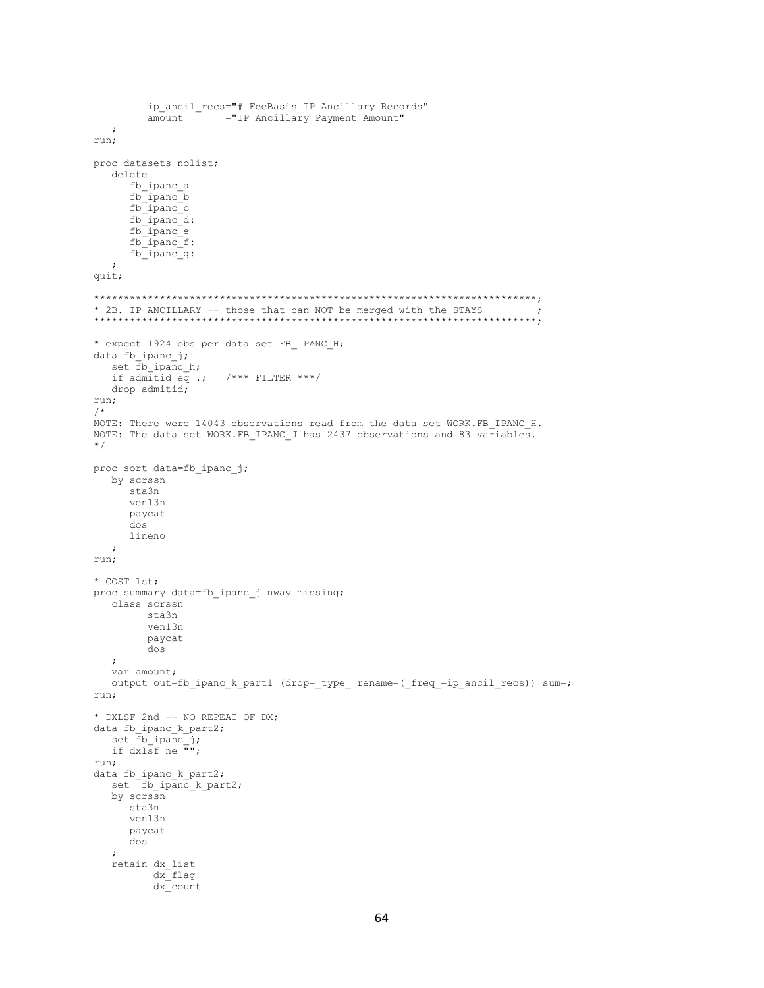```
ip ancil recs="# FeeBasis IP Ancillary Records"
        amount = "IP Ancillary Payment Amount"
  \cdot:
run:
proc datasets nolist;
  delete
     fb_ipanc_a
     fb ipanc b
     fb ipanc c
     fb_ipanc_d:
     \begin{array}{c} \n\text{fb\_ipanc_e} \\
\text{fb\_ipanc_f} \\
\end{array}fb ipanc q:
  \cdotquit;
* 2B. IP ANCILLARY -- those that can NOT be merged with the STAYS
                                                                        \cdot:
* expect 1924 obs per data set FB_IPANC_H;
data fb ipanc j;
  set fb ipanc_h;
  if admitid eq .; /*** FILTER ***/
  drop admitid;
run:
/*
NOTE: There were 14043 observations read from the data set WORK.FB_IPANC_H.
NOTE: The data set WORK. FB IPANC J has 2437 observations and 83 variables.
^{\star}/proc sort data=fb ipanc j;
  by scrssn
     sta3n
     ven13n
     paycat
     doslineno
   \cdotrun;
* COST 1st;
proc summary data=fb ipanc j nway missing;
  class scrssn
        sta3n
        ven13n
        paycat
        dos
  \cdotvar amount;
  output out=fb_ipanc_k_part1 (drop=_type_ rename=(_freq_=ip_ancil_recs)) sum=;
run;
* DXLSF 2nd -- NO REPEAT OF DX;
data fb ipanc k part2;
  set fb_ipanc_j;
  if dx \overline{15}f ne \overline{''};
run:data fb_ipanc_k_part2;
  set \overline{f} fb ipanc k part2;
  by scrssn
     sta3n
     ven13n
     paycat
     dos
  \cdot.<br>retain dx_list
         dx flag
         dx count
```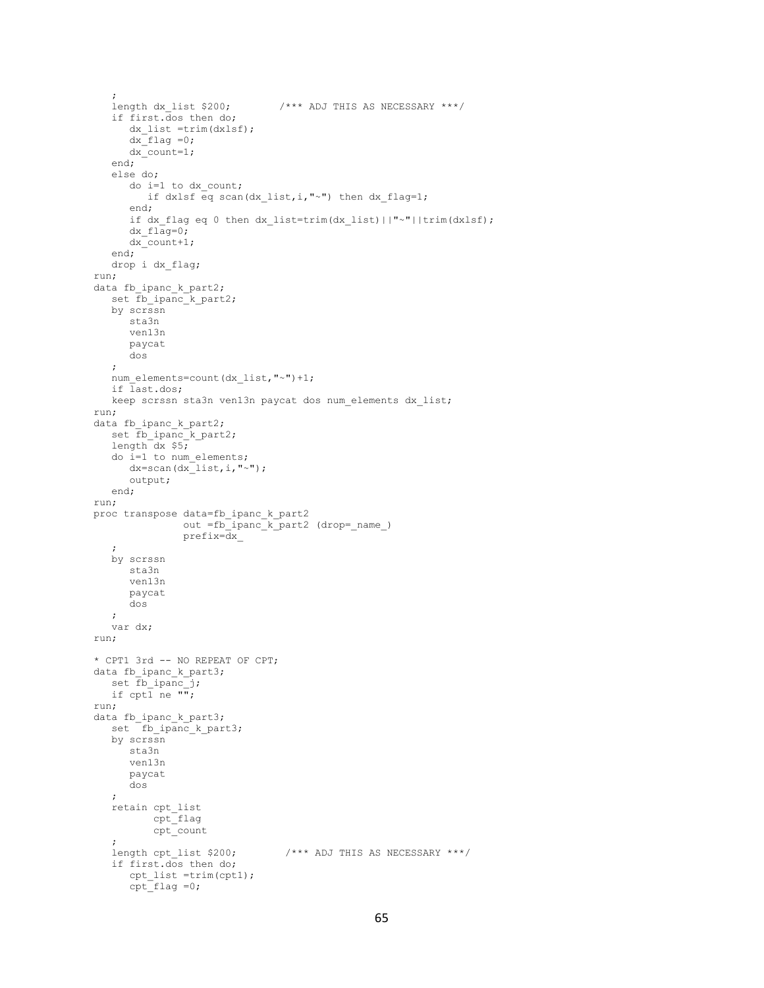```
length dx list $200;
                                \frac{1}{2} /*** ADJ THIS AS NECESSARY ***/
    if first.dos then do;
     dx list =trim(dxlsf);
      dx flag =0;
      dx count=1;
    end;
    else do;
       do i=1 to dx_count;
        if dxlsf eq scan(dx list,i,"~") then dx flag=1;
       end;
       if dx_flag eq 0 then dx_list=trim(dx_list)||"~"||trim(dxlsf);
      dx flag=0; dx_count+1;
    end;
    drop i dx_flag;
run;
data fb_ipanc_k_part2;
  set fb ipanc k part2;
    by scrssn
       sta3n
       ven13n
      paycat
       dos
    ;
   num_elements=count(dx_list,"~")+1;
    if last.dos;
    keep scrssn sta3n ven13n paycat dos num_elements dx_list;
run;
data fb_ipanc_k_part2;
set fb ipanc k part2;
 length dx $5;
    do i=1 to num_elements;
      dx = \text{scan}(dx^{-}list, i, "~";
       output;
    end;
run;
proc transpose data=fb_ipanc_k_part2
                out =fb_ipanc_k_part2 (drop=_name_)
                 prefix=dx_
    ;
    by scrssn
      sta3n
       ven13n
       paycat
       dos
    ;
    var dx;
run;
* CPT1 3rd -- NO REPEAT OF CPT;
data fb_ipanc_k_part3;
    set fb_ipanc_j;
   if \text{cpt} ne \overline{\mathbb{F}};
run;
data fb ipanc k part3;
   set fb_ipanc_k_part3;
    by scrssn
       sta3n
       ven13n
      paycat
       dos
    ;
    retain cpt_list
           cpt_flag
           cpt_count
\mathcal{L}length cpt list $200; /*** ADJ THIS AS NECESSARY ***/
    if first.dos then do;
cpt list =trim(cpt1);
cpt flag =0;
```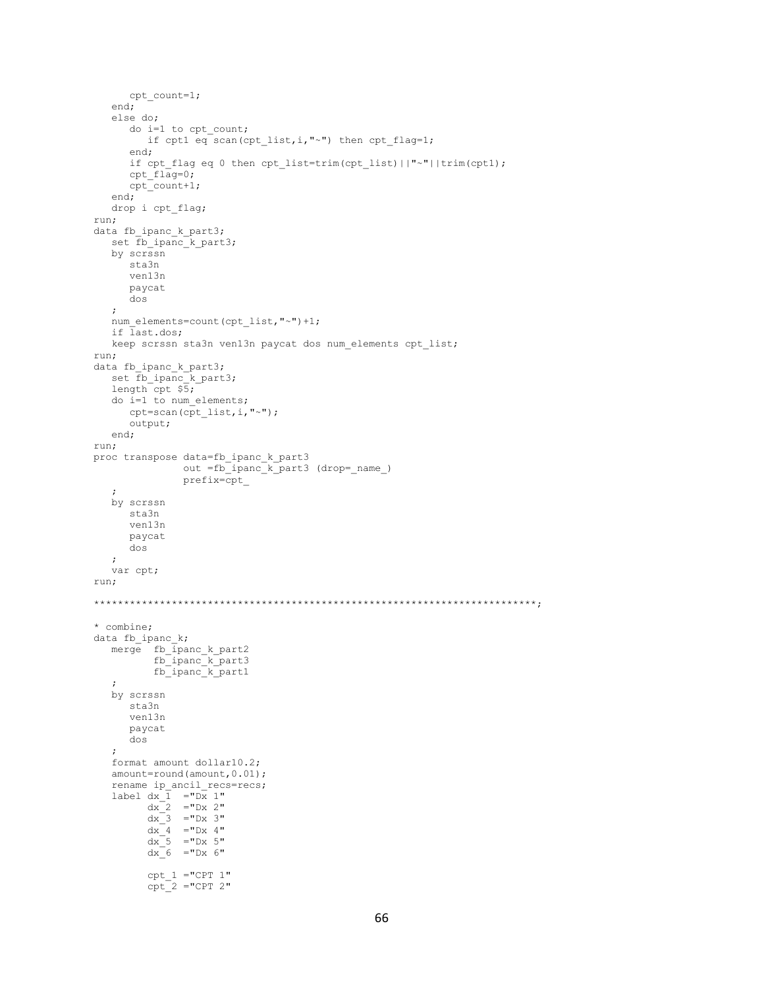```
cpt_count=1;
    end;
    else do;
      do i=1 to cpt count;
          if cpt1 eq scan(cpt_list,i,"~") then cpt_flag=1;
       end;
       if cpt_flag eq 0 then cpt_list=trim(cpt_list)||"~"||trim(cpt1);
      cpt flag=0;cpt count+1;
    end;
    drop i cpt_flag;
run;
data fb ipanc_k_part3;
   set fb ipanc_k_part3;
    by scrssn
       sta3n
       ven13n
       paycat
       dos
    ;
    num_elements=count(cpt_list,"~")+1;
    if last.dos;
    keep scrssn sta3n ven13n paycat dos num_elements cpt_list;
run;
data fb ipanc k part3;
  set fb_ipanc_k_part3;
    length cpt $5;
    do i=1 to num_elements;
      cpt=scan(cpt_list,i,"~");
       output;
    end;
run;
proc transpose data=fb_ipanc_k_part3
                 out =fb_ipanc_k_part3 (drop=_name_)
                 prefix=cpt_
    ;
    by scrssn
       sta3n
       ven13n
      paycat
       dos
    ;
    var cpt;
run;
**************************************************************************;
* combine;
data fb_ipanc k;
   merge fb ipanc k part2
          fb_ipanc_k_part3
           fb_ipanc_k_part1
\mathcal{L} by scrssn
       sta3n
       ven13n
       paycat
       dos
    ;
    format amount dollar10.2;
   amount=round(amount, 0.01);
   rename ip ancil recs=recs;
   label dx_1 = "Dx_1"dx_2 = "Dx 2"dx = 3 = 50x - 3dx - 4 = 0 \text{Dx} 4dx<sup>5</sup> = "Dx 5"
         dx<sup>6</sup> = "Dx 6"
         cpt 1 = "CPT 1"cpt^-2 = "CPT 2"
```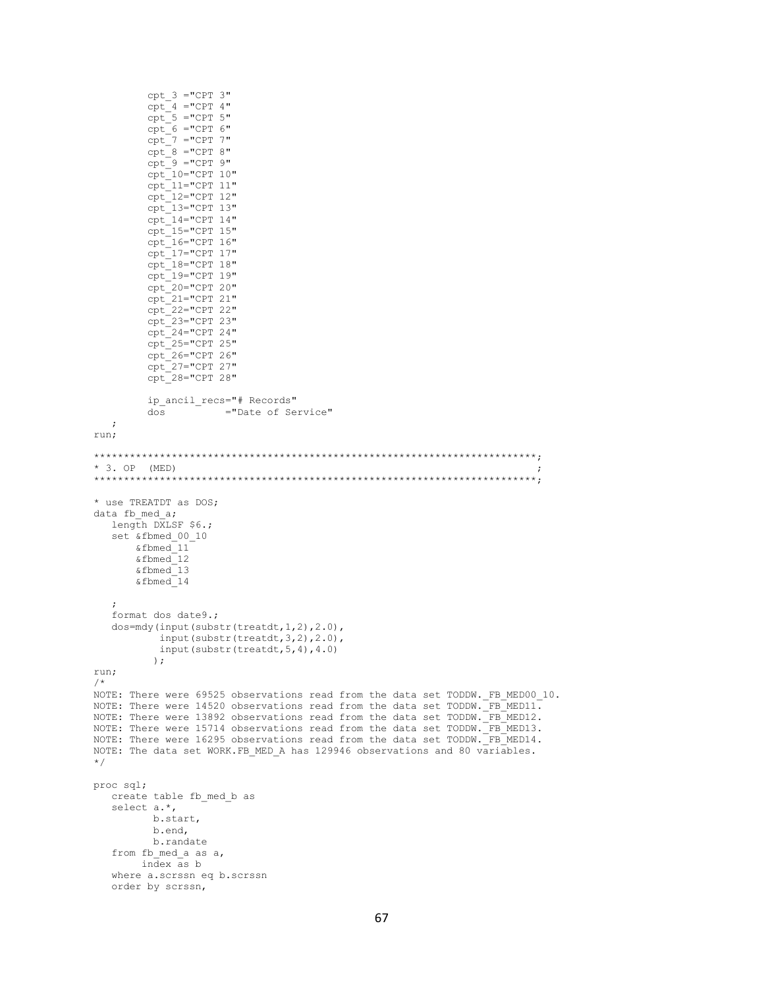```
cpt_3 = "CPT 3"\text{cpt} = \text{"CPT 4"}cpt - 5 = "CPT 5"cpt^-6 = "CPT 6"cpt^{-7} = "CPT 7"cpt_8 = "CPT 8"cpt^-9 = "CPT 9"cpt 10="CPT 10"
         \text{cpt} = \text{'t} = \text{tf} = \text{tf}cpt^-12="CPT 12"cpt = 13="CPT 13"cpt_14=''CPT 14"\begin{array}{cc}\n\text{cpt}\n15=\text{CPT} & 15 \\
\text{cpt}\n16=\text{CPT} & 16\n\end{array}cpt^-17="CPT 17"cpt_18 = "CPT 18"cpt<sup>19="CPT</sup> 19"
         cpt_20 = "CPT 20"cpt_21 = "CPT 21"cpt_22="CPT 22"cpt<sup>-23="CPT</sup> 23"
         cpt^-24="CPT 24"\texttt{cpt} \_25 = \texttt{"CPT 25"}cpt^-26="CPT 26"cpt^27="CPT 27"cpt - 28 = "CPT 28"ip ancil recs="# Records"
                      ="Date of Service"
         dos
   \cdotrun;
* 3. OP (MED)
* use TREATDT as DOS;
data fb med a;
  length DXLSF $6.:
   set &fbmed 00 10
       & fbmed11& fbmed 12
       \& fbmed 13& fbmed 14format dos date9.;
   dos=mdy(input(substr(treatdt, 1, 2), 2.0),
           input(substr(treatdt, 3, 2), 2.0),
           input (substr (treatdt, 5, 4), 4.0)
          \rightarrowrun;
/*
NOTE: There were 69525 observations read from the data set TODDW. FB MED00 10.
NOTE: There were 14520 observations read from the data set TODDW. \frac{1}{2}FB_MED11.
NOTE: There were 13892 observations read from the data set TODDW. FB MED12.
NOTE: There were 15714 observations read from the data set TODDW. FB MED13.
NOTE: There were 16295 observations read from the data set TODDW. FB MED14.
NOTE: The data set WORK.FB MED A has 129946 observations and 80 variables.
\star/proc sql;
   create table fb med b as
   select a.*,
          b.start,
          b.end,
          b.randate
   from fb med a as a,
        index as b
   where a.scrssn eq b.scrssn
   order by scrssn,
```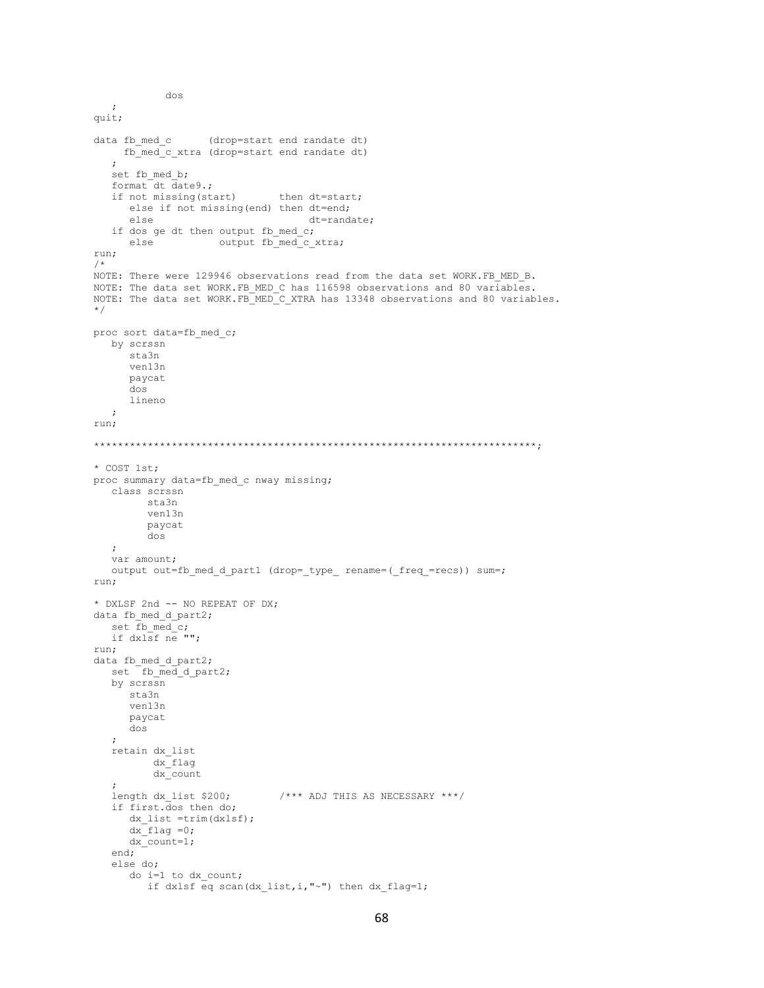```
\cdotquit;
data fb med c (drop=start end randate dt)
   fb med c xtra (drop=start end randate dt)
  set fb med b;
  format dt date9.;
  if not missing (start)
                             then dt=start;
     else if not missing (end) then dt=end;
      else
                                  dt=randate;
   if dos ge dt then output fb med c;
                   output fb_med_c_xtra;
      else
run;
/ *
NOTE: There were 129946 observations read from the data set WORK.FB MED B.
NOTE: The data set WORK. FB MED C has 116598 observations and 80 variables.
NOTE: The data set WORK. FB MED C XTRA has 13348 observations and 80 variables.
^{\star}/proc sort data=fb_med_c;
  by scrssn
     sta3n
     ven13n
     paycat
     \frac{1}{100}lineno
  \cdot:
run;
* COST 1st;
proc summary data=fb_med_c nway missing;
  class scrssn
        sta3n
        ven13n
        paycat
        dos
  \cdotvar amount;
  output out=fb med d part1 (drop= type rename=( freq =recs)) sum=;
run;
* DXLSF 2nd -- NO REPEAT OF DX;
data fb med d part2;
  set \overline{f} b med \overline{c};
  if dxlsf ne "";
run;
data fb_med_d part2;
  set fb_med_d_part2;
  by scrssn
     sta3n
     ven13n
     paycat
     dos
   retain dx list
         dx flag
         dx count
  length dx list $200;
                             /**** ADJ THIS AS NECESSARY ***/
  if first.dos then do;
      dx list =trim(dxlsf);
     dx flag = 0;
     dx_count=1;
  end;
   else do;
      do i=1 to dx count;
        if dxlsf eq scan(dx list, i, "~") then dx_flag=1;
```
dos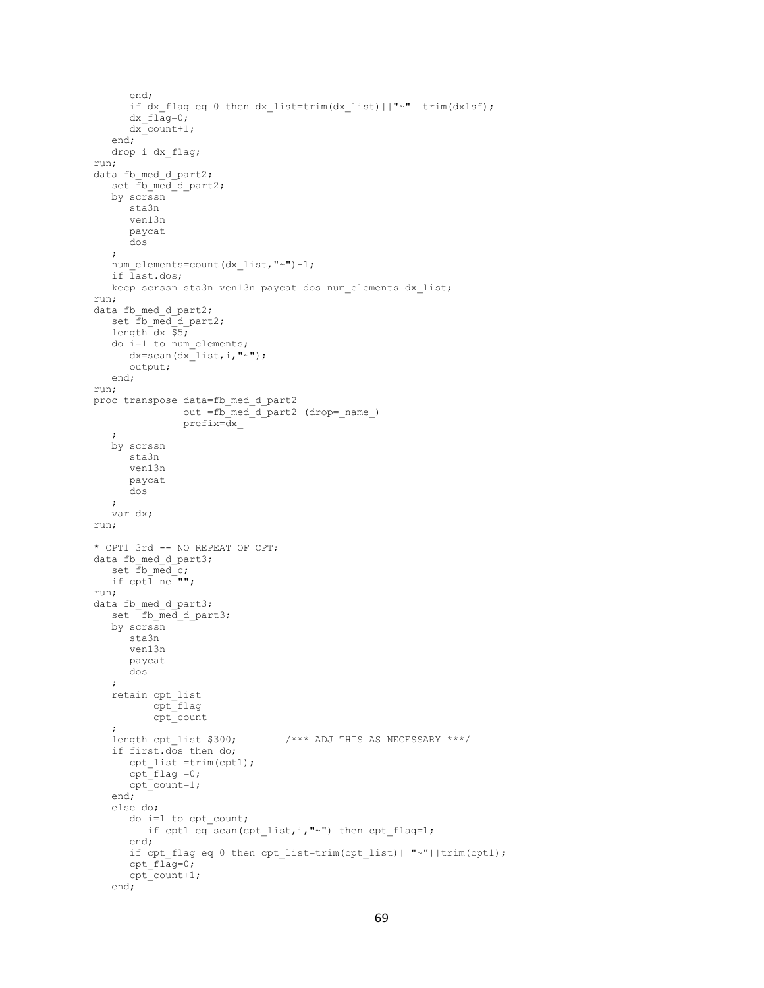```
 end;
       if dx flag eq 0 then dx list=trim(dx list)||"~"||trim(dxlsf);
       dx flaq=0;dx count+1;
    end;
    drop i dx_flag;
run;
data fb_med_d_part2;
    set fb_med_d_part2;
    by scrssn
       sta3n
       ven13n
       paycat
       dos
    ;
   num_elements=count(dx_list,"~")+1;
    if last.dos;
    keep scrssn sta3n ven13n paycat dos num_elements dx_list;
run;
data fb_med_d_part2;
    set fb_med_d_part2;
   length dx \overline{55};
    do i=1 to num_elements;
      dx = \text{scan}(dx\text{list},i,'''~);
       output;
    end;
run;
proc transpose data=fb_med_d_part2
                  out =fb_med_d_part2 (drop=_name_)
                  prefix=dx_
    ;
    by scrssn
       sta3n
       ven13n
       paycat
       dos
    ;
    var dx;
run;
* CPT1 3rd -- NO REPEAT OF CPT;
data fb med d part3;
   set \overline{f}b med\overline{c};
   if \text{cpt} \overline{1} \text{ne} \overline{\text{""}};
run;
data fb_med_d_part3;
   set \overline{f} fb med d part3;
    by scrssn
       sta3n
       ven13n
       paycat
       dos
    ;
    retain cpt_list
           \text{cpt}flag
            cpt_count
\mathcal{L} length cpt_list $300; /*** ADJ THIS AS NECESSARY ***/
    if first.dos then do;
       cpt_list =trim(cpt1);
      cpt flag =0;
      \text{cpt} count=1;
    end;
    else do;
        do i=1 to cpt_count;
         if cpt1 eq scan(cpt_list,i,"~") then cpt_flag=1;
       end;
      if cpt flag eq 0 then cpt list=trim(cpt list)||"~"||trim(cpt1);
       cpt_flag=0;
        cpt_count+1;
    end;
```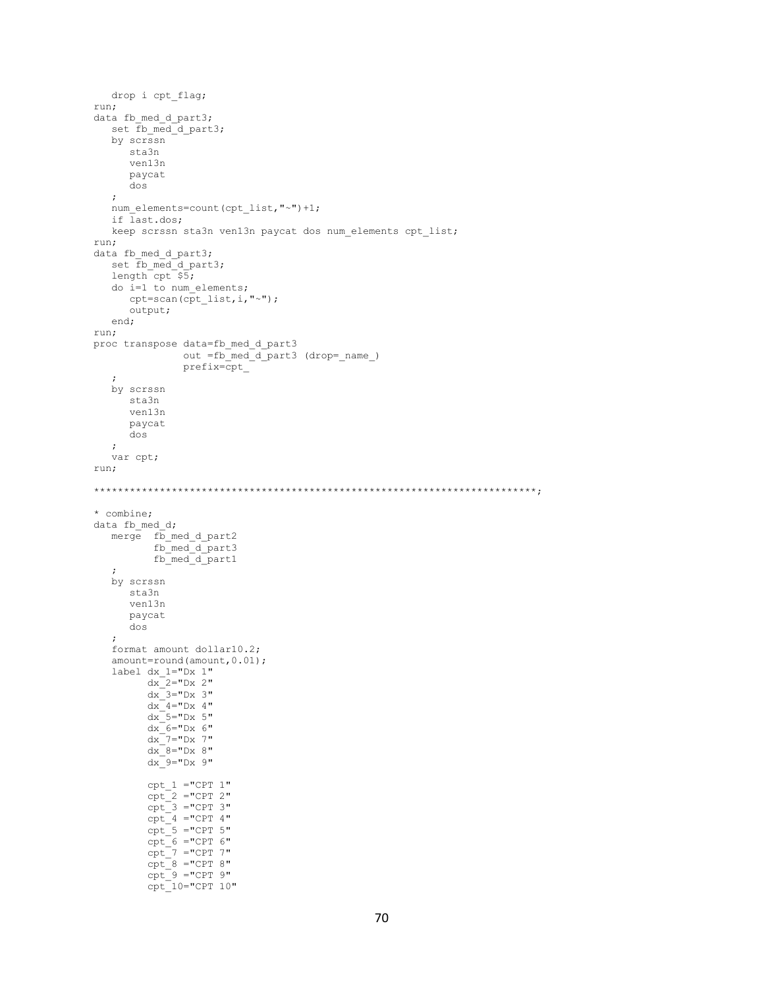```
 drop i cpt_flag;
run;
data fb med d part3;
   set fb_med_d_part3;
    by scrssn
       sta3n
       ven13n
       paycat
       dos
    ;
    num_elements=count(cpt_list,"~")+1;
    if last.dos;
    keep scrssn sta3n ven13n paycat dos num_elements cpt_list;
run;
data fb med d part3;
   set \overline{fb\_med\_d\_part3};
   length cpt $5; do i=1 to num_elements;
      cpt=scan(cpt_list,i,"~");
       output;
    end;
run;
proc transpose data=fb_med_d_part3
out =fb_med_d_part3 (drop=_name_)
                 prefix=cpt_
    ;
    by scrssn
       sta3n
       ven13n
       paycat
       dos
    ;
    var cpt;
run;
**************************************************************************;
* combine;
data fb med d;
   merge \overline{fb} med d part2
            fb_med_d_part3
           fb_med_d_part1
    ;
    by scrssn
       sta3n
       ven13n
       paycat
       dos
\mathcal{L} format amount dollar10.2;
   amount=round(amount, 0.01);
    label dx_1="Dx 1"
         dx<sup>-2="Dx 2"</sup>
          dx<sup>-3="Dx 3"</sup>
          dx = 4="Dx 4"
          dx<sup>-5="Dx 5"</sup>
          dx<sup>6="Dx 6"</sup>
          dx<sup>-7="Dx</sup> 7"
          dx<sup>-8="Dx 8"</sup>
          dx 9 = "Dx 9"
          cpt_1 = "CPT 1"\text{cpt} = "CPT 2"
          cpt_3 = "CPT 3"cpt = "CPT 4"cpt_5 = "CPT 5"cpt_6 = "CPT 6"cpt^{-7} ="CPT 7"
cpt 8 = "CPT 8"cpt 9 = "CPT 9" cpt_10="CPT 10"
```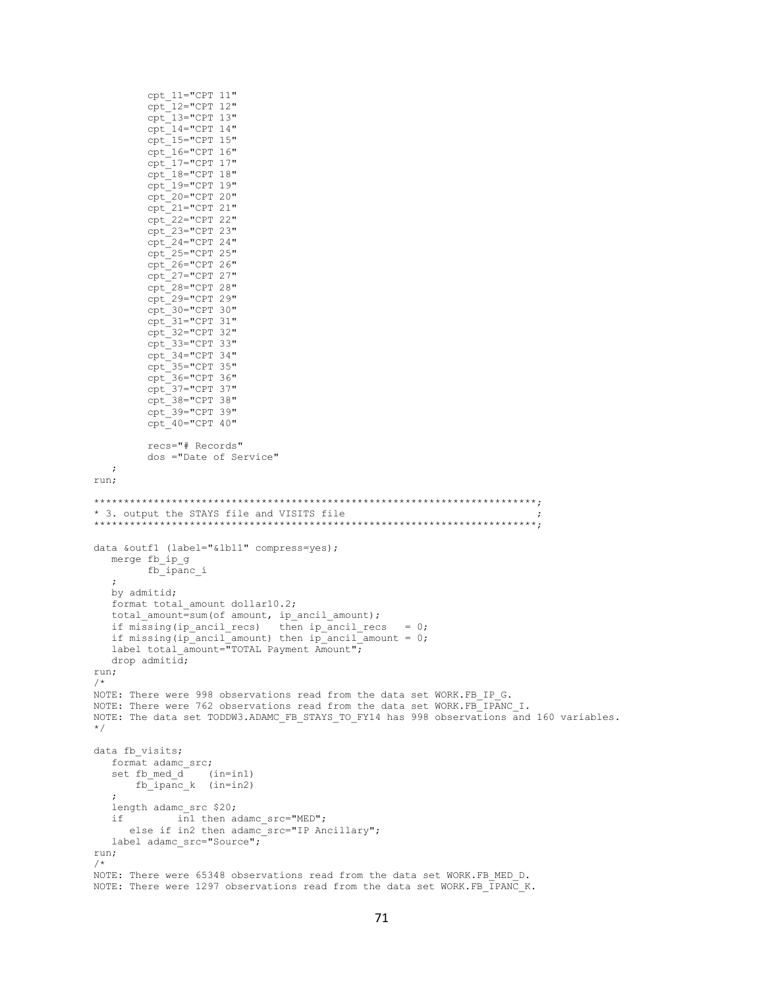```
cpt 11="CPT 11"
        cpt_12=''CPT 12"cpt - 13 = "CPT 13"cpt='CPT 14"cpt_15 = "CPT 15"cpt_16 = "CPT 16"cpt_17 = "CPT 17"cpt 18="CPT 18"cpt_19 = "CPT 19"cpt^-20="CPT 20"cpt 21="CPT 21"
        cpt_22="CPT 22"cpt^{-23="CFT 23"cpt^-24="CPT 24"cpt^-25="CPT 25"cpt_26 = "CPT 26"cpt^-27="CPT 27"cpt_28 = "CPT 28"cpt_29 = "CPT 29"cpt_30="CPT 30"cpt 31="CPT 31"
        cpt 32="CPT 32"
        cpt 33="CPT 33"
        cpt^-34="CPT 34"~{\rm cpt} 35="CPT 35"
        cpt_36 = "CPT 36"cpt_37="CPT 37"cpt^-38="CPT 38"cpt 39="CPT 39"
        cpt0="CFT 40"recs="# Records"
        dos ="Date of Service"
   \cdotrun;
* 3. output the STAYS file and VISITS file
data &outf1 (label="&lbl1" compress=yes);
  merge fb ip g
       fb_ipanc_i
  by admitid;
  format total amount dollar10.2;
   total_amount=sum(of amount, ip_ancil_amount);
  if missing (ip_ancil_recs) then ip_ancil_recs = 0;<br>if missing (ip_ancil_amount) then ip_ancil_amount = 0;
  label total amount="TOTAL Payment Amount";
  drop admiti\overline{d};
run;
/*
NOTE: There were 998 observations read from the data set WORK.FB IP G.
NOTE: There were 762 observations read from the data set WORK.FB_IPANC_I.
NOTE: The data set TODDW3.ADAMC FB STAYS TO FY14 has 998 observations and 160 variables.
\star/data fb visits;
  format adamc_src;
   set fb_med_d (in=in1)
      f\overline{b} ipanc k (in=in2)
  length adamc src $20;
   if
        in1 then adamc_src="MED";
    else if in2 then adamc_src="IP Ancillary";
  label adamc_src="Source";
run;
/*
NOTE: There were 65348 observations read from the data set WORK. FB MED D.
NOTE: There were 1297 observations read from the data set WORK.FB TPANC K.
```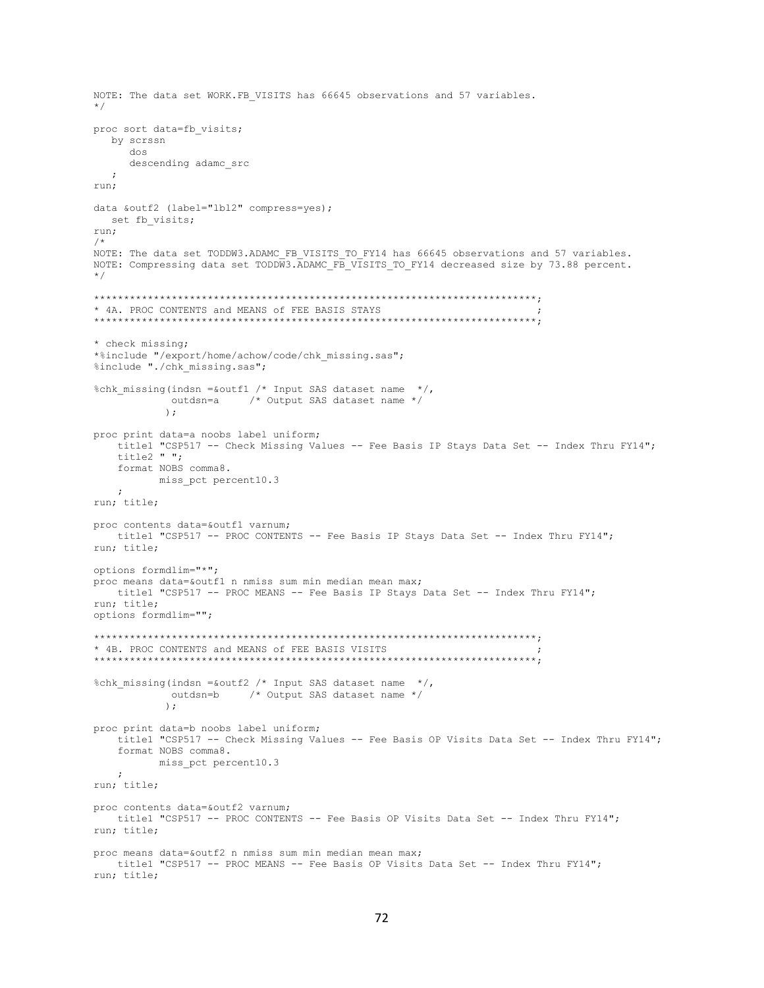```
NOTE: The data set WORK.FB VISITS has 66645 observations and 57 variables.
\star /
proc sort data=fb visits;
 by scrssn
    dos
    descending adamc src
  \cdot:
run:
data &outf2 (label="lbl2" compress=yes);
 set fb visits;
run:
/*
NOTE: The data set TODDW3.ADAMC FB VISITS TO FY14 has 66645 observations and 57 variables.
NOTE: Compressing data set TODDW3. ADAMC FB VISITS TO FY14 decreased size by 73.88 percent.
\star /
* 4A. PROC CONTENTS and MEANS of FEE BASIS STAYS
* check missing;
*%include "/export/home/achow/code/chk missing.sas";
%include "./chk missing.sas";
%chk missing (indsn = & outfl /* Input SAS dataset name */,
          outdsn=a \frac{1}{2} Output SAS dataset name */
          \rightarrowproc print data=a noobs label uniform;
  titlel "CSP517 -- Check Missing Values -- Fee Basis IP Stays Data Set -- Index Thru FY14";
   title2 " ";
   format NOBS comma8.
        miss_pct percent10.3
   \cdot:
run; title;
proc contents data=&outf1 varnum:
  title1 "CSP517 -- PROC CONTENTS -- Fee Basis IP Stays Data Set -- Index Thru FY14";
run; title;
options formdlim="*";
proc means data=&outf1 n nmiss sum min median mean max;
  title1 "CSP517 -- PROC MEANS -- Fee Basis IP Stays Data Set -- Index Thru FY14";
run; title;
options formdlim="";
* 4B. PROC CONTENTS and MEANS of FEE BASIS VISITS
%chk missing(indsn =&outf2 /* Input SAS dataset name */,
          outdsn=b /* Output SAS dataset name */
          \rightarrowproc print data=b noobs label uniform;
   title1 "CSP517 -- Check Missing Values -- Fee Basis OP Visits Data Set -- Index Thru FY14";
   format NOBS comma8.
        miss_pct percent10.3
   \cdotrun; title;
proc contents data=&outf2 varnum;
  titlel "CSP517 -- PROC CONTENTS -- Fee Basis OP Visits Data Set -- Index Thru FY14";
run; title;
proc means data=&outf2 n nmiss sum min median mean max;
  title1 "CSP517 -- PROC MEANS -- Fee Basis OP Visits Data Set -- Index Thru FY14";
run; title;
```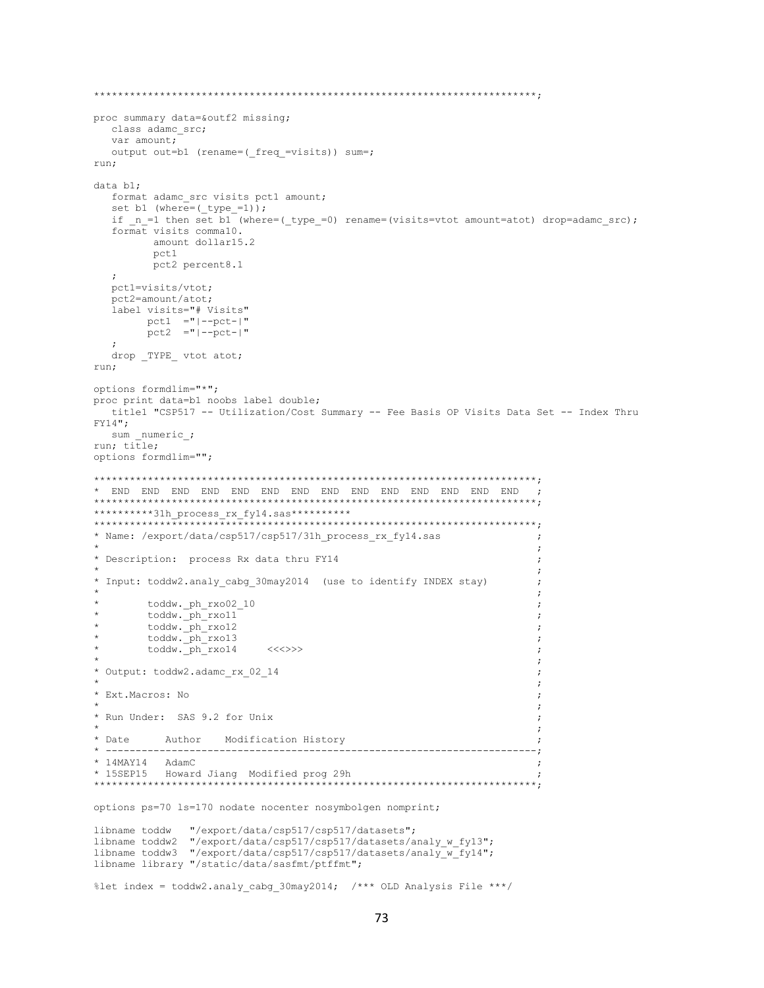```
proc summary data=&outf2 missing;
  class adamc src;
  var amount;
  output out=b1 (rename=( freq =visits)) sum=;
run;
data bl:
  format adamc src visits pct1 amount;
  set b1 (where=( type_=1));
  if _n_=1 then set b1 (where=(_type_=0) rename=(visits=vtot amount=atot) drop=adamc_src);
  format visits comma10.
       amount dollar15.2
       pct1
       pct2 percent8.1
  \cdotpctl=visits/vtot;
  pct2=amount/atot;
  label visits="# Visits"
      pct1 = "|-pct-|"pct2 = "|--pct-|"drop _TYPE_ vtot atot;
run:
options formdlim="*";
proc print data=b1 noobs label double;
 title1 "CSP517 -- Utilization/Cost Summary -- Fee Basis OP Visits Data Set -- Index Thru
FY14":
 sum numeric;
run; title;
options formdlim="";
**********31h_process_rx_fy14.sas**********
__<br>* * * * * * * * * * * * *
           * Name: /export/data/csp517/csp517/31h process rx fy14.sas
                                                           \cdot\cdot:
* Description: process Rx data thru FY14
* Input: toddw2.analy_cabg_30may2014 (use to identify INDEX stay)
       toddw.ph_rxo02_10
      toddw.ph_rxo11
       toddw._ph_rxo12
                                                           \cdottoddw._ph_rxo13
       toddw. ph rxo14
                     <<* Output: toddw2.adamc rx 02 14
* Ext. Macros: No
* Run Under: SAS 9.2 for Unix
* Date
        Author Modification History
     والمستناب والمستناب
             ------------------------
                                    ___________________________
                                                        ---;* 14MAY14 AdamC
* 15SEP15 Howard Jiang Modified prog 29h
options ps=70 ls=170 nodate nocenter nosymbolgen nomprint;
            "/export/data/csp517/csp517/datasets";
libname toddw
libname toddw2 "/export/data/csp517/csp517/datasets/analy_w_fy13";
libname toddw3 "/export/data/csp517/csp517/datasets/analy w fy14";
libname library "/static/data/sasfmt/ptffmt";
%let index = toddw2.analy cabg 30may2014; /*** OLD Analysis File ***/
```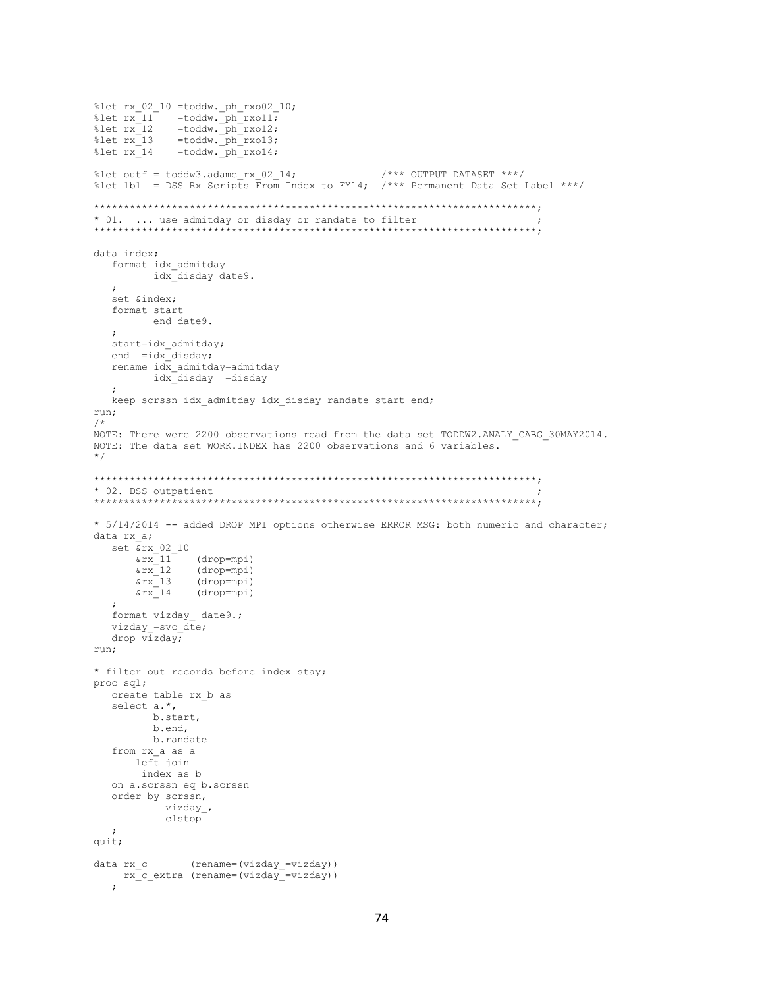```
%let rx 02 10 =toddw. ph rxo02 10;
%Let rx_0z_1v = \text{codow. } p_1rx_0z_2<br>
%let rx_11 = \text{toddw. } p_1rx_011;<br>
%let rx_11 = \text{toddw. } p_1rx_012;<br>
%let rx_11 = \text{toddw. } p_1rx_014;
%let outf = toddw3.adamc rx 02 14;
                                           /**** OUTPUT DATASET ***/
%let lbl = DSS Rx Scripts From Index to FY14; /*** Permanent Data Set Label ***/
* 01. ... use admitday or disday or randate to filter
data index;
  format idx admitday
        idx disday date9.
  set &index;
  format start
        end date9.
  \cdotstart=idx_admitday;
  end = idx disday;
  rename idx admitday=admitday
       idx disday =disday
  \mathcal{L}keep scrssn idx admitday idx disday randate start end;
run;
/*
NOTE: There were 2200 observations read from the data set TODDW2.ANALY CABG 30MAY2014.
NOTE: The data set WORK. INDEX has 2200 observations and 6 variables.
\star /
* 02. DSS outpatient
* 5/14/2014 -- added DROP MPI options otherwise ERROR MSG: both numeric and character;
data rx a;
  set \&rx\_02\_10(drop=mpi)<br>(drop=mpi)
      \&rx 11
     \frac{1}{2}x_{13}(drop=mpi)
      &rx 14
              (drop=mpi)format vizday date9.;
  vizday =svc_dte;
  drop vizday;
run:* filter out records before index stay;
proc sql;
  create table rx b as
  select a.*,
        b.start,
        b.end,
        b.randate
  from rx_a as a<br>left join
      index as b
  on a.scrssn eq b.scrssn
  order by scrssn,
          vizday_,
          clstop
  \cdotquit;
data rx\_c (rename=(vizday_=vizday))
   rx c extra (rename=(vizday =vizday))
   \cdot
```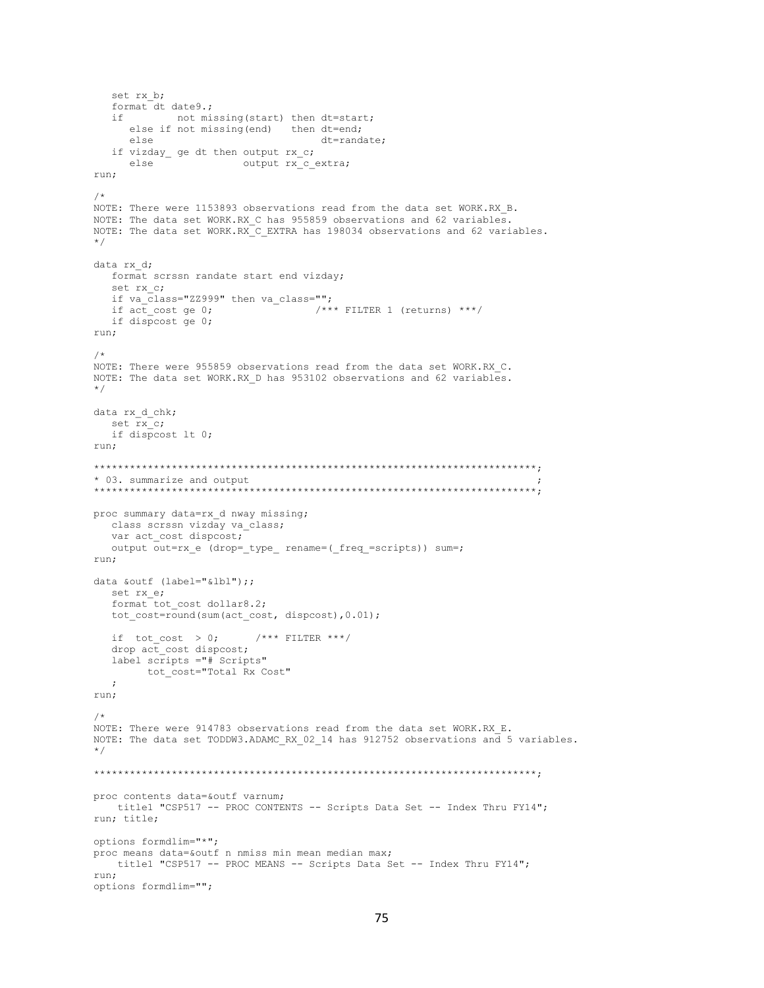```
set rx b;
  format dt date9.;
  i fnot missing (start) then dt=start;
     else if not missing (end) then dt=end;
     else
                                 dt=randate:
  if vizday_ ge dt then output rx_c;
     else
                     output rx_c_extra;
run;
/*
NOTE: There were 1153893 observations read from the data set WORK.RX B.
NOTE: The data set WORK.RX C has 955859 observations and 62 variables.
NOTE: The data set WORK.RX C EXTRA has 198034 observations and 62 variables.
\star /
data rx d;
  format scrssn randate start end vizday;
  set rx c;
  if va class="ZZ999" then va class="";
                               /**** FILTER 1 (returns) ***/
  if act cost ge 0;
  if dispcost ge 0;
run;
/*
NOTE: There were 955859 observations read from the data set WORK.RX C.
NOTE: The data set WORK.RX D has 953102 observations and 62 variables.
\star /
data rx_d_chk;
  set rx c;
  if dispcost lt 0;
run:
* 03. summarize and output
proc summary data=rx d nway missing;
  class scrssn vizday va_class;
  var act cost dispcost;
  output out=rx_e (drop=_type_ rename=(_freq_=scripts)) sum=;
run;
data &outf (label="&lbl");;
  set rx e;
  format tot cost dollar8.2;
  tot cost=round(sum(act cost, dispcost), 0.01);
  if tot_cost > 0; /*** FILTER ***/
  drop \overline{act} cost dispcost;
  label scripts ="# Scripts"
       tot cost="Total Rx Cost"
  \cdotrun;
/*
NOTE: There were 914783 observations read from the data set WORK.RX E.
NOTE: The data set TODDW3.ADAMC RX 02 14 has 912752 observations and 5 variables.
\star/proc contents data=&outf varnum;
  title1 "CSP517 -- PROC CONTENTS -- Scripts Data Set -- Index Thru FY14";
run; title;
options formdlim="*";
proc means data=&outf n nmiss min mean median max;
  title1 "CSP517 -- PROC MEANS -- Scripts Data Set -- Index Thru FY14";
run:options formdlim="";
```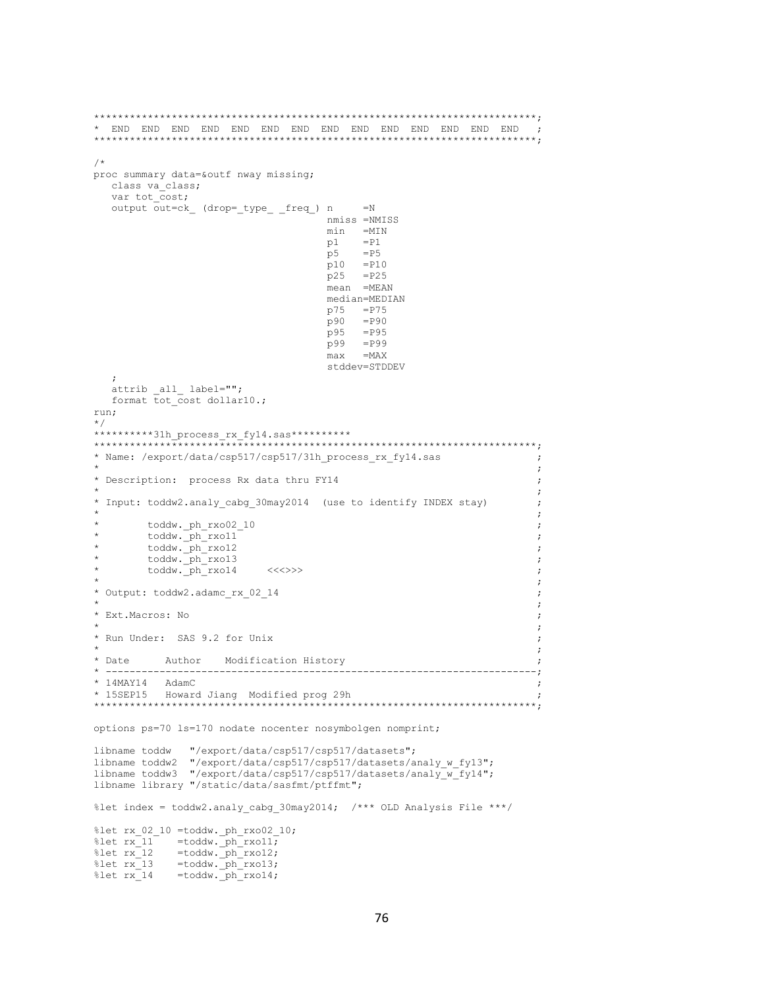```
\overline{\phantom{a}}/*
proc summary data=&outf nway missing;
  class va_class;
  var tot cost;
  output out=ck_ (drop=_type_ _freq_) n
                                      =Nnmiss =NMISS
                                  min =MIN
                                       =P1
                                  p1
                                  p5= P5p10
                                      = P10p25
                                       =P25
                                  mean =MEAN
                                  median=MEDIAN
                                  p75 = P75=P90
                                  p90
                                  p95 = P95
                                  p99
                                      =P99
                                      =MAX
                                  maxstddev=STDDEV
  \text{attrib} \text{all} label="";
  format tot cost dollar10.;
run;
\star/**********31h process rx fy14.sas**********
* Name: /export/data/csp517/csp517/31h process rx fy14.sas
                                                               \cdot:
                                                                \cdot:
* Description: process Rx data thru FY14
* Input: toddw2.analy_cabg_30may2014 (use to identify INDEX stay)
       toddw. ph rxo02 10
                                                                \cdottoddw.ph rxo11
       toddw.ph_rxo12
                                                                \cdottoddw. ph rxo13
       \text{today.}phrxo14<<\left\langle \left\langle \left\langle \cdot\right\rangle \right\rangle \right\rangle\cdot* Output: toddw2.adamc rx 02 14
* Ext. Macros: No
                                                                \cdot* Run Under: SAS 9.2 for Unix
* Date
         Author Modification History
                __________________________
                                                                -:
* 14MAY14 AdamC
* 15SEP15 Howard Jiang Modified prog 29h
options ps=70 ls=170 nodate nocenter nosymbolgen nomprint;
             "/export/data/csp517/csp517/datasets";
libname toddw
libname toddw2 "/export/data/csp517/csp517/datasets/analy_w_fy13";
libname toddw3 "/export/data/csp517/csp517/datasets/analy_w_fy14";
libname library "/static/data/sasfmt/ptffmt";
%let index = toddw2.analy cabg 30may2014; /*** OLD Analysis File ***/
%let rx_02_10 =toddw._ph_rxo02_10;
%let rx_11 =toddw.ph_rxo11;
          =toddw.pinrxo12;
\text{let } rx 12
%let rx_1 = toddw. ph_rxo13;<br>%let rx_114 = toddw. ph_rxo14;
```
76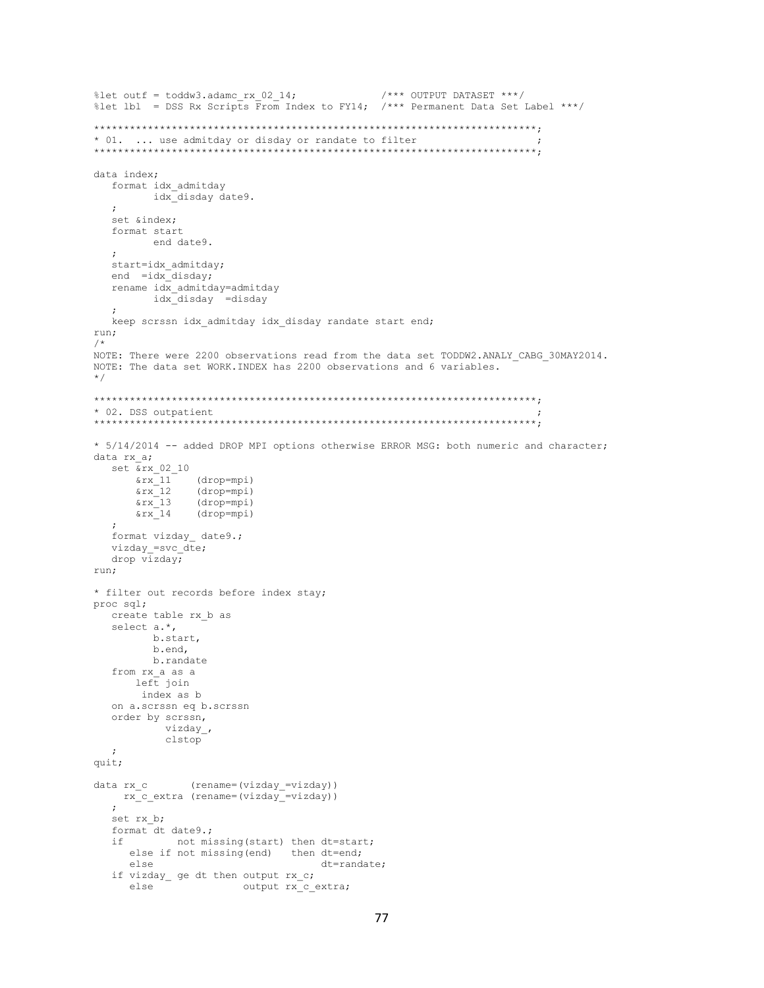```
%let outf = toddw3.adamc_rx_02_14;<br>%let lbl = DSS Rx Scripts From Index to FY14; /*** Permanent Data Set Label ***/
* 01. ... use admitday or disday or randate to filter
data index;
  format idx_admitday
       idx disday date9.
  \cdot :
  set &index;
  format start
        end date9.
  start=idx admitday;
  end = idx disday;
  rename idx_admitday=admitday
      idx disday =disday
  \mathcal{L}keep scrssn idx admitday idx disday randate start end;
run;
/*
NOTE: There were 2200 observations read from the data set TODDW2.ANALY CABG 30MAY2014.
NOTE: The data set WORK. INDEX has 2200 observations and 6 variables.
\star /
* 02. DSS outpatient
* 5/14/2014 -- added DROP MPI options otherwise ERROR MSG: both numeric and character;
data rx a;
  set \overline{\&}rx 02 10(drop=mpi)<br>(drop=mpi)
     \frac{1}{2}\frac{1}{2}(drop=mpi)\frac{13}{2}\frac{1}{2}(drop=mpi)
  \cdotformat vizday date9.;
  vizday=svc_dte;
  drop vizday;
run;
* filter out records before index stay;
proc sql;
  create table rx b as
  select a.*,
        b.start,
        b.end,
       b.randate
  from rx_a as a<br>left join
      index as b
  on a.scrssn eq b.scrssn
  order by scrssn,
         vizday_,
         clstop
  \cdotquit;
data rx c (rename=(vizday =vizday))
   rx c extra (rename=(vizday =vizday))
  set rx b;
  format dt date9.;
           not missing (start) then dt=start;
  ifelse if not missing (end) then dt=end;
     e] se
                                dt=randate;
  if vizday_ ge dt then output rx_c;
                     output rx c_extra;
     else
```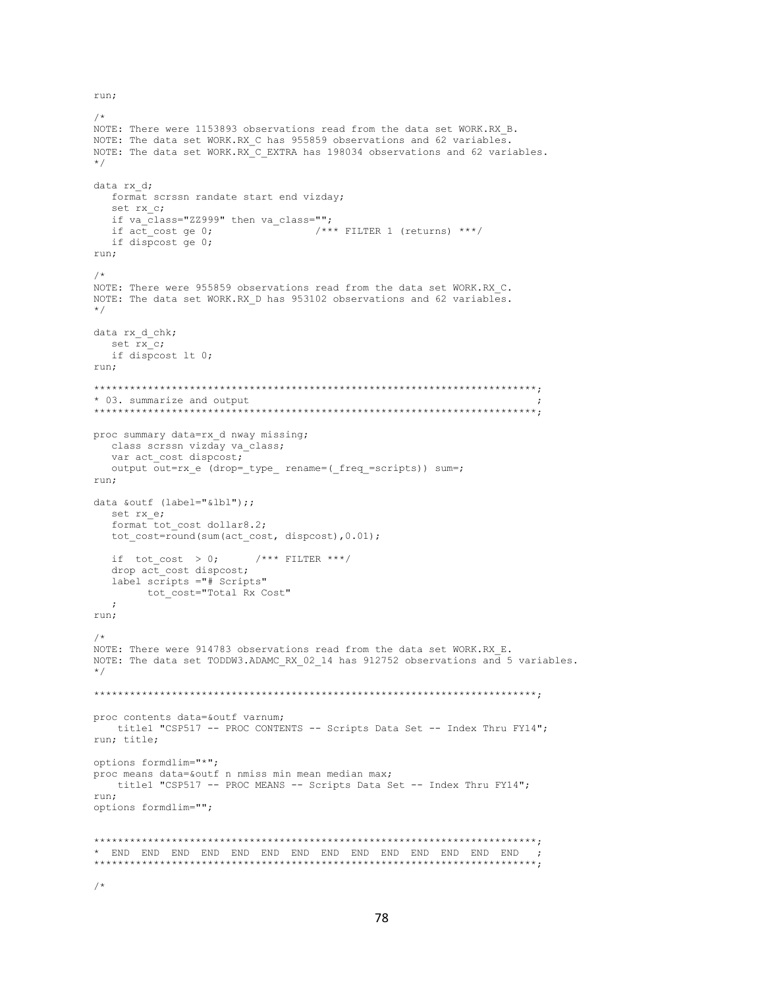run;

```
7*NOTE: There were 1153893 observations read from the data set WORK.RX B.
NOTE: The data set WORK.RX C has 955859 observations and 62 variables.
NOTE: The data set WORK.RX C EXTRA has 198034 observations and 62 variables.
\star/data rx d;
  format scrssn randate start end vizday;
  set rx c;
  if va_class="22999" then va_class="";
                    \overline{\hspace{1cm}} /*** FILTER 1 (returns) ***/
  if act cost ge 0;
  if dispcost ge 0;
run;
4<sup>2</sup>NOTE: There were 955859 observations read from the data set WORK.RX_C.
NOTE: The data set WORK.RX D has 953102 observations and 62 variables.
\star /
data rx d chk;
  set rx_c;
  if dispcost lt 0;
run:
* 03. summarize and output
proc summary data=rx d nway missing;
 class scrssn vizday va_class;
  var act cost dispcost;
  output out=rx_e (drop=_type_ rename=(_freq_=scripts)) sum=;
run;
data &outf (label="&lbl");;
  set rx e;
  format tot cost dollar8.2:
  tot cost=round(sum(act cost, dispcost), 0.01);
 if tot_cost > 0; /**** FILTER ***/
  drop act cost dispcost;
  label scripts ="# Scripts"
      tot cost="Total Rx Cost"
  \cdot:
run;
NOTE: There were 914783 observations read from the data set WORK.RX E.
NOTE: The data set TODDW3.ADAMC RX 02 14 has 912752 observations and 5 variables.
\star/proc contents data=&outf varnum;
  title1 "CSP517 -- PROC CONTENTS -- Scripts Data Set -- Index Thru FY14";
run; title;
options formdlim="*";
proc means data=&outf n nmiss min mean median max;
  title1 "CSP517 -- PROC MEANS -- Scripts Data Set -- Index Thru FY14";
run:options formdlim="";
```
 $/$ \*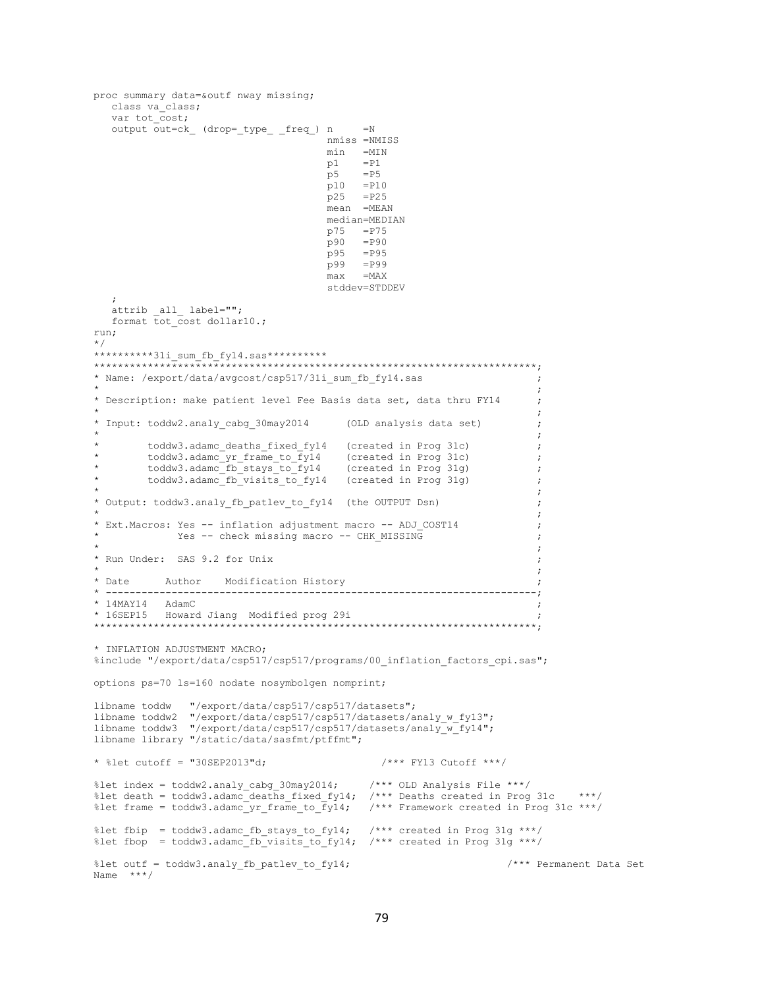```
proc summary data=&outf nway missing;
  class va class;
  var tot cost;
  output out=ck_ (drop=_type_ _freq_) n
                                         =Nnmiss =NMISS
                                     min =MIN
                                     p1= P1p5=P5
                                     p10
                                          = P10p25
                                          =P25
                                     mean =MEAN
                                     median=MEDIAN
                                          = P75p75
                                     p90
                                         = P.90p95
                                         =P95
                                     p99
                                          = P99max=MAXstddev=STDDEV
  \text{attrib} \text{all} \text{label}="";
  format tot cost dollar10.;
run;
\star /
**********31i sum fb fy14.sas***********
* Name: /export/data/avgcost/csp517/31i sum fb fy14.sas
                                                                      \cdot* Description: make patient level Fee Basis data set, data thru FY14
                                                                      \cdot:
                                                                      \cdot:
* Input: toddw2.analy_cabg_30may2014
                                       (OLD analysis data set)
                                                                      \cdottoddw3.adamc_deaths_fixed_fy14 (created in Prog 31c)
                                                                      \cdottoddw3.adamc_yr_frame_to_fy14 (created in Prog 31c)
                                                                      \cdot:
        toddw3.adamc_fb_stays_to_fy14 (created in Prog 31g)<br>toddw3.adamc_fb_visits_to_fy14 (created in Prog 31g)
                                                                      \cdot\cdot* Output: toddw3.analy_fb_patlev_to_fy14 (the OUTPUT Dsn)
* Ext. Macros: Yes -- inflation adjustment macro -- ADJ COST14
           Yes -- check missing macro -- CHK MISSING
* Run Under: SAS 9.2 for Unix
* Date
         Author Modification History
     ---;* 14MAY14 AdamC
* 16SEP15 Howard Jiang Modified prog 29i
* INFLATION ADJUSTMENT MACRO;
%include "/export/data/csp517/csp517/programs/00 inflation factors cpi.sas";
options ps=70 ls=160 nodate nosymbolgen nomprint;
               " / \verb"export/data/csp517/csp517/datasets";libname toddw
libname toddw2 "/export/data/csp517/csp517/datasets/analy_w_fy13";
libname toddw3 "/export/data/csp517/csp517/datasets/analy_w_fy14";
libname library "/static/data/sasfmt/ptffmt";
* %let cutoff = "30SEP2013"d;
                                             /*** FY13 Cutoff ***/
%let index = toddw2.analy_cabg_30may2014; <br>%let death = toddw3.adamc_deaths_fixed_fy14; /*** Deaths created in Prog 31c ***/
                                           /*** Framework created in Prog 31c ***/
%let frame = today3.addamc_yr-frame_to_fyl4;%let fbip = toddw3.adamc_fb_stays_to_fy14;
                                            /*** created in Prog 31g ***/
%let fbop = toddw3.adamc_fb_visits_to_fy14; /*** created in Prog 31g ***/
                                                                  /*** Permanent Data Set
%let outf = toddw3.analy_fb_patlev_to_fy14;
Name ***/
```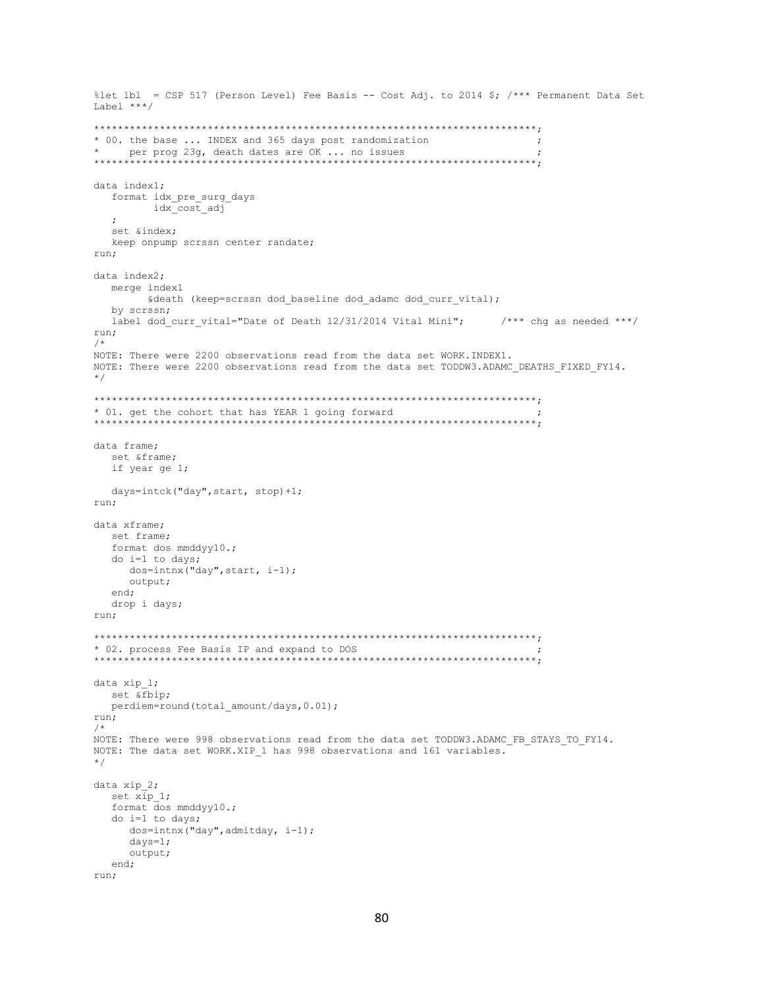```
%let lbl = CSP 517 (Person Level) Fee Basis -- Cost Adj. to 2014 $; /*** Permanent Data Set
Label ***/* 00. the base ... INDEX and 365 days post randomization
                                                       \cdotdata index1;
 format idx pre surg days
      idx_cost_adj
  set &index;
 keep onpump scrssn center randate;
run;
data index2;
 merge index1
     & death (keep=scrssn dod baseline dod adamc dod curr vital);
 by scrssn;
 label dod_curr_vital="Date of Death 12/31/2014 Vital Mini"; /*** chg as needed ***/
run;
NOTE: There were 2200 observations read from the data set WORK. INDEX1.
NOTE: There were 2200 observations read from the data set TODDW3.ADAMC DEATHS FIXED FY14.
\star /
* 01. get the cohort that has YEAR 1 going forward
data frame;
 set &frame;
 if year ge 1;
 days=intck("day", start, stop)+1;
run;
data xframe:
 set frame;
 format dos mmddyy10.;
 do i=1 to days;
   dos=intnx("day", start, i-1);
   output;
  end;
 drop i days;
run;
* 02. process Fee Basis IP and expand to DOS
data xip 1;
 set & fbip;
 perdiem=round(total_amount/days, 0.01);
run;
/*
NOTE: There were 998 observations read from the data set TODDW3.ADAMC FB STAYS TO FY14.
NOTE: The data set WORK.XIP 1 has 998 observations and 161 variables.
\star /
data xip 2;
 set x \bar{1}p 1;
 format dos mmddyy10.;
 do i=1 to days;
   dos=intnx("day", admitday, i-1);
   days=1;output;
  end:run;
```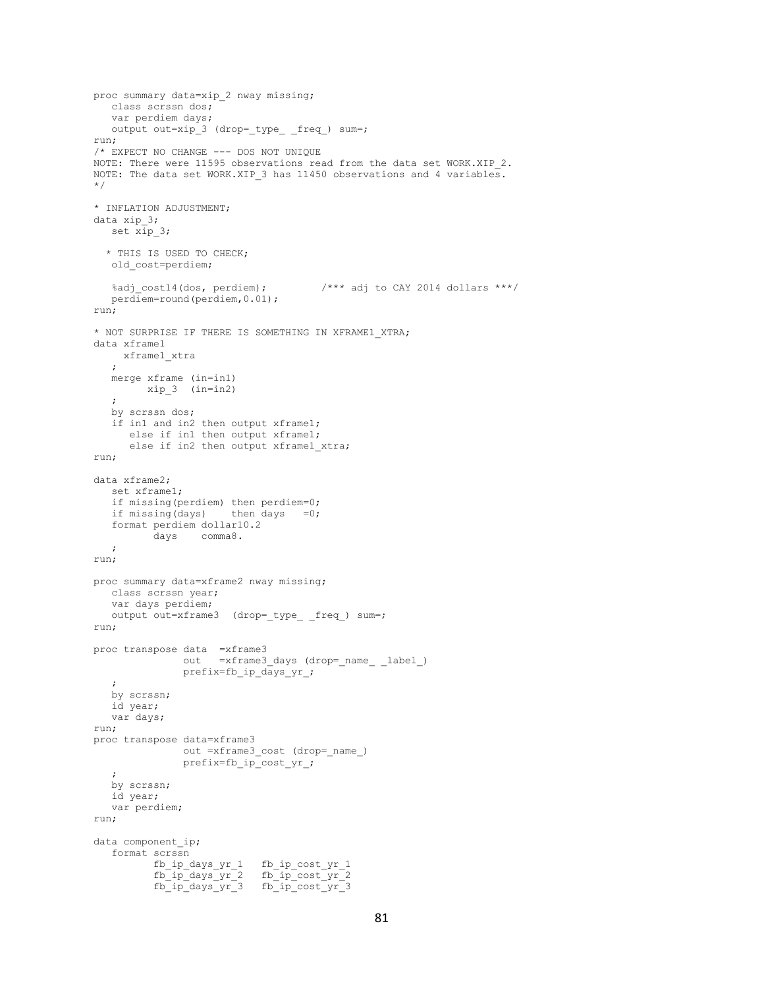```
proc summary data=xip_2 nway missing;
   class scrssn dos;
   var perdiem days;
  output out=xip 3 (drop= type freq ) sum=;
run;
/* EXPECT NO CHANGE --- DOS NOT UNIQUE
NOTE: There were 11595 observations read from the data set WORK.XIP 2.
NOTE: The data set WORK.XIP 3 has 11450 observations and 4 variables.
*/
* INFLATION ADJUSTMENT;
data xip_3;
  set xip 3;
  * THIS IS USED TO CHECK;
   old_cost=perdiem;
   %adj_cost14(dos, perdiem); /*** adj to CAY 2014 dollars ***/
   perdiem=round(perdiem,0.01);
run;
* NOT SURPRISE IF THERE IS SOMETHING IN XFRAME1_XTRA;
data xframe1
    xframe1_xtra
    ;
   merge xframe (in=in1)
        xip_3 (in=in2)
    ;
   by scrssn dos;
    if in1 and in2 then output xframe1;
      else if in1 then output xframe1;
       else if in2 then output xframe1_xtra;
run;
data xframe2;
   set xframe1;
   if missing(perdiem) then perdiem=0;
  if missing(days) then days =0; format perdiem dollar10.2
          days comma8.
   ;
run;
proc summary data=xframe2 nway missing;
   class scrssn year;
   var days perdiem;
   output out=xframe3 (drop=_type_ _freq_) sum=;
run;
proc transpose data =xframe3
              out =xframe3 days (drop= name label )
               prefix=fb_ip_days_yr_;
\mathcal{L} by scrssn;
   id year;
   var days;
run;
proc transpose data=xframe3
               out =xframe3_cost (drop=_name_)
               prefix=fb_ip_cost_yr_;
   ;
   by scrssn;
   id year;
   var perdiem;
run;
data component ip;
   format scrssn
fb_ip_days_yr_1 fb_ip_cost_yr_1
fb_ip_days_yr_2 fb_ip_cost_yr_2
fb_ip_days_yr_3 fb_ip_cost_yr_3
```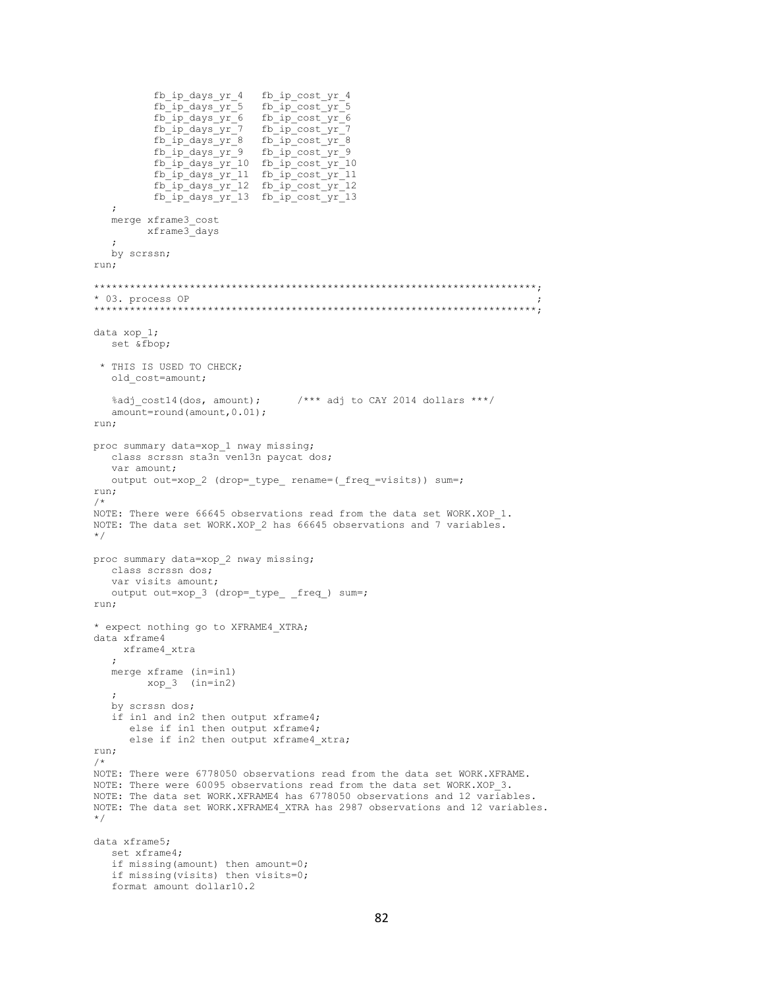```
fb ip days yr 4 fb ip cost yr 4
                          fb_ip_cost_yr_5<br>fb_ip_cost_yr_6
          fb\_ip\_days\_yr\_5fb ip days yr 6
          fb\_ip\_days\_yr\_7fb ip cost yr 7
          fb ip days yr 8
                          fb ip cost yr 8
         fb_ip_days_yr_9<br>fb_ip_cost_yr_9<br>fb_ip_days_yr_10<br>fb_ip_cost_yr_10
          fb ip days yr 11 fb ip cost yr 11
          fb\_ip\_days\_yr\_12 fb\_ip\_cost\_yr\_12fb\_ip\_days\_yr\_13 fb\_ip\_cost\_yr\_13\cdotmerge xframe3_cost
        xframe3 days
   \cdotby scrssn;
run:
* 03. process OP
      *** * * * *
data xop 1;
  set & fbop;
 * THIS IS USED TO CHECK;
  old cost=amount;
                               /**** adj to CAY 2014 dollars ***/
  %adj cost14(dos, amount);
  amount=round (amount, 0.01);
run;
proc summary data=xop_1 nway missing;
  class scrssn sta3n ven13n paycat dos;
  var amount;
  output out=xop_2 (drop=_type_ rename=(_freq_=visits)) sum=;
run;
NOTE: There were 66645 observations read from the data set WORK.XOP 1.
NOTE: The data set WORK.XOP 2 has 66645 observations and 7 variables.
\star /
proc summary data=xop 2 nway missing;
  class scrssn dos;
  var visits amount;
  output out=xop_3 (drop=_type_ _freq_) sum=;
run:
* expect nothing go to XFRAME4 XTRA;
data xframe4
   xframe4 xtra
  \cdot :
  merge xframe (in=in1)
       xop_3 (in=in2)
   \cdotby scrssn dos;
   if in1 and in2 then output xframe4;
     else if in1 then output xframe4;
      else if in2 then output xframe4 xtra;
run;
/*
NOTE: There were 6778050 observations read from the data set WORK.XFRAME.
NOTE: There were 60095 observations read from the data set WORK.XOP 3.
NOTE: The data set WORK.XFRAME4 has 6778050 observations and 12 variables.
NOTE: The data set WORK.XFRAME4 XTRA has 2987 observations and 12 variables.
\star/data xframe5;
  set xframe4;
  if missing (amount) then amount=0;
  if missing (visits) then visits=0;
  format amount dollar10.2
```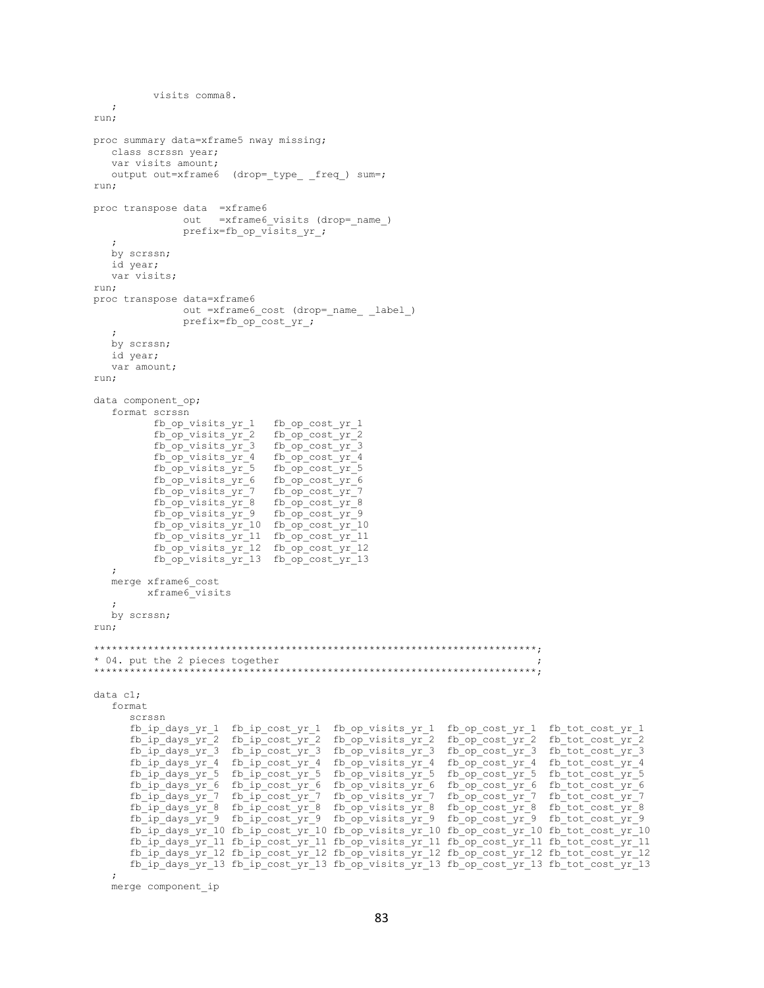```
 visits comma8.
    ;
run;
proc summary data=xframe5 nway missing;
    class scrssn year;
    var visits amount;
   output out=xframe6 (drop=_type_ _freq_) sum=;
run;
proc transpose data =xframe6
                out =xframe6 visits (drop= name )
                 prefix=fb_op_visits_yr_;
\mathcal{L} by scrssn;
    id year;
    var visits;
run;
proc transpose data=xframe6
                 out =xframe6_cost (drop=_name_ _label_)
                 prefix=fb_op_cost_yr_;
\mathcal{L} by scrssn;
    id year;
    var amount;
run;
data component op;
    format scrssn
           fb_op_visits_yr_1 fb_op_cost_yr_1
fb op visits yr 2 fb op cost yr 2
fb_op_visits_yr_3 fb_op_cost_yr_3
            fb_op_visits_yr_4 fb_op_cost_yr_4
           fb\_op\_visits\_yr\_5 fb_op_visits_yr_6 fb_op_cost_yr_6
           fb_op_visits_yr_7 fb_op_cost_yr_7<br>fb_op_visits_yr_8 fb_op_cost_yr_8
           fb\_op\_visits\_yr 8
fb op visits yr 9 fb op cost yr 9
fb op visits yr 10 fb op cost yr 10
            fb_op_visits_yr_11 fb_op_cost_yr_11
 fb_op_visits_yr_12 fb_op_cost_yr_12
 fb_op_visits_yr_13 fb_op_cost_yr_13
    ;
    merge xframe6_cost
          xframe6_visits
\mathcal{L} by scrssn;
run;
**************************************************************************;
* 04. put the 2 pieces together ;
**************************************************************************;
data c1;
    format
       scrssn
      fb_ip_days_yr_1 fb_ip_cost_yr_1 fb_op_visits_yr_1 fb_op_cost_yr_1 fb_tot_cost_yr_1
fb_ip_days_yr_2 fb_ip_cost_yr_2 fb_op_visits_yr_2 fb_op_cost_yr_2 fb_tot_cost_yr_2
fb_ip_days_yr_3 fb_ip_cost_yr_3 fb_op_visits_yr_3 fb_op_cost_yr_3 fb_tot_cost_yr_3
fb_ip_days_yr_4 fb_ip_cost_yr_4 fb_op_visits_yr_4 fb_op_cost_yr_4 fb_tot_cost_yr_4
       fb_ip_days_yr_5 fb_ip_cost_yr_5 fb_op_visits_yr_5 fb_op_cost_yr_5 fb_tot_cost_yr_5
fb_ip_days_yr_6 fb_ip_cost_yr_6 fb_op_visits_yr_6 fb_op_cost_yr_6 fb_tot_cost_yr_6
fb_ip_days_yr_7 fb_ip_cost_yr_7 fb_op_visits_yr_7 fb_op_cost_yr_7 fb_tot_cost_yr_7
      f_{\rm D} \bar{f}_{\rm D} \bar{f}_{\rm D} \bar{f}_{\rm C} \bar{f}_{\rm C} \bar{f}_{\rm C} \bar{f}_{\rm C} \bar{f}_{\rm C} \bar{f}_{\rm C} \bar{f}_{\rm C} \bar{f}_{\rm C} \bar{f}_{\rm C} \bar{f}_{\rm C} \bar{f}_{\rm C} \bar{f}_{\rm C} \bar{f}_{\rm C} \bar{f}_{\rm C} \bar{f}_{\rm C} \bar{f}_{\rmfb_ip_days_yr_9 fb_ip_cost_yr_9 fb_op_visits_yr_9 fb_op_cost_yr_9 fb_tot_cost_yr_9
       fb_ip_days_yr_10 fb_ip_cost_yr_10 fb_op_visits_yr_10 fb_op_cost_yr_10 fb_tot_cost_yr_10
       fb_ip_days_yr_11 fb_ip_cost_yr_11 fb_op_visits_yr_11 fb_op_cost_yr_11 fb_tot_cost_yr_11
       fb_ip_days_yr_12 fb_ip_cost_yr_12 fb_op_visits_yr_12 fb_op_cost_yr_12 fb_tot_cost_yr_12
       fb_ip_days_yr_13 fb_ip_cost_yr_13 fb_op_visits_yr_13 fb_op_cost_yr_13 fb_tot_cost_yr_13
\mathcal{L}
```

```
 merge component_ip
```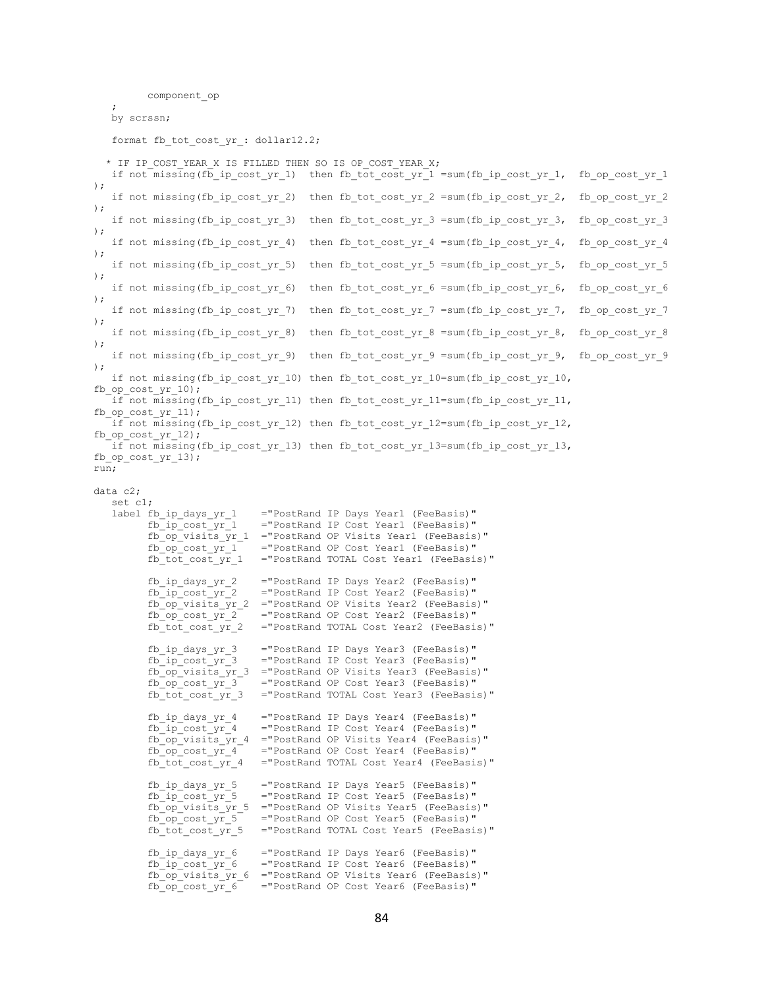```
 component_op
\mathcal{L} by scrssn;
   format fb tot cost yr : dollar12.2;
  * IF IP COST YEAR X IS FILLED THEN SO IS OP COST YEAR X;
   if not missing(fb ip cost yr 1) then fb tot cost yr 1 =sum(fb ip cost yr 1, fb op cost yr 1
);
   if not missing(fb ip cost yr 2) then fb tot cost yr 2 =sum(fb ip cost yr 2, fb op cost yr 2
);
   if not missing(fb ip cost yr 3) then fb tot cost yr 3 =sum(fb ip cost yr 3, fb op cost yr 3
);
   if not missing(fb_ip_cost_yr_4) then fb_tot_cost_yr_4 =sum(fb_ip_cost_yr_4, fb_op_cost_yr_4
);
   if not missing(fb ip cost yr 5) then fb tot cost yr 5 =sum(fb ip cost yr 5, fb op cost yr 5
);
    if not missing(fb_ip_cost_yr_6) then fb_tot_cost_yr_6 =sum(fb_ip_cost_yr_6, fb_op_cost_yr_6 
);
   if not missing(fb ip cost yr 7) then fb tot cost yr 7 =sum(fb ip cost yr 7, fb op cost yr 7
);
   if not missing(fb_ip_cost_yr_8) then fb_tot_cost_yr_8 =sum(fb_ip_cost_yr_8, fb_op_cost_yr_8
);
   if not missing(fb ip cost yr 9) then fb tot cost yr 9 =sum(fb ip cost yr 9, fb op cost yr 9
);
   if not missing(fb_ip_cost_yr_10) then fb_tot_cost_yr_10=sum(fb_ip_cost_yr_10,
fb op cost yr 10);
    if not missing(fb_ip_cost_yr_11) then fb_tot_cost_yr_11=sum(fb_ip_cost_yr_11, 
fb_op_cost_yr_11);
   if not missing(fb ip cost yr 12) then fb tot cost yr 12=sum(fb ip cost yr 12,
fb op cost yr 12);
    if not missing(fb_ip_cost_yr_13) then fb_tot_cost_yr_13=sum(fb_ip_cost_yr_13, 
fb op cost yr 13);
run;
data c2;
   set cl;<br>label fb ip days_yr_1
         fb_ip_days_yr_1 ="PostRand IP Days Year1 (FeeBasis)"<br>fb_ip_cost_yr_1 ="PostRand IP Cost Year1 (FeeBasis)"
                               ="PostRand IP Cost Year1 (FeeBasis)"
           fb_op_visits_yr_1 ="PostRand OP Visits Year1 (FeeBasis)"
          f_{\text{D}} \overline{C} \overline{C} \overline{C} \overline{C} \overline{C} = "PostRand OP Cost Year1 (FeeBasis)"
          fb tot cost yr 1 = "PostRand TOTAL Cost Year1 (FeeBasis)"
           fb_ip_days_yr_2 ="PostRand IP Days Year2 (FeeBasis)"
           fb_ip_cost_yr_2 ="PostRand IP Cost Year2 (FeeBasis)"
          f_{\rm pop} visits \bar{y}r 2 = "PostRand OP Visits Year2 (FeeBasis)"
          f_{\rm D} \overline{\text{Cost}} \overline{\text{yr}} \overline{\text{2}} = "PostRand OP Cost Year2 (FeeBasis)"<br>
fb tot cost yr 2 = "PostRand TOTAL Cost Year2 (FeeBasi
                               ="PostRand TOTAL Cost Year2 (FeeBasis)"
           fb_ip_days_yr_3 ="PostRand IP Days Year3 (FeeBasis)"
          f_{\rm D} ip \overline{\rm cost} yr 3 = "PostRand IP Cost Year3 (FeeBasis)"
           fb_op_visits_yr_3 ="PostRand OP Visits Year3 (FeeBasis)"
          f_{\text{D}} \overline{op\_cost\_yr\_3} = "PostRand OP Cost Year3 (FeeBasis)"
          fb_tot_cost_yr_3 ="PostRand TOTAL Cost_Year3 (FeeBasis)"
           fb_ip_days_yr_4 ="PostRand IP Days Year4 (FeeBasis)"
                               ="PostRand IP Cost Year4 (FeeBasis)"
           fb_op_visits_yr_4 ="PostRand OP Visits Year4 (FeeBasis)"
           fb_op_cost_yr_4 ="PostRand OP Cost Year4 (FeeBasis)"
           fb_tot_cost_yr_4 ="PostRand TOTAL Cost Year4 (FeeBasis)"
          fb ip days yr 5 = "PostRand IP Days Year5 (FeeBasis)"
          f\bar{b} ip cost y\bar{c} 5 = "PostRand IP Cost Year5 (FeeBasis)"
           fb_op_visits_yr_5 ="PostRand OP Visits Year5 (FeeBasis)"
           fb_op_cost_yr_5 ="PostRand OP Cost Year5 (FeeBasis)"
           fb_tot_cost_yr_5 ="PostRand TOTAL Cost Year5 (FeeBasis)"
          fb ip days yr 6 = "PostRand IP Days Year6 (FeeBasis)"
           fb_ip_cost_yr_6 ="PostRand IP Cost Year6 (FeeBasis)"
          fb op visits yr 6 = "PostRand OP Visits Year6 (FeeBasis)"
          \overline{p} fb op cost \overline{y} fo = "PostRand OP Cost Year6 (FeeBasis)"
```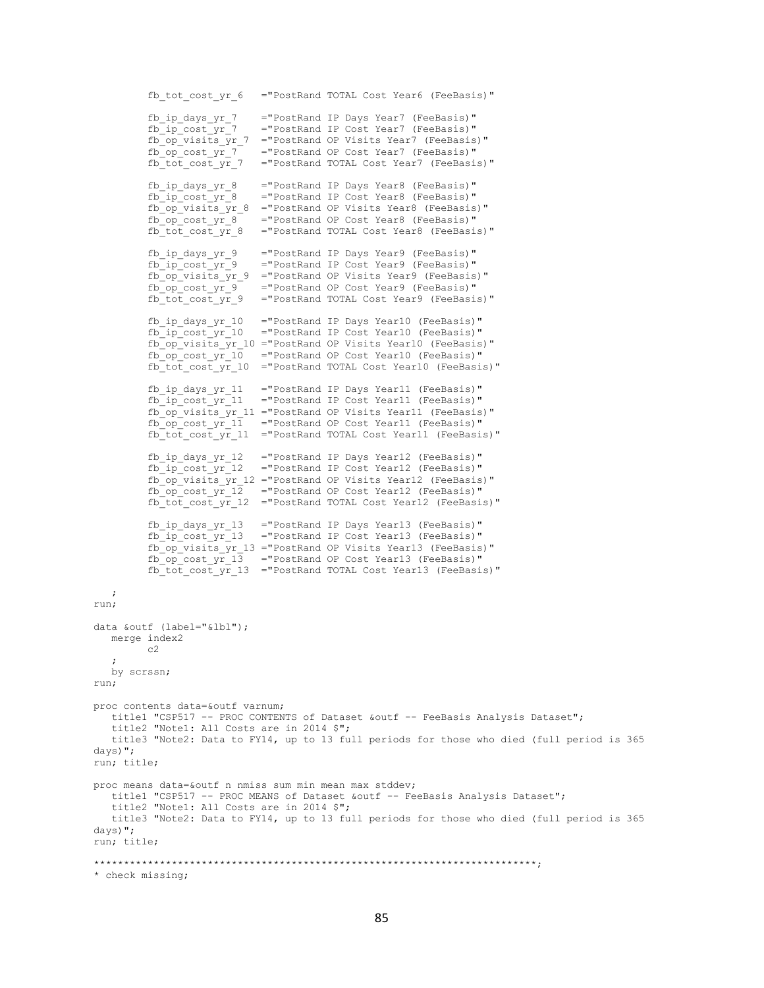fb\_tot\_cost\_yr\_6 ="PostRand TOTAL Cost Year6 (FeeBasis)"  $fb\_ip\_days\_yr\_7$  = "PostRand IP Days Year7 (FeeBasis)"<br>  $fb\_ip\_cost\_yr\_7$  = "PostRand IP Cost Year7 (FeeBasis)" ="PostRand IP Cost Year7 (FeeBasis)"  $f_{\rm{D}}$   $\overline{op\_visits\_yr\_7}$  = "PostRand OP Visits Year7 (FeeBasis)" fb\_op\_cost\_yr\_7 ="PostRand OP Cost Year7 (FeeBasis)" fb\_tot\_cost\_yr\_7 ="PostRand TOTAL Cost\_Year7 (FeeBasis)" fb\_ip\_days\_yr\_8 ="PostRand IP Days Year8 (FeeBasis)"  $f_{\text{p}}$   $f_{\text{p}}$   $f_{\text{p}}$   $f_{\text{p}}$   $f_{\text{p}}$   $f_{\text{p}}$   $f_{\text{p}}$   $f_{\text{p}}$   $f_{\text{p}}$   $f_{\text{p}}$   $f_{\text{p}}$   $f_{\text{p}}$   $f_{\text{p}}$   $f_{\text{p}}$   $f_{\text{p}}$   $f_{\text{p}}$   $f_{\text{p}}$   $f_{\text{p}}$   $f_{\text{p}}$   $f_{\text{p}}$   $f_{\text{p}}$   $f_{\text{p}}$  fb\_op\_visits\_yr\_8 ="PostRand OP Visits Year8 (FeeBasis)"  $f_{\text{loop}}$   $\overline{c}$  ost\_ $y_{\text{max}}$  ="PostRand OP Cost Year8 (FeeBasis)" fb tot cost yr 8 = "PostRand TOTAL Cost Year8 (FeeBasis)" fb\_ip\_days\_yr\_9 ="PostRand IP Days Year9 (FeeBasis)"<br>fb\_ip\_cost\_yr\_9 ="PostRand IP Cost Year9 (FeeBasis)" ="PostRand IP Cost Year9 (FeeBasis)" fb\_op\_visits\_yr\_9 ="PostRand OP Visits Year9 (FeeBasis)"  $f_{\text{D}}$   $\overline{C}$   $\overline{C}$   $\overline{C}$   $\overline{C}$  = "PostRand OP Cost Year9 (FeeBasis)" fb tot cost yr 9 = "PostRand TOTAL Cost Year9 (FeeBasis)" fb\_ip\_days\_yr\_10 ="PostRand IP Days Year10 (FeeBasis)"  $f_{\rm D}$   $\bar{f}_{\rm D}$   $\bar{f}_{\rm C}$   $\bar{f}_{\rm C}$   $\bar{f}_{\rm C}$   $\bar{f}_{\rm C}$  = "PostRand IP Cost Year10 (FeeBasis)" fb\_op\_visits\_yr\_10 ="PostRand OP Visits Year10 (FeeBasis)"  $f_{\rm D}$   $\overline{p}$   $\overline{q}$   $\overline{q}$   $\overline{q}$  = "PostRand OP Cost Year10 (FeeBasis)" fb\_tot\_cost\_yr\_10 ="PostRand TOTAL Cost Year10 (FeeBasis)" fb ip days yr 11 = "PostRand IP Days Year11 (FeeBasis)" fb\_ip\_cost\_yr\_11 ="PostRand IP Cost Year11 (FeeBasis)" fb\_op\_visits\_yr\_11 ="PostRand OP Visits Year11 (FeeBasis)"  $f_{\text{loop} \_cost\_yr\_11}$  ="PostRand OP Cost Year11 (FeeBasis)" fb\_tot\_cost\_yr\_11 ="PostRand TOTAL Cost Year11 (FeeBasis)" fb\_ip\_days\_yr\_12 ="PostRand IP Days Year12 (FeeBasis)" fb\_ip\_cost\_yr\_12 ="PostRand IP Cost Year12 (FeeBasis)" fb\_op\_visits\_yr\_12 ="PostRand OP Visits Year12 (FeeBasis)"  $f_{\text{D}}$   $\overline{f}$   $\overline{f}$   $\overline{f}$   $\overline{f}$   $\overline{f}$   $\overline{f}$  ="PostRand OP Cost Year12 (FeeBasis)" fb\_tot\_cost\_yr\_12 ="PostRand TOTAL Cost Year12 (FeeBasis)" fb\_ip\_days\_yr\_13 ="PostRand IP Days Year13 (FeeBasis)" fb\_ip\_cost\_yr\_13 ="PostRand IP Cost Year13 (FeeBasis)" fb\_op\_visits\_yr\_13 ="PostRand OP Visits Year13 (FeeBasis)" fb\_op\_cost\_yr\_13 ="PostRand OP Cost Year13 (FeeBasis)"  $f_{\text{tot}}$   $\bar{f}$   $\bar{f}$   $\bar{f}$   $\bar{f}$   $\bar{f}$   $\bar{f}$   $\bar{f}$   $\bar{f}$   $\bar{f}$   $\bar{f}$   $\bar{f}$   $\bar{f}$   $\bar{f}$   $\bar{f}$   $\bar{f}$   $\bar{f}$   $\bar{f}$   $\bar{f}$   $\bar{f}$   $\bar{f}$   $\bar{f}$   $\bar{f}$   $\bar{f}$   $\bar{f}$   $\bar{f}$   $\bar{f}$   $\bar$  ; run; data &outf (label="&lbl"); merge index2  $c<sub>2</sub>$  ; by scrssn; run; proc contents data=&outf varnum; title1 "CSP517 -- PROC CONTENTS of Dataset &outf -- FeeBasis Analysis Dataset"; title2 "Note1: All Costs are in 2014 \$"; title3 "Note2: Data to FY14, up to 13 full periods for those who died (full period is 365 days)"; run; title; proc means data=&outf n nmiss sum min mean max stddev; title1 "CSP517 -- PROC MEANS of Dataset &outf -- FeeBasis Analysis Dataset"; title2 "Note1: All Costs are in 2014 \$"; title3 "Note2: Data to FY14, up to 13 full periods for those who died (full period is 365 days)"; run; title; \*\*\*\*\*\*\*\*\*\*\*\*\*\*\*\*\*\*\*\*\*\*\*\*\*\*\*\*\*\*\*\*\*\*\*\*\*\*\*\*\*\*\*\*\*\*\*\*\*\*\*\*\*\*\*\*\*\*\*\*\*\*\*\*\*\*\*\*\*\*\*\*\*\*;

\* check missing;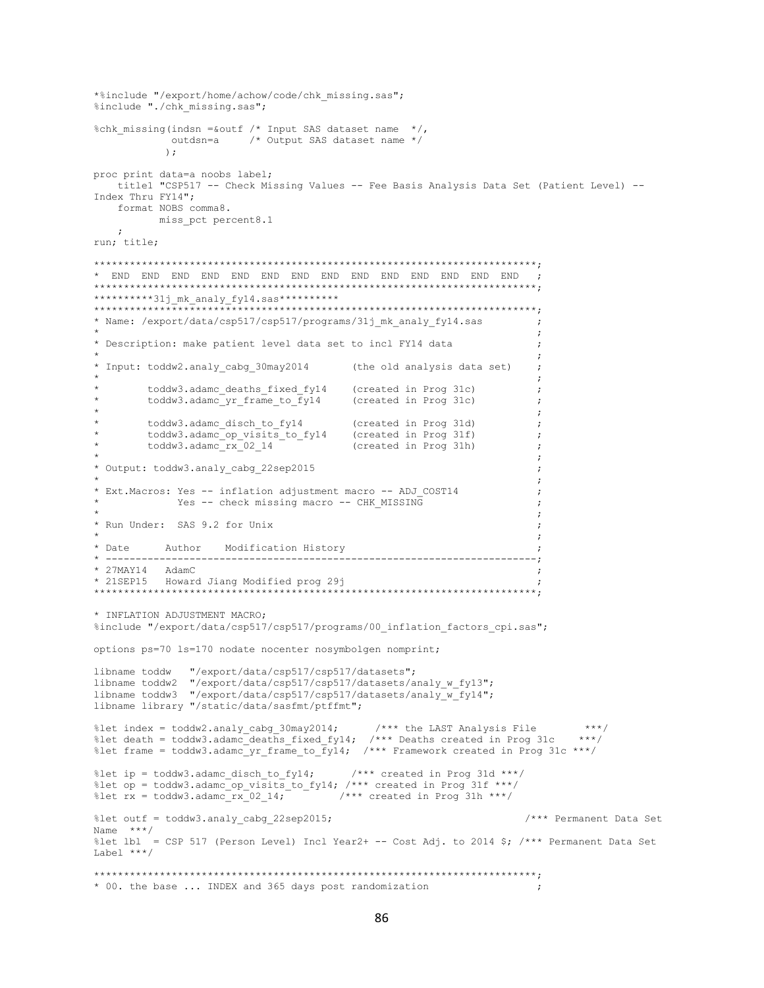```
*%include "/export/home/achow/code/chk missing.sas";
%include "./chk missing.sas";
%chk missing(indsn = &outf /* Input SAS dataset name */,
           outdsn=a /* Output SAS dataset name */
          \rightarrowproc print data=a noobs label;
  title1 "CSP517 -- Check Missing Values -- Fee Basis Analysis Data Set (Patient Level) --
Index Thru FY14";
  format NOBS comma8.
       miss_pct percent8.1
  \cdot :
run; title;
**********31j mk analy fy14.sas**********
* Name: /export/data/csp517/csp517/programs/31j_mk_analy_fy14.sas
                                                                   \cdot\cdot:
* Description: make patient level data set to incl FY14 data
                                                                  \cdot:
* Input: toddw2.analy cabg 30may2014
                                      (the old analysis data set)
                                                                  \cdot\cdot:
       toddw3.adamc_deaths_fixed_fy14 (created in Prog 31c)<br>toddw3.adamc_yr_frame_to_fy14 (created in Prog 31c)
                                                                  \cdot:
                                                                   \cdot:
        Created in Prog 31d)<br>toddw3.adamc_op_visits_to_fy14 (created in Prog 31d)<br>toddw3.adamc_rv_00_11_
                                                                   \cdot:
                                      (created in Prog 31f)<br>(created in Prog 31h)
                                                                  \cdot\text{today3.addamc}\text{rx}<sup>-1</sup>-02_14
                                                                   \cdot:
* Output: toddw3.analy cabg 22sep2015
                                                                   \cdot:
* Ext. Macros: Yes -- inflation adjustment macro -- ADJ COST14
           Yes -- check missing macro -- CHK MISSING
* Run Under: SAS 9.2 for Unix
* Date
         Author Modification History
* 27MAY14 AdamC
* 21SEP15 Howard Jiang Modified prog 29j
* INFLATION ADJUSTMENT MACRO;
%include "/export/data/csp517/csp517/programs/00 inflation factors cpi.sas";
options ps=70 ls=170 nodate nocenter nosymbolgen nomprint;
libname toddw
              "/export/data/csp517/csp517/datasets";
libname toddw2 "/export/data/csp517/csp517/datasets/analy_w_fy13";
libname toddw3 "/export/data/csp517/csp517/datasets/analy_w_fy14";
libname library "/static/data/sasfmt/ptffmt";
%let index = toddw2.analy_cabg_30may2014; \qquad/*** the LAST Analysis File ***,<br>%let death = toddw3.adamc_deaths_fixed_fy14; /*** Deaths created in Prog 31c ***/
                                                                         ***/%let frame = toddw3.adamc_yr_frame to \overline{f}y14; /*** Framework created in Prog 31c ***/
%let ip = toddw3.adamc disch to fy14;
                                      /*** created in Prog 31d ***/
%let op = toddw3.adamc_op_visits_to_fy14; /*** created in Prog 31f ***/
                                 \frac{1}{1} /*** created in Prog 31h ***/
%let rx = toddw3.adamcrx 02 14;
%let outf = toddw3.analy cabg 22sep2015;
                                                                 /*** Permanent Data Set
Name ***/%let lbl = CSP 517 (Person Level) Incl Year2+ -- Cost Adj. to 2014 $; /*** Permanent Data Set
Label ***/
* 00. the base ... INDEX and 365 days post randomization
```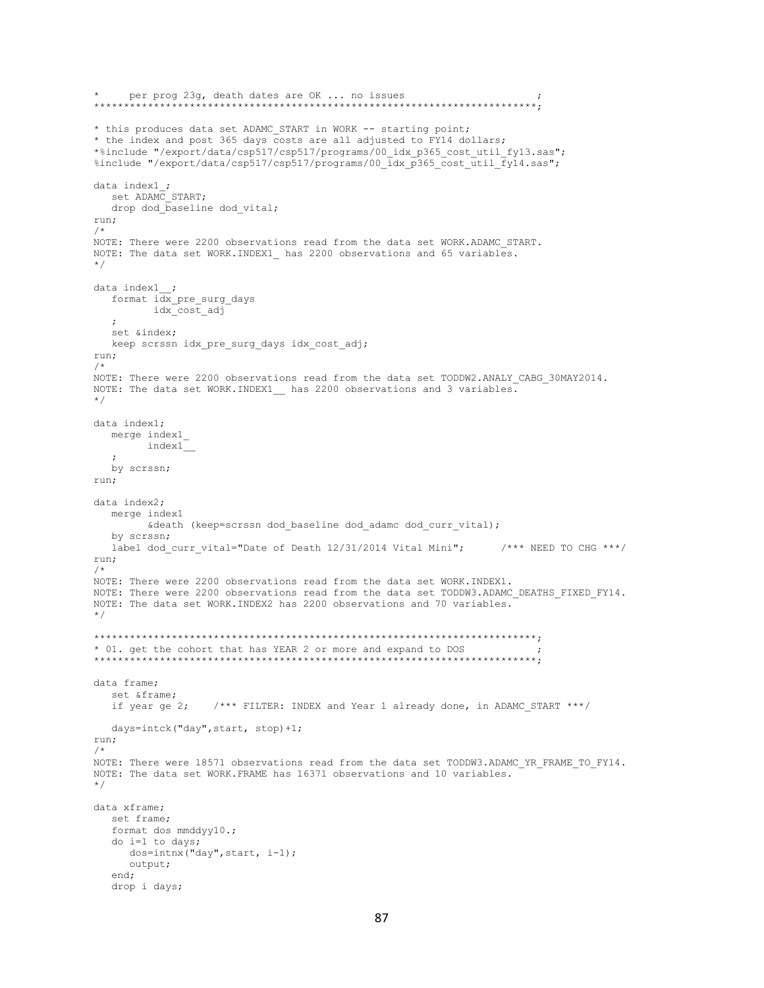```
* per prog 23g, death dates are OK ... no issues ;
                   **************************************************************************;
* this produces data set ADAMC START in WORK -- starting point;
* the index and post 365 days costs are all adjusted to FY14 dollars;
*%include "/export/data/csp517/csp517/programs/00_idx_p365_cost_util_fy13.sas";
%include "/export/data/csp517/csp517/programs/00_idx_p365_cost_util_fy14.sas";
data index1_;
  set ADAMC START;
  drop dod baseline dod vital;
run;
/*
NOTE: There were 2200 observations read from the data set WORK.ADAMC_START.
NOTE: The data set WORK.INDEX1 has 2200 observations and 65 variables.
*/
data index1__;
  format idx_pre_surg_days
          idx_cost_adj
   ;
   set &index;
   keep scrssn idx_pre_surg_days idx_cost_adj;
run;
/*
NOTE: There were 2200 observations read from the data set TODDW2.ANALY CABG 30MAY2014.
NOTE: The data set WORK.INDEX1__ has 2200 observations and 3 variables.
*/
data index1;
   merge index1_
         index1__
\mathcal{L} by scrssn;
run;
data index2;
   merge index1
        &death (keep=scrssn dod baseline dod adamc dod curr vital);
   by scrssn;
  label dod curr vital="Date of Death 12/31/2014 Vital Mini"; /*** NEED TO CHG ***/
run;
/*
NOTE: There were 2200 observations read from the data set WORK.INDEX1.
NOTE: There were 2200 observations read from the data set TODDW3.ADAMC DEATHS FIXED FY14.
NOTE: The data set WORK.INDEX2 has 2200 observations and 70 variables.
*/
**************************************************************************;
* 01. get the cohort that has YEAR 2 or more and expand to DOS ;
**************************************************************************;
data frame;
   set &frame;
   if year ge 2; /*** FILTER: INDEX and Year 1 already done, in ADAMC_START ***/
   days=intck("day",start, stop)+1;
run;
/*
NOTE: There were 18571 observations read from the data set TODDW3.ADAMC_YR_FRAME_TO_FY14.
NOTE: The data set WORK.FRAME has 16371 observations and 10 variables.
*/
data xframe;
   set frame;
    format dos mmddyy10.;
    do i=1 to days;
      dos=intnx("day",start, i-1);
      output;
   end;
   drop i days;
```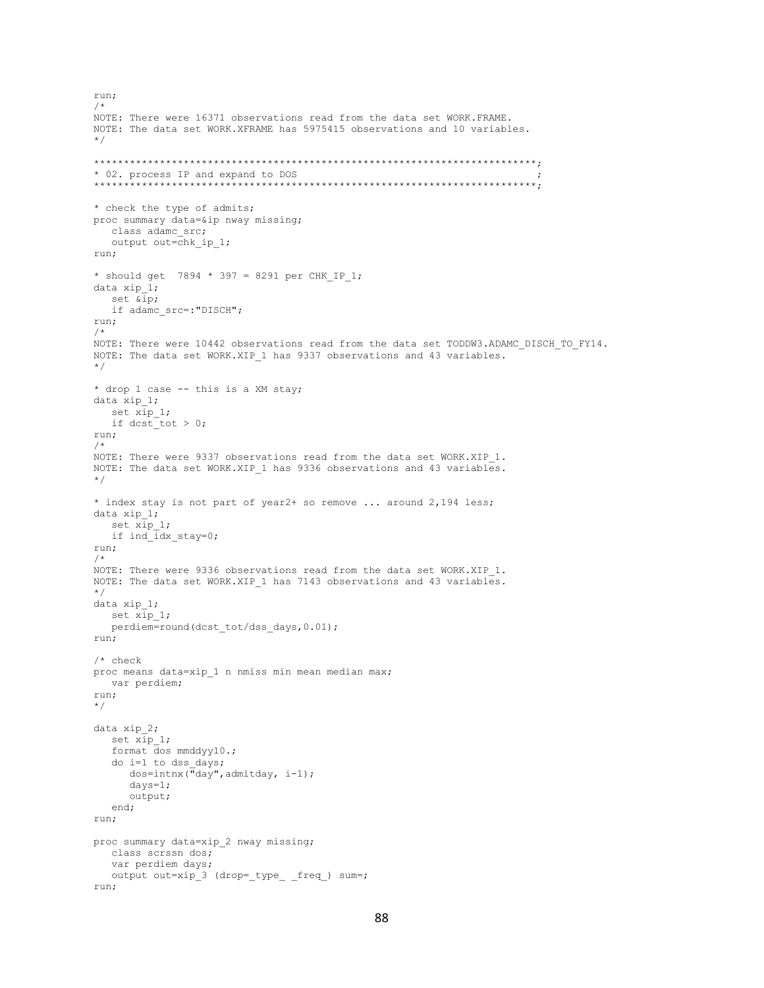```
run;
/*
NOTE: There were 16371 observations read from the data set WORK.FRAME.
NOTE: The data set WORK.XFRAME has 5975415 observations and 10 variables.
*/
**************************************************************************;
* 02. process IP and expand to DOS ;
**************************************************************************;
* check the type of admits;
proc summary data=&ip nway missing;
    class adamc_src;
   output out=chk_ip_1;
run;
* should get 7894 * 397 = 8291 per CHK IP 1;
data xip_1;
   set &ip;
   if adamc_src=:"DISCH";
run;
/*
NOTE: There were 10442 observations read from the data set TODDW3.ADAMC_DISCH_TO_FY14.
NOTE: The data set WORK.XIP 1 has 9337 observations and 43 variables.
*/
* drop 1 case -- this is a XM stay;
data xip_1;
  set x_{\text{ip\_1}};
   if dcst_tot > 0;
run;
/*
NOTE: There were 9337 observations read from the data set WORK.XIP 1.
NOTE: The data set WORK.XIP 1 has 9336 observations and 43 variables.
*/
* index stay is not part of year2+ so remove ... around 2,194 less;
data xip_1;
  set xip 1;
   if ind idx stay=0;
run;
/*
NOTE: There were 9336 observations read from the data set WORK.XIP 1.
NOTE: The data set WORK.XIP 1 has 7143 observations and 43 variables.
*/
data xip_1;
  set x_ip 1;
  perdiem=round(dcst_tot/dss_days,0.01);
run;
/* check
proc means data=xip 1 n nmiss min mean median max;
   var perdiem;
run;
*/
data xip_2;
   set xip_1;
    format dos mmddyy10.;
    do i=1 to dss_days;
      dos=intnx("day",admitday, i-1);
       days=1;
       output;
    end;
run;
proc summary data=xip_2 nway missing;
   class scrssn dos;
   var perdiem days;
   output out=xip_3 (drop=_type_ _freq_) sum=;
run;
```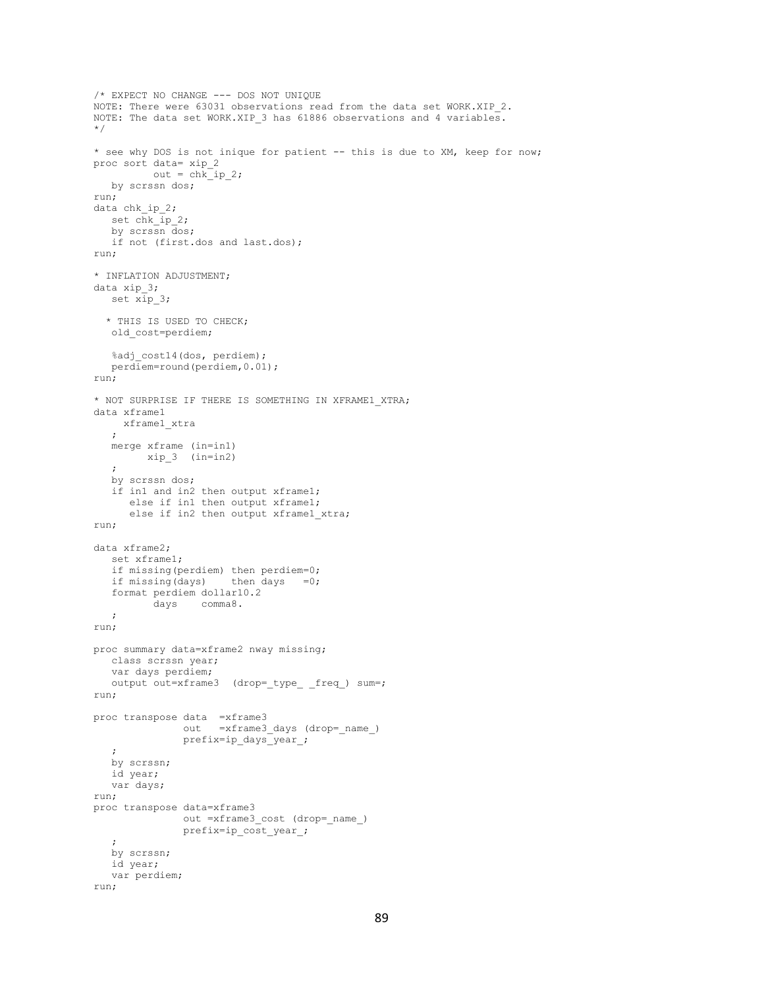```
/* EXPECT NO CHANGE --- DOS NOT UNIQUE
NOTE: There were 63031 observations read from the data set WORK.XIP 2.
NOTE: The data set WORK.XIP 3 has 61886 observations and 4 variables.
*/
* see why DOS is not inique for patient -- this is due to XM, keep for now;
proc sort data= xip_2
     out = chkip_2; by scrssn dos;
run;
data chk ip 2;
   set chk_ip_2;
   by scrssn dos;
   if not (first.dos and last.dos);
run;
* INFLATION ADJUSTMENT;
data xip_3;
   set xip_3;
  * THIS IS USED TO CHECK;
   old_cost=perdiem;
   %adj cost14(dos, perdiem);
   perdiem=round(perdiem,0.01);
run;
* NOT SURPRISE IF THERE IS SOMETHING IN XFRAME1_XTRA;
data xframe1
     xframe1_xtra
    ;
   merge xframe (in=in1)
       xip_3 (in=in2)
    ;
   by scrssn dos;
    if in1 and in2 then output xframe1;
      else if in1 then output xframe1;
      else if in2 then output xframe1 xtra;
run;
data xframe2;
    set xframe1;
    if missing(perdiem) then perdiem=0;
   if missing(days) then days =0; format perdiem dollar10.2
          days comma8.
   ;
run;
proc summary data=xframe2 nway missing;
   class scrssn year;
    var days perdiem;
   output out=xframe3 (drop=_type_ _freq_) sum=;
run;
proc transpose data =xframe3
               out =xframe3_days (drop=_name_)
                prefix=ip_days_year_;
    ;
   by scrssn;
   id year;
   var days;
run;
proc transpose data=xframe3
               out =xframe3 cost (drop= name )
                prefix=ip_cost_year_;
    ;
   by scrssn;
   id year;
    var perdiem;
run;
```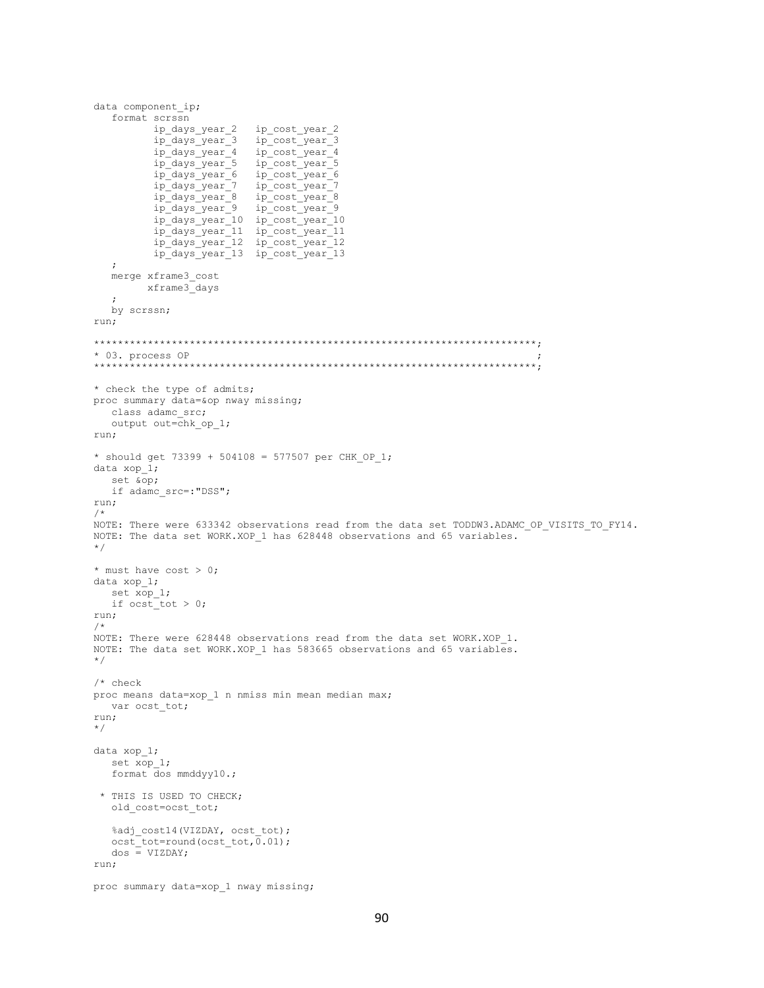```
data component ip;
   format scrssn
          ip days year 2
                           ip cost year 2
          ip days year 3 ip cost year 3
                           ip_cost_year_4<br>ip_cost_year_5
          ip_days_year_4<br>ip_days_year_5
           ip days year 6
                           ip cost year 6
                           ip_cost_year_7
          ip_days_year_7<br>ip_days_year_8
                            ip_cost_year_8<br>ip_cost_year_9
          ip days year 9
          p_days_year_10 ip_cost_year_10<br>ip_days_year_10 ip_cost_year_10<br>ip_days_year_11 ip_cost_year_11<br>ip_days_year_12 ip_cost_year_12<br>ip_days_year_13 ip_cost_year_13
   \cdotmerge xframe3 cost
        xframe3 days
   \cdotby scrssn;
run;
* 03. process OP
       ******* check the type of admits;
proc summary data=&op nway missing;
  class adamc src;
  output out=chk op 1;
run;
* should get 73399 + 504108 = 577507 per CHK OP 1;
data xop 1;
   set &op;
   if adamc src=: "DSS";
run;
NOTE: There were 633342 observations read from the data set TODDW3.ADAMC OP VISITS TO FY14.
NOTE: The data set WORK.XOP 1 has 628448 observations and 65 variables.
\star/* must have cost > 0;
data xop 1;
  set xop 1;
  if ocst\_tot > 0;
run;
/ +
NOTE: There were 628448 observations read from the data set WORK.XOP 1.
NOTE: The data set WORK.XOP 1 has 583665 observations and 65 variables.
\star//* check
proc means data=xop 1 n nmiss min mean median max;
  var ocst_tot;
run;
\star/data xop 1;set xop_1;
   format dos mmddyy10.;
 * THIS IS USED TO CHECK;
   \verb|old-cost=ocst_tot|;%adj_cost14(VIZDAY, ocst_tot);
   ocst_tot=round(ocst_tot,0.01);
   \cos = \text{VIZDAY}run;
proc summary data=xop 1 nway missing;
```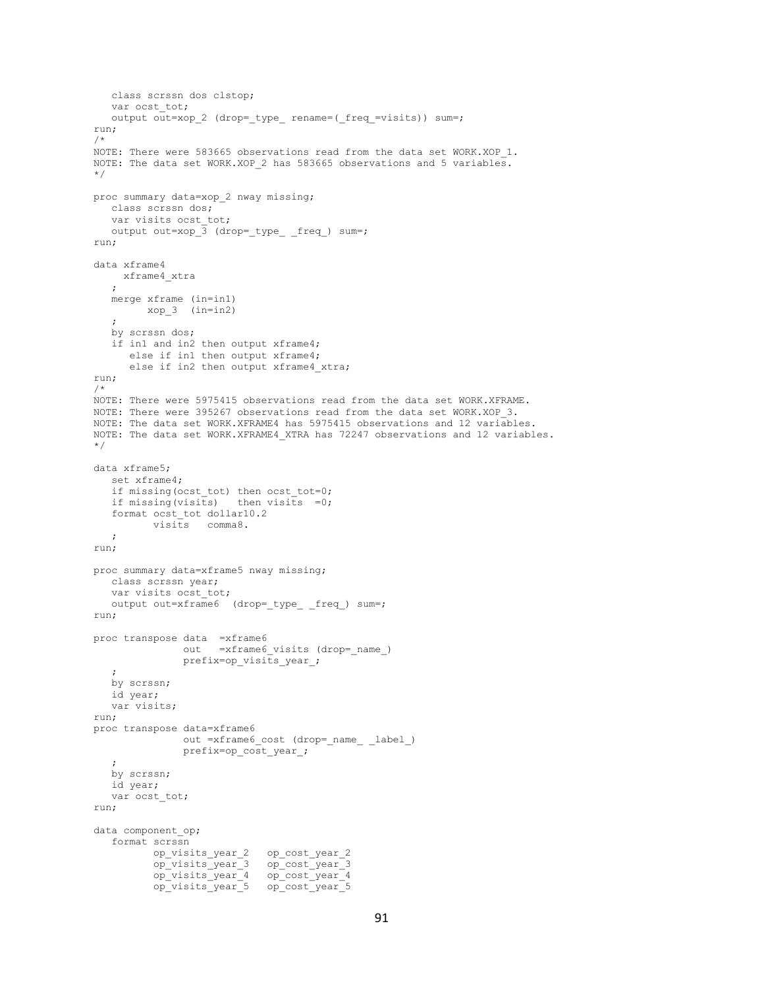```
 class scrssn dos clstop;
   var ocst tot;
  output out=xop 2 (drop= type rename=( freq =visits)) sum=;
run;
/*
NOTE: There were 583665 observations read from the data set WORK.XOP 1.
NOTE: The data set WORK.XOP 2 has 583665 observations and 5 variables.
*/
proc summary data=xop_2 nway missing;
   class scrssn dos;
    var visits ocst_tot;
  output out=xop \overline{3} (drop=_type_ _freq_) sum=;
run;
data xframe4
    xframe4_xtra
\mathcal{L} merge xframe (in=in1)
        xop_3 (in=in2)
    ;
    by scrssn dos;
    if in1 and in2 then output xframe4;
       else if in1 then output xframe4;
      else if in2 then output xframe4 xtra;
run;
/*
NOTE: There were 5975415 observations read from the data set WORK.XFRAME.
NOTE: There were 395267 observations read from the data set WORK.XOP_3.
NOTE: The data set WORK.XFRAME4 has 5975415 observations and 12 variables.
NOTE: The data set WORK.XFRAME4_XTRA has 72247 observations and 12 variables.
*/
data xframe5;
    set xframe4;
   if missing(ocst tot) then ocst tot=0;
    if missing(visits) then visits =0;
    format ocst_tot dollar10.2
          visits comma8.
   ;
run;
proc summary data=xframe5 nway missing;
   class scrssn year;
   var visits ocst tot;
   output out=xframe6 (drop=_type_ _freq_) sum=;
run;
proc transpose data =xframe6
               out =xframe6 visits (drop= name)
               prefix=op visits year;
    ;
   by scrssn;
   id year;
   var visits;
run;
proc transpose data=xframe6
                out =xframe6_cost (drop=_name_ _label_)
                prefix=op_cost_year_;
\mathcal{L} by scrssn;
   id year;
   var ocst tot;
run;
data component op;
    format scrssn
          op_visits_year_2 op_cost_year_2
           op_visits_year_3 op_cost_year_3
          op visits year 4 op cost year 4
          op_visits_year_5 op_cost_year_5
```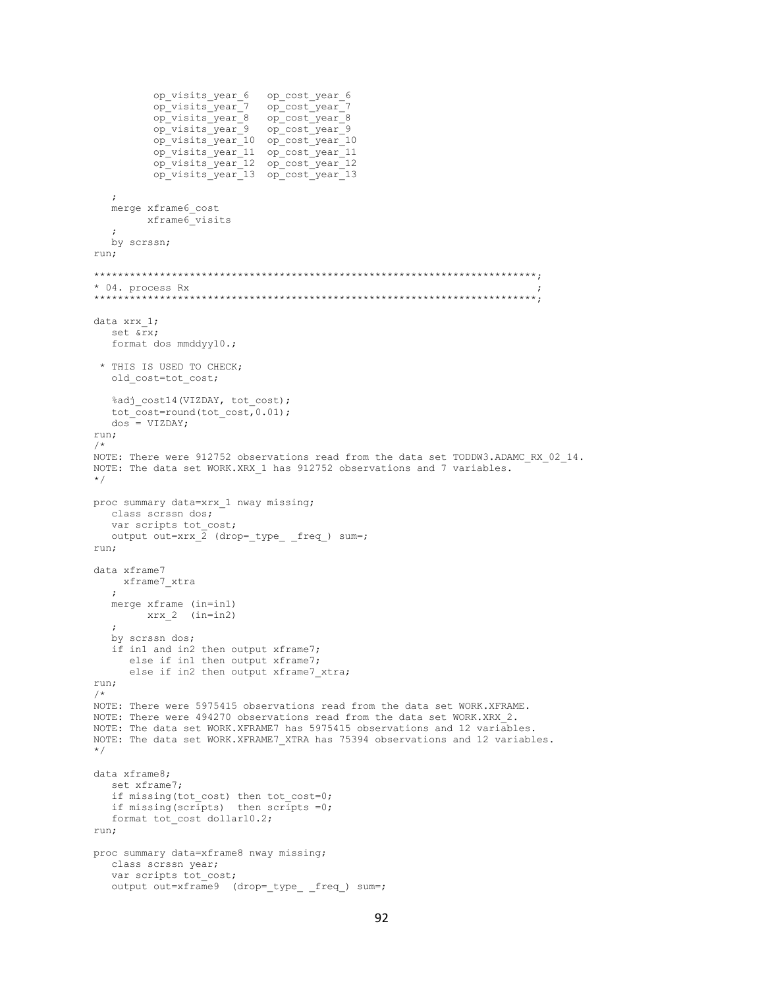```
op visits year 6
                           op cost year 6
         op_visits_year_7<br>op_visits_year_8
                            op_cost_year_7
                           op cost year 8
          op visits year<sup>9</sup>
                           op cost year<sup>9</sup>
          op visits year 10 op cost year 10
         op_visits_year_11 op_cost_year_11<br>op_visits_year_12 op_cost_year_12
         op visits year 13 op cost year 13
   \cdotmerge xframe6 cost
      xframe6_visits
   \cdotby scrssn;
run:
* 04. process Rx
data xrx 1;
  set ℞
  format dos mmddyy10.;
 * THIS IS USED TO CHECK;
  old cost=tot cost;
  %adj cost14(VIZDAY, tot cost);
  tot\_cost=round(tot\_cost, 0.01);
  dos = VIZDAY;run;
/*
NOTE: There were 912752 observations read from the data set TODDW3.ADAMC RX 02 14.
NOTE: The data set WORK.XRX 1 has 912752 observations and 7 variables.
\star /
proc summary data=xrx 1 nway missing;
  class scrssn dos;
  var scripts tot cost;
  output out=xrx \overline{2} (drop= type freq ) sum=;
run:
data xframe7
    xframe7 xtra
  \ddot{r}merge xframe (in=in1)
       xrx 2 (in=in2)
   \cdotby scrssn dos;
  if in1 and in2 then output xframe7;
     else if in1 then output xframe7;
      else if in2 then output xframe7 xtra;
run;
/ \starNOTE: There were 5975415 observations read from the data set WORK.XFRAME.
NOTE: There were 494270 observations read from the data set WORK.XRX 2.
NOTE: The data set WORK.XFRAME7 has 5975415 observations and 12 variables.
NOTE: The data set WORK.XFRAME7 XTRA has 75394 observations and 12 variables.
\star/data xframe8;
  set xframe7:
   if missing (tot cost) then tot cost=0;
  if missing (scripts) then scripts = 0;
  format tot cost dollar10.2;
run;
proc summary data=xframe8 nway missing;
  class scrssn year;
  var scripts tot cost;
  output out=xframe9 (drop=_type_ _freq_) sum=;
```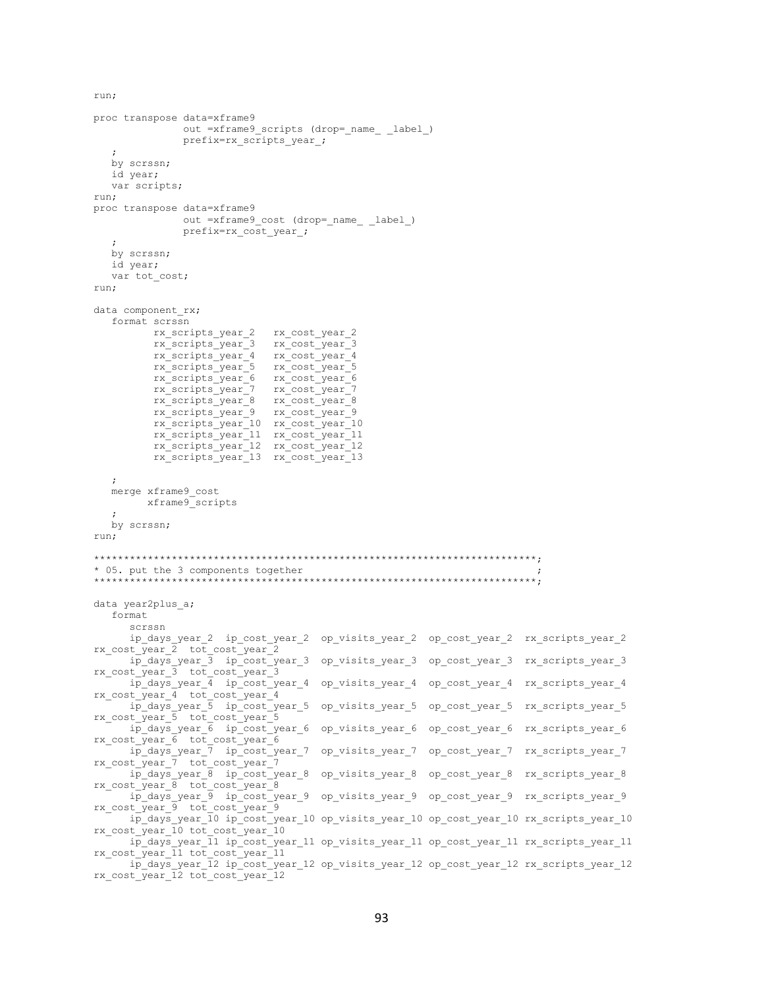run;

```
proc transpose data=xframe9
              out =xframe9 scripts (drop= name label)
              prefix=rx scripts year ;
   \ddot{ }by scrssn;
  id year;
  var scripts;
run;
proc transpose data=xframe9
              out =xframe9_cost (drop=_name_ _label_)
              prefix=rx cost year ;
  by scrssn;
  id year;
  var tot cost;
run;
data component rx;
   format scrssn
         rx_scripts_year_2
                           rx cost year 2
         rx_scripts_year_3 rx_cost_year_3
         rx_scripts_year_4
                             rx_cost_year_4
                           rx cost_year_5
         rx scripts year 5
         rx scripts year 6 rx cost year 6
         rx_scripts_year_7 rx_cost_year_7<br>rx_scripts_year_8 rx_cost_year_8
         rx_scripts_year_9
                           rx_cost_year_9
         rx_scripts_year_10 rx_cost_year_10
         rx_scripts_year_11 rx_cost_year_11<br>rx_scripts_year_12 rx_cost_year_12
         rx scripts year 13 rx cost year 13
  merge xframe9 cost
        xframe9 scripts
  by scrssn;
run;
* 05. put the 3 components together
data year2plus_a;
  format
     scrssn
      ip_days_year_2 ip_cost_year_2 op_visits_year_2 op_cost_year_2 rx_scripts_year_2
rx cost year 2 tot cost year 2
     ip_days_year_3 ip_cost_year_3 op_visits_year_3 op cost year 3 rx scripts year 3
rx\_cost\_year\_3 tot\_cost\_year\_3ip_days_year_4 ip_cost_year_4 op_visits_year_4 op_cost_year_4 rx_scripts_year_4
rx cost year 4 tot cost year 4
     ip_days_year_5 ip_cost_year_5 op_visits_year_5 op_cost_year_5 rx_scripts_year_5
rx cost year_5 tot_cost_year_5
     ip_days_year_6 ip_cost_year_6 op_visits_year_6 op_cost_year_6 rx_scripts_year_6
rx_cost_year_6 tot_cost_year_6
<sup>-</sup> ip_days_year_7 ip_cost_year_7 op_visits_year_7 op_cost_year_7 rx_scripts_year_7<br>rx_cost_year_7 tot_cost_year_7
     ip_days_year_8 ip_cost_year_8 op_visits_year_8 op_cost_year_8 rx_scripts_year_8
rx \ cost \ year \ 8 \ tot \ cost \ year \ 8ip days year 9 ip cost year 9 op visits year 9 op cost year 9 rx scripts year 9
rx\_cost\_year\_9 tot\_cost\_year\_9ip days year 10 ip cost year 10 op visits year 10 op cost year 10 rx scripts year 10
rx_cost_year_10 tot_cost_year_10
     ip_days_year_11 ip_cost_year_11 op_visits_year_11 op_cost_year_11 rx_scripts_year_11
rx cost year 11 tot cost year 11
     ip_days_year_12 ip_cost_year_12 op_visits_year_12 op_cost_year_12 rx_scripts year 12
rx cost year 12 tot cost year 12
```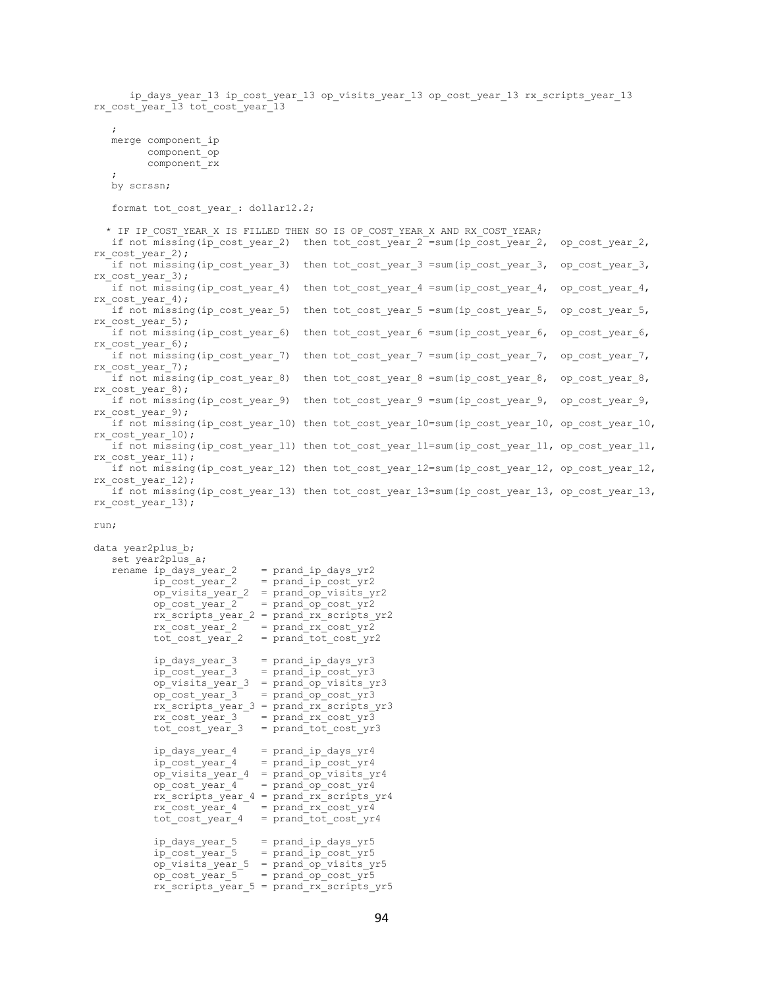ip days year 13 ip cost year 13 op visits year 13 op cost year 13 rx scripts year 13 rx\_cost\_year\_13 tot\_cost\_year\_13 ; merge component\_ip component\_op component\_rx  $\mathcal{L}$  by scrssn; format tot cost year : dollar12.2; \* IF IP COST YEAR X IS FILLED THEN SO IS OP COST YEAR X AND RX COST YEAR; if not missing(ip cost year 2) then tot cost year  $2$  =sum(ip cost year  $2$ , op cost year  $2$ , rx\_cost\_year\_2); if not missing(ip cost year 3) then tot cost year 3 =sum(ip cost year 3, op cost year 3, rx\_cost\_year\_3); if not missing(ip\_cost\_year\_4) then tot\_cost\_year\_4 =sum(ip\_cost\_year\_4, op\_cost\_year\_4, rx\_cost\_year\_4); if not missing(ip cost year 5) then tot cost year 5 =sum(ip cost year 5, op cost year 5, rx\_cost\_year\_5); if not missing(ip cost year 6) then tot cost year 6 =sum(ip cost year 6, op cost year 6, rx\_cost\_year\_6); if not missing(ip cost year 7) then tot cost year 7 =sum(ip cost year 7, op cost year 7, rx\_cost\_year\_7); if not missing(ip cost year 8) then tot cost year 8 =sum(ip cost year 8, op cost year 8, rx\_cost\_year\_8); if not missing(ip cost year 9) then tot cost year 9 =sum(ip cost year 9, op cost year 9, rx\_cost\_year\_9); if not missing(ip cost year 10) then tot cost year 10=sum(ip cost year 10, op cost year 10, rx\_cost\_year\_10); if not missing(ip\_cost\_year\_11) then tot\_cost\_year\_11=sum(ip\_cost\_year\_11, op\_cost\_year\_11, rx\_cost\_year\_11); if not missing(ip\_cost\_year\_12) then tot cost\_year\_12=sum(ip\_cost\_year\_12, op\_cost\_year\_12, rx\_cost\_year\_12); if not missing(ip\_cost\_year\_13) then tot cost year\_13=sum(ip\_cost\_year\_13, op\_cost\_year\_13, rx\_cost\_year\_13);

## run;

```
data year2plus_b;
   set year2plus a;
   rename ip_days\_year_2 = prand_ip_days\_yr2 ip_cost_year_2 = prand_ip_cost_yr2
             op_visits_year_2 = prand_op_visits_yr2
            op\_cost\_year_2 = prand\_op\_cost\_yr2 rx_scripts_year_2 = prand_rx_scripts_yr2
            rx\_\text{cost}\_\text{year}\_\text{2} = \text{prand}\_\text{rx}\_\text{cost}\_\text{yr2}\overline{\text{tot}}\text{-}\text{cost}\text{-}\text{year}\text{-}2 = \overline{\text{prand}}\text{-}\text{tot}\text{-}\text{cost}\text{-}\text{yr2}ip days year 3 = prand ip days yr3
            ip\_cost\_year\_3 = prand\_ip\_cost\_yr3op visits year 3 = prand op visits yr3
            op_cost_year 3 = prand_op_cost_yr3
             rx_scripts_year_3 = prand_rx_scripts_yr3
            rx cost year 3 = prand rx cost yr3
            tot \cot year 3 = \text{prand} \cot \cot \cot \sqrt{y}ip days year 4 = prand ip days yr4
ip cost year 4 = prand ip cost yr4
            op_{\text{visits\_year}} 4 = prand_{op\_visits\_yrf}<br>
op_{\text{cost\_year}} 4 = prand_{op\_cost\_yrf}= prand op cost yr4
            rx scripts year 4 = prand rx scripts yr4rx\_\text{cost}\_\text{year}\_\text{4} = \text{prand}\_\text{rx}\_\text{cost}\_\text{yr}\_\text{4}tot \cosh y = \arctan y = prand tot \cosh yr4
             ip_days_year_5 = prand_ip_days_yr5
            ip \cos \theta year 5 = prand ip cost yr5
             op_visits_year_5 = prand_op_visits_yr5
            op cost year 5 = prand op cost yr5
            rx scripts year 5 = prand_rx_scripts_yr5
```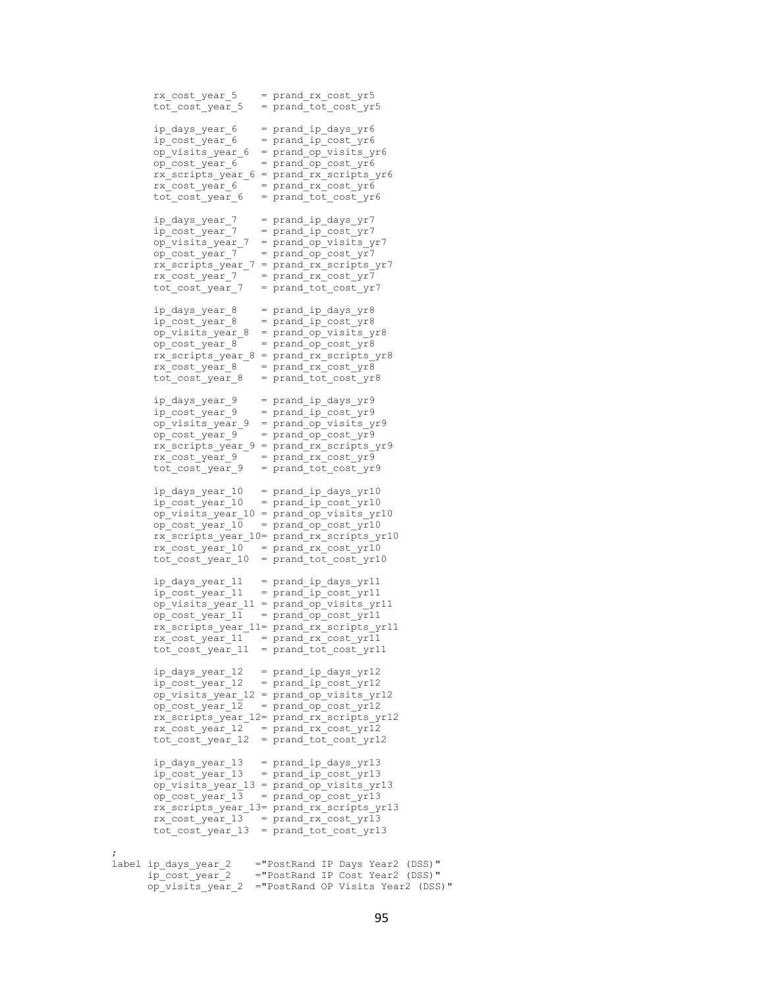```
 rx_cost_year_5 = prand_rx_cost_yr5
          tot \cot year 5 = prand tot \cot yr5
          ip days year 6 = prand ip days yr6
          ip\cos t\,\text{year} 6 = prand ip\,\text{cost} yr6
           op_visits_year_6 = prand_op_visits_yr6
           op_cost_year_6 = prand_op_cost_yr6
          rx scripts year 6 = prand rx scripts yr6
rx cost year 6 = prand rx cost yr6
tot cost year 6 = prand tot cost yr6
          ip\_days\_year\_7 = prand\_ip\_days\_yr7ip\_cost\_year\_7 = prand\_ip\_cost\_yr7op_visits_year_7 = prand_op_visits_yr7<br>op_cost_year_7 = prand_op_cost_yr7
                          = prand op cost yr7rx scripts year 7 = prand rx scripts yr7
          rx_cost_year_7 = prand_rx_cost_yr7
          tot\_cost\_year\_7 = prand\_tot\_cost\_yr7 ip_days_year_8 = prand_ip_days_yr8
          ip\_cost\_year_8 = prand\_ip\_cost\_yr8op visits year 8 = prand op visits yr8
           op_cost_year_8 = prand_op_cost_yr8
           rx_scripts_year_8 = prand_rx_scripts_yr8
          rx cost year 8 = prand rx cost yr8
          \overline{\text{tot}} cost year 8 = prand tot cost yr8
          ip days year 9 = prand ip days yr9ip\_cost\_year_9 = prand\_ip\_cost\_yr9 op_visits_year_9 = prand_op_visits_yr9
op cost year 9 = prand op cost yr9
 rx_scripts_year_9 = prand_rx_scripts_yr9
          rx\_cost\_year\_9 = prand_rx_cost_yr9
          \overline{tot} cost year 9 = prand tot cost yr9
          ip days year 10 = prand ip days yr10
           ip_cost_year_10 = prand_ip_cost_yr10
           op_visits_year_10 = prand_op_visits_yr10
          op cost year 10 = prand op cost yr10
           rx_scripts_year_10= prand_rx_scripts_yr10
          rx\_\text{cost}\_\text{year}\_10 = \text{prand}\_\text{rx}\_\text{cost}\_\text{yr}\_10\cot cost year 10 = prand tot cost yr10
          ip\_days\_year\_11 = prand\_ip\_days\_yr11ip cost year 11 = prand ip cost yr11
 op_visits_year_11 = prand_op_visits_yr11
          op_cost_year_11 = prand_op_cost_yr11
           rx_scripts_year_11= prand_rx_scripts_yr11
          rx\_\text{cost}\_\text{year}\_11 = \text{prand}\_\text{rx}\_\text{cost}\_\text{yr}\overline{1}1tot cost year 11 = prand tot cost yr11
 ip_days_year_12 = prand_ip_days_yr12
ip_cost_year_12 = prand_ip_cost_yr12
           op_visits_year_12 = prand_op_visits_yr12
          op\_cost\_year\_12 = prand\_op\_cost\_yr12 rx_scripts_year_12= prand_rx_scripts_yr12
rx cost year 12 = prand rx cost yr12
tot cost year 12 = prand tot cost yr12
          ip\_days\_year\_13 = prand\_ip\_days\_yr13ip\cost\{year} 13 = prand\ip\cost\{yr13}
 op_visits_year_13 = prand_op_visits_yr13
op cost year 13 = prand op cost yr13
           rx_scripts_year_13= prand_rx_scripts_yr13
           rx_cost_year_13 = prand_rx_cost_yr13
          \overline{\text{tot}} \overline{\text{cost}} \overline{\text{year}} \overline{\text{13}} = \overline{\text{prand}} \overline{\text{tot}} \overline{\text{cost}} \overline{\text{yr13}} label ip_days_year_2 ="PostRand IP Days Year2 (DSS)"
          ip_cost_year_2 ="PostRand IP Cost Year2 (DSS)"
          op_visits_year_2 ="PostRand OP Visits Year2 (DSS)"
```
 $\mathcal{L}$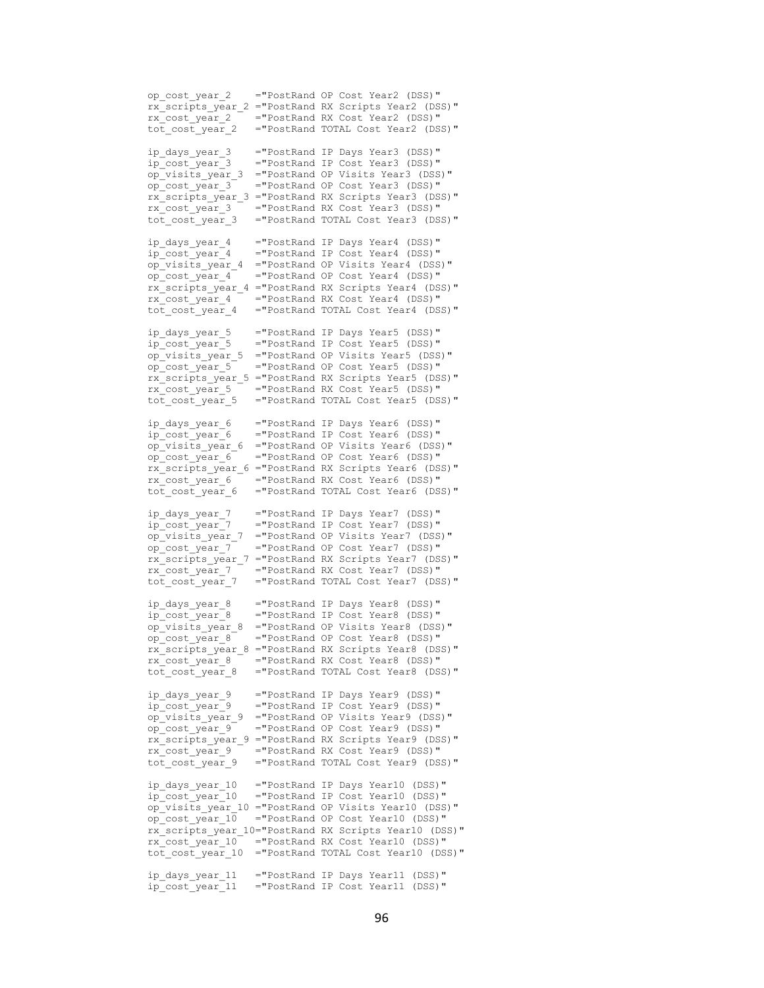op\_cost\_year\_2 ="PostRand OP Cost Year2 (DSS)" rx\_scripts\_vear\_2 ="PostRand RX Scripts Year2 (DSS)" rx\_cost\_year\_2 = "PostRand RX Cost\_Year2 (DSS)"<br>tot\_cost\_year\_2 = "PostRand TOTAL Cost\_Year2 (DS ="PostRand TOTAL Cost Year2 (DSS)" ip days year 3 = "PostRand IP Days Year3 (DSS)" ip\_cost\_year\_3 ="PostRand IP Cost Year3 (DSS)" op\_visits\_year\_3 ="PostRand OP Visits Year3 (DSS)"  $\overline{op\_cost\_year\_3}$  ="PostRand OP Cost Year3 (DSS)" rx\_scripts\_year\_3 ="PostRand RX Scripts Year3 (DSS)" rx\_cost\_year\_3 ="PostRand RX Cost Year3 (DSS)" tot\_cost\_year\_3 ="PostRand TOTAL Cost Year3 (DSS)" ip days year 4 = "PostRand IP Days Year4 (DSS)" ip\_cost\_year\_4 ="PostRand IP Cost Year4 (DSS)"  $\overline{op}$  visits year 4 = "PostRand OP Visits Year4 (DSS)" op\_cost\_year\_4 ="PostRand OP Cost Year4 (DSS)" rx\_scripts\_year\_4 ="PostRand RX Scripts Year4 (DSS)" rx\_cost\_year\_4 ="PostRand RX Cost Year4 (DSS)" tot cost year 4 = "PostRand TOTAL Cost Year4 (DSS)" ip days year 5 = "PostRand IP Days Year5 (DSS)" ip\_cost\_year\_5 ="PostRand IP Cost Year5 (DSS)" op\_visits\_year\_5 ="PostRand OP Visits Year5 (DSS)" op\_cost\_year\_5 ="PostRand OP Cost Year5 (DSS)" rx\_scripts\_year\_5 ="PostRand RX Scripts Year5 (DSS)" rx\_cost\_year\_5 ="PostRand RX Cost Year5 (DSS)" tot\_cost\_year\_5 ="PostRand TOTAL Cost Year5 (DSS)" ip\_days\_year\_6 ="PostRand IP Days Year6 (DSS)" ip\_cost\_year\_6 ="PostRand IP Cost Year6 (DSS)" op\_visits\_year\_6 ="PostRand OP Visits Year6 (DSS)" op\_cost\_year\_6 ="PostRand OP Cost Year6 (DSS)" rx\_scripts\_year\_6 ="PostRand RX Scripts Year6 (DSS)"  $rx$  cost year 6 = "PostRand RX Cost Year6 (DSS)" tot cost year 6 = "PostRand TOTAL Cost Year6 (DSS)" ip\_days\_year\_7 ="PostRand IP Days Year7 (DSS)"<br>ip\_cost\_year\_7 ="PostRand IP Cost\_Year7 (DSS)"  $=$ "PostRand IP Cost Year7 (DSS)" op\_visits\_year\_7 ="PostRand OP Visits Year7 (DSS)" op\_cost\_year\_7 ="PostRand OP Cost Year7 (DSS)" rx\_scripts\_year\_7 ="PostRand RX Scripts Year7 (DSS)" rx\_cost\_year\_7 ="PostRand RX Cost Year7 (DSS)" tot cost year 7 = "PostRand TOTAL Cost Year7 (DSS)" ip\_days\_year\_8 ="PostRand IP Days Year8 (DSS)" ip\_cost\_year\_8 ="PostRand IP Cost Year8 (DSS)" op\_visits\_year\_8 ="PostRand OP Visits Year8 (DSS)" op\_cost\_year  $8$  ="PostRand OP Cost Year8 (DSS)" rx\_scripts\_year\_8 ="PostRand RX Scripts Year8 (DSS)"  $rx$  cost year  $8$  = "PostRand RX Cost Year8 (DSS)" tot\_cost\_year\_8 ="PostRand TOTAL Cost Year8 (DSS)" ip days year 9 = "PostRand IP Days Year9 (DSS)" ip\_cost\_year\_9 ="PostRand IP Cost Year9 (DSS)" op\_visits\_year\_9 ="PostRand OP Visits Year9 (DSS)"  $\overline{p}$   $\overline{q}$  ="PostRand OP Cost Year9 (DSS)" rx\_scripts\_year\_9 ="PostRand RX Scripts Year9 (DSS)" rx cost year 9 = "PostRand RX Cost Year9 (DSS)" tot\_cost\_year\_9 ="PostRand TOTAL Cost Year9 (DSS)" ip\_days\_year\_10 ="PostRand IP Days Year10 (DSS)" ip\_cost\_year\_10 ="PostRand IP Cost\_Year10 (DSS)" op\_visits\_year\_10 ="PostRand OP Visits Year10 (DSS)" op\_cost\_year\_ $10$  ="PostRand OP Cost Year10 (DSS)" rx\_scripts\_year\_10="PostRand RX Scripts Year10 (DSS)" rx\_cost\_year\_10 ="PostRand RX Cost Year10 (DSS)" tot\_cost\_year\_10 ="PostRand TOTAL Cost Year10 (DSS)" ip days year 11 = "PostRand IP Days Year11 (DSS)" ip\_cost\_year\_11 ="PostRand IP Cost Year11 (DSS)"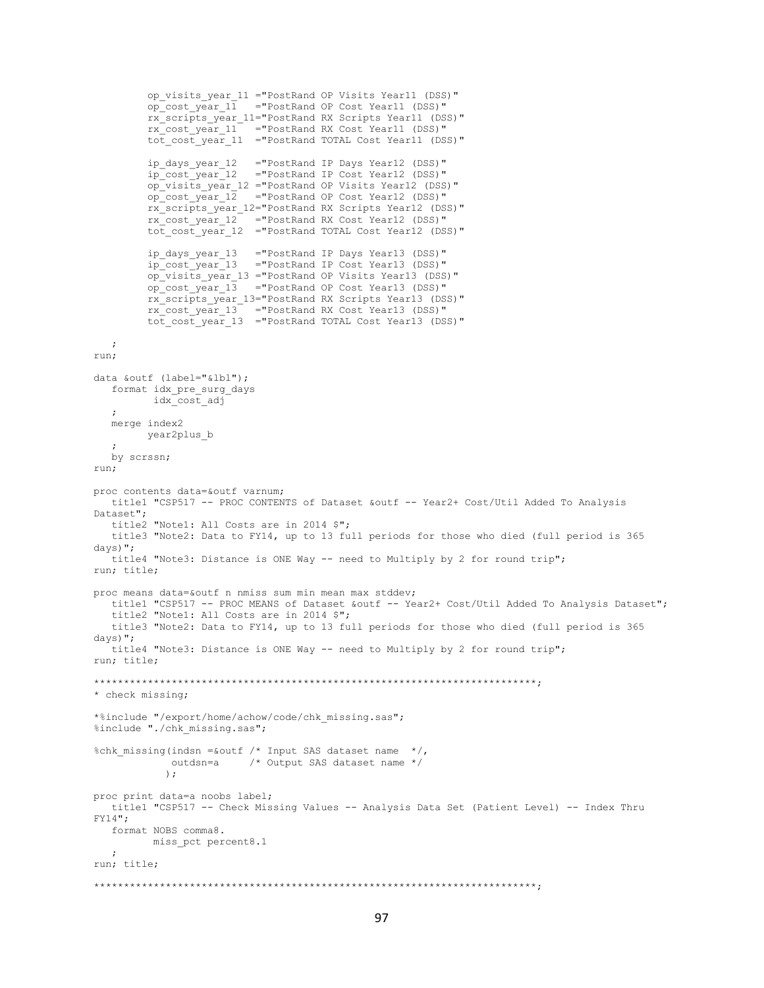```
 op_visits_year_11 ="PostRand OP Visits Year11 (DSS)"
          op_cost_year_11 ="PostRand OP Cost Year11 (DSS)"
           rx_scripts_year_11="PostRand RX Scripts Year11 (DSS)"
          rx cost year 11 ="PostRand RX Cost Year11 (DSS)"
          \overline{c} \overline{c} \overline{c} \overline{c} \overline{c} \overline{c} \overline{c} \overline{c} \overline{c} \overline{c} \overline{c} \overline{c} \overline{c} \overline{c} \overline{c} \overline{c} \overline{c} \overline{c} \overline{c} \overline{c} \overline{c} \overline{c} \overline{c} \overline{c} \overline{ip days year 12 = "PostRand IP Days Year12 (DSS)"
          ip_cost_year_12 ="PostRand IP Cost Year12 (DSS)"
           op_visits_year_12 ="PostRand OP Visits Year12 (DSS)"
          op_cost_year_12 ="PostRand OP Cost Year12 (DSS)"
          rx_scripts_year_12="PostRand RX Scripts Year12 (DSS)"
 rx_cost_year_12 ="PostRand RX Cost Year12 (DSS)"
 tot_cost_year_12 ="PostRand TOTAL Cost Year12 (DSS)"
          ip_days_year_13 ="PostRand IP Days Year13 (DSS)"
                            ="PostRand IP Cost Year13 (DSS)"
          op_visits_vear_13 ="PostRand OP Visits Year13 (DSS)"
          op_cost_year_13 ="PostRand OP Cost Year13 (DSS)"
           rx_scripts_year_13="PostRand RX Scripts Year13 (DSS)"
 rx_cost_year_13 ="PostRand RX Cost Year13 (DSS)"
 tot_cost_year_13 ="PostRand TOTAL Cost Year13 (DSS)"
    ;
run;
data &outf (label="&lbl");
   format idx_pre_surg_days
           idx_cost_adj
    ;
    merge index2
         year2plus_b
    ;
    by scrssn;
run;
proc contents data=&outf varnum;
   title1 "CSP517 -- PROC CONTENTS of Dataset &outf -- Year2+ Cost/Util Added To Analysis 
Dataset";
   title2 "Note1: All Costs are in 2014 $";
    title3 "Note2: Data to FY14, up to 13 full periods for those who died (full period is 365 
days)";
    title4 "Note3: Distance is ONE Way -- need to Multiply by 2 for round trip";
run; title;
proc means data=&outf n nmiss sum min mean max stddev;
  title1 "CSP517 -- PROC MEANS of Dataset &outf -- Year2+ Cost/Util Added To Analysis Dataset";
    title2 "Note1: All Costs are in 2014 $";
    title3 "Note2: Data to FY14, up to 13 full periods for those who died (full period is 365 
days)";
   title4 "Note3: Distance is ONE Way -- need to Multiply by 2 for round trip";
run; title;
**************************************************************************;
* check missing;
*%include "/export/home/achow/code/chk_missing.sas";
%include "./chk missing.sas";
%chk missing(indsn =&outf /* Input SAS dataset name */,
              outdsn=a /* Output SAS dataset name */
              );
proc print data=a noobs label;
   title1 "CSP517 -- Check Missing Values -- Analysis Data Set (Patient Level) -- Index Thru 
FY14";
   format NOBS comma8.
           miss_pct percent8.1
  \cdot;
run; title;
**************************************************************************;
```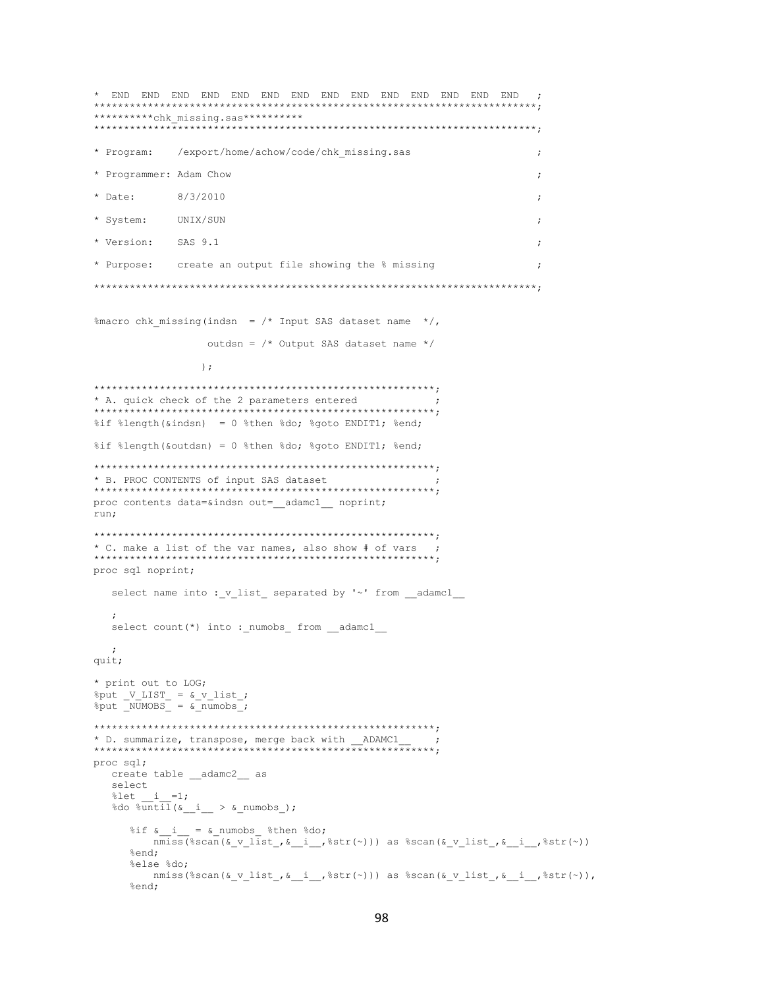\*\*\*\*\*\*\*\*\*\*chk missing.sas\*\*\*\*\*\*\*\*\*\* /export/home/achow/code/chk missing.sas \* Program:  $\cdot$ \* Programmer: Adam Chow  $\cdot$ \* Date: 8/3/2010  $\ddot{\phantom{0}}$ \* System: UNIX/SUN  $\cdot$ \* Version: SAS 9.1 \* Purpose: create an output file showing the % missing  $\cdot$ %macro chk missing (indsn =  $/*$  Input SAS dataset name  $*/$ , outdsn =  $/*$  Output SAS dataset name \*/  $\cdot$ : \* A. quick check of the 2 parameters entered %if %length(&indsn) = 0 %then %do; %goto ENDIT1; %end; %if %length(&outdsn) = 0 %then %do; %goto ENDIT1; %end; \* B. PROC CONTENTS of input SAS dataset proc contents data=&indsn out= adamc1 noprint; run; \* C. make a list of the var names, also show # of vars - 2 proc sql noprint; select name into : v list separated by '~' from adamc1 select count (\*) into : numobs from adamc1  $\cdot$ : quit; \* print out to LOG;  $% put$  V\_LIST =  $& v$ \_list;<br> $% put$  \_NUMOBS =  $& x$ \_numobs; \* D. summarize, transpose, merge back with \_\_ADAMC1\_ proc sql; create table \_\_adamc2\_\_\_ as select %let  $i = 1;$ %do %until( $\delta_i$  >  $\delta$  numobs);  $\text{Sif } \& \_\ i \_\ = \& \_\text{numobs} \& \text{then } \& \text{do;}$  $\overline{\text{mmiss}}$  (\$scan(&\_v\_list\_, &\_i\_, \$str(~))) as \$scan(&\_v\_list\_, &\_i\_, \$str(~)) %end;  $k = 1$ se  $k$ do: nmiss(%scan(&\_v\_list\_, &\_i\_\_,%str(~))) as %scan(&\_v\_list\_, &\_i\_\_,%str(~)), %end;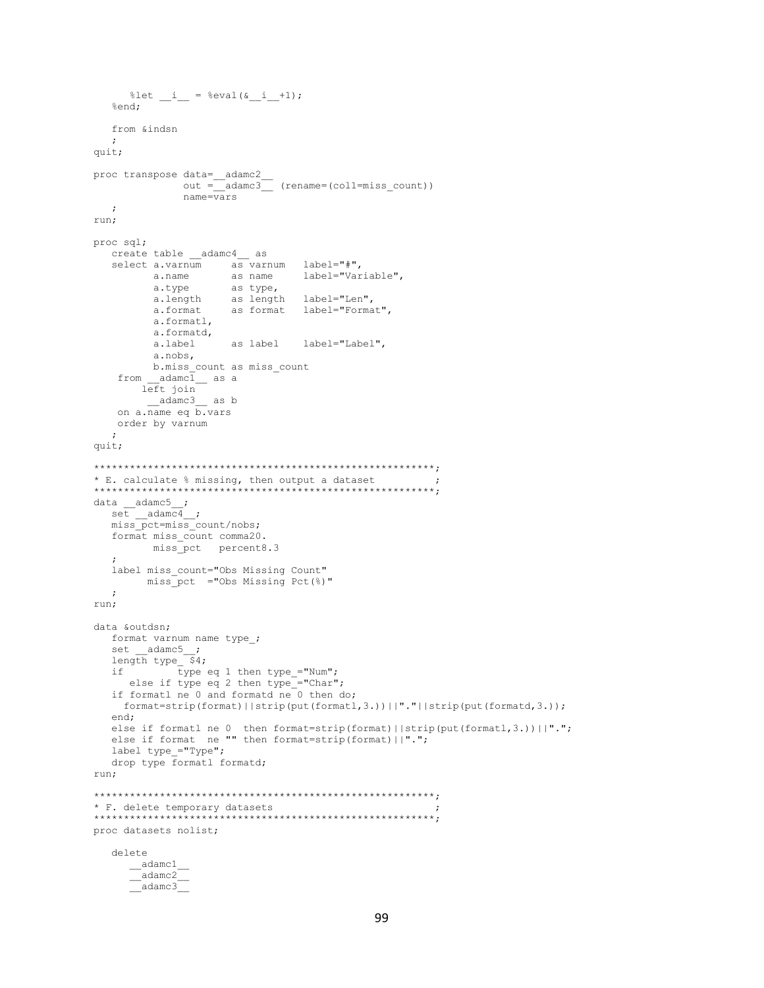```
%let _i_ = %eval(\&_i_+1);
  %end:
  from &indsn
  \cdotquit;
proc transpose data=__adamc2_
             out = \boxed{\underline{\hspace{1cm}}} adame3 (rename=(coll=miss_count))
             name = \overline{vars}\cdot:
run;
proc sql;
  create table __adamc4__ as
  select a.varnum as varnum label="#",
        a.name as name label="Varia<br>a.type as type,<br>a.length as length label="Len",
                                label="Variable",
                    as format label="Format",
        a.format
         a.formatl,
        a.formatd,
                   a.label
         a.nobs,
        b.miss count as miss count
   from \_ \text{adame}\overline{1} as a
       left join
        adamc3 as b
   on a. name eq b. vars
   order by varnum
  \cdotquit;
* E. calculate % missing, then output a dataset
data \_adame5;
  set __adamc4_;<br>miss pct=miss count/nobs;
  format miss count comma20.
       miss_pct percent8.3
  label miss count="Obs Missing Count"
       miss_pct ="Obs Missing Pct(%)"
  \cdot;
run;
data &outdsn:
  format varnum name type_;
  set \_adamc5;
  length type $4;if
           type eq 1 then type_="Num";
    else if type eq 2 then type = "Char";
  if formatl ne 0 and formatd ne 0 then do;
    format=strip(format)||strip(put(formatl,3.))||"."||strip(put(formatd,3.));
  end;
  else if formatl ne 0 then format=strip(format)||strip(put(formatl,3.))||".";
  else if format ne "" then format=strip(format)||".";
  label type ="Type";
  drop type formatl formatd;
run;
* F. delete temporary datasets
proc datasets nolist;
  delete
     adamc1\overline{\phantom{a}}adamc2
     \sqrt{a} damc3
```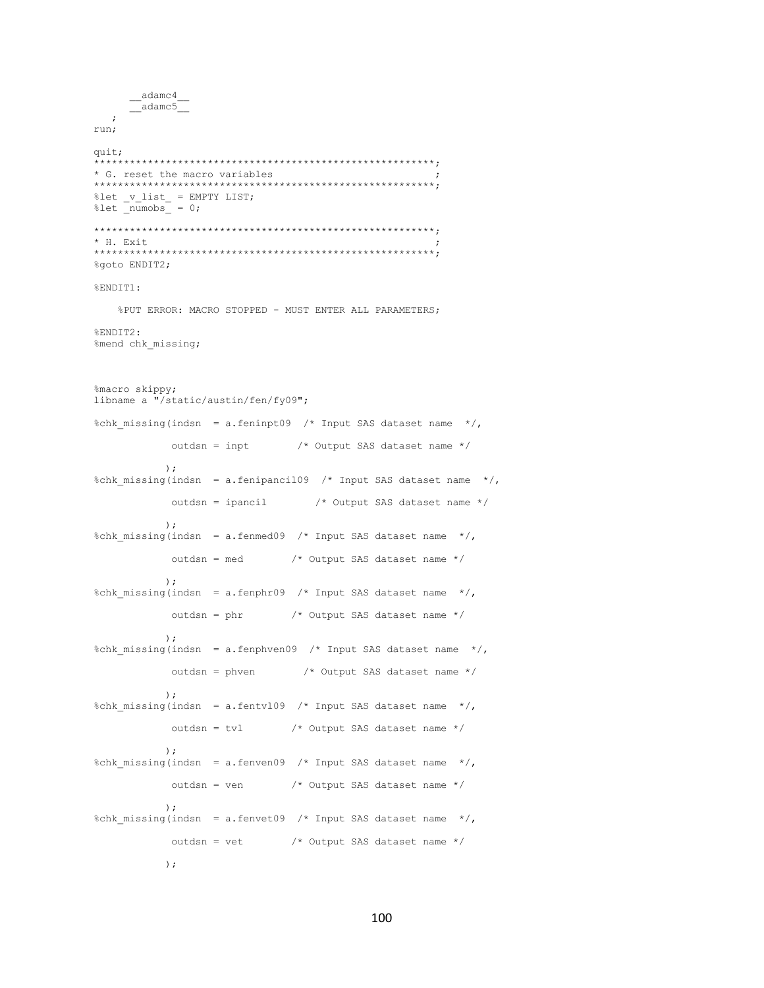```
__adamc4
     -adamc5\cdotrun;
quit;
* G. reset the macro variables
                         - - -<br>*******************************
    ************************
%let _v_list_ = EMPTY LIST;<br>%let _numobs_ = 0;
* H. Exit
%goto ENDIT2;
%FNDTT1:
   %PUT ERROR: MACRO STOPPED - MUST ENTER ALL PARAMETERS;
%ENDIT2:
%mend chk_missing;
%macro skippy;
libname a "/static/austin/fen/fy09";
%chk_missing(indsn = a.feninpt09 /* Input SAS dataset name */,
           outdsn = inpt /* Output SAS dataset name */
          \cdot%chk_missing(indsn = a.fenipancil09 /* Input SAS dataset name */,
                             /* Output SAS dataset name */
           outdsn = ipancil
          \rightarrow:
%chk missing(indsn = a.fenmed09 /* Input SAS dataset name */,
          outdsn = med /* Output SAS dataset name */
          );
%chk missing(indsn = a.fenphr09 /* Input SAS dataset name */,
          outdsn = phr /* Output SAS dataset name */
          \rightarrow:
%chk missing(indsn = a.fenphven09 /* Input SAS dataset name */,
                             /* Output SAS dataset name */
          outdsn = phven
          ) ;
%chk_missing(indsn = a.fentvl09 /* Input SAS dataset name */,
           outdsn = tv1/* Output SAS dataset name */
          \rightarrow%chk_missing(indsn = a.fenven09 /* Input SAS dataset name */,
                         /* Output SAS dataset name */outdsn = ven
          \rightarrow:
%chk missing(indsn = a.fenvet09 /* Input SAS dataset name */,
          outdsn = vet /* Output SAS dataset name */
          ) ;
```